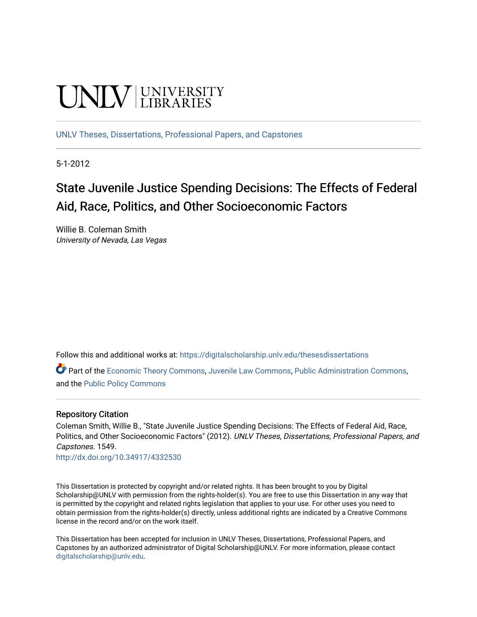# **CINITY** UNIVERSITY

[UNLV Theses, Dissertations, Professional Papers, and Capstones](https://digitalscholarship.unlv.edu/thesesdissertations)

5-1-2012

## State Juvenile Justice Spending Decisions: The Effects of Federal Aid, Race, Politics, and Other Socioeconomic Factors

Willie B. Coleman Smith University of Nevada, Las Vegas

Follow this and additional works at: [https://digitalscholarship.unlv.edu/thesesdissertations](https://digitalscholarship.unlv.edu/thesesdissertations?utm_source=digitalscholarship.unlv.edu%2Fthesesdissertations%2F1549&utm_medium=PDF&utm_campaign=PDFCoverPages)

Part of the [Economic Theory Commons](http://network.bepress.com/hgg/discipline/344?utm_source=digitalscholarship.unlv.edu%2Fthesesdissertations%2F1549&utm_medium=PDF&utm_campaign=PDFCoverPages), [Juvenile Law Commons,](http://network.bepress.com/hgg/discipline/851?utm_source=digitalscholarship.unlv.edu%2Fthesesdissertations%2F1549&utm_medium=PDF&utm_campaign=PDFCoverPages) [Public Administration Commons](http://network.bepress.com/hgg/discipline/398?utm_source=digitalscholarship.unlv.edu%2Fthesesdissertations%2F1549&utm_medium=PDF&utm_campaign=PDFCoverPages), and the [Public Policy Commons](http://network.bepress.com/hgg/discipline/400?utm_source=digitalscholarship.unlv.edu%2Fthesesdissertations%2F1549&utm_medium=PDF&utm_campaign=PDFCoverPages) 

#### Repository Citation

Coleman Smith, Willie B., "State Juvenile Justice Spending Decisions: The Effects of Federal Aid, Race, Politics, and Other Socioeconomic Factors" (2012). UNLV Theses, Dissertations, Professional Papers, and Capstones. 1549.

<http://dx.doi.org/10.34917/4332530>

This Dissertation is protected by copyright and/or related rights. It has been brought to you by Digital Scholarship@UNLV with permission from the rights-holder(s). You are free to use this Dissertation in any way that is permitted by the copyright and related rights legislation that applies to your use. For other uses you need to obtain permission from the rights-holder(s) directly, unless additional rights are indicated by a Creative Commons license in the record and/or on the work itself.

This Dissertation has been accepted for inclusion in UNLV Theses, Dissertations, Professional Papers, and Capstones by an authorized administrator of Digital Scholarship@UNLV. For more information, please contact [digitalscholarship@unlv.edu](mailto:digitalscholarship@unlv.edu).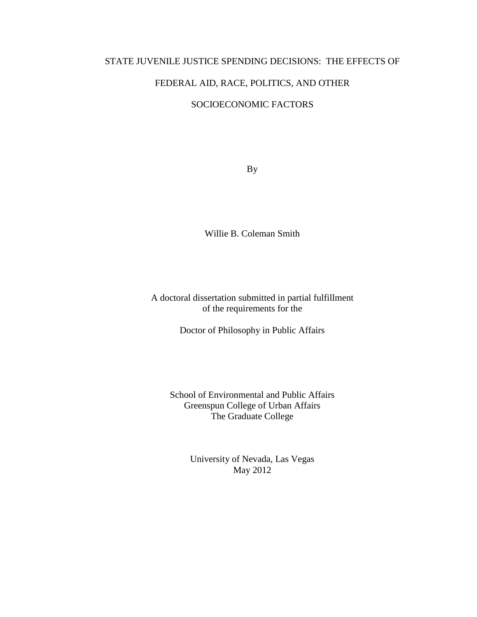#### STATE JUVENILE JUSTICE SPENDING DECISIONS: THE EFFECTS OF

## FEDERAL AID, RACE, POLITICS, AND OTHER

## SOCIOECONOMIC FACTORS

By

Willie B. Coleman Smith

A doctoral dissertation submitted in partial fulfillment of the requirements for the

Doctor of Philosophy in Public Affairs

School of Environmental and Public Affairs Greenspun College of Urban Affairs The Graduate College

> University of Nevada, Las Vegas May 2012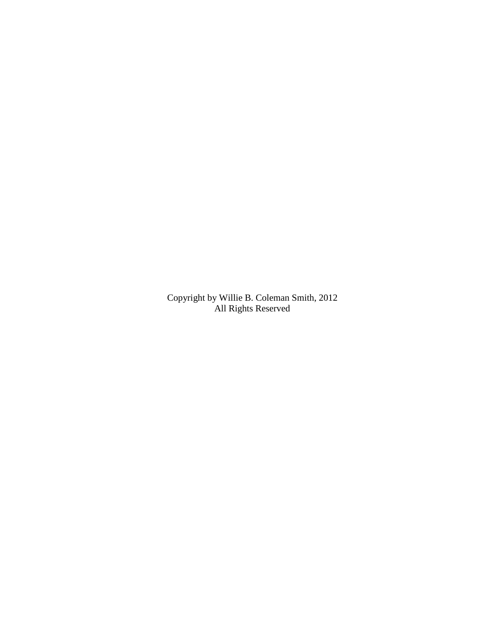Copyright by Willie B. Coleman Smith, 2012 All Rights Reserved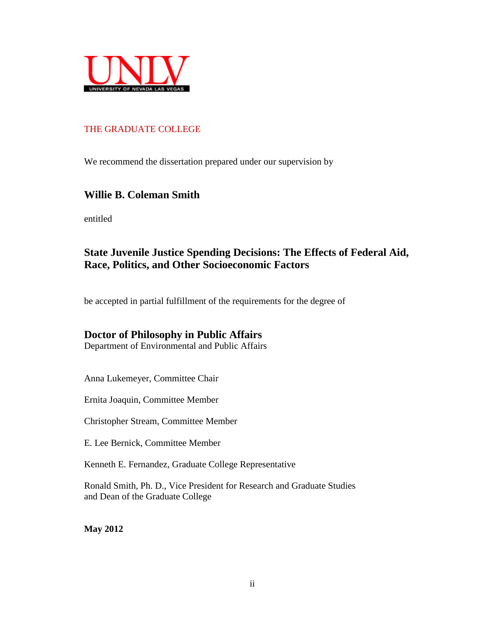

## THE GRADUATE COLLEGE

We recommend the dissertation prepared under our supervision by

## **Willie B. Coleman Smith**

entitled

## **State Juvenile Justice Spending Decisions: The Effects of Federal Aid, Race, Politics, and Other Socioeconomic Factors**

be accepted in partial fulfillment of the requirements for the degree of

## **Doctor of Philosophy in Public Affairs**

Department of Environmental and Public Affairs

Anna Lukemeyer, Committee Chair

Ernita Joaquin, Committee Member

Christopher Stream, Committee Member

E. Lee Bernick, Committee Member

Kenneth E. Fernandez, Graduate College Representative

Ronald Smith, Ph. D., Vice President for Research and Graduate Studies and Dean of the Graduate College

**May 2012**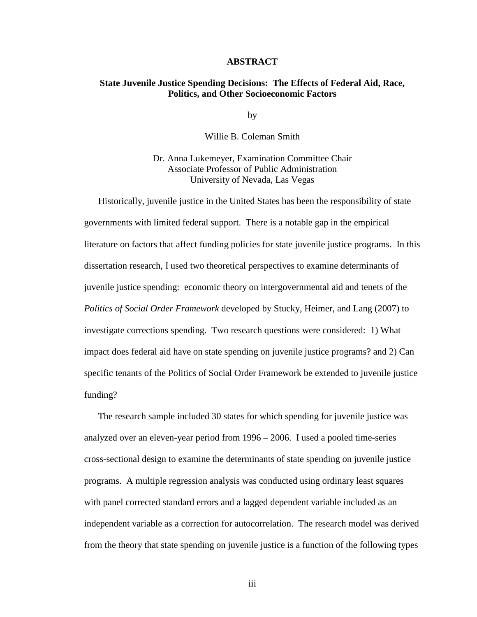#### **ABSTRACT**

#### **State Juvenile Justice Spending Decisions: The Effects of Federal Aid, Race, Politics, and Other Socioeconomic Factors**

by

Willie B. Coleman Smith

Dr. Anna Lukemeyer, Examination Committee Chair Associate Professor of Public Administration University of Nevada, Las Vegas

Historically, juvenile justice in the United States has been the responsibility of state governments with limited federal support. There is a notable gap in the empirical literature on factors that affect funding policies for state juvenile justice programs. In this dissertation research, I used two theoretical perspectives to examine determinants of juvenile justice spending: economic theory on intergovernmental aid and tenets of the *Politics of Social Order Framework* developed by Stucky, Heimer, and Lang (2007) to investigate corrections spending. Two research questions were considered: 1) What impact does federal aid have on state spending on juvenile justice programs? and 2) Can specific tenants of the Politics of Social Order Framework be extended to juvenile justice funding?

The research sample included 30 states for which spending for juvenile justice was analyzed over an eleven-year period from 1996 – 2006. I used a pooled time-series cross-sectional design to examine the determinants of state spending on juvenile justice programs. A multiple regression analysis was conducted using ordinary least squares with panel corrected standard errors and a lagged dependent variable included as an independent variable as a correction for autocorrelation. The research model was derived from the theory that state spending on juvenile justice is a function of the following types

iii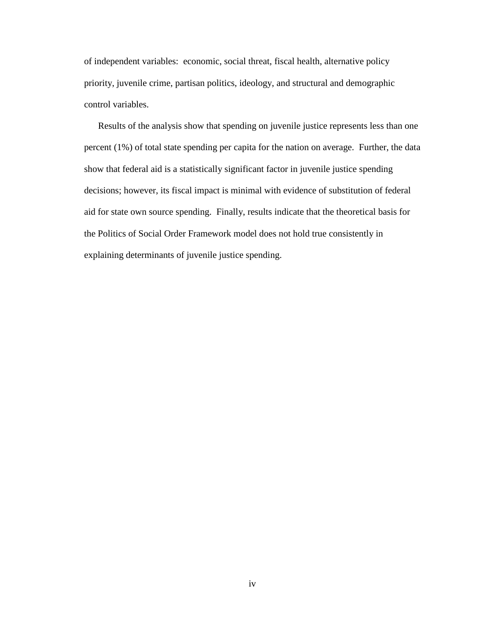of independent variables: economic, social threat, fiscal health, alternative policy priority, juvenile crime, partisan politics, ideology, and structural and demographic control variables.

Results of the analysis show that spending on juvenile justice represents less than one percent (1%) of total state spending per capita for the nation on average. Further, the data show that federal aid is a statistically significant factor in juvenile justice spending decisions; however, its fiscal impact is minimal with evidence of substitution of federal aid for state own source spending. Finally, results indicate that the theoretical basis for the Politics of Social Order Framework model does not hold true consistently in explaining determinants of juvenile justice spending.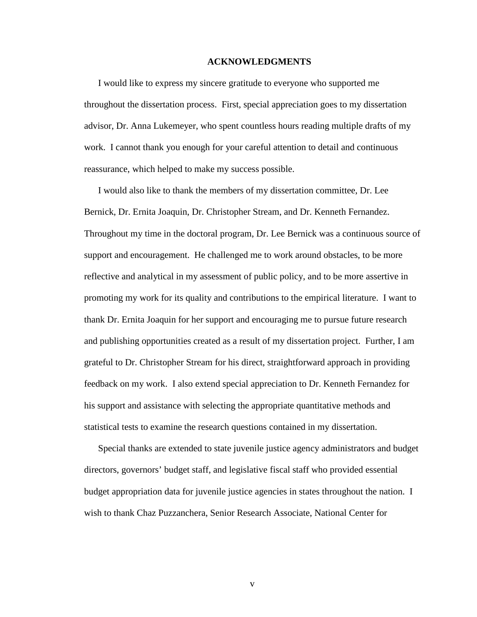#### **ACKNOWLEDGMENTS**

I would like to express my sincere gratitude to everyone who supported me throughout the dissertation process. First, special appreciation goes to my dissertation advisor, Dr. Anna Lukemeyer, who spent countless hours reading multiple drafts of my work. I cannot thank you enough for your careful attention to detail and continuous reassurance, which helped to make my success possible.

I would also like to thank the members of my dissertation committee, Dr. Lee Bernick, Dr. Ernita Joaquin, Dr. Christopher Stream, and Dr. Kenneth Fernandez. Throughout my time in the doctoral program, Dr. Lee Bernick was a continuous source of support and encouragement. He challenged me to work around obstacles, to be more reflective and analytical in my assessment of public policy, and to be more assertive in promoting my work for its quality and contributions to the empirical literature. I want to thank Dr. Ernita Joaquin for her support and encouraging me to pursue future research and publishing opportunities created as a result of my dissertation project. Further, I am grateful to Dr. Christopher Stream for his direct, straightforward approach in providing feedback on my work. I also extend special appreciation to Dr. Kenneth Fernandez for his support and assistance with selecting the appropriate quantitative methods and statistical tests to examine the research questions contained in my dissertation.

Special thanks are extended to state juvenile justice agency administrators and budget directors, governors' budget staff, and legislative fiscal staff who provided essential budget appropriation data for juvenile justice agencies in states throughout the nation. I wish to thank Chaz Puzzanchera, Senior Research Associate, National Center for

v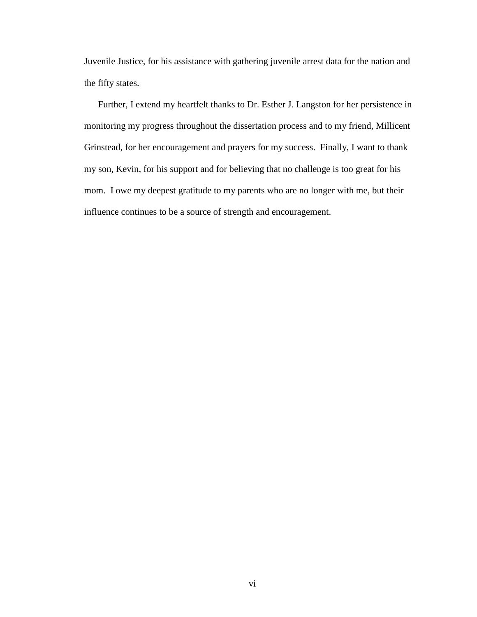Juvenile Justice, for his assistance with gathering juvenile arrest data for the nation and the fifty states.

Further, I extend my heartfelt thanks to Dr. Esther J. Langston for her persistence in monitoring my progress throughout the dissertation process and to my friend, Millicent Grinstead, for her encouragement and prayers for my success. Finally, I want to thank my son, Kevin, for his support and for believing that no challenge is too great for his mom. I owe my deepest gratitude to my parents who are no longer with me, but their influence continues to be a source of strength and encouragement.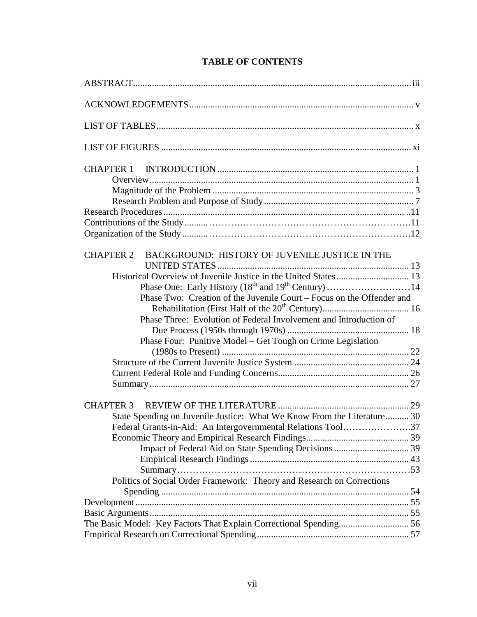| BACKGROUND: HISTORY OF JUVENILE JUSTICE IN THE<br><b>CHAPTER 2</b><br>Phase Two: Creation of the Juvenile Court – Focus on the Offender and<br>Phase Three: Evolution of Federal Involvement and Introduction of<br>Phase Four: Punitive Model – Get Tough on Crime Legislation<br><b>CHAPTER 3</b><br>State Spending on Juvenile Justice: What We Know From the Literature 30<br>Federal Grants-in-Aid: An Intergovernmental Relations Tool37<br>Politics of Social Order Framework: Theory and Research on Corrections |  |  |  |
|--------------------------------------------------------------------------------------------------------------------------------------------------------------------------------------------------------------------------------------------------------------------------------------------------------------------------------------------------------------------------------------------------------------------------------------------------------------------------------------------------------------------------|--|--|--|
|                                                                                                                                                                                                                                                                                                                                                                                                                                                                                                                          |  |  |  |
|                                                                                                                                                                                                                                                                                                                                                                                                                                                                                                                          |  |  |  |
|                                                                                                                                                                                                                                                                                                                                                                                                                                                                                                                          |  |  |  |
|                                                                                                                                                                                                                                                                                                                                                                                                                                                                                                                          |  |  |  |
|                                                                                                                                                                                                                                                                                                                                                                                                                                                                                                                          |  |  |  |
|                                                                                                                                                                                                                                                                                                                                                                                                                                                                                                                          |  |  |  |
|                                                                                                                                                                                                                                                                                                                                                                                                                                                                                                                          |  |  |  |
|                                                                                                                                                                                                                                                                                                                                                                                                                                                                                                                          |  |  |  |
|                                                                                                                                                                                                                                                                                                                                                                                                                                                                                                                          |  |  |  |
|                                                                                                                                                                                                                                                                                                                                                                                                                                                                                                                          |  |  |  |
|                                                                                                                                                                                                                                                                                                                                                                                                                                                                                                                          |  |  |  |
|                                                                                                                                                                                                                                                                                                                                                                                                                                                                                                                          |  |  |  |
|                                                                                                                                                                                                                                                                                                                                                                                                                                                                                                                          |  |  |  |
|                                                                                                                                                                                                                                                                                                                                                                                                                                                                                                                          |  |  |  |
|                                                                                                                                                                                                                                                                                                                                                                                                                                                                                                                          |  |  |  |
|                                                                                                                                                                                                                                                                                                                                                                                                                                                                                                                          |  |  |  |
|                                                                                                                                                                                                                                                                                                                                                                                                                                                                                                                          |  |  |  |
|                                                                                                                                                                                                                                                                                                                                                                                                                                                                                                                          |  |  |  |
|                                                                                                                                                                                                                                                                                                                                                                                                                                                                                                                          |  |  |  |
|                                                                                                                                                                                                                                                                                                                                                                                                                                                                                                                          |  |  |  |
|                                                                                                                                                                                                                                                                                                                                                                                                                                                                                                                          |  |  |  |
|                                                                                                                                                                                                                                                                                                                                                                                                                                                                                                                          |  |  |  |
|                                                                                                                                                                                                                                                                                                                                                                                                                                                                                                                          |  |  |  |
|                                                                                                                                                                                                                                                                                                                                                                                                                                                                                                                          |  |  |  |
|                                                                                                                                                                                                                                                                                                                                                                                                                                                                                                                          |  |  |  |
|                                                                                                                                                                                                                                                                                                                                                                                                                                                                                                                          |  |  |  |
|                                                                                                                                                                                                                                                                                                                                                                                                                                                                                                                          |  |  |  |
|                                                                                                                                                                                                                                                                                                                                                                                                                                                                                                                          |  |  |  |
|                                                                                                                                                                                                                                                                                                                                                                                                                                                                                                                          |  |  |  |
|                                                                                                                                                                                                                                                                                                                                                                                                                                                                                                                          |  |  |  |
|                                                                                                                                                                                                                                                                                                                                                                                                                                                                                                                          |  |  |  |
|                                                                                                                                                                                                                                                                                                                                                                                                                                                                                                                          |  |  |  |
|                                                                                                                                                                                                                                                                                                                                                                                                                                                                                                                          |  |  |  |
|                                                                                                                                                                                                                                                                                                                                                                                                                                                                                                                          |  |  |  |
|                                                                                                                                                                                                                                                                                                                                                                                                                                                                                                                          |  |  |  |
|                                                                                                                                                                                                                                                                                                                                                                                                                                                                                                                          |  |  |  |
|                                                                                                                                                                                                                                                                                                                                                                                                                                                                                                                          |  |  |  |
|                                                                                                                                                                                                                                                                                                                                                                                                                                                                                                                          |  |  |  |

## **TABLE OF CONTENTS**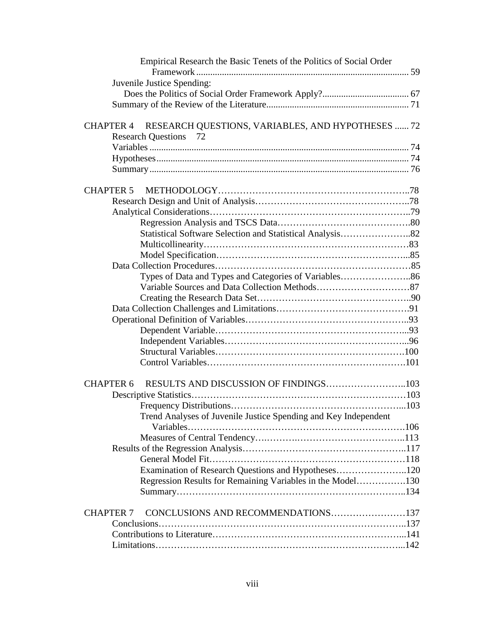| Empirical Research the Basic Tenets of the Politics of Social Order   |  |
|-----------------------------------------------------------------------|--|
|                                                                       |  |
| Juvenile Justice Spending:                                            |  |
|                                                                       |  |
|                                                                       |  |
|                                                                       |  |
| RESEARCH QUESTIONS, VARIABLES, AND HYPOTHESES  72<br><b>CHAPTER 4</b> |  |
| <b>Research Questions</b> 72                                          |  |
|                                                                       |  |
|                                                                       |  |
|                                                                       |  |
| <b>CHAPTER 5</b>                                                      |  |
|                                                                       |  |
|                                                                       |  |
|                                                                       |  |
| Statistical Software Selection and Statistical Analysis82             |  |
|                                                                       |  |
|                                                                       |  |
|                                                                       |  |
|                                                                       |  |
|                                                                       |  |
|                                                                       |  |
|                                                                       |  |
|                                                                       |  |
|                                                                       |  |
|                                                                       |  |
|                                                                       |  |
|                                                                       |  |
|                                                                       |  |
| <b>CHAPTER 6</b>                                                      |  |
|                                                                       |  |
| Frequency Distributions                                               |  |
| Trend Analyses of Juvenile Justice Spending and Key Independent       |  |
|                                                                       |  |
|                                                                       |  |
|                                                                       |  |
|                                                                       |  |
| Examination of Research Questions and Hypotheses120                   |  |
| Regression Results for Remaining Variables in the Model130            |  |
|                                                                       |  |
| CONCLUSIONS AND RECOMMENDATIONS137<br><b>CHAPTER 7</b>                |  |
|                                                                       |  |
|                                                                       |  |
|                                                                       |  |
|                                                                       |  |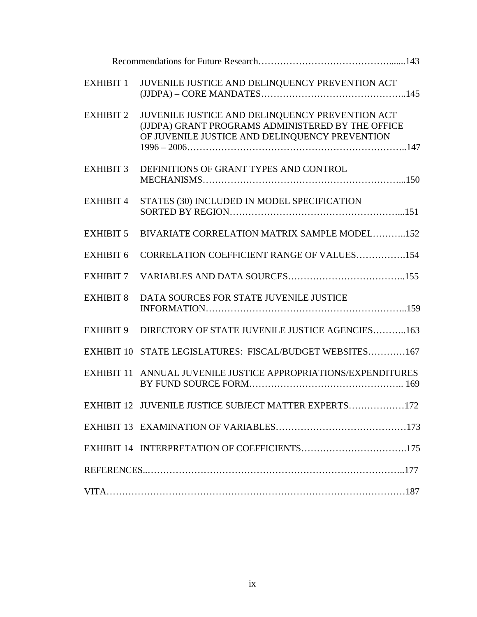| <b>EXHIBIT 1</b> | JUVENILE JUSTICE AND DELINQUENCY PREVENTION ACT                                                                                                        |  |  |
|------------------|--------------------------------------------------------------------------------------------------------------------------------------------------------|--|--|
| <b>EXHIBIT 2</b> | JUVENILE JUSTICE AND DELINQUENCY PREVENTION ACT<br>(JJDPA) GRANT PROGRAMS ADMINISTERED BY THE OFFICE<br>OF JUVENILE JUSTICE AND DELINQUENCY PREVENTION |  |  |
| <b>EXHIBIT 3</b> | DEFINITIONS OF GRANT TYPES AND CONTROL                                                                                                                 |  |  |
| <b>EXHIBIT 4</b> | STATES (30) INCLUDED IN MODEL SPECIFICATION                                                                                                            |  |  |
| <b>EXHIBIT 5</b> | BIVARIATE CORRELATION MATRIX SAMPLE MODEL152                                                                                                           |  |  |
| <b>EXHIBIT 6</b> | CORRELATION COEFFICIENT RANGE OF VALUES154                                                                                                             |  |  |
| <b>EXHIBIT 7</b> |                                                                                                                                                        |  |  |
| <b>EXHIBIT 8</b> | DATA SOURCES FOR STATE JUVENILE JUSTICE                                                                                                                |  |  |
| <b>EXHIBIT 9</b> | DIRECTORY OF STATE JUVENILE JUSTICE AGENCIES163                                                                                                        |  |  |
|                  | EXHIBIT 10 STATE LEGISLATURES: FISCAL/BUDGET WEBSITES167                                                                                               |  |  |
|                  | EXHIBIT 11 ANNUAL JUVENILE JUSTICE APPROPRIATIONS/EXPENDITURES                                                                                         |  |  |
|                  | EXHIBIT 12 JUVENILE JUSTICE SUBJECT MATTER EXPERTS172                                                                                                  |  |  |
|                  |                                                                                                                                                        |  |  |
|                  | EXHIBIT 14 INTERPRETATION OF COEFFICIENTS175                                                                                                           |  |  |
|                  |                                                                                                                                                        |  |  |
|                  |                                                                                                                                                        |  |  |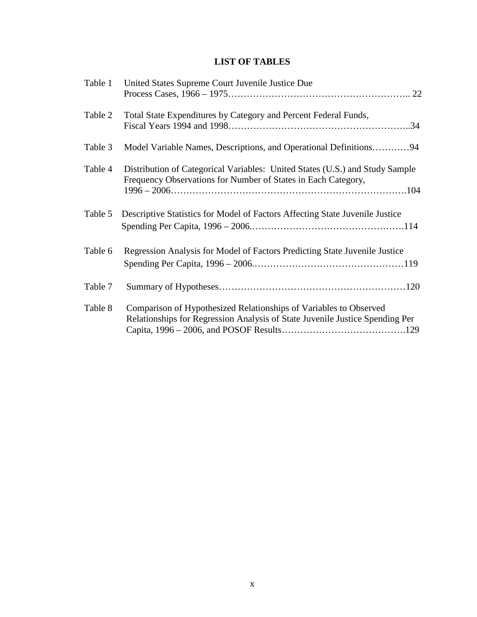## **LIST OF TABLES**

| Table 1 | United States Supreme Court Juvenile Justice Due                                                                                                  |
|---------|---------------------------------------------------------------------------------------------------------------------------------------------------|
| Table 2 | Total State Expenditures by Category and Percent Federal Funds,                                                                                   |
| Table 3 | Model Variable Names, Descriptions, and Operational Definitions94                                                                                 |
| Table 4 | Distribution of Categorical Variables: United States (U.S.) and Study Sample<br>Frequency Observations for Number of States in Each Category,     |
| Table 5 | Descriptive Statistics for Model of Factors Affecting State Juvenile Justice                                                                      |
| Table 6 | Regression Analysis for Model of Factors Predicting State Juvenile Justice                                                                        |
| Table 7 |                                                                                                                                                   |
| Table 8 | Comparison of Hypothesized Relationships of Variables to Observed<br>Relationships for Regression Analysis of State Juvenile Justice Spending Per |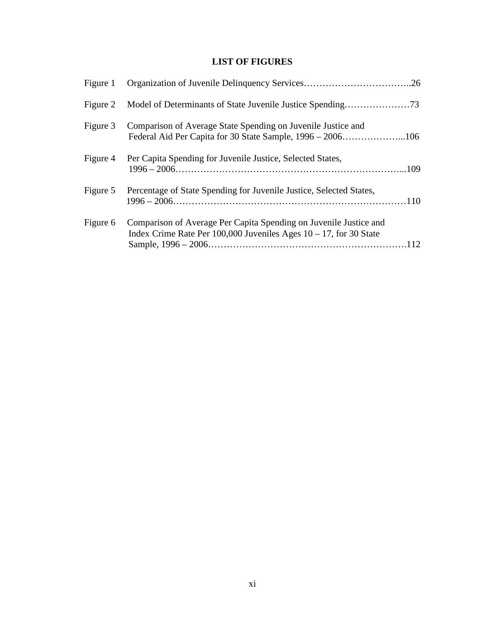## **LIST OF FIGURES**

| Figure 1 |                                                                                                                                           |  |
|----------|-------------------------------------------------------------------------------------------------------------------------------------------|--|
| Figure 2 |                                                                                                                                           |  |
| Figure 3 | Comparison of Average State Spending on Juvenile Justice and                                                                              |  |
| Figure 4 | Per Capita Spending for Juvenile Justice, Selected States,                                                                                |  |
|          | Figure 5 Percentage of State Spending for Juvenile Justice, Selected States,<br>$1996 - 2006 \ldots 110$                                  |  |
| Figure 6 | Comparison of Average Per Capita Spending on Juvenile Justice and<br>Index Crime Rate Per 100,000 Juveniles Ages $10 - 17$ , for 30 State |  |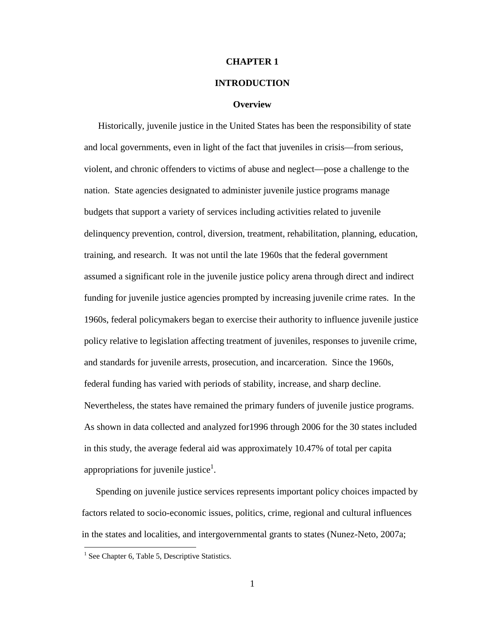#### **CHAPTER 1**

#### **INTRODUCTION**

#### **Overview**

Historically, juvenile justice in the United States has been the responsibility of state and local governments, even in light of the fact that juveniles in crisis—from serious, violent, and chronic offenders to victims of abuse and neglect—pose a challenge to the nation. State agencies designated to administer juvenile justice programs manage budgets that support a variety of services including activities related to juvenile delinquency prevention, control, diversion, treatment, rehabilitation, planning, education, training, and research. It was not until the late 1960s that the federal government assumed a significant role in the juvenile justice policy arena through direct and indirect funding for juvenile justice agencies prompted by increasing juvenile crime rates. In the 1960s, federal policymakers began to exercise their authority to influence juvenile justice policy relative to legislation affecting treatment of juveniles, responses to juvenile crime, and standards for juvenile arrests, prosecution, and incarceration. Since the 1960s, federal funding has varied with periods of stability, increase, and sharp decline. Nevertheless, the states have remained the primary funders of juvenile justice programs. As shown in data collected and analyzed for1996 through 2006 for the 30 states included in this study, the average federal aid was approximately 10.47% of total per capita appropriations for juvenile justice<sup>1</sup>.

Spending on juvenile justice services represents important policy choices impacted by factors related to socio-economic issues, politics, crime, regional and cultural influences in the states and localities, and intergovernmental grants to states (Nunez-Neto, 2007a;

 $\overline{a}$ 

<sup>&</sup>lt;sup>1</sup> See Chapter 6, Table 5, Descriptive Statistics.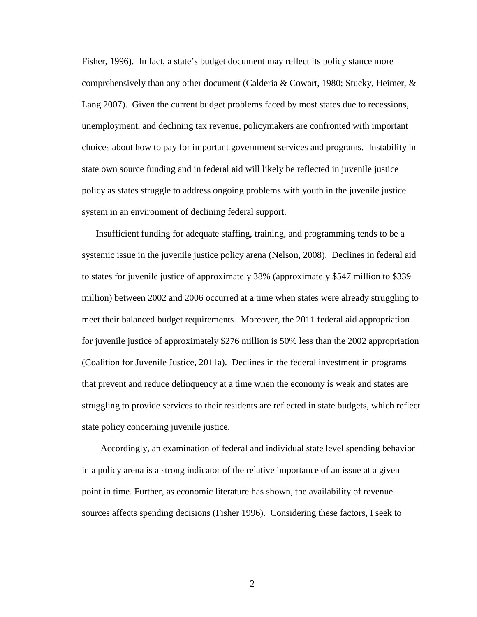Fisher, 1996). In fact, a state's budget document may reflect its policy stance more comprehensively than any other document (Calderia & Cowart, 1980; Stucky, Heimer, & Lang 2007). Given the current budget problems faced by most states due to recessions, unemployment, and declining tax revenue, policymakers are confronted with important choices about how to pay for important government services and programs. Instability in state own source funding and in federal aid will likely be reflected in juvenile justice policy as states struggle to address ongoing problems with youth in the juvenile justice system in an environment of declining federal support.

Insufficient funding for adequate staffing, training, and programming tends to be a systemic issue in the juvenile justice policy arena (Nelson, 2008). Declines in federal aid to states for juvenile justice of approximately 38% (approximately \$547 million to \$339 million) between 2002 and 2006 occurred at a time when states were already struggling to meet their balanced budget requirements. Moreover, the 2011 federal aid appropriation for juvenile justice of approximately \$276 million is 50% less than the 2002 appropriation (Coalition for Juvenile Justice, 2011a). Declines in the federal investment in programs that prevent and reduce delinquency at a time when the economy is weak and states are struggling to provide services to their residents are reflected in state budgets, which reflect state policy concerning juvenile justice.

 Accordingly, an examination of federal and individual state level spending behavior in a policy arena is a strong indicator of the relative importance of an issue at a given point in time. Further, as economic literature has shown, the availability of revenue sources affects spending decisions (Fisher 1996). Considering these factors, I seek to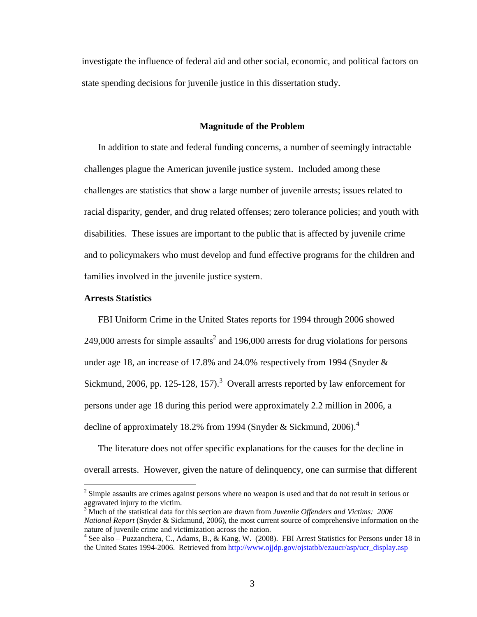investigate the influence of federal aid and other social, economic, and political factors on state spending decisions for juvenile justice in this dissertation study.

#### **Magnitude of the Problem**

In addition to state and federal funding concerns, a number of seemingly intractable challenges plague the American juvenile justice system. Included among these challenges are statistics that show a large number of juvenile arrests; issues related to racial disparity, gender, and drug related offenses; zero tolerance policies; and youth with disabilities. These issues are important to the public that is affected by juvenile crime and to policymakers who must develop and fund effective programs for the children and families involved in the juvenile justice system.

#### **Arrests Statistics**

 $\overline{a}$ 

FBI Uniform Crime in the United States reports for 1994 through 2006 showed 249,000 arrests for simple assaults<sup>2</sup> and 196,000 arrests for drug violations for persons under age 18, an increase of 17.8% and 24.0% respectively from 1994 (Snyder & Sickmund, 2006, pp. 125-128, 157).<sup>3</sup> Overall arrests reported by law enforcement for persons under age 18 during this period were approximately 2.2 million in 2006, a decline of approximately 18.2% from 1994 (Snyder & Sickmund, 2006).<sup>4</sup>

The literature does not offer specific explanations for the causes for the decline in overall arrests. However, given the nature of delinquency, one can surmise that different

 $2^{2}$  Simple assaults are crimes against persons where no weapon is used and that do not result in serious or aggravated injury to the victim.

<sup>3</sup> Much of the statistical data for this section are drawn from *Juvenile Offenders and Victims: 2006 National Report* (Snyder & Sickmund, 2006), the most current source of comprehensive information on the nature of juvenile crime and victimization across the nation.

<sup>&</sup>lt;sup>4</sup> See also – Puzzanchera, C., Adams, B., & Kang, W. (2008). FBI Arrest Statistics for Persons under 18 in the United States 1994-2006. Retrieved from http://www.ojjdp.gov/ojstatbb/ezaucr/asp/ucr\_display.asp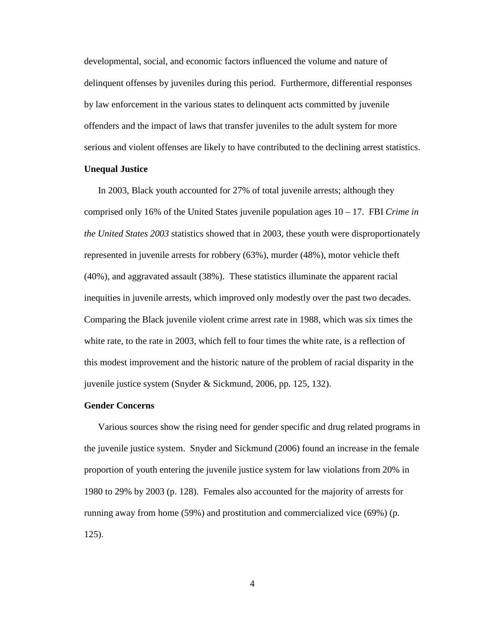developmental, social, and economic factors influenced the volume and nature of delinquent offenses by juveniles during this period. Furthermore, differential responses by law enforcement in the various states to delinquent acts committed by juvenile offenders and the impact of laws that transfer juveniles to the adult system for more serious and violent offenses are likely to have contributed to the declining arrest statistics.

#### **Unequal Justice**

In 2003, Black youth accounted for 27% of total juvenile arrests; although they comprised only 16% of the United States juvenile population ages 10 – 17. FBI *Crime in the United States 2003* statistics showed that in 2003, these youth were disproportionately represented in juvenile arrests for robbery (63%), murder (48%), motor vehicle theft (40%), and aggravated assault (38%). These statistics illuminate the apparent racial inequities in juvenile arrests, which improved only modestly over the past two decades. Comparing the Black juvenile violent crime arrest rate in 1988, which was six times the white rate, to the rate in 2003, which fell to four times the white rate, is a reflection of this modest improvement and the historic nature of the problem of racial disparity in the juvenile justice system (Snyder & Sickmund, 2006, pp. 125, 132).

#### **Gender Concerns**

Various sources show the rising need for gender specific and drug related programs in the juvenile justice system. Snyder and Sickmund (2006) found an increase in the female proportion of youth entering the juvenile justice system for law violations from 20% in 1980 to 29% by 2003 (p. 128). Females also accounted for the majority of arrests for running away from home (59%) and prostitution and commercialized vice (69%) (p. 125).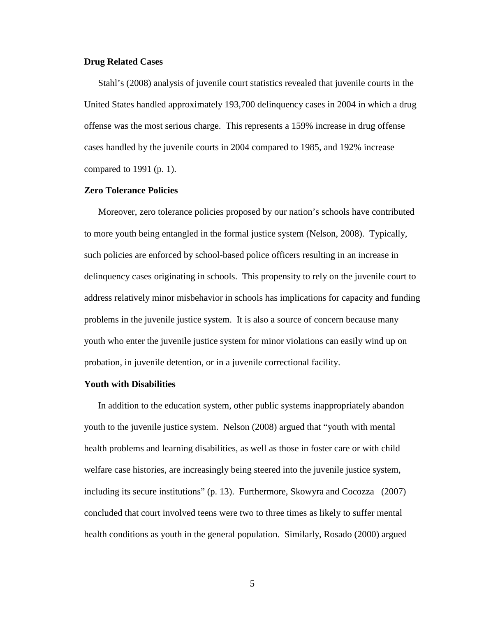#### **Drug Related Cases**

Stahl's (2008) analysis of juvenile court statistics revealed that juvenile courts in the United States handled approximately 193,700 delinquency cases in 2004 in which a drug offense was the most serious charge. This represents a 159% increase in drug offense cases handled by the juvenile courts in 2004 compared to 1985, and 192% increase compared to 1991 (p. 1).

#### **Zero Tolerance Policies**

Moreover, zero tolerance policies proposed by our nation's schools have contributed to more youth being entangled in the formal justice system (Nelson, 2008). Typically, such policies are enforced by school-based police officers resulting in an increase in delinquency cases originating in schools. This propensity to rely on the juvenile court to address relatively minor misbehavior in schools has implications for capacity and funding problems in the juvenile justice system. It is also a source of concern because many youth who enter the juvenile justice system for minor violations can easily wind up on probation, in juvenile detention, or in a juvenile correctional facility.

#### **Youth with Disabilities**

In addition to the education system, other public systems inappropriately abandon youth to the juvenile justice system. Nelson (2008) argued that "youth with mental health problems and learning disabilities, as well as those in foster care or with child welfare case histories, are increasingly being steered into the juvenile justice system, including its secure institutions" (p. 13). Furthermore, Skowyra and Cocozza (2007) concluded that court involved teens were two to three times as likely to suffer mental health conditions as youth in the general population. Similarly, Rosado (2000) argued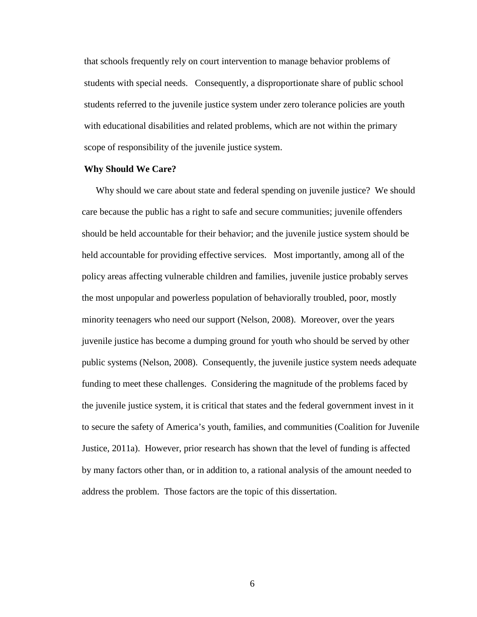that schools frequently rely on court intervention to manage behavior problems of students with special needs. Consequently, a disproportionate share of public school students referred to the juvenile justice system under zero tolerance policies are youth with educational disabilities and related problems, which are not within the primary scope of responsibility of the juvenile justice system.

#### **Why Should We Care?**

Why should we care about state and federal spending on juvenile justice? We should care because the public has a right to safe and secure communities; juvenile offenders should be held accountable for their behavior; and the juvenile justice system should be held accountable for providing effective services. Most importantly, among all of the policy areas affecting vulnerable children and families, juvenile justice probably serves the most unpopular and powerless population of behaviorally troubled, poor, mostly minority teenagers who need our support (Nelson, 2008). Moreover, over the years juvenile justice has become a dumping ground for youth who should be served by other public systems (Nelson, 2008). Consequently, the juvenile justice system needs adequate funding to meet these challenges. Considering the magnitude of the problems faced by the juvenile justice system, it is critical that states and the federal government invest in it to secure the safety of America's youth, families, and communities (Coalition for Juvenile Justice, 2011a). However, prior research has shown that the level of funding is affected by many factors other than, or in addition to, a rational analysis of the amount needed to address the problem. Those factors are the topic of this dissertation.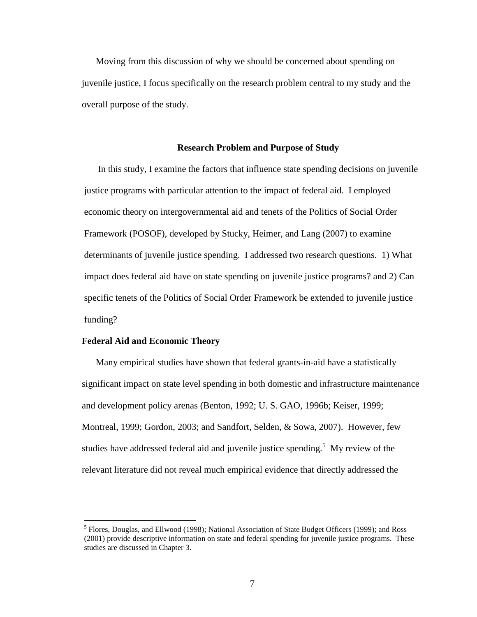Moving from this discussion of why we should be concerned about spending on juvenile justice, I focus specifically on the research problem central to my study and the overall purpose of the study.

#### **Research Problem and Purpose of Study**

In this study, I examine the factors that influence state spending decisions on juvenile justice programs with particular attention to the impact of federal aid. I employed economic theory on intergovernmental aid and tenets of the Politics of Social Order Framework (POSOF), developed by Stucky, Heimer, and Lang (2007) to examine determinants of juvenile justice spending. I addressed two research questions. 1) What impact does federal aid have on state spending on juvenile justice programs? and 2) Can specific tenets of the Politics of Social Order Framework be extended to juvenile justice funding?

#### **Federal Aid and Economic Theory**

<u>.</u>

Many empirical studies have shown that federal grants-in-aid have a statistically significant impact on state level spending in both domestic and infrastructure maintenance and development policy arenas (Benton, 1992; U. S. GAO, 1996b; Keiser, 1999; Montreal, 1999; Gordon, 2003; and Sandfort, Selden, & Sowa, 2007). However, few studies have addressed federal aid and juvenile justice spending.<sup>5</sup> My review of the relevant literature did not reveal much empirical evidence that directly addressed the

<sup>&</sup>lt;sup>5</sup> Flores, Douglas, and Ellwood (1998); National Association of State Budget Officers (1999); and Ross (2001) provide descriptive information on state and federal spending for juvenile justice programs. These studies are discussed in Chapter 3.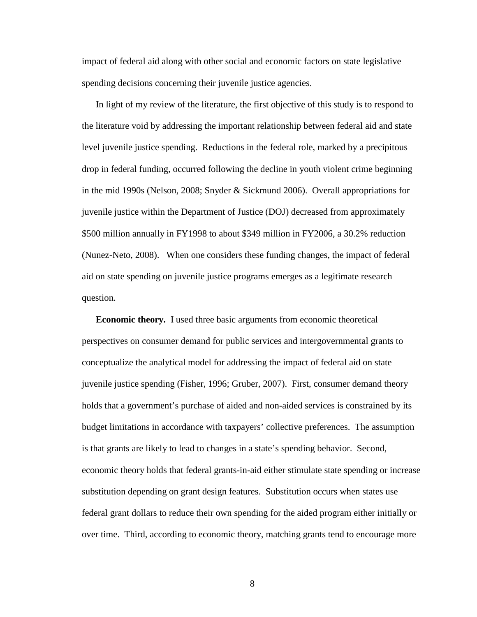impact of federal aid along with other social and economic factors on state legislative spending decisions concerning their juvenile justice agencies.

In light of my review of the literature, the first objective of this study is to respond to the literature void by addressing the important relationship between federal aid and state level juvenile justice spending. Reductions in the federal role, marked by a precipitous drop in federal funding, occurred following the decline in youth violent crime beginning in the mid 1990s (Nelson, 2008; Snyder & Sickmund 2006). Overall appropriations for juvenile justice within the Department of Justice (DOJ) decreased from approximately \$500 million annually in FY1998 to about \$349 million in FY2006, a 30.2% reduction (Nunez-Neto, 2008). When one considers these funding changes, the impact of federal aid on state spending on juvenile justice programs emerges as a legitimate research question.

**Economic theory.** I used three basic arguments from economic theoretical perspectives on consumer demand for public services and intergovernmental grants to conceptualize the analytical model for addressing the impact of federal aid on state juvenile justice spending (Fisher, 1996; Gruber, 2007). First, consumer demand theory holds that a government's purchase of aided and non-aided services is constrained by its budget limitations in accordance with taxpayers' collective preferences. The assumption is that grants are likely to lead to changes in a state's spending behavior. Second, economic theory holds that federal grants-in-aid either stimulate state spending or increase substitution depending on grant design features. Substitution occurs when states use federal grant dollars to reduce their own spending for the aided program either initially or over time. Third, according to economic theory, matching grants tend to encourage more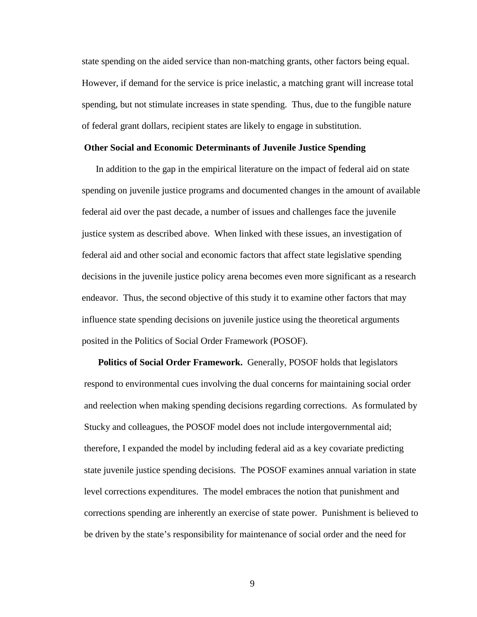state spending on the aided service than non-matching grants, other factors being equal. However, if demand for the service is price inelastic, a matching grant will increase total spending, but not stimulate increases in state spending. Thus, due to the fungible nature of federal grant dollars, recipient states are likely to engage in substitution.

#### **Other Social and Economic Determinants of Juvenile Justice Spending**

In addition to the gap in the empirical literature on the impact of federal aid on state spending on juvenile justice programs and documented changes in the amount of available federal aid over the past decade, a number of issues and challenges face the juvenile justice system as described above. When linked with these issues, an investigation of federal aid and other social and economic factors that affect state legislative spending decisions in the juvenile justice policy arena becomes even more significant as a research endeavor. Thus, the second objective of this study it to examine other factors that may influence state spending decisions on juvenile justice using the theoretical arguments posited in the Politics of Social Order Framework (POSOF).

**Politics of Social Order Framework.** Generally, POSOF holds that legislators respond to environmental cues involving the dual concerns for maintaining social order and reelection when making spending decisions regarding corrections. As formulated by Stucky and colleagues, the POSOF model does not include intergovernmental aid; therefore, I expanded the model by including federal aid as a key covariate predicting state juvenile justice spending decisions.The POSOF examines annual variation in state level corrections expenditures. The model embraces the notion that punishment and corrections spending are inherently an exercise of state power. Punishment is believed to be driven by the state's responsibility for maintenance of social order and the need for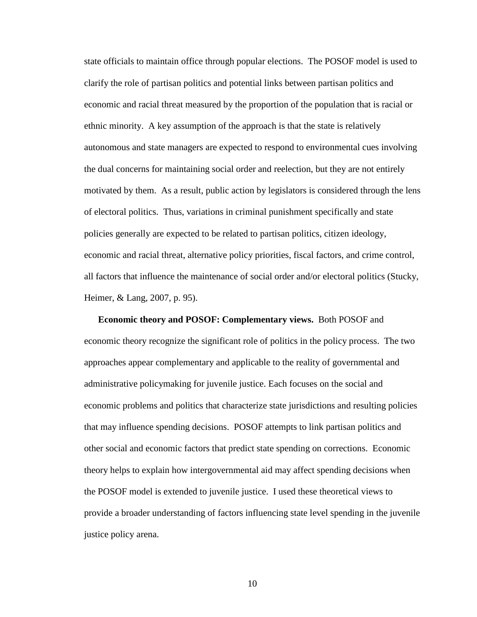state officials to maintain office through popular elections. The POSOF model is used to clarify the role of partisan politics and potential links between partisan politics and economic and racial threat measured by the proportion of the population that is racial or ethnic minority. A key assumption of the approach is that the state is relatively autonomous and state managers are expected to respond to environmental cues involving the dual concerns for maintaining social order and reelection, but they are not entirely motivated by them. As a result, public action by legislators is considered through the lens of electoral politics. Thus, variations in criminal punishment specifically and state policies generally are expected to be related to partisan politics, citizen ideology, economic and racial threat, alternative policy priorities, fiscal factors, and crime control, all factors that influence the maintenance of social order and/or electoral politics (Stucky, Heimer, & Lang, 2007, p. 95).

**Economic theory and POSOF: Complementary views.** Both POSOF and economic theory recognize the significant role of politics in the policy process. The two approaches appear complementary and applicable to the reality of governmental and administrative policymaking for juvenile justice. Each focuses on the social and economic problems and politics that characterize state jurisdictions and resulting policies that may influence spending decisions. POSOF attempts to link partisan politics and other social and economic factors that predict state spending on corrections. Economic theory helps to explain how intergovernmental aid may affect spending decisions when the POSOF model is extended to juvenile justice. I used these theoretical views to provide a broader understanding of factors influencing state level spending in the juvenile justice policy arena.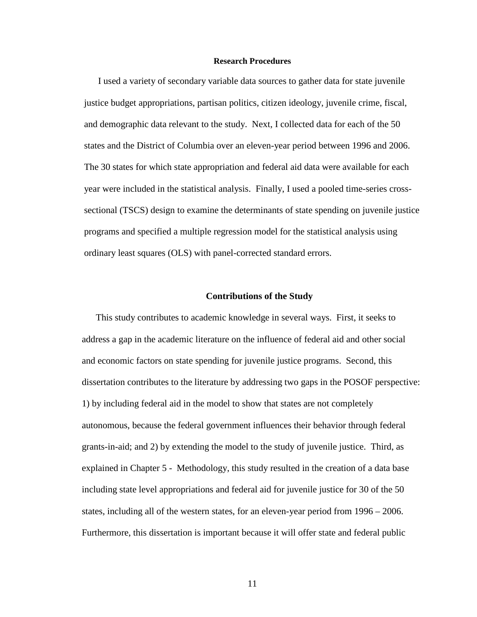#### **Research Procedures**

I used a variety of secondary variable data sources to gather data for state juvenile justice budget appropriations, partisan politics, citizen ideology, juvenile crime, fiscal, and demographic data relevant to the study. Next, I collected data for each of the 50 states and the District of Columbia over an eleven-year period between 1996 and 2006. The 30 states for which state appropriation and federal aid data were available for each year were included in the statistical analysis. Finally, I used a pooled time-series crosssectional (TSCS) design to examine the determinants of state spending on juvenile justice programs and specified a multiple regression model for the statistical analysis using ordinary least squares (OLS) with panel-corrected standard errors.

#### **Contributions of the Study**

This study contributes to academic knowledge in several ways. First, it seeks to address a gap in the academic literature on the influence of federal aid and other social and economic factors on state spending for juvenile justice programs. Second, this dissertation contributes to the literature by addressing two gaps in the POSOF perspective: 1) by including federal aid in the model to show that states are not completely autonomous, because the federal government influences their behavior through federal grants-in-aid; and 2) by extending the model to the study of juvenile justice. Third, as explained in Chapter 5 - Methodology, this study resulted in the creation of a data base including state level appropriations and federal aid for juvenile justice for 30 of the 50 states, including all of the western states, for an eleven-year period from 1996 – 2006. Furthermore, this dissertation is important because it will offer state and federal public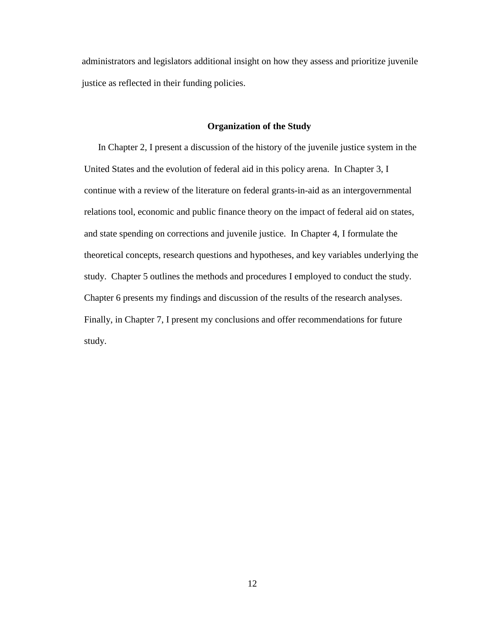administrators and legislators additional insight on how they assess and prioritize juvenile justice as reflected in their funding policies.

#### **Organization of the Study**

In Chapter 2, I present a discussion of the history of the juvenile justice system in the United States and the evolution of federal aid in this policy arena. In Chapter 3, I continue with a review of the literature on federal grants-in-aid as an intergovernmental relations tool, economic and public finance theory on the impact of federal aid on states, and state spending on corrections and juvenile justice. In Chapter 4, I formulate the theoretical concepts, research questions and hypotheses, and key variables underlying the study. Chapter 5 outlines the methods and procedures I employed to conduct the study. Chapter 6 presents my findings and discussion of the results of the research analyses. Finally, in Chapter 7, I present my conclusions and offer recommendations for future study.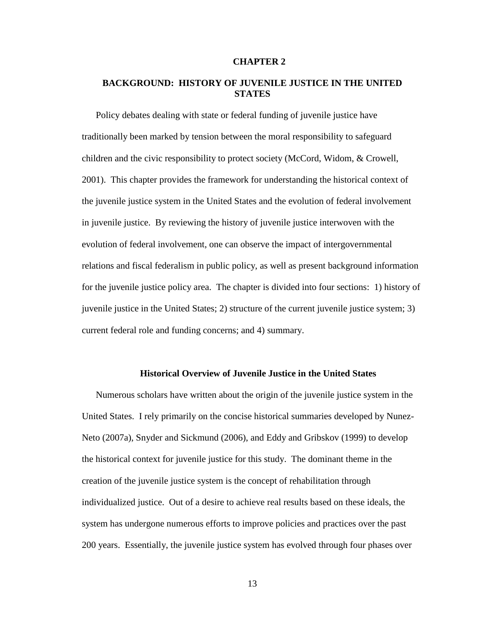#### **CHAPTER 2**

## **BACKGROUND: HISTORY OF JUVENILE JUSTICE IN THE UNITED STATES**

Policy debates dealing with state or federal funding of juvenile justice have traditionally been marked by tension between the moral responsibility to safeguard children and the civic responsibility to protect society (McCord, Widom, & Crowell, 2001). This chapter provides the framework for understanding the historical context of the juvenile justice system in the United States and the evolution of federal involvement in juvenile justice. By reviewing the history of juvenile justice interwoven with the evolution of federal involvement, one can observe the impact of intergovernmental relations and fiscal federalism in public policy, as well as present background information for the juvenile justice policy area. The chapter is divided into four sections: 1) history of juvenile justice in the United States; 2) structure of the current juvenile justice system; 3) current federal role and funding concerns; and 4) summary.

#### **Historical Overview of Juvenile Justice in the United States**

Numerous scholars have written about the origin of the juvenile justice system in the United States. I rely primarily on the concise historical summaries developed by Nunez-Neto (2007a), Snyder and Sickmund (2006), and Eddy and Gribskov (1999) to develop the historical context for juvenile justice for this study. The dominant theme in the creation of the juvenile justice system is the concept of rehabilitation through individualized justice. Out of a desire to achieve real results based on these ideals, the system has undergone numerous efforts to improve policies and practices over the past 200 years. Essentially, the juvenile justice system has evolved through four phases over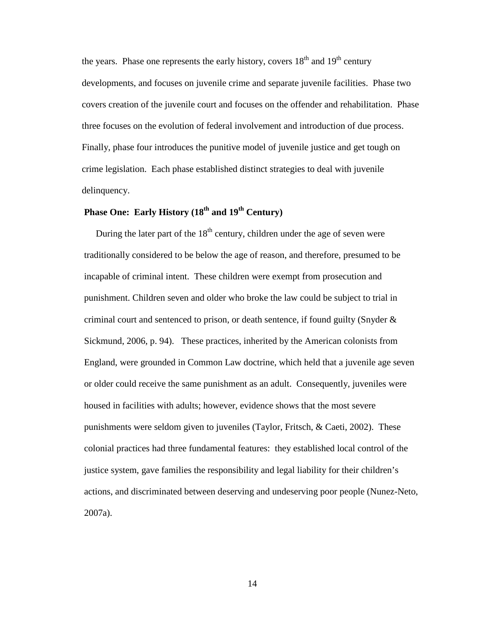the years. Phase one represents the early history, covers  $18<sup>th</sup>$  and  $19<sup>th</sup>$  century developments, and focuses on juvenile crime and separate juvenile facilities. Phase two covers creation of the juvenile court and focuses on the offender and rehabilitation. Phase three focuses on the evolution of federal involvement and introduction of due process. Finally, phase four introduces the punitive model of juvenile justice and get tough on crime legislation. Each phase established distinct strategies to deal with juvenile delinquency.

## **Phase One: Early History (18th and 19th Century)**

During the later part of the  $18<sup>th</sup>$  century, children under the age of seven were traditionally considered to be below the age of reason, and therefore, presumed to be incapable of criminal intent. These children were exempt from prosecution and punishment. Children seven and older who broke the law could be subject to trial in criminal court and sentenced to prison, or death sentence, if found guilty (Snyder & Sickmund, 2006, p. 94). These practices, inherited by the American colonists from England, were grounded in Common Law doctrine, which held that a juvenile age seven or older could receive the same punishment as an adult. Consequently, juveniles were housed in facilities with adults; however, evidence shows that the most severe punishments were seldom given to juveniles (Taylor, Fritsch, & Caeti, 2002). These colonial practices had three fundamental features: they established local control of the justice system, gave families the responsibility and legal liability for their children's actions, and discriminated between deserving and undeserving poor people (Nunez-Neto, 2007a).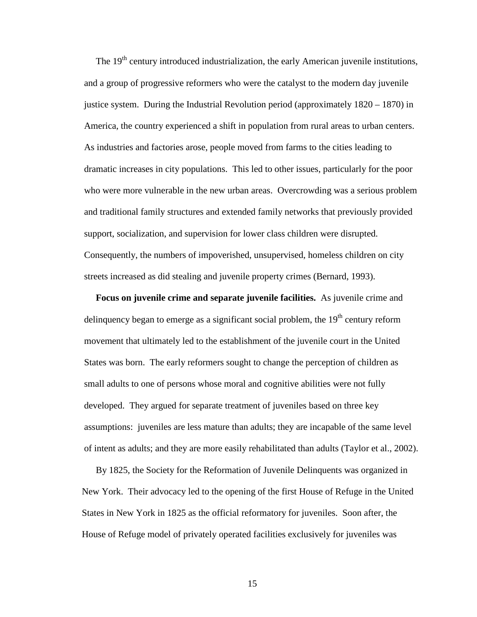The  $19<sup>th</sup>$  century introduced industrialization, the early American juvenile institutions, and a group of progressive reformers who were the catalyst to the modern day juvenile justice system. During the Industrial Revolution period (approximately  $1820 - 1870$ ) in America, the country experienced a shift in population from rural areas to urban centers. As industries and factories arose, people moved from farms to the cities leading to dramatic increases in city populations. This led to other issues, particularly for the poor who were more vulnerable in the new urban areas. Overcrowding was a serious problem and traditional family structures and extended family networks that previously provided support, socialization, and supervision for lower class children were disrupted. Consequently, the numbers of impoverished, unsupervised, homeless children on city streets increased as did stealing and juvenile property crimes (Bernard, 1993).

**Focus on juvenile crime and separate juvenile facilities.** As juvenile crime and delinquency began to emerge as a significant social problem, the  $19<sup>th</sup>$  century reform movement that ultimately led to the establishment of the juvenile court in the United States was born. The early reformers sought to change the perception of children as small adults to one of persons whose moral and cognitive abilities were not fully developed. They argued for separate treatment of juveniles based on three key assumptions: juveniles are less mature than adults; they are incapable of the same level of intent as adults; and they are more easily rehabilitated than adults (Taylor et al., 2002).

By 1825, the Society for the Reformation of Juvenile Delinquents was organized in New York. Their advocacy led to the opening of the first House of Refuge in the United States in New York in 1825 as the official reformatory for juveniles. Soon after, the House of Refuge model of privately operated facilities exclusively for juveniles was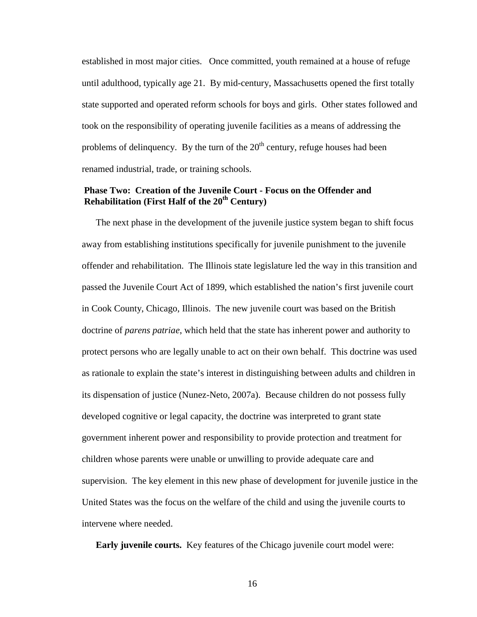established in most major cities. Once committed, youth remained at a house of refuge until adulthood, typically age 21. By mid-century, Massachusetts opened the first totally state supported and operated reform schools for boys and girls. Other states followed and took on the responsibility of operating juvenile facilities as a means of addressing the problems of delinquency. By the turn of the  $20<sup>th</sup>$  century, refuge houses had been renamed industrial, trade, or training schools.

#### **Phase Two: Creation of the Juvenile Court - Focus on the Offender and Rehabilitation (First Half of the 20th Century)**

The next phase in the development of the juvenile justice system began to shift focus away from establishing institutions specifically for juvenile punishment to the juvenile offender and rehabilitation. The Illinois state legislature led the way in this transition and passed the Juvenile Court Act of 1899, which established the nation's first juvenile court in Cook County, Chicago, Illinois. The new juvenile court was based on the British doctrine of *parens patriae*, which held that the state has inherent power and authority to protect persons who are legally unable to act on their own behalf. This doctrine was used as rationale to explain the state's interest in distinguishing between adults and children in its dispensation of justice (Nunez-Neto, 2007a). Because children do not possess fully developed cognitive or legal capacity, the doctrine was interpreted to grant state government inherent power and responsibility to provide protection and treatment for children whose parents were unable or unwilling to provide adequate care and supervision. The key element in this new phase of development for juvenile justice in the United States was the focus on the welfare of the child and using the juvenile courts to intervene where needed.

**Early juvenile courts.** Key features of the Chicago juvenile court model were: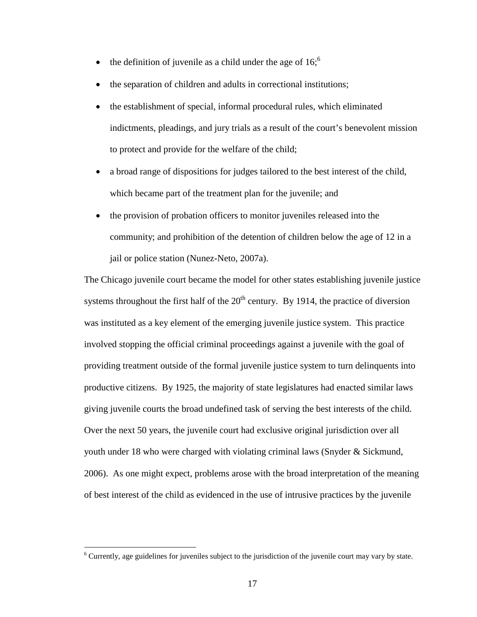- the definition of juvenile as a child under the age of  $16$ ;
- the separation of children and adults in correctional institutions;
- the establishment of special, informal procedural rules, which eliminated indictments, pleadings, and jury trials as a result of the court's benevolent mission to protect and provide for the welfare of the child;
- a broad range of dispositions for judges tailored to the best interest of the child, which became part of the treatment plan for the juvenile; and
- the provision of probation officers to monitor juveniles released into the community; and prohibition of the detention of children below the age of 12 in a jail or police station (Nunez-Neto, 2007a).

The Chicago juvenile court became the model for other states establishing juvenile justice systems throughout the first half of the  $20<sup>th</sup>$  century. By 1914, the practice of diversion was instituted as a key element of the emerging juvenile justice system. This practice involved stopping the official criminal proceedings against a juvenile with the goal of providing treatment outside of the formal juvenile justice system to turn delinquents into productive citizens. By 1925, the majority of state legislatures had enacted similar laws giving juvenile courts the broad undefined task of serving the best interests of the child. Over the next 50 years, the juvenile court had exclusive original jurisdiction over all youth under 18 who were charged with violating criminal laws (Snyder & Sickmund, 2006). As one might expect, problems arose with the broad interpretation of the meaning of best interest of the child as evidenced in the use of intrusive practices by the juvenile

 $\overline{a}$ 

<sup>&</sup>lt;sup>6</sup> Currently, age guidelines for juveniles subject to the jurisdiction of the juvenile court may vary by state.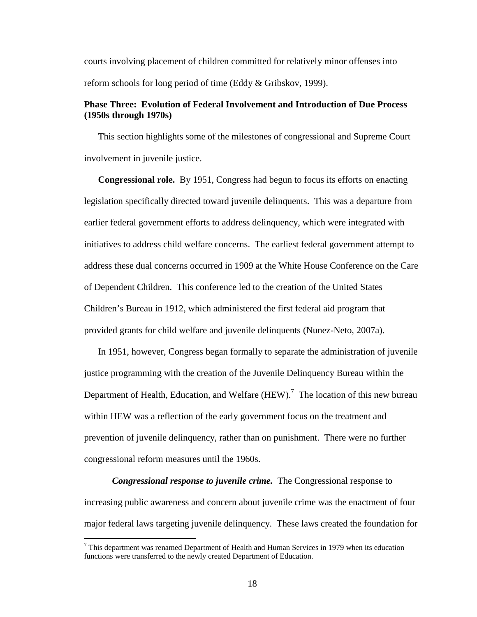courts involving placement of children committed for relatively minor offenses into reform schools for long period of time (Eddy & Gribskov, 1999).

## **Phase Three: Evolution of Federal Involvement and Introduction of Due Process (1950s through 1970s)**

This section highlights some of the milestones of congressional and Supreme Court involvement in juvenile justice.

**Congressional role.** By 1951, Congress had begun to focus its efforts on enacting legislation specifically directed toward juvenile delinquents. This was a departure from earlier federal government efforts to address delinquency, which were integrated with initiatives to address child welfare concerns. The earliest federal government attempt to address these dual concerns occurred in 1909 at the White House Conference on the Care of Dependent Children. This conference led to the creation of the United States Children's Bureau in 1912, which administered the first federal aid program that provided grants for child welfare and juvenile delinquents (Nunez-Neto, 2007a).

In 1951, however, Congress began formally to separate the administration of juvenile justice programming with the creation of the Juvenile Delinquency Bureau within the Department of Health, Education, and Welfare  $(HEW)$ .<sup>7</sup> The location of this new bureau within HEW was a reflection of the early government focus on the treatment and prevention of juvenile delinquency, rather than on punishment. There were no further congressional reform measures until the 1960s.

*Congressional response to juvenile crime.* The Congressional response to increasing public awareness and concern about juvenile crime was the enactment of four major federal laws targeting juvenile delinquency. These laws created the foundation for

<sup>&</sup>lt;sup>7</sup> This department was renamed Department of Health and Human Services in 1979 when its education functions were transferred to the newly created Department of Education.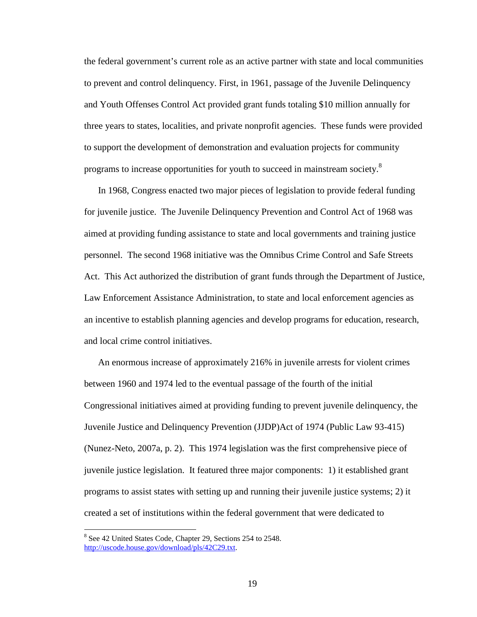the federal government's current role as an active partner with state and local communities to prevent and control delinquency. First, in 1961, passage of the Juvenile Delinquency and Youth Offenses Control Act provided grant funds totaling \$10 million annually for three years to states, localities, and private nonprofit agencies. These funds were provided to support the development of demonstration and evaluation projects for community programs to increase opportunities for youth to succeed in mainstream society.<sup>8</sup>

In 1968, Congress enacted two major pieces of legislation to provide federal funding for juvenile justice. The Juvenile Delinquency Prevention and Control Act of 1968 was aimed at providing funding assistance to state and local governments and training justice personnel. The second 1968 initiative was the Omnibus Crime Control and Safe Streets Act. This Act authorized the distribution of grant funds through the Department of Justice, Law Enforcement Assistance Administration, to state and local enforcement agencies as an incentive to establish planning agencies and develop programs for education, research, and local crime control initiatives.

An enormous increase of approximately 216% in juvenile arrests for violent crimes between 1960 and 1974 led to the eventual passage of the fourth of the initial Congressional initiatives aimed at providing funding to prevent juvenile delinquency, the Juvenile Justice and Delinquency Prevention (JJDP)Act of 1974 (Public Law 93-415) (Nunez-Neto, 2007a, p. 2). This 1974 legislation was the first comprehensive piece of juvenile justice legislation. It featured three major components: 1) it established grant programs to assist states with setting up and running their juvenile justice systems; 2) it created a set of institutions within the federal government that were dedicated to

 $\overline{a}$ 

<sup>&</sup>lt;sup>8</sup> See 42 United States Code, Chapter 29, Sections 254 to 2548. http://uscode.house.gov/download/pls/42C29.txt.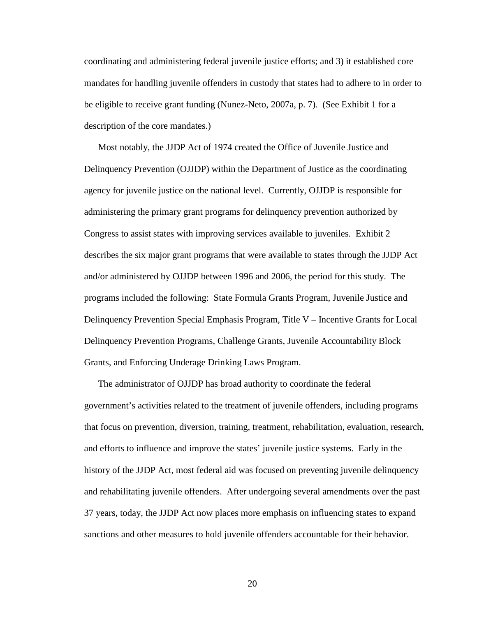coordinating and administering federal juvenile justice efforts; and 3) it established core mandates for handling juvenile offenders in custody that states had to adhere to in order to be eligible to receive grant funding (Nunez-Neto, 2007a, p. 7). (See Exhibit 1 for a description of the core mandates.)

Most notably, the JJDP Act of 1974 created the Office of Juvenile Justice and Delinquency Prevention (OJJDP) within the Department of Justice as the coordinating agency for juvenile justice on the national level. Currently, OJJDP is responsible for administering the primary grant programs for delinquency prevention authorized by Congress to assist states with improving services available to juveniles. Exhibit 2 describes the six major grant programs that were available to states through the JJDP Act and/or administered by OJJDP between 1996 and 2006, the period for this study. The programs included the following: State Formula Grants Program, Juvenile Justice and Delinquency Prevention Special Emphasis Program, Title V – Incentive Grants for Local Delinquency Prevention Programs, Challenge Grants, Juvenile Accountability Block Grants, and Enforcing Underage Drinking Laws Program.

The administrator of OJJDP has broad authority to coordinate the federal government's activities related to the treatment of juvenile offenders, including programs that focus on prevention, diversion, training, treatment, rehabilitation, evaluation, research, and efforts to influence and improve the states' juvenile justice systems. Early in the history of the JJDP Act, most federal aid was focused on preventing juvenile delinquency and rehabilitating juvenile offenders. After undergoing several amendments over the past 37 years, today, the JJDP Act now places more emphasis on influencing states to expand sanctions and other measures to hold juvenile offenders accountable for their behavior.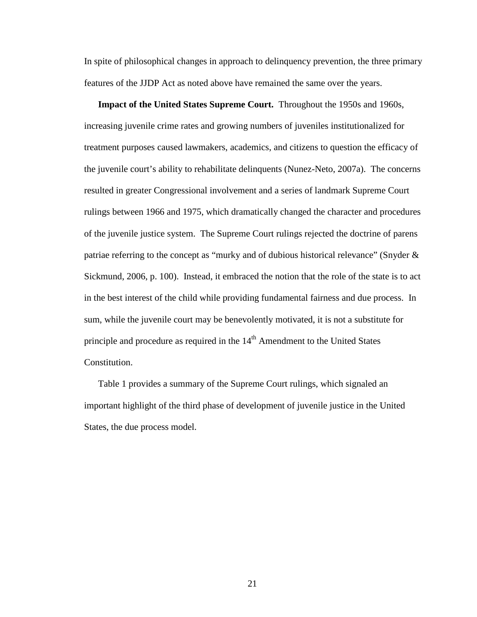In spite of philosophical changes in approach to delinquency prevention, the three primary features of the JJDP Act as noted above have remained the same over the years.

**Impact of the United States Supreme Court.** Throughout the 1950s and 1960s, increasing juvenile crime rates and growing numbers of juveniles institutionalized for treatment purposes caused lawmakers, academics, and citizens to question the efficacy of the juvenile court's ability to rehabilitate delinquents (Nunez-Neto, 2007a). The concerns resulted in greater Congressional involvement and a series of landmark Supreme Court rulings between 1966 and 1975, which dramatically changed the character and procedures of the juvenile justice system. The Supreme Court rulings rejected the doctrine of parens patriae referring to the concept as "murky and of dubious historical relevance" (Snyder & Sickmund, 2006, p. 100). Instead, it embraced the notion that the role of the state is to act in the best interest of the child while providing fundamental fairness and due process. In sum, while the juvenile court may be benevolently motivated, it is not a substitute for principle and procedure as required in the  $14<sup>th</sup>$  Amendment to the United States Constitution.

Table 1 provides a summary of the Supreme Court rulings, which signaled an important highlight of the third phase of development of juvenile justice in the United States, the due process model.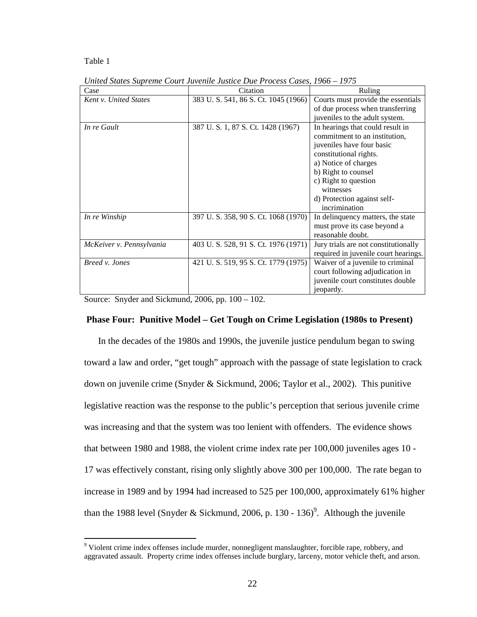#### Table 1

| Case                         | Citation                           | Ruling                               |
|------------------------------|------------------------------------|--------------------------------------|
| <b>Kent v. United States</b> | 383 U.S. 541, 86 S.Ct. 1045 (1966) | Courts must provide the essentials   |
|                              |                                    | of due process when transferring     |
|                              |                                    | juveniles to the adult system.       |
| In re Gault                  | 387 U.S. 1, 87 S. Ct. 1428 (1967)  | In hearings that could result in     |
|                              |                                    | commitment to an institution,        |
|                              |                                    | juveniles have four basic            |
|                              |                                    | constitutional rights.               |
|                              |                                    | a) Notice of charges                 |
|                              |                                    | b) Right to counsel                  |
|                              |                                    | c) Right to question                 |
|                              |                                    | witnesses                            |
|                              |                                    | d) Protection against self-          |
|                              |                                    | incrimination                        |
| In re Winship                | 397 U.S. 358, 90 S.Ct. 1068 (1970) | In delinquency matters, the state    |
|                              |                                    | must prove its case beyond a         |
|                              |                                    | reasonable doubt.                    |
| McKeiver v. Pennsylvania     | 403 U.S. 528, 91 S.Ct. 1976 (1971) | Jury trials are not constitutionally |
|                              |                                    | required in juvenile court hearings. |
| Breed v. Jones               | 421 U.S. 519, 95 S.Ct. 1779 (1975) | Waiver of a juvenile to criminal     |
|                              |                                    | court following adjudication in      |
|                              |                                    | juvenile court constitutes double    |
|                              |                                    | jeopardy.                            |

*United States Supreme Court Juvenile Justice Due Process Cases, 1966 – 1975* 

Source: Snyder and Sickmund, 2006, pp. 100 – 102.

#### **Phase Four: Punitive Model – Get Tough on Crime Legislation (1980s to Present)**

In the decades of the 1980s and 1990s, the juvenile justice pendulum began to swing toward a law and order, "get tough" approach with the passage of state legislation to crack down on juvenile crime (Snyder & Sickmund, 2006; Taylor et al., 2002). This punitive legislative reaction was the response to the public's perception that serious juvenile crime was increasing and that the system was too lenient with offenders. The evidence shows that between 1980 and 1988, the violent crime index rate per 100,000 juveniles ages 10 - 17 was effectively constant, rising only slightly above 300 per 100,000. The rate began to increase in 1989 and by 1994 had increased to 525 per 100,000, approximately 61% higher than the 1988 level (Snyder & Sickmund, 2006, p. 130 - 136)<sup>9</sup>. Although the juvenile

 9 Violent crime index offenses include murder, nonnegligent manslaughter, forcible rape, robbery, and aggravated assault. Property crime index offenses include burglary, larceny, motor vehicle theft, and arson.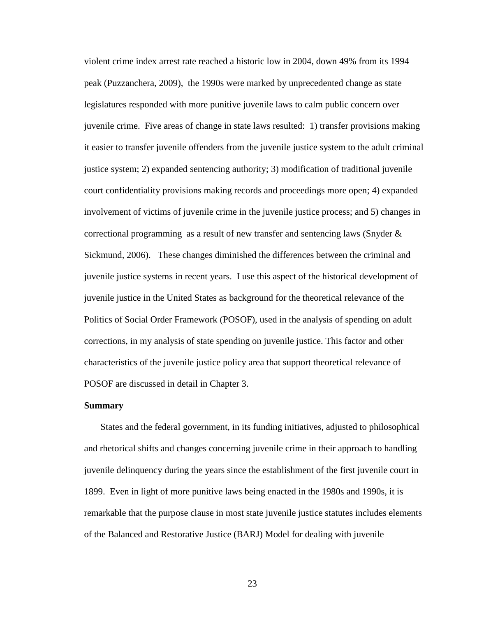violent crime index arrest rate reached a historic low in 2004, down 49% from its 1994 peak (Puzzanchera, 2009), the 1990s were marked by unprecedented change as state legislatures responded with more punitive juvenile laws to calm public concern over juvenile crime. Five areas of change in state laws resulted: 1) transfer provisions making it easier to transfer juvenile offenders from the juvenile justice system to the adult criminal justice system; 2) expanded sentencing authority; 3) modification of traditional juvenile court confidentiality provisions making records and proceedings more open; 4) expanded involvement of victims of juvenile crime in the juvenile justice process; and 5) changes in correctional programming as a result of new transfer and sentencing laws (Snyder & Sickmund, 2006). These changes diminished the differences between the criminal and juvenile justice systems in recent years. I use this aspect of the historical development of juvenile justice in the United States as background for the theoretical relevance of the Politics of Social Order Framework (POSOF), used in the analysis of spending on adult corrections, in my analysis of state spending on juvenile justice. This factor and other characteristics of the juvenile justice policy area that support theoretical relevance of POSOF are discussed in detail in Chapter 3.

#### **Summary**

States and the federal government, in its funding initiatives, adjusted to philosophical and rhetorical shifts and changes concerning juvenile crime in their approach to handling juvenile delinquency during the years since the establishment of the first juvenile court in 1899. Even in light of more punitive laws being enacted in the 1980s and 1990s, it is remarkable that the purpose clause in most state juvenile justice statutes includes elements of the Balanced and Restorative Justice (BARJ) Model for dealing with juvenile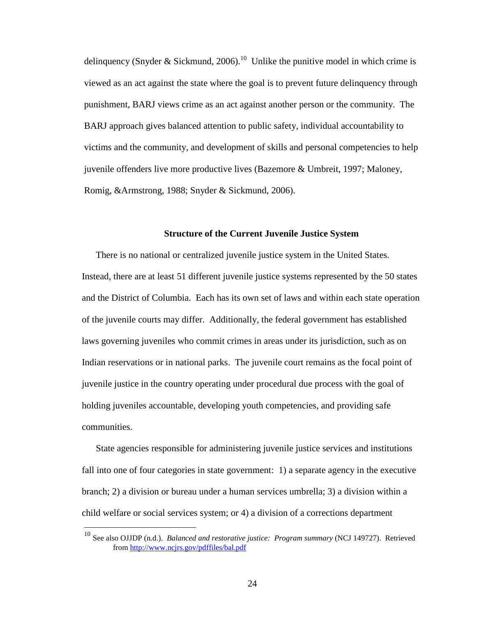delinquency (Snyder & Sickmund, 2006).<sup>10</sup> Unlike the punitive model in which crime is viewed as an act against the state where the goal is to prevent future delinquency through punishment, BARJ views crime as an act against another person or the community. The BARJ approach gives balanced attention to public safety, individual accountability to victims and the community, and development of skills and personal competencies to help juvenile offenders live more productive lives (Bazemore & Umbreit, 1997; Maloney, Romig, &Armstrong, 1988; Snyder & Sickmund, 2006).

## **Structure of the Current Juvenile Justice System**

There is no national or centralized juvenile justice system in the United States. Instead, there are at least 51 different juvenile justice systems represented by the 50 states and the District of Columbia. Each has its own set of laws and within each state operation of the juvenile courts may differ. Additionally, the federal government has established laws governing juveniles who commit crimes in areas under its jurisdiction, such as on Indian reservations or in national parks. The juvenile court remains as the focal point of juvenile justice in the country operating under procedural due process with the goal of holding juveniles accountable, developing youth competencies, and providing safe communities.

State agencies responsible for administering juvenile justice services and institutions fall into one of four categories in state government: 1) a separate agency in the executive branch; 2) a division or bureau under a human services umbrella; 3) a division within a child welfare or social services system; or 4) a division of a corrections department

 $\overline{a}$ 

<sup>10</sup> See also OJJDP (n.d.). *Balanced and restorative justice: Program summary* (NCJ 149727). Retrieved from http://www.ncjrs.gov/pdffiles/bal.pdf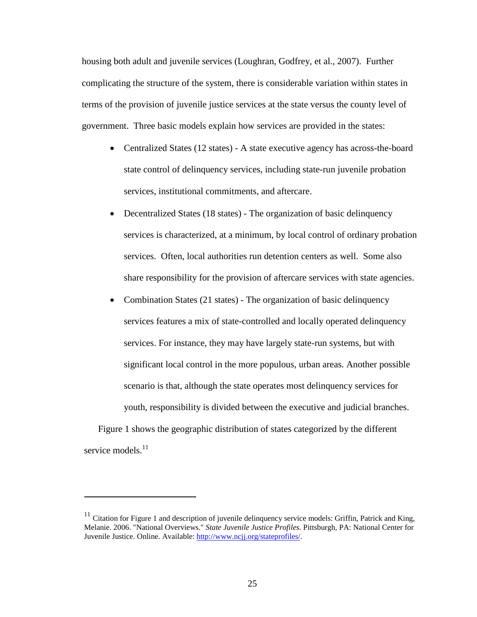housing both adult and juvenile services (Loughran, Godfrey, et al., 2007). Further complicating the structure of the system, there is considerable variation within states in terms of the provision of juvenile justice services at the state versus the county level of government. Three basic models explain how services are provided in the states:

- Centralized States (12 states) A state executive agency has across-the-board state control of delinquency services, including state-run juvenile probation services, institutional commitments, and aftercare.
- Decentralized States (18 states) The organization of basic delinquency services is characterized, at a minimum, by local control of ordinary probation services. Often, local authorities run detention centers as well. Some also share responsibility for the provision of aftercare services with state agencies.
- Combination States (21 states) The organization of basic delinquency services features a mix of state-controlled and locally operated delinquency services. For instance, they may have largely state-run systems, but with significant local control in the more populous, urban areas. Another possible scenario is that, although the state operates most delinquency services for youth, responsibility is divided between the executive and judicial branches.

Figure 1 shows the geographic distribution of states categorized by the different service models.<sup>11</sup>

<u>.</u>

 $11$  Citation for Figure 1 and description of juvenile delinquency service models: Griffin, Patrick and King, Melanie. 2006. "National Overviews." *State Juvenile Justice Profiles*. Pittsburgh, PA: National Center for Juvenile Justice. Online. Available: http://www.ncjj.org/stateprofiles/.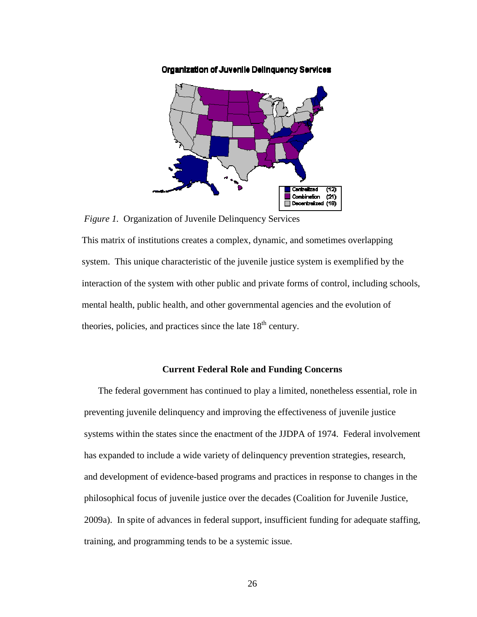

Organization of Juvenile Delinquency Services

*Figure 1.* Organization of Juvenile Delinquency Services

This matrix of institutions creates a complex, dynamic, and sometimes overlapping system. This unique characteristic of the juvenile justice system is exemplified by the interaction of the system with other public and private forms of control, including schools, mental health, public health, and other governmental agencies and the evolution of theories, policies, and practices since the late  $18<sup>th</sup>$  century.

# **Current Federal Role and Funding Concerns**

The federal government has continued to play a limited, nonetheless essential, role in preventing juvenile delinquency and improving the effectiveness of juvenile justice systems within the states since the enactment of the JJDPA of 1974. Federal involvement has expanded to include a wide variety of delinquency prevention strategies, research, and development of evidence-based programs and practices in response to changes in the philosophical focus of juvenile justice over the decades (Coalition for Juvenile Justice, 2009a). In spite of advances in federal support, insufficient funding for adequate staffing, training, and programming tends to be a systemic issue.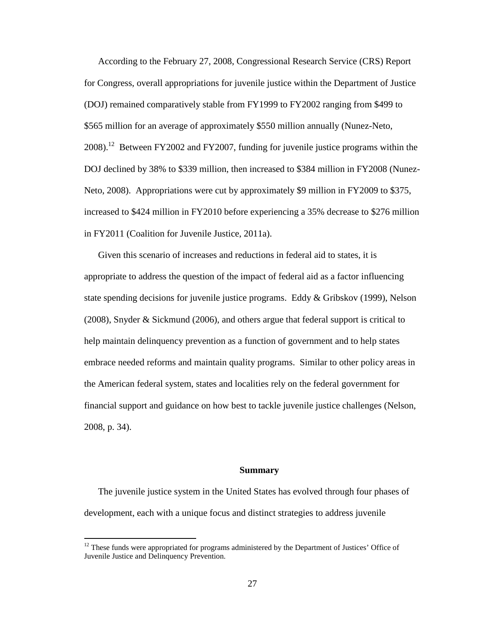According to the February 27, 2008, Congressional Research Service (CRS) Report for Congress, overall appropriations for juvenile justice within the Department of Justice (DOJ) remained comparatively stable from FY1999 to FY2002 ranging from \$499 to \$565 million for an average of approximately \$550 million annually (Nunez-Neto,  $2008$ .<sup>12</sup> Between FY2002 and FY2007, funding for juvenile justice programs within the DOJ declined by 38% to \$339 million, then increased to \$384 million in FY2008 (Nunez-Neto, 2008). Appropriations were cut by approximately \$9 million in FY2009 to \$375, increased to \$424 million in FY2010 before experiencing a 35% decrease to \$276 million in FY2011 (Coalition for Juvenile Justice, 2011a).

Given this scenario of increases and reductions in federal aid to states, it is appropriate to address the question of the impact of federal aid as a factor influencing state spending decisions for juvenile justice programs. Eddy & Gribskov (1999), Nelson (2008), Snyder & Sickmund (2006), and others argue that federal support is critical to help maintain delinquency prevention as a function of government and to help states embrace needed reforms and maintain quality programs. Similar to other policy areas in the American federal system, states and localities rely on the federal government for financial support and guidance on how best to tackle juvenile justice challenges (Nelson, 2008, p. 34).

## **Summary**

The juvenile justice system in the United States has evolved through four phases of development, each with a unique focus and distinct strategies to address juvenile

<u>.</u>

 $12$  These funds were appropriated for programs administered by the Department of Justices' Office of Juvenile Justice and Delinquency Prevention.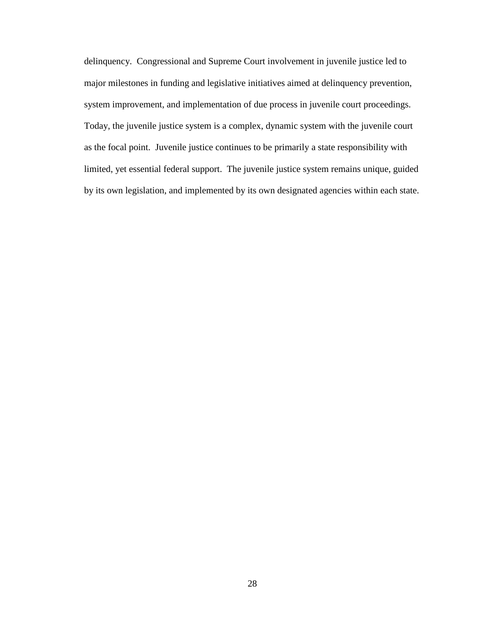delinquency. Congressional and Supreme Court involvement in juvenile justice led to major milestones in funding and legislative initiatives aimed at delinquency prevention, system improvement, and implementation of due process in juvenile court proceedings. Today, the juvenile justice system is a complex, dynamic system with the juvenile court as the focal point. Juvenile justice continues to be primarily a state responsibility with limited, yet essential federal support. The juvenile justice system remains unique, guided by its own legislation, and implemented by its own designated agencies within each state.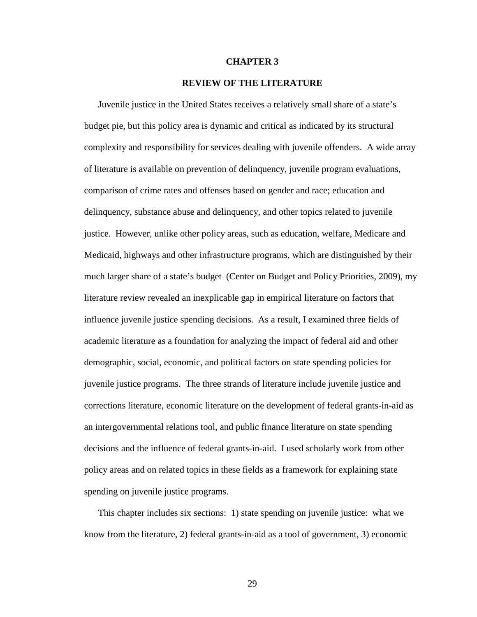## **CHAPTER 3**

## **REVIEW OF THE LITERATURE**

Juvenile justice in the United States receives a relatively small share of a state's budget pie, but this policy area is dynamic and critical as indicated by its structural complexity and responsibility for services dealing with juvenile offenders. A wide array of literature is available on prevention of delinquency, juvenile program evaluations, comparison of crime rates and offenses based on gender and race; education and delinquency, substance abuse and delinquency, and other topics related to juvenile justice. However, unlike other policy areas, such as education, welfare, Medicare and Medicaid, highways and other infrastructure programs, which are distinguished by their much larger share of a state's budget (Center on Budget and Policy Priorities, 2009), my literature review revealed an inexplicable gap in empirical literature on factors that influence juvenile justice spending decisions. As a result, I examined three fields of academic literature as a foundation for analyzing the impact of federal aid and other demographic, social, economic, and political factors on state spending policies for juvenile justice programs. The three strands of literature include juvenile justice and corrections literature, economic literature on the development of federal grants-in-aid as an intergovernmental relations tool, and public finance literature on state spending decisions and the influence of federal grants-in-aid. I used scholarly work from other policy areas and on related topics in these fields as a framework for explaining state spending on juvenile justice programs.

This chapter includes six sections: 1) state spending on juvenile justice: what we know from the literature, 2) federal grants-in-aid as a tool of government, 3) economic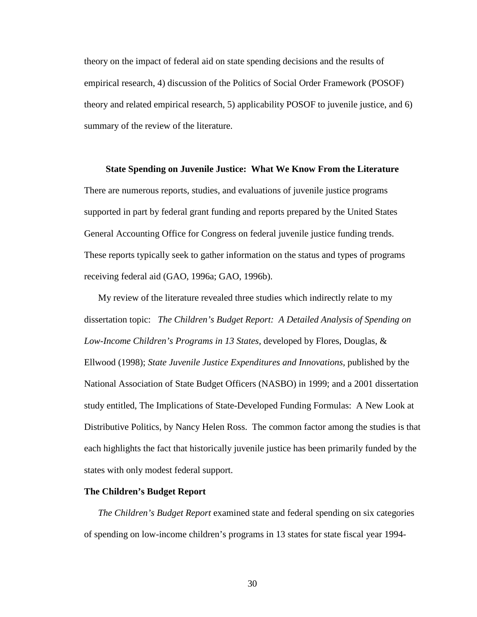theory on the impact of federal aid on state spending decisions and the results of empirical research, 4) discussion of the Politics of Social Order Framework (POSOF) theory and related empirical research, 5) applicability POSOF to juvenile justice, and 6) summary of the review of the literature.

## **State Spending on Juvenile Justice: What We Know From the Literature**

There are numerous reports, studies, and evaluations of juvenile justice programs supported in part by federal grant funding and reports prepared by the United States General Accounting Office for Congress on federal juvenile justice funding trends. These reports typically seek to gather information on the status and types of programs receiving federal aid (GAO, 1996a; GAO, 1996b).

My review of the literature revealed three studies which indirectly relate to my dissertation topic: *The Children's Budget Report: A Detailed Analysis of Spending on Low-Income Children's Programs in 13 States,* developed by Flores, Douglas, & Ellwood (1998); *State Juvenile Justice Expenditures and Innovations,* published by the National Association of State Budget Officers (NASBO) in 1999; and a 2001 dissertation study entitled, The Implications of State-Developed Funding Formulas: A New Look at Distributive Politics, by Nancy Helen Ross. The common factor among the studies is that each highlights the fact that historically juvenile justice has been primarily funded by the states with only modest federal support.

## **The Children's Budget Report**

*The Children's Budget Report* examined state and federal spending on six categories of spending on low-income children's programs in 13 states for state fiscal year 1994-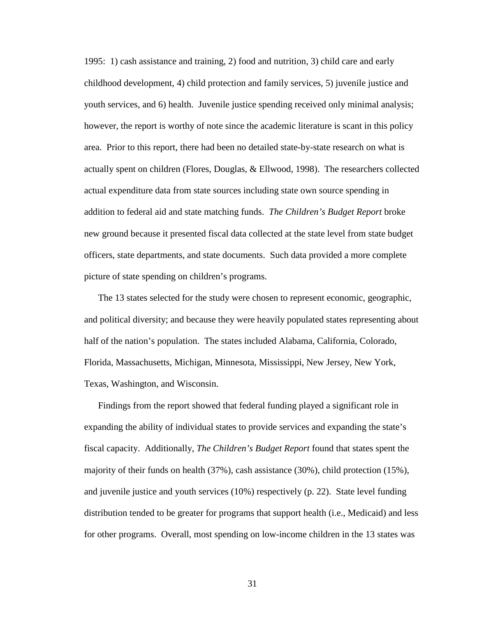1995: 1) cash assistance and training, 2) food and nutrition, 3) child care and early childhood development, 4) child protection and family services, 5) juvenile justice and youth services, and 6) health. Juvenile justice spending received only minimal analysis; however, the report is worthy of note since the academic literature is scant in this policy area. Prior to this report, there had been no detailed state-by-state research on what is actually spent on children (Flores, Douglas, & Ellwood, 1998). The researchers collected actual expenditure data from state sources including state own source spending in addition to federal aid and state matching funds. *The Children's Budget Report* broke new ground because it presented fiscal data collected at the state level from state budget officers, state departments, and state documents. Such data provided a more complete picture of state spending on children's programs.

The 13 states selected for the study were chosen to represent economic, geographic, and political diversity; and because they were heavily populated states representing about half of the nation's population. The states included Alabama, California, Colorado, Florida, Massachusetts, Michigan, Minnesota, Mississippi, New Jersey, New York, Texas, Washington, and Wisconsin.

Findings from the report showed that federal funding played a significant role in expanding the ability of individual states to provide services and expanding the state's fiscal capacity. Additionally, *The Children's Budget Report* found that states spent the majority of their funds on health (37%), cash assistance (30%), child protection (15%), and juvenile justice and youth services (10%) respectively (p. 22). State level funding distribution tended to be greater for programs that support health (i.e., Medicaid) and less for other programs. Overall, most spending on low-income children in the 13 states was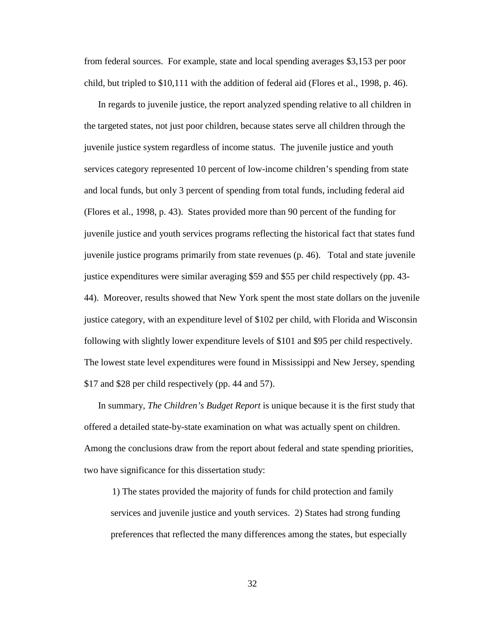from federal sources. For example, state and local spending averages \$3,153 per poor child, but tripled to \$10,111 with the addition of federal aid (Flores et al., 1998, p. 46).

In regards to juvenile justice, the report analyzed spending relative to all children in the targeted states, not just poor children, because states serve all children through the juvenile justice system regardless of income status. The juvenile justice and youth services category represented 10 percent of low-income children's spending from state and local funds, but only 3 percent of spending from total funds, including federal aid (Flores et al., 1998, p. 43). States provided more than 90 percent of the funding for juvenile justice and youth services programs reflecting the historical fact that states fund juvenile justice programs primarily from state revenues (p. 46). Total and state juvenile justice expenditures were similar averaging \$59 and \$55 per child respectively (pp. 43- 44). Moreover, results showed that New York spent the most state dollars on the juvenile justice category, with an expenditure level of \$102 per child, with Florida and Wisconsin following with slightly lower expenditure levels of \$101 and \$95 per child respectively. The lowest state level expenditures were found in Mississippi and New Jersey, spending \$17 and \$28 per child respectively (pp. 44 and 57).

In summary, *The Children's Budget Report* is unique because it is the first study that offered a detailed state-by-state examination on what was actually spent on children. Among the conclusions draw from the report about federal and state spending priorities, two have significance for this dissertation study:

1) The states provided the majority of funds for child protection and family services and juvenile justice and youth services. 2) States had strong funding preferences that reflected the many differences among the states, but especially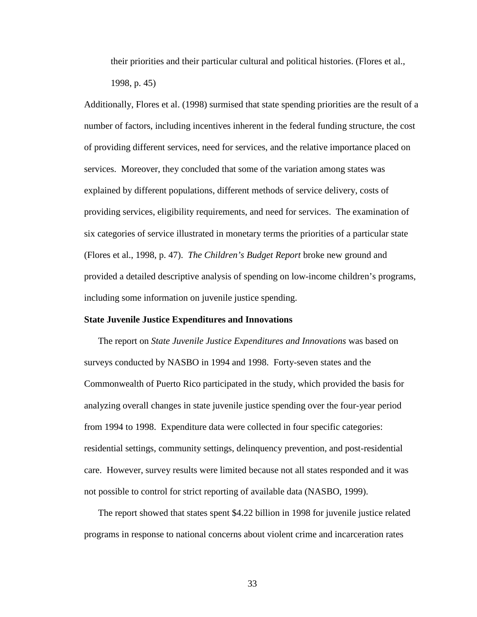their priorities and their particular cultural and political histories. (Flores et al., 1998, p. 45)

Additionally, Flores et al. (1998) surmised that state spending priorities are the result of a number of factors, including incentives inherent in the federal funding structure, the cost of providing different services, need for services, and the relative importance placed on services. Moreover, they concluded that some of the variation among states was explained by different populations, different methods of service delivery, costs of providing services, eligibility requirements, and need for services. The examination of six categories of service illustrated in monetary terms the priorities of a particular state (Flores et al., 1998, p. 47). *The Children's Budget Report* broke new ground and provided a detailed descriptive analysis of spending on low-income children's programs, including some information on juvenile justice spending.

## **State Juvenile Justice Expenditures and Innovations**

The report on *State Juvenile Justice Expenditures and Innovations* was based on surveys conducted by NASBO in 1994 and 1998. Forty-seven states and the Commonwealth of Puerto Rico participated in the study, which provided the basis for analyzing overall changes in state juvenile justice spending over the four-year period from 1994 to 1998. Expenditure data were collected in four specific categories: residential settings, community settings, delinquency prevention, and post-residential care. However, survey results were limited because not all states responded and it was not possible to control for strict reporting of available data (NASBO, 1999).

The report showed that states spent \$4.22 billion in 1998 for juvenile justice related programs in response to national concerns about violent crime and incarceration rates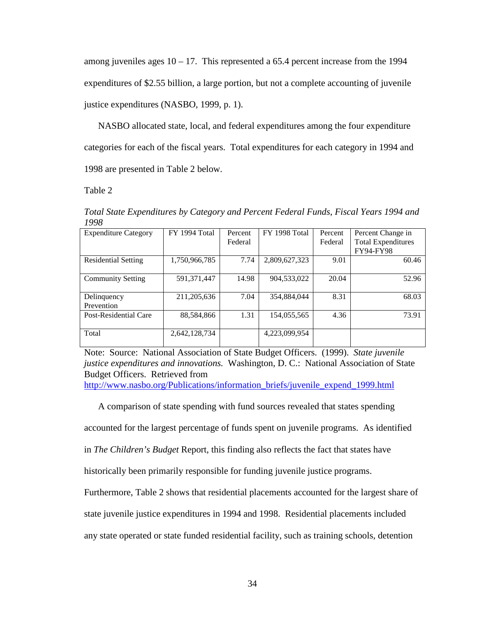among juveniles ages  $10 - 17$ . This represented a 65.4 percent increase from the 1994 expenditures of \$2.55 billion, a large portion, but not a complete accounting of juvenile justice expenditures (NASBO, 1999, p. 1).

NASBO allocated state, local, and federal expenditures among the four expenditure categories for each of the fiscal years. Total expenditures for each category in 1994 and 1998 are presented in Table 2 below.

Table 2

*Total State Expenditures by Category and Percent Federal Funds, Fiscal Years 1994 and 1998* 

| <b>Expenditure Category</b> | FY 1994 Total | Percent | FY 1998 Total | Percent | Percent Change in                             |
|-----------------------------|---------------|---------|---------------|---------|-----------------------------------------------|
|                             |               | Federal |               | Federal | <b>Total Expenditures</b><br><b>FY94-FY98</b> |
| <b>Residential Setting</b>  | 1,750,966,785 | 7.74    | 2,809,627,323 | 9.01    | 60.46                                         |
| <b>Community Setting</b>    | 591,371,447   | 14.98   | 904,533,022   | 20.04   | 52.96                                         |
| Delinquency<br>Prevention   | 211,205,636   | 7.04    | 354,884,044   | 8.31    | 68.03                                         |
| Post-Residential Care       | 88,584,866    | 1.31    | 154,055,565   | 4.36    | 73.91                                         |
| Total                       | 2,642,128,734 |         | 4,223,099,954 |         |                                               |

Note: Source: National Association of State Budget Officers. (1999). *State juvenile justice expenditures and innovations.* Washington, D. C.: National Association of State Budget Officers. Retrieved from

http://www.nasbo.org/Publications/information\_briefs/juvenile\_expend\_1999.html

A comparison of state spending with fund sources revealed that states spending

accounted for the largest percentage of funds spent on juvenile programs. As identified

in *The Children's Budget* Report, this finding also reflects the fact that states have

historically been primarily responsible for funding juvenile justice programs.

Furthermore, Table 2 shows that residential placements accounted for the largest share of

state juvenile justice expenditures in 1994 and 1998. Residential placements included

any state operated or state funded residential facility, such as training schools, detention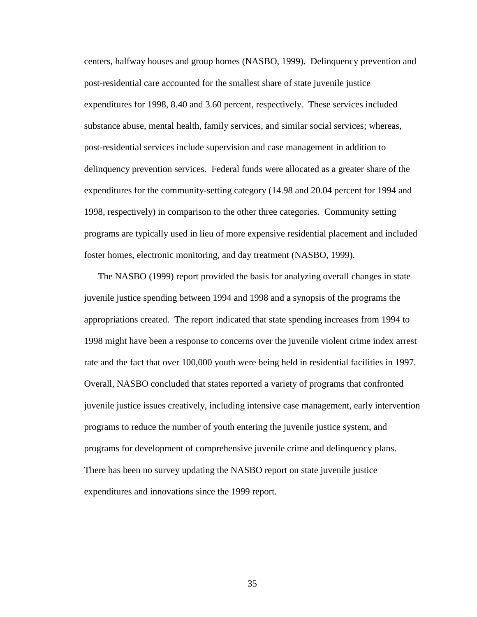centers, halfway houses and group homes (NASBO, 1999). Delinquency prevention and post-residential care accounted for the smallest share of state juvenile justice expenditures for 1998, 8.40 and 3.60 percent, respectively. These services included substance abuse, mental health, family services, and similar social services; whereas, post-residential services include supervision and case management in addition to delinquency prevention services. Federal funds were allocated as a greater share of the expenditures for the community-setting category (14.98 and 20.04 percent for 1994 and 1998, respectively) in comparison to the other three categories. Community setting programs are typically used in lieu of more expensive residential placement and included foster homes, electronic monitoring, and day treatment (NASBO, 1999).

The NASBO (1999) report provided the basis for analyzing overall changes in state juvenile justice spending between 1994 and 1998 and a synopsis of the programs the appropriations created. The report indicated that state spending increases from 1994 to 1998 might have been a response to concerns over the juvenile violent crime index arrest rate and the fact that over 100,000 youth were being held in residential facilities in 1997. Overall, NASBO concluded that states reported a variety of programs that confronted juvenile justice issues creatively, including intensive case management, early intervention programs to reduce the number of youth entering the juvenile justice system, and programs for development of comprehensive juvenile crime and delinquency plans. There has been no survey updating the NASBO report on state juvenile justice expenditures and innovations since the 1999 report.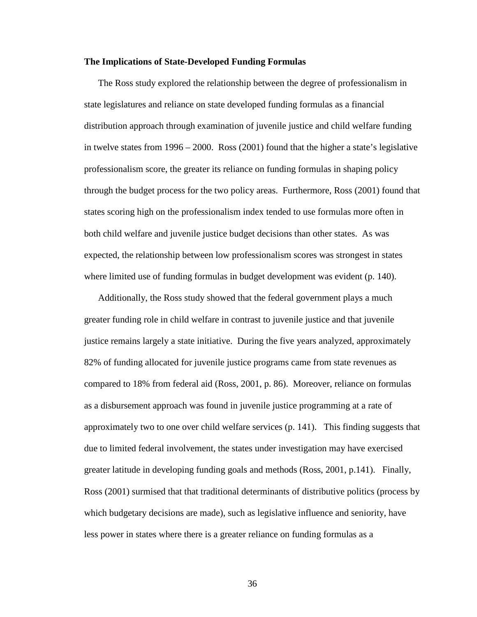## **The Implications of State-Developed Funding Formulas**

The Ross study explored the relationship between the degree of professionalism in state legislatures and reliance on state developed funding formulas as a financial distribution approach through examination of juvenile justice and child welfare funding in twelve states from 1996 – 2000. Ross (2001) found that the higher a state's legislative professionalism score, the greater its reliance on funding formulas in shaping policy through the budget process for the two policy areas. Furthermore, Ross (2001) found that states scoring high on the professionalism index tended to use formulas more often in both child welfare and juvenile justice budget decisions than other states. As was expected, the relationship between low professionalism scores was strongest in states where limited use of funding formulas in budget development was evident (p. 140).

Additionally, the Ross study showed that the federal government plays a much greater funding role in child welfare in contrast to juvenile justice and that juvenile justice remains largely a state initiative. During the five years analyzed, approximately 82% of funding allocated for juvenile justice programs came from state revenues as compared to 18% from federal aid (Ross, 2001, p. 86). Moreover, reliance on formulas as a disbursement approach was found in juvenile justice programming at a rate of approximately two to one over child welfare services (p. 141). This finding suggests that due to limited federal involvement, the states under investigation may have exercised greater latitude in developing funding goals and methods (Ross, 2001, p.141). Finally, Ross (2001) surmised that that traditional determinants of distributive politics (process by which budgetary decisions are made), such as legislative influence and seniority, have less power in states where there is a greater reliance on funding formulas as a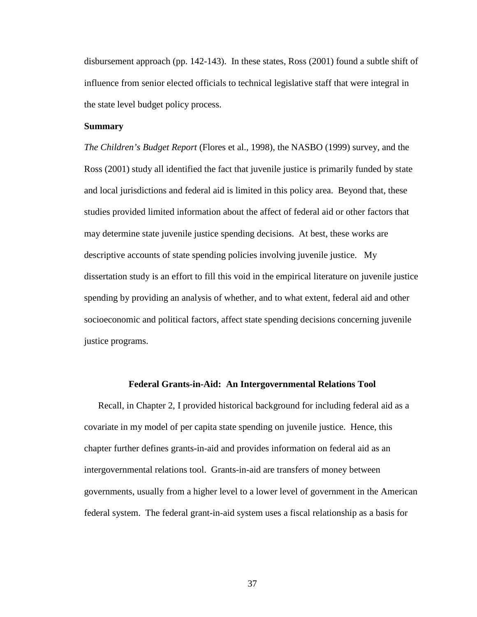disbursement approach (pp. 142-143). In these states, Ross (2001) found a subtle shift of influence from senior elected officials to technical legislative staff that were integral in the state level budget policy process.

# **Summary**

*The Children's Budget Report* (Flores et al.*,* 1998), the NASBO (1999) survey, and the Ross (2001) study all identified the fact that juvenile justice is primarily funded by state and local jurisdictions and federal aid is limited in this policy area. Beyond that, these studies provided limited information about the affect of federal aid or other factors that may determine state juvenile justice spending decisions. At best, these works are descriptive accounts of state spending policies involving juvenile justice. My dissertation study is an effort to fill this void in the empirical literature on juvenile justice spending by providing an analysis of whether, and to what extent, federal aid and other socioeconomic and political factors, affect state spending decisions concerning juvenile justice programs.

# **Federal Grants-in-Aid: An Intergovernmental Relations Tool**

Recall, in Chapter 2, I provided historical background for including federal aid as a covariate in my model of per capita state spending on juvenile justice. Hence, this chapter further defines grants-in-aid and provides information on federal aid as an intergovernmental relations tool. Grants-in-aid are transfers of money between governments, usually from a higher level to a lower level of government in the American federal system. The federal grant-in-aid system uses a fiscal relationship as a basis for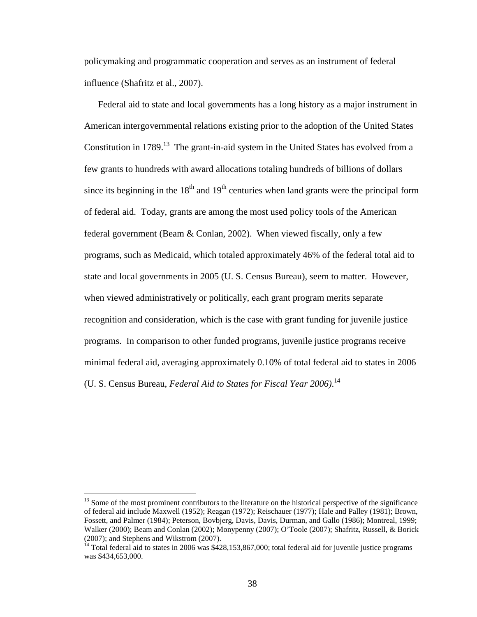policymaking and programmatic cooperation and serves as an instrument of federal influence (Shafritz et al., 2007).

Federal aid to state and local governments has a long history as a major instrument in American intergovernmental relations existing prior to the adoption of the United States Constitution in 1789.<sup>13</sup> The grant-in-aid system in the United States has evolved from a few grants to hundreds with award allocations totaling hundreds of billions of dollars since its beginning in the  $18<sup>th</sup>$  and  $19<sup>th</sup>$  centuries when land grants were the principal form of federal aid. Today, grants are among the most used policy tools of the American federal government (Beam & Conlan, 2002). When viewed fiscally, only a few programs, such as Medicaid, which totaled approximately 46% of the federal total aid to state and local governments in 2005 (U. S. Census Bureau), seem to matter. However, when viewed administratively or politically, each grant program merits separate recognition and consideration, which is the case with grant funding for juvenile justice programs. In comparison to other funded programs, juvenile justice programs receive minimal federal aid, averaging approximately 0.10% of total federal aid to states in 2006 (U. S. Census Bureau, *Federal Aid to States for Fiscal Year 2006)*. 14

 $\overline{a}$ 

<sup>&</sup>lt;sup>13</sup> Some of the most prominent contributors to the literature on the historical perspective of the significance of federal aid include Maxwell (1952); Reagan (1972); Reischauer (1977); Hale and Palley (1981); Brown, Fossett, and Palmer (1984); Peterson, Bovbjerg, Davis, Davis, Durman, and Gallo (1986); Montreal, 1999; Walker (2000); Beam and Conlan (2002); Monypenny (2007); O'Toole (2007); Shafritz, Russell, & Borick (2007); and Stephens and Wikstrom (2007).

<sup>&</sup>lt;sup>14</sup> Total federal aid to states in 2006 was \$428,153,867,000; total federal aid for juvenile justice programs was \$434,653,000.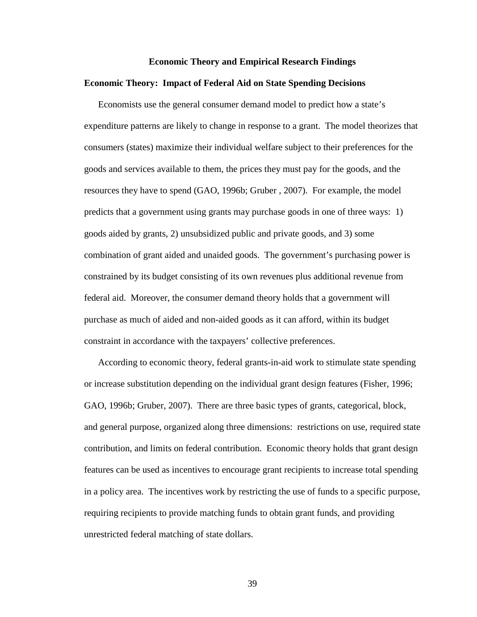#### **Economic Theory and Empirical Research Findings**

## **Economic Theory: Impact of Federal Aid on State Spending Decisions**

Economists use the general consumer demand model to predict how a state's expenditure patterns are likely to change in response to a grant. The model theorizes that consumers (states) maximize their individual welfare subject to their preferences for the goods and services available to them, the prices they must pay for the goods, and the resources they have to spend (GAO, 1996b; Gruber , 2007). For example, the model predicts that a government using grants may purchase goods in one of three ways: 1) goods aided by grants, 2) unsubsidized public and private goods, and 3) some combination of grant aided and unaided goods. The government's purchasing power is constrained by its budget consisting of its own revenues plus additional revenue from federal aid. Moreover, the consumer demand theory holds that a government will purchase as much of aided and non-aided goods as it can afford, within its budget constraint in accordance with the taxpayers' collective preferences.

According to economic theory, federal grants-in-aid work to stimulate state spending or increase substitution depending on the individual grant design features (Fisher, 1996; GAO, 1996b; Gruber, 2007). There are three basic types of grants, categorical, block, and general purpose, organized along three dimensions: restrictions on use, required state contribution, and limits on federal contribution. Economic theory holds that grant design features can be used as incentives to encourage grant recipients to increase total spending in a policy area. The incentives work by restricting the use of funds to a specific purpose, requiring recipients to provide matching funds to obtain grant funds, and providing unrestricted federal matching of state dollars.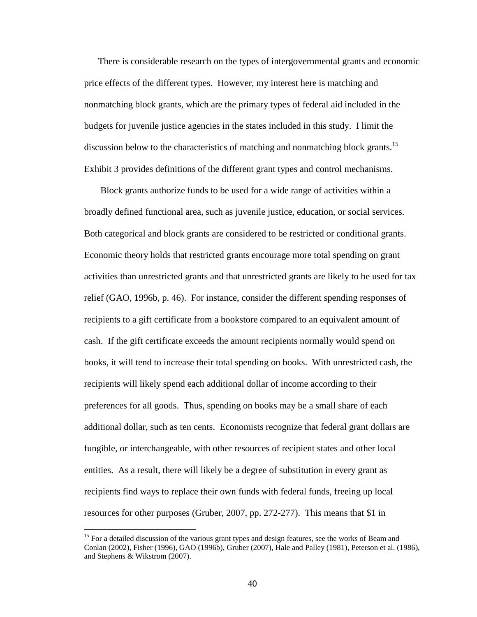There is considerable research on the types of intergovernmental grants and economic price effects of the different types. However, my interest here is matching and nonmatching block grants, which are the primary types of federal aid included in the budgets for juvenile justice agencies in the states included in this study. I limit the discussion below to the characteristics of matching and nonmatching block grants.<sup>15</sup> Exhibit 3 provides definitions of the different grant types and control mechanisms.

 Block grants authorize funds to be used for a wide range of activities within a broadly defined functional area, such as juvenile justice, education, or social services. Both categorical and block grants are considered to be restricted or conditional grants. Economic theory holds that restricted grants encourage more total spending on grant activities than unrestricted grants and that unrestricted grants are likely to be used for tax relief (GAO, 1996b, p. 46). For instance, consider the different spending responses of recipients to a gift certificate from a bookstore compared to an equivalent amount of cash. If the gift certificate exceeds the amount recipients normally would spend on books, it will tend to increase their total spending on books. With unrestricted cash, the recipients will likely spend each additional dollar of income according to their preferences for all goods. Thus, spending on books may be a small share of each additional dollar, such as ten cents. Economists recognize that federal grant dollars are fungible, or interchangeable, with other resources of recipient states and other local entities. As a result, there will likely be a degree of substitution in every grant as recipients find ways to replace their own funds with federal funds, freeing up local resources for other purposes (Gruber, 2007, pp. 272-277). This means that \$1 in

 $\overline{a}$ 

<sup>&</sup>lt;sup>15</sup> For a detailed discussion of the various grant types and design features, see the works of Beam and Conlan (2002), Fisher (1996), GAO (1996b), Gruber (2007), Hale and Palley (1981), Peterson et al. (1986), and Stephens & Wikstrom (2007).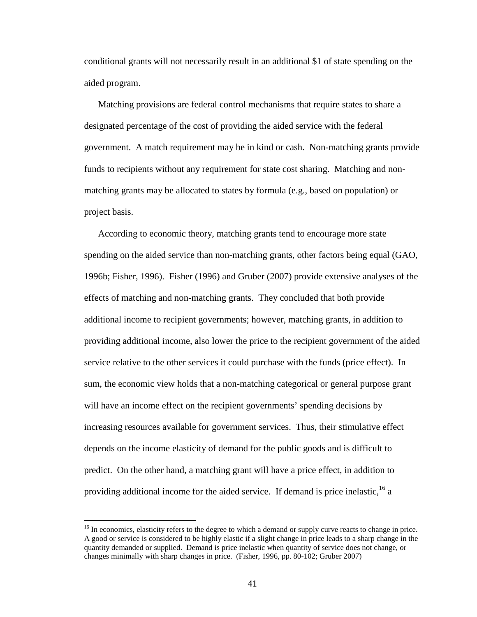conditional grants will not necessarily result in an additional \$1 of state spending on the aided program.

Matching provisions are federal control mechanisms that require states to share a designated percentage of the cost of providing the aided service with the federal government. A match requirement may be in kind or cash. Non-matching grants provide funds to recipients without any requirement for state cost sharing. Matching and nonmatching grants may be allocated to states by formula (e.g., based on population) or project basis.

According to economic theory, matching grants tend to encourage more state spending on the aided service than non-matching grants, other factors being equal (GAO, 1996b; Fisher, 1996). Fisher (1996) and Gruber (2007) provide extensive analyses of the effects of matching and non-matching grants. They concluded that both provide additional income to recipient governments; however, matching grants, in addition to providing additional income, also lower the price to the recipient government of the aided service relative to the other services it could purchase with the funds (price effect). In sum, the economic view holds that a non-matching categorical or general purpose grant will have an income effect on the recipient governments' spending decisions by increasing resources available for government services. Thus, their stimulative effect depends on the income elasticity of demand for the public goods and is difficult to predict. On the other hand, a matching grant will have a price effect, in addition to providing additional income for the aided service. If demand is price inelastic,  $^{16}$  a

 $\overline{a}$ 

<sup>&</sup>lt;sup>16</sup> In economics, elasticity refers to the degree to which a demand or supply curve reacts to change in price. A good or service is considered to be highly elastic if a slight change in price leads to a sharp change in the quantity demanded or supplied. Demand is price inelastic when quantity of service does not change, or changes minimally with sharp changes in price. (Fisher, 1996, pp. 80-102; Gruber 2007)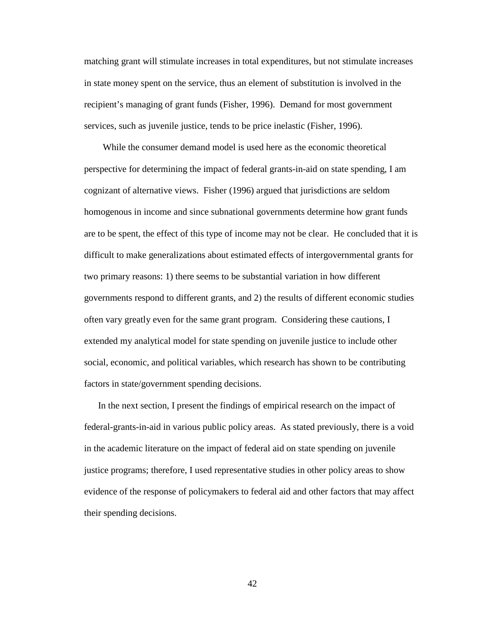matching grant will stimulate increases in total expenditures, but not stimulate increases in state money spent on the service, thus an element of substitution is involved in the recipient's managing of grant funds (Fisher, 1996). Demand for most government services, such as juvenile justice, tends to be price inelastic (Fisher, 1996).

 While the consumer demand model is used here as the economic theoretical perspective for determining the impact of federal grants-in-aid on state spending, I am cognizant of alternative views. Fisher (1996) argued that jurisdictions are seldom homogenous in income and since subnational governments determine how grant funds are to be spent, the effect of this type of income may not be clear. He concluded that it is difficult to make generalizations about estimated effects of intergovernmental grants for two primary reasons: 1) there seems to be substantial variation in how different governments respond to different grants, and 2) the results of different economic studies often vary greatly even for the same grant program. Considering these cautions, I extended my analytical model for state spending on juvenile justice to include other social, economic, and political variables, which research has shown to be contributing factors in state/government spending decisions.

In the next section, I present the findings of empirical research on the impact of federal-grants-in-aid in various public policy areas. As stated previously, there is a void in the academic literature on the impact of federal aid on state spending on juvenile justice programs; therefore, I used representative studies in other policy areas to show evidence of the response of policymakers to federal aid and other factors that may affect their spending decisions.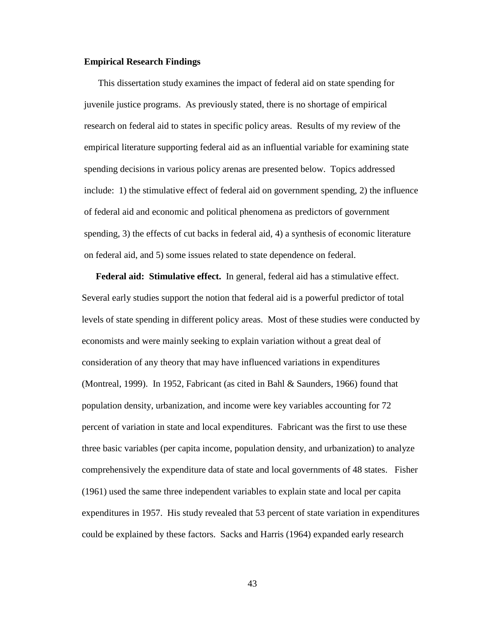## **Empirical Research Findings**

This dissertation study examines the impact of federal aid on state spending for juvenile justice programs. As previously stated, there is no shortage of empirical research on federal aid to states in specific policy areas. Results of my review of the empirical literature supporting federal aid as an influential variable for examining state spending decisions in various policy arenas are presented below. Topics addressed include: 1) the stimulative effect of federal aid on government spending, 2) the influence of federal aid and economic and political phenomena as predictors of government spending, 3) the effects of cut backs in federal aid, 4) a synthesis of economic literature on federal aid, and 5) some issues related to state dependence on federal.

**Federal aid: Stimulative effect.** In general, federal aid has a stimulative effect. Several early studies support the notion that federal aid is a powerful predictor of total levels of state spending in different policy areas. Most of these studies were conducted by economists and were mainly seeking to explain variation without a great deal of consideration of any theory that may have influenced variations in expenditures (Montreal, 1999). In 1952, Fabricant (as cited in Bahl & Saunders, 1966) found that population density, urbanization, and income were key variables accounting for 72 percent of variation in state and local expenditures. Fabricant was the first to use these three basic variables (per capita income, population density, and urbanization) to analyze comprehensively the expenditure data of state and local governments of 48 states. Fisher (1961) used the same three independent variables to explain state and local per capita expenditures in 1957. His study revealed that 53 percent of state variation in expenditures could be explained by these factors. Sacks and Harris (1964) expanded early research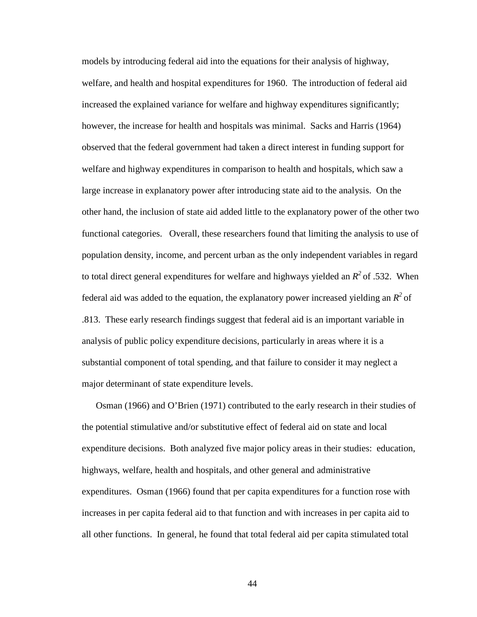models by introducing federal aid into the equations for their analysis of highway, welfare, and health and hospital expenditures for 1960. The introduction of federal aid increased the explained variance for welfare and highway expenditures significantly; however, the increase for health and hospitals was minimal. Sacks and Harris (1964) observed that the federal government had taken a direct interest in funding support for welfare and highway expenditures in comparison to health and hospitals, which saw a large increase in explanatory power after introducing state aid to the analysis. On the other hand, the inclusion of state aid added little to the explanatory power of the other two functional categories. Overall, these researchers found that limiting the analysis to use of population density, income, and percent urban as the only independent variables in regard to total direct general expenditures for welfare and highways yielded an  $R^2$  of .532. When federal aid was added to the equation, the explanatory power increased yielding an  $R^2$  of .813. These early research findings suggest that federal aid is an important variable in analysis of public policy expenditure decisions, particularly in areas where it is a substantial component of total spending, and that failure to consider it may neglect a major determinant of state expenditure levels.

Osman (1966) and O'Brien (1971) contributed to the early research in their studies of the potential stimulative and/or substitutive effect of federal aid on state and local expenditure decisions. Both analyzed five major policy areas in their studies: education, highways, welfare, health and hospitals, and other general and administrative expenditures. Osman (1966) found that per capita expenditures for a function rose with increases in per capita federal aid to that function and with increases in per capita aid to all other functions. In general, he found that total federal aid per capita stimulated total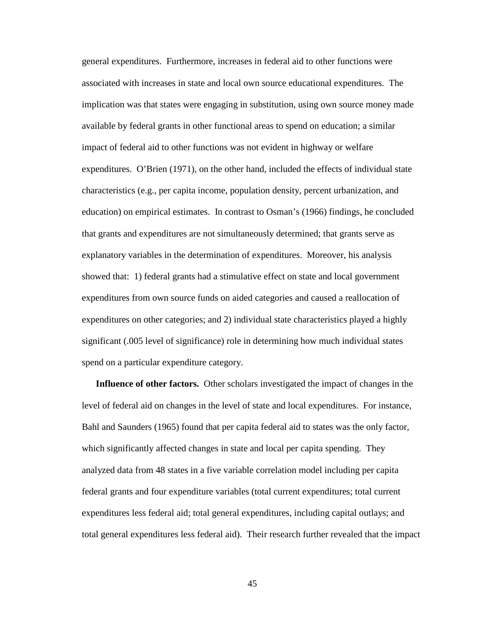general expenditures. Furthermore, increases in federal aid to other functions were associated with increases in state and local own source educational expenditures. The implication was that states were engaging in substitution, using own source money made available by federal grants in other functional areas to spend on education; a similar impact of federal aid to other functions was not evident in highway or welfare expenditures. O'Brien (1971), on the other hand, included the effects of individual state characteristics (e.g., per capita income, population density, percent urbanization, and education) on empirical estimates. In contrast to Osman's (1966) findings, he concluded that grants and expenditures are not simultaneously determined; that grants serve as explanatory variables in the determination of expenditures. Moreover, his analysis showed that: 1) federal grants had a stimulative effect on state and local government expenditures from own source funds on aided categories and caused a reallocation of expenditures on other categories; and 2) individual state characteristics played a highly significant (.005 level of significance) role in determining how much individual states spend on a particular expenditure category.

**Influence of other factors.** Other scholars investigated the impact of changes in the level of federal aid on changes in the level of state and local expenditures. For instance, Bahl and Saunders (1965) found that per capita federal aid to states was the only factor, which significantly affected changes in state and local per capita spending. They analyzed data from 48 states in a five variable correlation model including per capita federal grants and four expenditure variables (total current expenditures; total current expenditures less federal aid; total general expenditures, including capital outlays; and total general expenditures less federal aid). Their research further revealed that the impact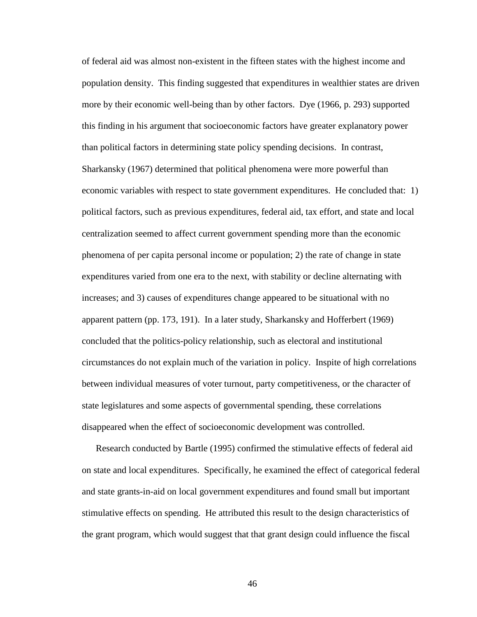of federal aid was almost non-existent in the fifteen states with the highest income and population density. This finding suggested that expenditures in wealthier states are driven more by their economic well-being than by other factors. Dye (1966, p. 293) supported this finding in his argument that socioeconomic factors have greater explanatory power than political factors in determining state policy spending decisions. In contrast, Sharkansky (1967) determined that political phenomena were more powerful than economic variables with respect to state government expenditures. He concluded that: 1) political factors, such as previous expenditures, federal aid, tax effort, and state and local centralization seemed to affect current government spending more than the economic phenomena of per capita personal income or population; 2) the rate of change in state expenditures varied from one era to the next, with stability or decline alternating with increases; and 3) causes of expenditures change appeared to be situational with no apparent pattern (pp. 173, 191). In a later study, Sharkansky and Hofferbert (1969) concluded that the politics-policy relationship, such as electoral and institutional circumstances do not explain much of the variation in policy. Inspite of high correlations between individual measures of voter turnout, party competitiveness, or the character of state legislatures and some aspects of governmental spending, these correlations disappeared when the effect of socioeconomic development was controlled.

Research conducted by Bartle (1995) confirmed the stimulative effects of federal aid on state and local expenditures. Specifically, he examined the effect of categorical federal and state grants-in-aid on local government expenditures and found small but important stimulative effects on spending. He attributed this result to the design characteristics of the grant program, which would suggest that that grant design could influence the fiscal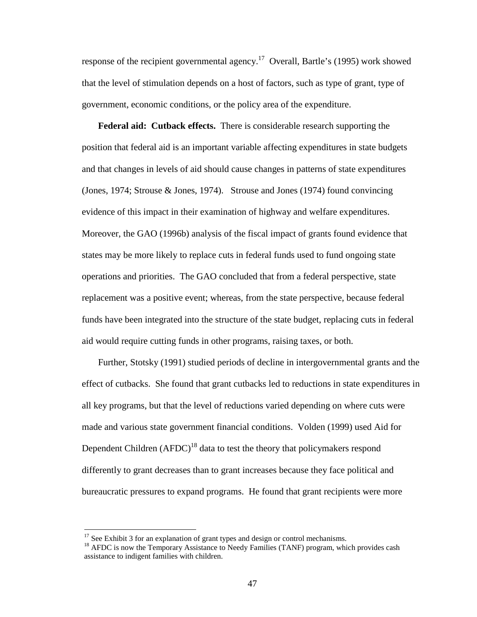response of the recipient governmental agency.<sup>17</sup> Overall, Bartle's (1995) work showed that the level of stimulation depends on a host of factors, such as type of grant, type of government, economic conditions, or the policy area of the expenditure.

**Federal aid: Cutback effects.** There is considerable research supporting the position that federal aid is an important variable affecting expenditures in state budgets and that changes in levels of aid should cause changes in patterns of state expenditures (Jones, 1974; Strouse & Jones, 1974). Strouse and Jones (1974) found convincing evidence of this impact in their examination of highway and welfare expenditures. Moreover, the GAO (1996b) analysis of the fiscal impact of grants found evidence that states may be more likely to replace cuts in federal funds used to fund ongoing state operations and priorities. The GAO concluded that from a federal perspective, state replacement was a positive event; whereas, from the state perspective, because federal funds have been integrated into the structure of the state budget, replacing cuts in federal aid would require cutting funds in other programs, raising taxes, or both.

Further, Stotsky (1991) studied periods of decline in intergovernmental grants and the effect of cutbacks. She found that grant cutbacks led to reductions in state expenditures in all key programs, but that the level of reductions varied depending on where cuts were made and various state government financial conditions. Volden (1999) used Aid for Dependent Children  $(AFDC)^{18}$  data to test the theory that policymakers respond differently to grant decreases than to grant increases because they face political and bureaucratic pressures to expand programs. He found that grant recipients were more

 $\overline{a}$ 

 $17$  See Exhibit 3 for an explanation of grant types and design or control mechanisms.

<sup>&</sup>lt;sup>18</sup> AFDC is now the Temporary Assistance to Needy Families (TANF) program, which provides cash assistance to indigent families with children.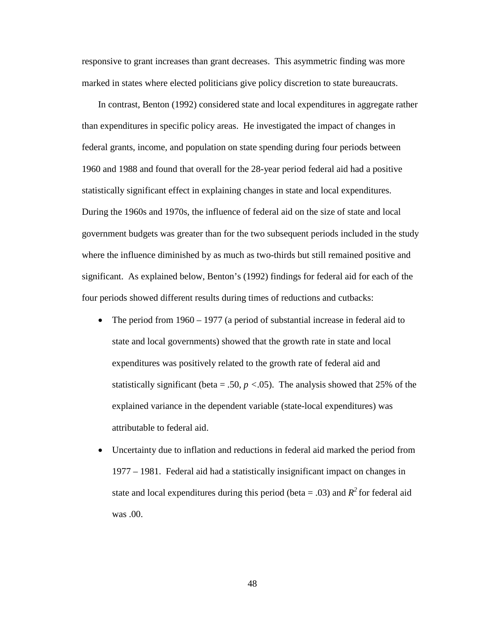responsive to grant increases than grant decreases. This asymmetric finding was more marked in states where elected politicians give policy discretion to state bureaucrats.

In contrast, Benton (1992) considered state and local expenditures in aggregate rather than expenditures in specific policy areas. He investigated the impact of changes in federal grants, income, and population on state spending during four periods between 1960 and 1988 and found that overall for the 28-year period federal aid had a positive statistically significant effect in explaining changes in state and local expenditures. During the 1960s and 1970s, the influence of federal aid on the size of state and local government budgets was greater than for the two subsequent periods included in the study where the influence diminished by as much as two-thirds but still remained positive and significant. As explained below, Benton's (1992) findings for federal aid for each of the four periods showed different results during times of reductions and cutbacks:

- The period from 1960 1977 (a period of substantial increase in federal aid to state and local governments) showed that the growth rate in state and local expenditures was positively related to the growth rate of federal aid and statistically significant (beta = .50,  $p < .05$ ). The analysis showed that 25% of the explained variance in the dependent variable (state-local expenditures) was attributable to federal aid.
- Uncertainty due to inflation and reductions in federal aid marked the period from 1977 – 1981. Federal aid had a statistically insignificant impact on changes in state and local expenditures during this period (beta = .03) and  $R^2$  for federal aid was .00.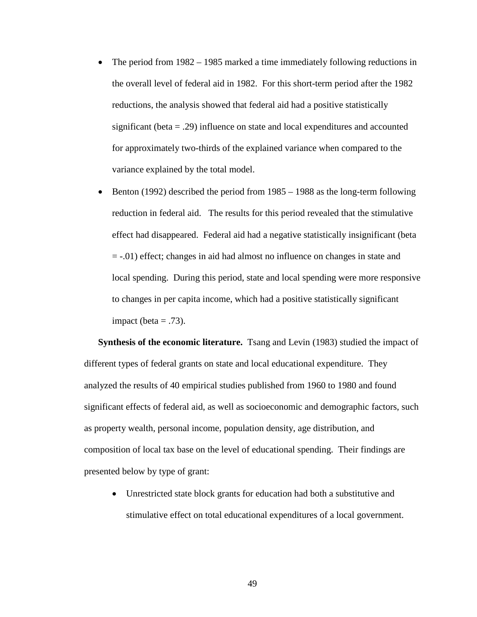- The period from 1982 1985 marked a time immediately following reductions in the overall level of federal aid in 1982. For this short-term period after the 1982 reductions, the analysis showed that federal aid had a positive statistically significant (beta = .29) influence on state and local expenditures and accounted for approximately two-thirds of the explained variance when compared to the variance explained by the total model.
- Benton (1992) described the period from 1985 1988 as the long-term following reduction in federal aid. The results for this period revealed that the stimulative effect had disappeared. Federal aid had a negative statistically insignificant (beta = -.01) effect; changes in aid had almost no influence on changes in state and local spending. During this period, state and local spending were more responsive to changes in per capita income, which had a positive statistically significant impact (beta  $= .73$ ).

**Synthesis of the economic literature.** Tsang and Levin (1983) studied the impact of different types of federal grants on state and local educational expenditure. They analyzed the results of 40 empirical studies published from 1960 to 1980 and found significant effects of federal aid, as well as socioeconomic and demographic factors, such as property wealth, personal income, population density, age distribution, and composition of local tax base on the level of educational spending. Their findings are presented below by type of grant:

• Unrestricted state block grants for education had both a substitutive and stimulative effect on total educational expenditures of a local government.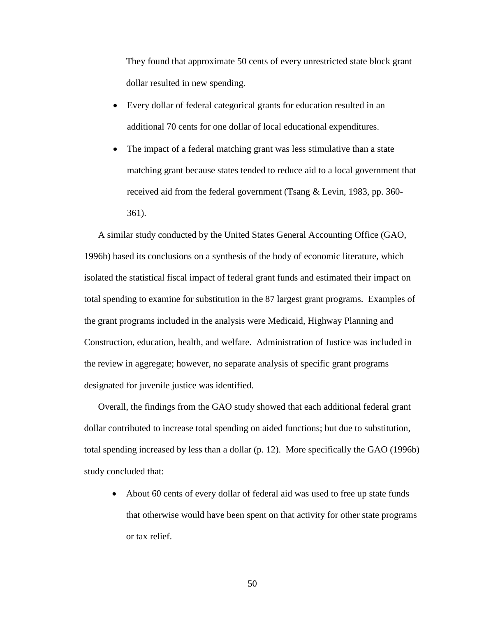They found that approximate 50 cents of every unrestricted state block grant dollar resulted in new spending.

- Every dollar of federal categorical grants for education resulted in an additional 70 cents for one dollar of local educational expenditures.
- The impact of a federal matching grant was less stimulative than a state matching grant because states tended to reduce aid to a local government that received aid from the federal government (Tsang & Levin, 1983, pp. 360- 361).

A similar study conducted by the United States General Accounting Office (GAO, 1996b) based its conclusions on a synthesis of the body of economic literature, which isolated the statistical fiscal impact of federal grant funds and estimated their impact on total spending to examine for substitution in the 87 largest grant programs. Examples of the grant programs included in the analysis were Medicaid, Highway Planning and Construction, education, health, and welfare. Administration of Justice was included in the review in aggregate; however, no separate analysis of specific grant programs designated for juvenile justice was identified.

Overall, the findings from the GAO study showed that each additional federal grant dollar contributed to increase total spending on aided functions; but due to substitution, total spending increased by less than a dollar (p. 12). More specifically the GAO (1996b) study concluded that:

• About 60 cents of every dollar of federal aid was used to free up state funds that otherwise would have been spent on that activity for other state programs or tax relief.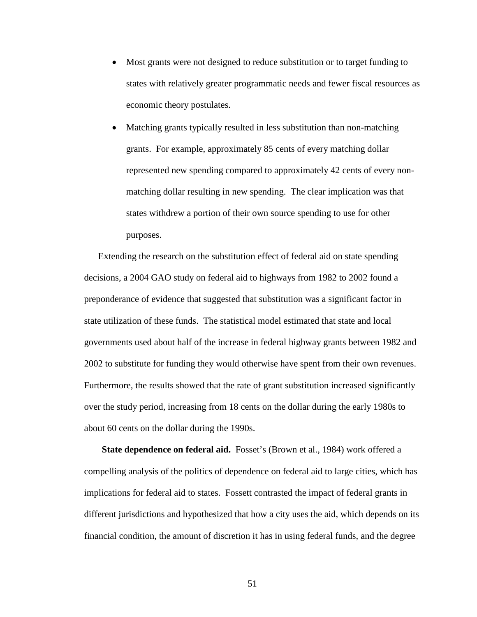- Most grants were not designed to reduce substitution or to target funding to states with relatively greater programmatic needs and fewer fiscal resources as economic theory postulates.
- Matching grants typically resulted in less substitution than non-matching grants. For example, approximately 85 cents of every matching dollar represented new spending compared to approximately 42 cents of every nonmatching dollar resulting in new spending. The clear implication was that states withdrew a portion of their own source spending to use for other purposes.

Extending the research on the substitution effect of federal aid on state spending decisions, a 2004 GAO study on federal aid to highways from 1982 to 2002 found a preponderance of evidence that suggested that substitution was a significant factor in state utilization of these funds. The statistical model estimated that state and local governments used about half of the increase in federal highway grants between 1982 and 2002 to substitute for funding they would otherwise have spent from their own revenues. Furthermore, the results showed that the rate of grant substitution increased significantly over the study period, increasing from 18 cents on the dollar during the early 1980s to about 60 cents on the dollar during the 1990s.

**State dependence on federal aid.** Fosset's (Brown et al., 1984) work offered a compelling analysis of the politics of dependence on federal aid to large cities, which has implications for federal aid to states. Fossett contrasted the impact of federal grants in different jurisdictions and hypothesized that how a city uses the aid, which depends on its financial condition, the amount of discretion it has in using federal funds, and the degree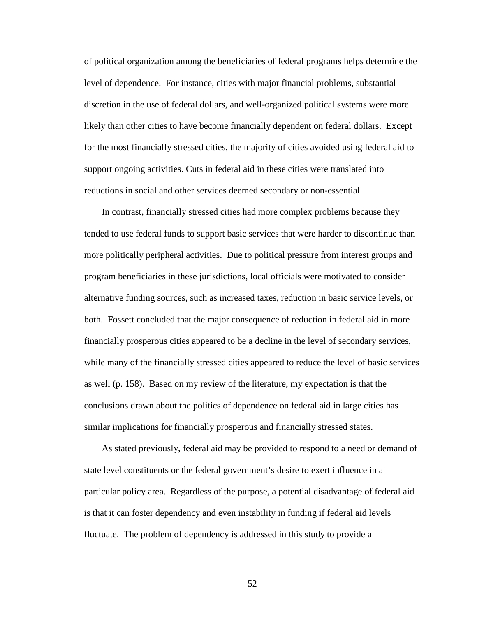of political organization among the beneficiaries of federal programs helps determine the level of dependence. For instance, cities with major financial problems, substantial discretion in the use of federal dollars, and well-organized political systems were more likely than other cities to have become financially dependent on federal dollars. Except for the most financially stressed cities, the majority of cities avoided using federal aid to support ongoing activities. Cuts in federal aid in these cities were translated into reductions in social and other services deemed secondary or non-essential.

In contrast, financially stressed cities had more complex problems because they tended to use federal funds to support basic services that were harder to discontinue than more politically peripheral activities. Due to political pressure from interest groups and program beneficiaries in these jurisdictions, local officials were motivated to consider alternative funding sources, such as increased taxes, reduction in basic service levels, or both. Fossett concluded that the major consequence of reduction in federal aid in more financially prosperous cities appeared to be a decline in the level of secondary services, while many of the financially stressed cities appeared to reduce the level of basic services as well (p. 158). Based on my review of the literature, my expectation is that the conclusions drawn about the politics of dependence on federal aid in large cities has similar implications for financially prosperous and financially stressed states.

As stated previously, federal aid may be provided to respond to a need or demand of state level constituents or the federal government's desire to exert influence in a particular policy area. Regardless of the purpose, a potential disadvantage of federal aid is that it can foster dependency and even instability in funding if federal aid levels fluctuate. The problem of dependency is addressed in this study to provide a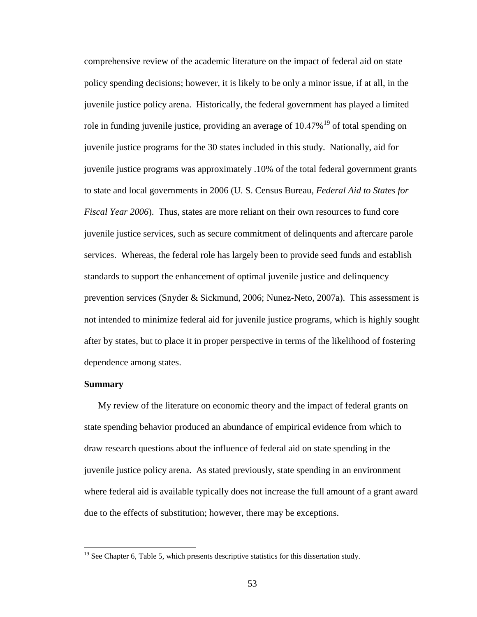comprehensive review of the academic literature on the impact of federal aid on state policy spending decisions; however, it is likely to be only a minor issue, if at all, in the juvenile justice policy arena. Historically, the federal government has played a limited role in funding juvenile justice, providing an average of  $10.47\%$ <sup>19</sup> of total spending on juvenile justice programs for the 30 states included in this study. Nationally, aid for juvenile justice programs was approximately .10% of the total federal government grants to state and local governments in 2006 (U. S. Census Bureau, *Federal Aid to States for Fiscal Year 2006*). Thus, states are more reliant on their own resources to fund core juvenile justice services, such as secure commitment of delinquents and aftercare parole services. Whereas, the federal role has largely been to provide seed funds and establish standards to support the enhancement of optimal juvenile justice and delinquency prevention services (Snyder & Sickmund, 2006; Nunez-Neto, 2007a). This assessment is not intended to minimize federal aid for juvenile justice programs, which is highly sought after by states, but to place it in proper perspective in terms of the likelihood of fostering dependence among states.

# **Summary**

 $\overline{a}$ 

My review of the literature on economic theory and the impact of federal grants on state spending behavior produced an abundance of empirical evidence from which to draw research questions about the influence of federal aid on state spending in the juvenile justice policy arena. As stated previously, state spending in an environment where federal aid is available typically does not increase the full amount of a grant award due to the effects of substitution; however, there may be exceptions.

 $19$  See Chapter 6, Table 5, which presents descriptive statistics for this dissertation study.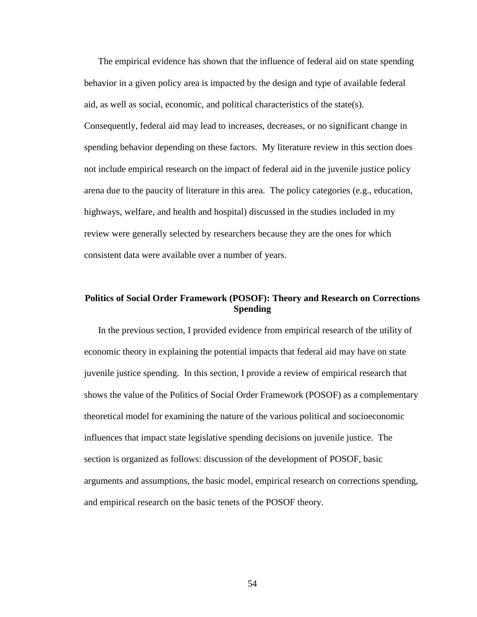The empirical evidence has shown that the influence of federal aid on state spending behavior in a given policy area is impacted by the design and type of available federal aid, as well as social, economic, and political characteristics of the state(s).

Consequently, federal aid may lead to increases, decreases, or no significant change in spending behavior depending on these factors. My literature review in this section does not include empirical research on the impact of federal aid in the juvenile justice policy arena due to the paucity of literature in this area. The policy categories (e.g., education, highways, welfare, and health and hospital) discussed in the studies included in my review were generally selected by researchers because they are the ones for which consistent data were available over a number of years.

# **Politics of Social Order Framework (POSOF): Theory and Research on Corrections Spending**

In the previous section, I provided evidence from empirical research of the utility of economic theory in explaining the potential impacts that federal aid may have on state juvenile justice spending. In this section, I provide a review of empirical research that shows the value of the Politics of Social Order Framework (POSOF) as a complementary theoretical model for examining the nature of the various political and socioeconomic influences that impact state legislative spending decisions on juvenile justice. The section is organized as follows: discussion of the development of POSOF, basic arguments and assumptions, the basic model, empirical research on corrections spending, and empirical research on the basic tenets of the POSOF theory.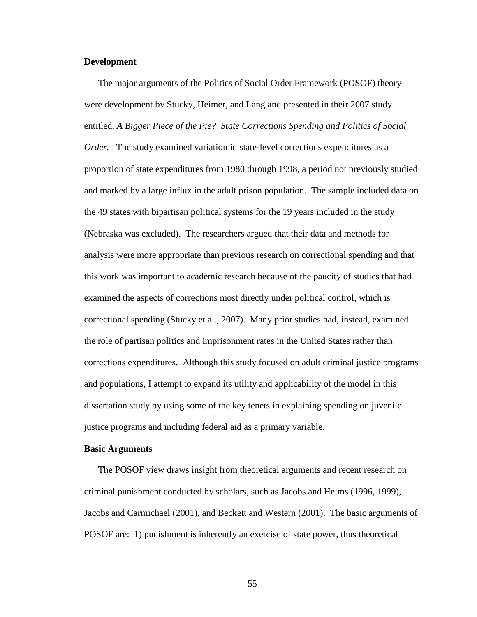# **Development**

The major arguments of the Politics of Social Order Framework (POSOF) theory were development by Stucky, Heimer, and Lang and presented in their 2007 study entitled, *A Bigger Piece of the Pie? State Corrections Spending and Politics of Social Order.* The study examined variation in state-level corrections expenditures as a proportion of state expenditures from 1980 through 1998, a period not previously studied and marked by a large influx in the adult prison population. The sample included data on the 49 states with bipartisan political systems for the 19 years included in the study (Nebraska was excluded). The researchers argued that their data and methods for analysis were more appropriate than previous research on correctional spending and that this work was important to academic research because of the paucity of studies that had examined the aspects of corrections most directly under political control, which is correctional spending (Stucky et al., 2007). Many prior studies had, instead, examined the role of partisan politics and imprisonment rates in the United States rather than corrections expenditures. Although this study focused on adult criminal justice programs and populations, I attempt to expand its utility and applicability of the model in this dissertation study by using some of the key tenets in explaining spending on juvenile justice programs and including federal aid as a primary variable.

# **Basic Arguments**

The POSOF view draws insight from theoretical arguments and recent research on criminal punishment conducted by scholars, such as Jacobs and Helms (1996, 1999), Jacobs and Carmichael (2001), and Beckett and Western (2001). The basic arguments of POSOF are: 1) punishment is inherently an exercise of state power, thus theoretical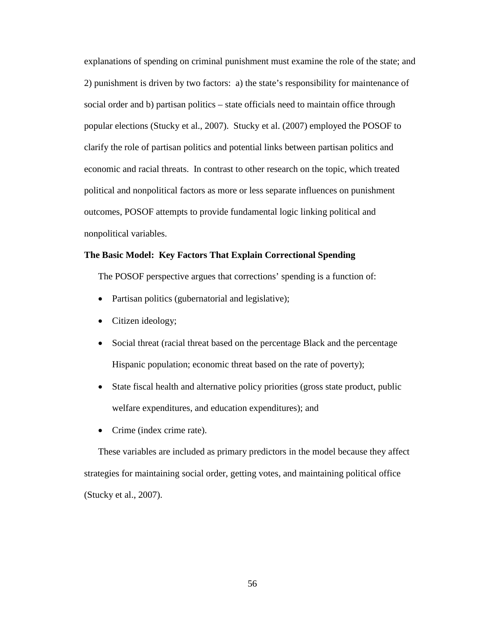explanations of spending on criminal punishment must examine the role of the state; and 2) punishment is driven by two factors: a) the state's responsibility for maintenance of social order and b) partisan politics – state officials need to maintain office through popular elections (Stucky et al., 2007). Stucky et al. (2007) employed the POSOF to clarify the role of partisan politics and potential links between partisan politics and economic and racial threats. In contrast to other research on the topic, which treated political and nonpolitical factors as more or less separate influences on punishment outcomes, POSOF attempts to provide fundamental logic linking political and nonpolitical variables.

# **The Basic Model: Key Factors That Explain Correctional Spending**

The POSOF perspective argues that corrections' spending is a function of:

- Partisan politics (gubernatorial and legislative);
- Citizen ideology;
- Social threat (racial threat based on the percentage Black and the percentage Hispanic population; economic threat based on the rate of poverty);
- State fiscal health and alternative policy priorities (gross state product, public welfare expenditures, and education expenditures); and
- Crime (index crime rate).

These variables are included as primary predictors in the model because they affect strategies for maintaining social order, getting votes, and maintaining political office (Stucky et al., 2007).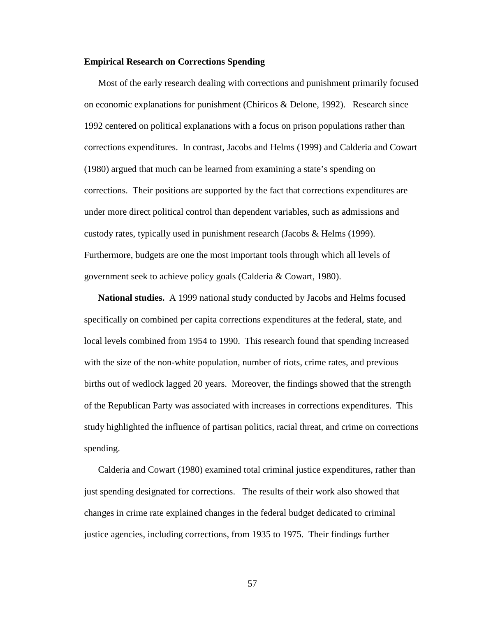# **Empirical Research on Corrections Spending**

Most of the early research dealing with corrections and punishment primarily focused on economic explanations for punishment (Chiricos & Delone, 1992). Research since 1992 centered on political explanations with a focus on prison populations rather than corrections expenditures. In contrast, Jacobs and Helms (1999) and Calderia and Cowart (1980) argued that much can be learned from examining a state's spending on corrections. Their positions are supported by the fact that corrections expenditures are under more direct political control than dependent variables, such as admissions and custody rates, typically used in punishment research (Jacobs & Helms (1999). Furthermore, budgets are one the most important tools through which all levels of government seek to achieve policy goals (Calderia & Cowart, 1980).

**National studies.** A 1999 national study conducted by Jacobs and Helms focused specifically on combined per capita corrections expenditures at the federal, state, and local levels combined from 1954 to 1990. This research found that spending increased with the size of the non-white population, number of riots, crime rates, and previous births out of wedlock lagged 20 years. Moreover, the findings showed that the strength of the Republican Party was associated with increases in corrections expenditures. This study highlighted the influence of partisan politics, racial threat, and crime on corrections spending.

Calderia and Cowart (1980) examined total criminal justice expenditures, rather than just spending designated for corrections. The results of their work also showed that changes in crime rate explained changes in the federal budget dedicated to criminal justice agencies, including corrections, from 1935 to 1975. Their findings further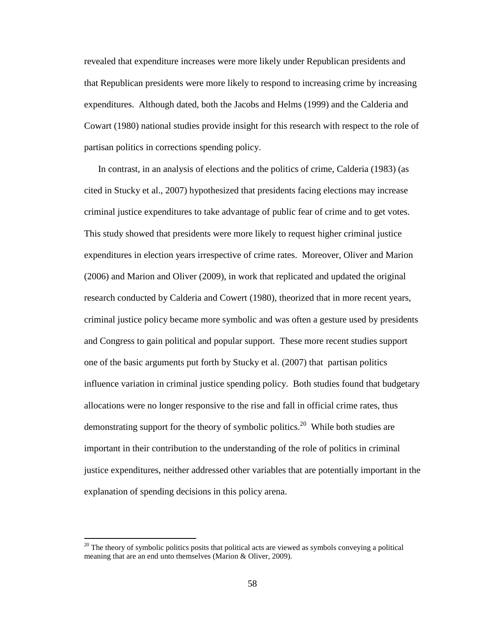revealed that expenditure increases were more likely under Republican presidents and that Republican presidents were more likely to respond to increasing crime by increasing expenditures. Although dated, both the Jacobs and Helms (1999) and the Calderia and Cowart (1980) national studies provide insight for this research with respect to the role of partisan politics in corrections spending policy.

In contrast, in an analysis of elections and the politics of crime, Calderia (1983) (as cited in Stucky et al., 2007) hypothesized that presidents facing elections may increase criminal justice expenditures to take advantage of public fear of crime and to get votes. This study showed that presidents were more likely to request higher criminal justice expenditures in election years irrespective of crime rates. Moreover, Oliver and Marion (2006) and Marion and Oliver (2009), in work that replicated and updated the original research conducted by Calderia and Cowert (1980), theorized that in more recent years, criminal justice policy became more symbolic and was often a gesture used by presidents and Congress to gain political and popular support. These more recent studies support one of the basic arguments put forth by Stucky et al. (2007) that partisan politics influence variation in criminal justice spending policy. Both studies found that budgetary allocations were no longer responsive to the rise and fall in official crime rates, thus demonstrating support for the theory of symbolic politics.<sup>20</sup> While both studies are important in their contribution to the understanding of the role of politics in criminal justice expenditures, neither addressed other variables that are potentially important in the explanation of spending decisions in this policy arena.

 $\overline{a}$ 

 $20$  The theory of symbolic politics posits that political acts are viewed as symbols conveying a political meaning that are an end unto themselves (Marion & Oliver, 2009).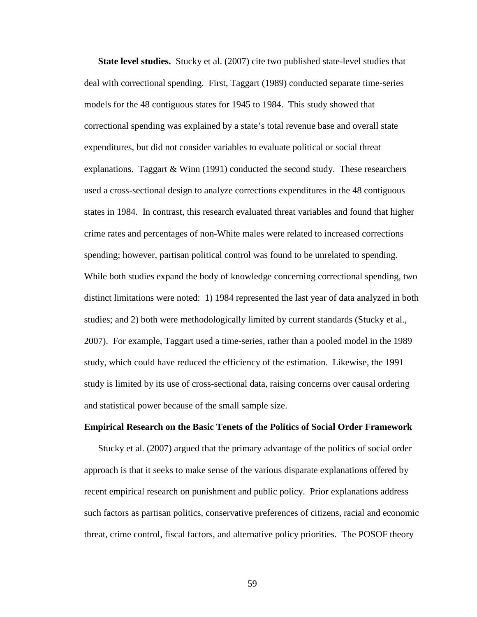**State level studies.** Stucky et al. (2007) cite two published state-level studies that deal with correctional spending. First, Taggart (1989) conducted separate time-series models for the 48 contiguous states for 1945 to 1984. This study showed that correctional spending was explained by a state's total revenue base and overall state expenditures, but did not consider variables to evaluate political or social threat explanations. Taggart & Winn (1991) conducted the second study. These researchers used a cross-sectional design to analyze corrections expenditures in the 48 contiguous states in 1984. In contrast, this research evaluated threat variables and found that higher crime rates and percentages of non-White males were related to increased corrections spending; however, partisan political control was found to be unrelated to spending. While both studies expand the body of knowledge concerning correctional spending, two distinct limitations were noted: 1) 1984 represented the last year of data analyzed in both studies; and 2) both were methodologically limited by current standards (Stucky et al., 2007). For example, Taggart used a time-series, rather than a pooled model in the 1989 study, which could have reduced the efficiency of the estimation. Likewise, the 1991 study is limited by its use of cross-sectional data, raising concerns over causal ordering and statistical power because of the small sample size.

#### **Empirical Research on the Basic Tenets of the Politics of Social Order Framework**

Stucky et al. (2007) argued that the primary advantage of the politics of social order approach is that it seeks to make sense of the various disparate explanations offered by recent empirical research on punishment and public policy. Prior explanations address such factors as partisan politics, conservative preferences of citizens, racial and economic threat, crime control, fiscal factors, and alternative policy priorities. The POSOF theory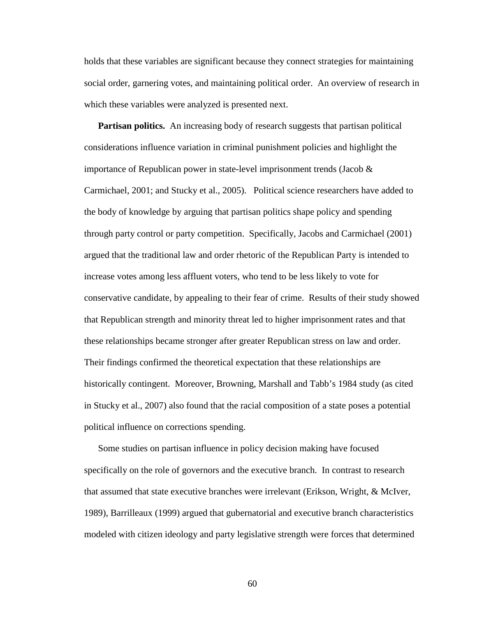holds that these variables are significant because they connect strategies for maintaining social order, garnering votes, and maintaining political order. An overview of research in which these variables were analyzed is presented next.

**Partisan politics.** An increasing body of research suggests that partisan political considerations influence variation in criminal punishment policies and highlight the importance of Republican power in state-level imprisonment trends (Jacob & Carmichael, 2001; and Stucky et al., 2005). Political science researchers have added to the body of knowledge by arguing that partisan politics shape policy and spending through party control or party competition. Specifically, Jacobs and Carmichael (2001) argued that the traditional law and order rhetoric of the Republican Party is intended to increase votes among less affluent voters, who tend to be less likely to vote for conservative candidate, by appealing to their fear of crime. Results of their study showed that Republican strength and minority threat led to higher imprisonment rates and that these relationships became stronger after greater Republican stress on law and order. Their findings confirmed the theoretical expectation that these relationships are historically contingent. Moreover, Browning, Marshall and Tabb's 1984 study (as cited in Stucky et al., 2007) also found that the racial composition of a state poses a potential political influence on corrections spending.

Some studies on partisan influence in policy decision making have focused specifically on the role of governors and the executive branch. In contrast to research that assumed that state executive branches were irrelevant (Erikson, Wright, & McIver, 1989), Barrilleaux (1999) argued that gubernatorial and executive branch characteristics modeled with citizen ideology and party legislative strength were forces that determined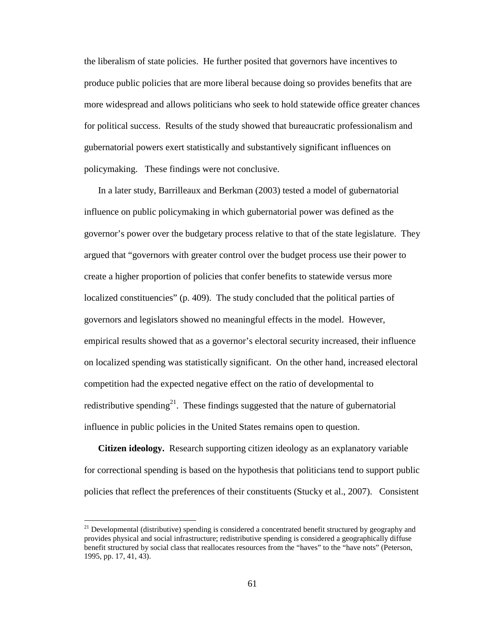the liberalism of state policies. He further posited that governors have incentives to produce public policies that are more liberal because doing so provides benefits that are more widespread and allows politicians who seek to hold statewide office greater chances for political success. Results of the study showed that bureaucratic professionalism and gubernatorial powers exert statistically and substantively significant influences on policymaking. These findings were not conclusive.

In a later study, Barrilleaux and Berkman (2003) tested a model of gubernatorial influence on public policymaking in which gubernatorial power was defined as the governor's power over the budgetary process relative to that of the state legislature. They argued that "governors with greater control over the budget process use their power to create a higher proportion of policies that confer benefits to statewide versus more localized constituencies" (p. 409). The study concluded that the political parties of governors and legislators showed no meaningful effects in the model. However, empirical results showed that as a governor's electoral security increased, their influence on localized spending was statistically significant. On the other hand, increased electoral competition had the expected negative effect on the ratio of developmental to redistributive spending<sup>21</sup>. These findings suggested that the nature of gubernatorial influence in public policies in the United States remains open to question.

**Citizen ideology.** Research supporting citizen ideology as an explanatory variable for correctional spending is based on the hypothesis that politicians tend to support public policies that reflect the preferences of their constituents (Stucky et al., 2007). Consistent

 $\overline{a}$ 

 $21$  Developmental (distributive) spending is considered a concentrated benefit structured by geography and provides physical and social infrastructure; redistributive spending is considered a geographically diffuse benefit structured by social class that reallocates resources from the "haves" to the "have nots" (Peterson, 1995, pp. 17, 41, 43).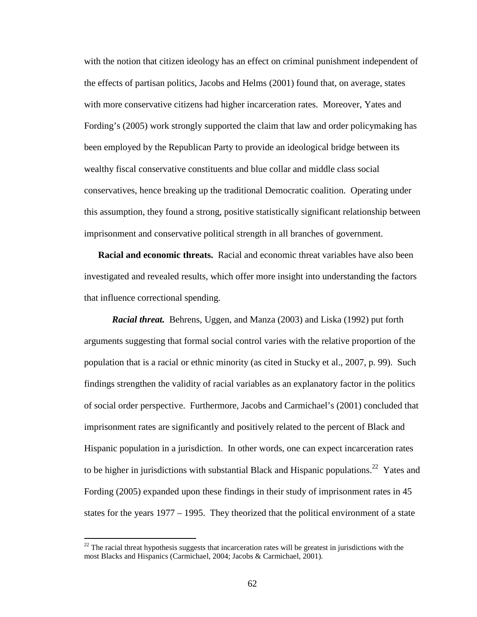with the notion that citizen ideology has an effect on criminal punishment independent of the effects of partisan politics, Jacobs and Helms (2001) found that, on average, states with more conservative citizens had higher incarceration rates. Moreover, Yates and Fording's (2005) work strongly supported the claim that law and order policymaking has been employed by the Republican Party to provide an ideological bridge between its wealthy fiscal conservative constituents and blue collar and middle class social conservatives, hence breaking up the traditional Democratic coalition. Operating under this assumption, they found a strong, positive statistically significant relationship between imprisonment and conservative political strength in all branches of government.

**Racial and economic threats.** Racial and economic threat variables have also been investigated and revealed results, which offer more insight into understanding the factors that influence correctional spending.

*Racial threat.* Behrens, Uggen, and Manza (2003) and Liska (1992) put forth arguments suggesting that formal social control varies with the relative proportion of the population that is a racial or ethnic minority (as cited in Stucky et al., 2007, p. 99). Such findings strengthen the validity of racial variables as an explanatory factor in the politics of social order perspective. Furthermore, Jacobs and Carmichael's (2001) concluded that imprisonment rates are significantly and positively related to the percent of Black and Hispanic population in a jurisdiction. In other words, one can expect incarceration rates to be higher in jurisdictions with substantial Black and Hispanic populations.<sup>22</sup> Yates and Fording (2005) expanded upon these findings in their study of imprisonment rates in 45 states for the years 1977 – 1995. They theorized that the political environment of a state

 $\overline{a}$ 

 $22$  The racial threat hypothesis suggests that incarceration rates will be greatest in jurisdictions with the most Blacks and Hispanics (Carmichael, 2004; Jacobs & Carmichael, 2001).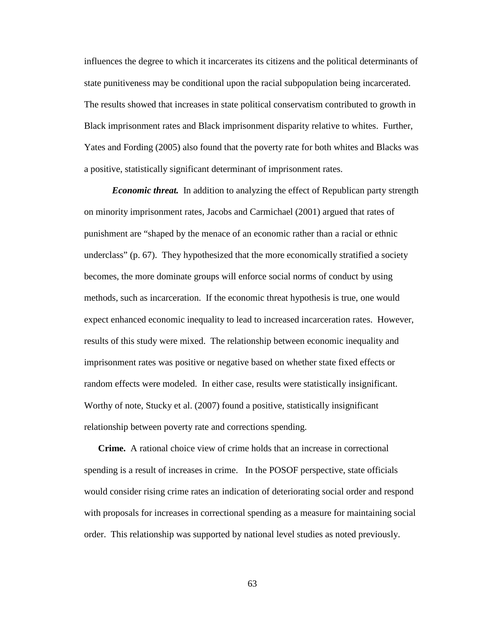influences the degree to which it incarcerates its citizens and the political determinants of state punitiveness may be conditional upon the racial subpopulation being incarcerated. The results showed that increases in state political conservatism contributed to growth in Black imprisonment rates and Black imprisonment disparity relative to whites. Further, Yates and Fording (2005) also found that the poverty rate for both whites and Blacks was a positive, statistically significant determinant of imprisonment rates.

*Economic threat.* In addition to analyzing the effect of Republican party strength on minority imprisonment rates, Jacobs and Carmichael (2001) argued that rates of punishment are "shaped by the menace of an economic rather than a racial or ethnic underclass" (p. 67). They hypothesized that the more economically stratified a society becomes, the more dominate groups will enforce social norms of conduct by using methods, such as incarceration. If the economic threat hypothesis is true, one would expect enhanced economic inequality to lead to increased incarceration rates. However, results of this study were mixed. The relationship between economic inequality and imprisonment rates was positive or negative based on whether state fixed effects or random effects were modeled. In either case, results were statistically insignificant. Worthy of note, Stucky et al. (2007) found a positive, statistically insignificant relationship between poverty rate and corrections spending.

**Crime.** A rational choice view of crime holds that an increase in correctional spending is a result of increases in crime. In the POSOF perspective, state officials would consider rising crime rates an indication of deteriorating social order and respond with proposals for increases in correctional spending as a measure for maintaining social order. This relationship was supported by national level studies as noted previously.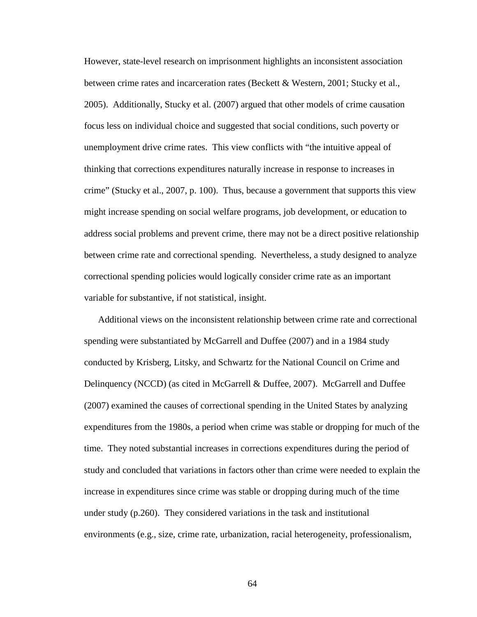However, state-level research on imprisonment highlights an inconsistent association between crime rates and incarceration rates (Beckett & Western, 2001; Stucky et al., 2005). Additionally, Stucky et al. (2007) argued that other models of crime causation focus less on individual choice and suggested that social conditions, such poverty or unemployment drive crime rates. This view conflicts with "the intuitive appeal of thinking that corrections expenditures naturally increase in response to increases in crime" (Stucky et al., 2007, p. 100). Thus, because a government that supports this view might increase spending on social welfare programs, job development, or education to address social problems and prevent crime, there may not be a direct positive relationship between crime rate and correctional spending. Nevertheless, a study designed to analyze correctional spending policies would logically consider crime rate as an important variable for substantive, if not statistical, insight.

Additional views on the inconsistent relationship between crime rate and correctional spending were substantiated by McGarrell and Duffee (2007) and in a 1984 study conducted by Krisberg, Litsky, and Schwartz for the National Council on Crime and Delinquency (NCCD) (as cited in McGarrell & Duffee, 2007). McGarrell and Duffee (2007) examined the causes of correctional spending in the United States by analyzing expenditures from the 1980s, a period when crime was stable or dropping for much of the time. They noted substantial increases in corrections expenditures during the period of study and concluded that variations in factors other than crime were needed to explain the increase in expenditures since crime was stable or dropping during much of the time under study (p.260). They considered variations in the task and institutional environments (e.g., size, crime rate, urbanization, racial heterogeneity, professionalism,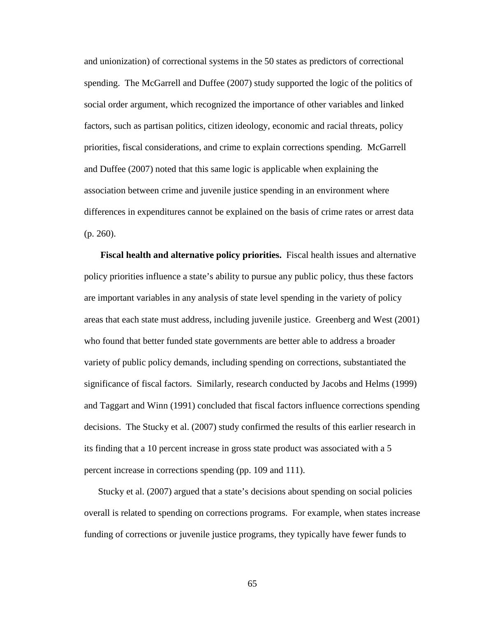and unionization) of correctional systems in the 50 states as predictors of correctional spending. The McGarrell and Duffee (2007) study supported the logic of the politics of social order argument, which recognized the importance of other variables and linked factors, such as partisan politics, citizen ideology, economic and racial threats, policy priorities, fiscal considerations, and crime to explain corrections spending. McGarrell and Duffee (2007) noted that this same logic is applicable when explaining the association between crime and juvenile justice spending in an environment where differences in expenditures cannot be explained on the basis of crime rates or arrest data (p. 260).

**Fiscal health and alternative policy priorities.** Fiscal health issues and alternative policy priorities influence a state's ability to pursue any public policy, thus these factors are important variables in any analysis of state level spending in the variety of policy areas that each state must address, including juvenile justice. Greenberg and West (2001) who found that better funded state governments are better able to address a broader variety of public policy demands, including spending on corrections, substantiated the significance of fiscal factors. Similarly, research conducted by Jacobs and Helms (1999) and Taggart and Winn (1991) concluded that fiscal factors influence corrections spending decisions. The Stucky et al. (2007) study confirmed the results of this earlier research in its finding that a 10 percent increase in gross state product was associated with a 5 percent increase in corrections spending (pp. 109 and 111).

Stucky et al. (2007) argued that a state's decisions about spending on social policies overall is related to spending on corrections programs. For example, when states increase funding of corrections or juvenile justice programs, they typically have fewer funds to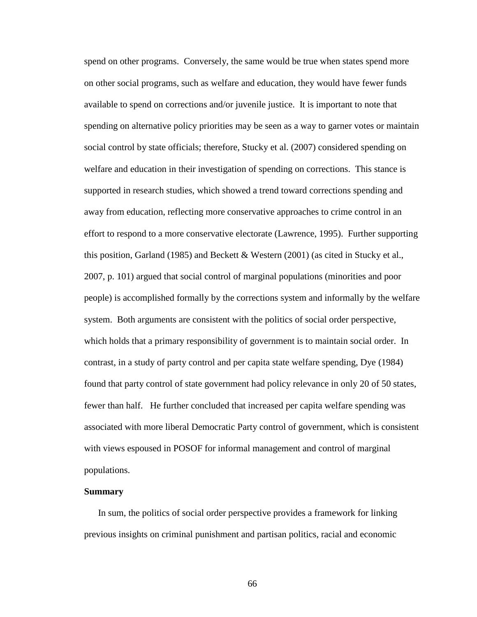spend on other programs. Conversely, the same would be true when states spend more on other social programs, such as welfare and education, they would have fewer funds available to spend on corrections and/or juvenile justice. It is important to note that spending on alternative policy priorities may be seen as a way to garner votes or maintain social control by state officials; therefore, Stucky et al. (2007) considered spending on welfare and education in their investigation of spending on corrections. This stance is supported in research studies, which showed a trend toward corrections spending and away from education, reflecting more conservative approaches to crime control in an effort to respond to a more conservative electorate (Lawrence, 1995). Further supporting this position, Garland (1985) and Beckett & Western (2001) (as cited in Stucky et al., 2007, p. 101) argued that social control of marginal populations (minorities and poor people) is accomplished formally by the corrections system and informally by the welfare system. Both arguments are consistent with the politics of social order perspective, which holds that a primary responsibility of government is to maintain social order. In contrast, in a study of party control and per capita state welfare spending, Dye (1984) found that party control of state government had policy relevance in only 20 of 50 states, fewer than half. He further concluded that increased per capita welfare spending was associated with more liberal Democratic Party control of government, which is consistent with views espoused in POSOF for informal management and control of marginal populations.

## **Summary**

In sum, the politics of social order perspective provides a framework for linking previous insights on criminal punishment and partisan politics, racial and economic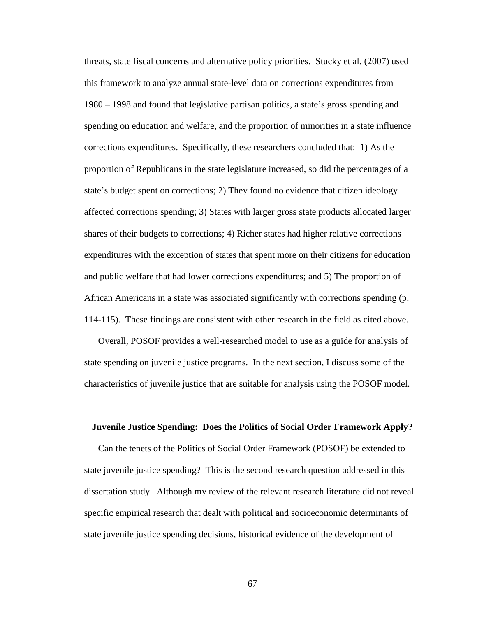threats, state fiscal concerns and alternative policy priorities. Stucky et al. (2007) used this framework to analyze annual state-level data on corrections expenditures from 1980 – 1998 and found that legislative partisan politics, a state's gross spending and spending on education and welfare, and the proportion of minorities in a state influence corrections expenditures. Specifically, these researchers concluded that: 1) As the proportion of Republicans in the state legislature increased, so did the percentages of a state's budget spent on corrections; 2) They found no evidence that citizen ideology affected corrections spending; 3) States with larger gross state products allocated larger shares of their budgets to corrections; 4) Richer states had higher relative corrections expenditures with the exception of states that spent more on their citizens for education and public welfare that had lower corrections expenditures; and 5) The proportion of African Americans in a state was associated significantly with corrections spending (p. 114-115). These findings are consistent with other research in the field as cited above.

Overall, POSOF provides a well-researched model to use as a guide for analysis of state spending on juvenile justice programs. In the next section, I discuss some of the characteristics of juvenile justice that are suitable for analysis using the POSOF model.

#### **Juvenile Justice Spending: Does the Politics of Social Order Framework Apply?**

Can the tenets of the Politics of Social Order Framework (POSOF) be extended to state juvenile justice spending? This is the second research question addressed in this dissertation study. Although my review of the relevant research literature did not reveal specific empirical research that dealt with political and socioeconomic determinants of state juvenile justice spending decisions, historical evidence of the development of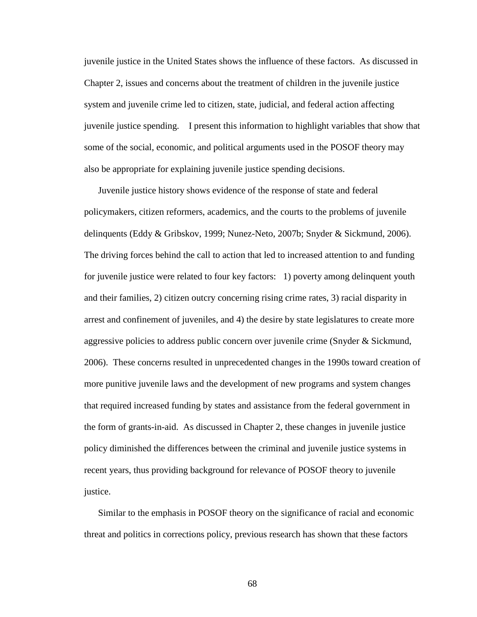juvenile justice in the United States shows the influence of these factors. As discussed in Chapter 2, issues and concerns about the treatment of children in the juvenile justice system and juvenile crime led to citizen, state, judicial, and federal action affecting juvenile justice spending. I present this information to highlight variables that show that some of the social, economic, and political arguments used in the POSOF theory may also be appropriate for explaining juvenile justice spending decisions.

Juvenile justice history shows evidence of the response of state and federal policymakers, citizen reformers, academics, and the courts to the problems of juvenile delinquents (Eddy & Gribskov, 1999; Nunez-Neto, 2007b; Snyder & Sickmund, 2006). The driving forces behind the call to action that led to increased attention to and funding for juvenile justice were related to four key factors: 1) poverty among delinquent youth and their families, 2) citizen outcry concerning rising crime rates, 3) racial disparity in arrest and confinement of juveniles, and 4) the desire by state legislatures to create more aggressive policies to address public concern over juvenile crime (Snyder & Sickmund, 2006). These concerns resulted in unprecedented changes in the 1990s toward creation of more punitive juvenile laws and the development of new programs and system changes that required increased funding by states and assistance from the federal government in the form of grants-in-aid. As discussed in Chapter 2, these changes in juvenile justice policy diminished the differences between the criminal and juvenile justice systems in recent years, thus providing background for relevance of POSOF theory to juvenile justice.

Similar to the emphasis in POSOF theory on the significance of racial and economic threat and politics in corrections policy, previous research has shown that these factors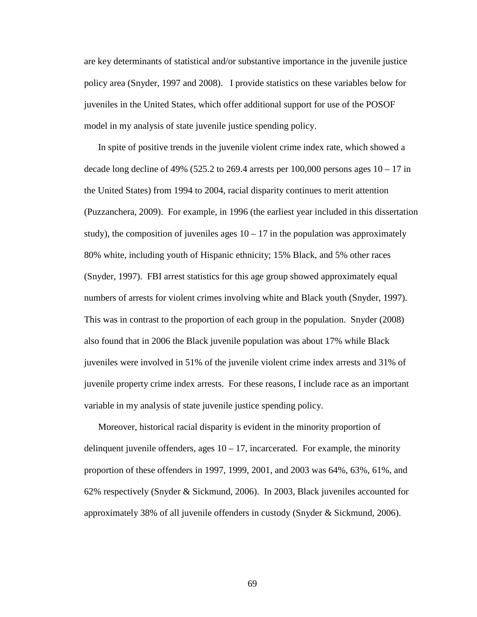are key determinants of statistical and/or substantive importance in the juvenile justice policy area (Snyder, 1997 and 2008). I provide statistics on these variables below for juveniles in the United States, which offer additional support for use of the POSOF model in my analysis of state juvenile justice spending policy.

In spite of positive trends in the juvenile violent crime index rate, which showed a decade long decline of 49% (525.2 to 269.4 arrests per 100,000 persons ages  $10 - 17$  in the United States) from 1994 to 2004, racial disparity continues to merit attention (Puzzanchera, 2009). For example, in 1996 (the earliest year included in this dissertation study), the composition of juveniles ages  $10 - 17$  in the population was approximately 80% white, including youth of Hispanic ethnicity; 15% Black, and 5% other races (Snyder, 1997). FBI arrest statistics for this age group showed approximately equal numbers of arrests for violent crimes involving white and Black youth (Snyder, 1997). This was in contrast to the proportion of each group in the population. Snyder (2008) also found that in 2006 the Black juvenile population was about 17% while Black juveniles were involved in 51% of the juvenile violent crime index arrests and 31% of juvenile property crime index arrests. For these reasons, I include race as an important variable in my analysis of state juvenile justice spending policy.

Moreover, historical racial disparity is evident in the minority proportion of delinquent juvenile offenders, ages  $10 - 17$ , incarcerated. For example, the minority proportion of these offenders in 1997, 1999, 2001, and 2003 was 64%, 63%, 61%, and 62% respectively (Snyder & Sickmund, 2006). In 2003, Black juveniles accounted for approximately 38% of all juvenile offenders in custody (Snyder & Sickmund, 2006).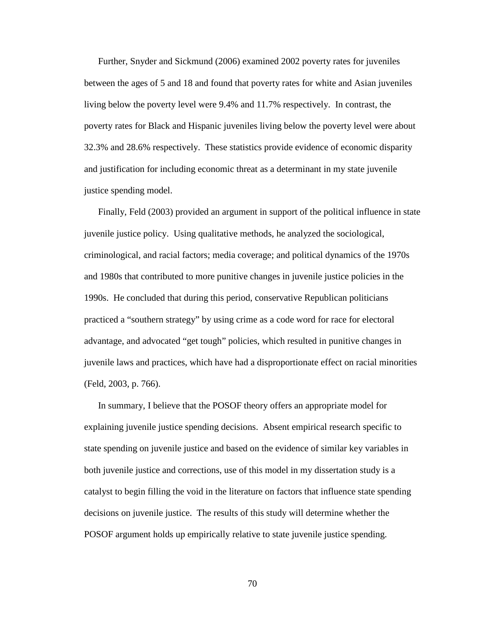Further, Snyder and Sickmund (2006) examined 2002 poverty rates for juveniles between the ages of 5 and 18 and found that poverty rates for white and Asian juveniles living below the poverty level were 9.4% and 11.7% respectively. In contrast, the poverty rates for Black and Hispanic juveniles living below the poverty level were about 32.3% and 28.6% respectively. These statistics provide evidence of economic disparity and justification for including economic threat as a determinant in my state juvenile justice spending model.

Finally, Feld (2003) provided an argument in support of the political influence in state juvenile justice policy. Using qualitative methods, he analyzed the sociological, criminological, and racial factors; media coverage; and political dynamics of the 1970s and 1980s that contributed to more punitive changes in juvenile justice policies in the 1990s. He concluded that during this period, conservative Republican politicians practiced a "southern strategy" by using crime as a code word for race for electoral advantage, and advocated "get tough" policies, which resulted in punitive changes in juvenile laws and practices, which have had a disproportionate effect on racial minorities (Feld, 2003, p. 766).

In summary, I believe that the POSOF theory offers an appropriate model for explaining juvenile justice spending decisions. Absent empirical research specific to state spending on juvenile justice and based on the evidence of similar key variables in both juvenile justice and corrections, use of this model in my dissertation study is a catalyst to begin filling the void in the literature on factors that influence state spending decisions on juvenile justice. The results of this study will determine whether the POSOF argument holds up empirically relative to state juvenile justice spending.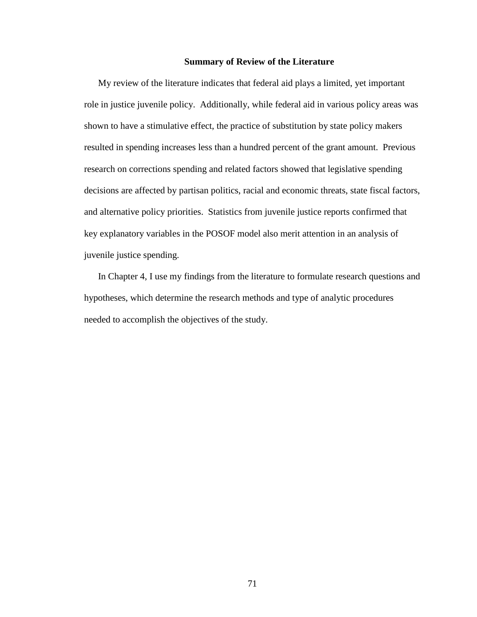## **Summary of Review of the Literature**

My review of the literature indicates that federal aid plays a limited, yet important role in justice juvenile policy. Additionally, while federal aid in various policy areas was shown to have a stimulative effect, the practice of substitution by state policy makers resulted in spending increases less than a hundred percent of the grant amount. Previous research on corrections spending and related factors showed that legislative spending decisions are affected by partisan politics, racial and economic threats, state fiscal factors, and alternative policy priorities. Statistics from juvenile justice reports confirmed that key explanatory variables in the POSOF model also merit attention in an analysis of juvenile justice spending.

In Chapter 4, I use my findings from the literature to formulate research questions and hypotheses, which determine the research methods and type of analytic procedures needed to accomplish the objectives of the study.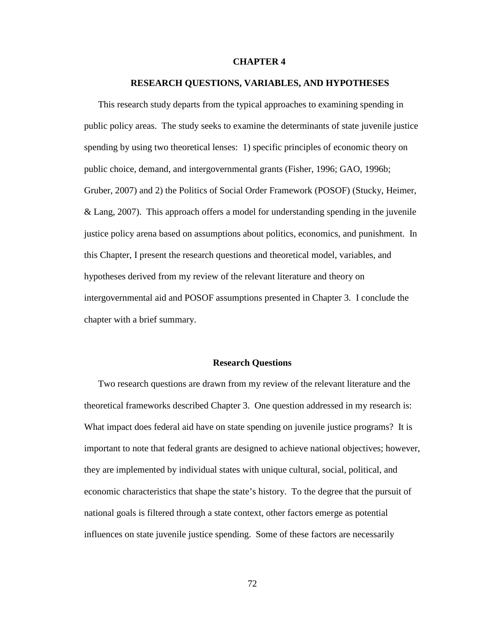#### **CHAPTER 4**

#### **RESEARCH QUESTIONS, VARIABLES, AND HYPOTHESES**

This research study departs from the typical approaches to examining spending in public policy areas. The study seeks to examine the determinants of state juvenile justice spending by using two theoretical lenses: 1) specific principles of economic theory on public choice, demand, and intergovernmental grants (Fisher, 1996; GAO, 1996b; Gruber, 2007) and 2) the Politics of Social Order Framework (POSOF) (Stucky, Heimer, & Lang, 2007). This approach offers a model for understanding spending in the juvenile justice policy arena based on assumptions about politics, economics, and punishment. In this Chapter, I present the research questions and theoretical model, variables, and hypotheses derived from my review of the relevant literature and theory on intergovernmental aid and POSOF assumptions presented in Chapter 3. I conclude the chapter with a brief summary.

## **Research Questions**

Two research questions are drawn from my review of the relevant literature and the theoretical frameworks described Chapter 3. One question addressed in my research is: What impact does federal aid have on state spending on juvenile justice programs? It is important to note that federal grants are designed to achieve national objectives; however, they are implemented by individual states with unique cultural, social, political, and economic characteristics that shape the state's history. To the degree that the pursuit of national goals is filtered through a state context, other factors emerge as potential influences on state juvenile justice spending. Some of these factors are necessarily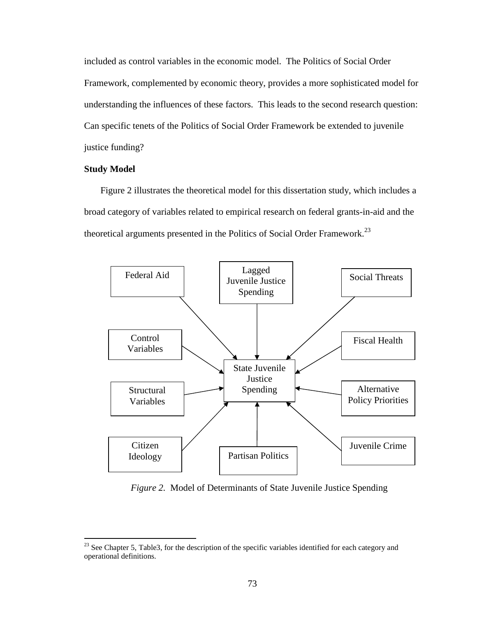included as control variables in the economic model. The Politics of Social Order Framework, complemented by economic theory, provides a more sophisticated model for understanding the influences of these factors. This leads to the second research question: Can specific tenets of the Politics of Social Order Framework be extended to juvenile justice funding?

## **Study Model**

<u>.</u>

Figure 2 illustrates the theoretical model for this dissertation study, which includes a broad category of variables related to empirical research on federal grants-in-aid and the theoretical arguments presented in the Politics of Social Order Framework.<sup>23</sup>



 *Figure 2.* Model of Determinants of State Juvenile Justice Spending

 $^{23}$  See Chapter 5, Table3, for the description of the specific variables identified for each category and operational definitions.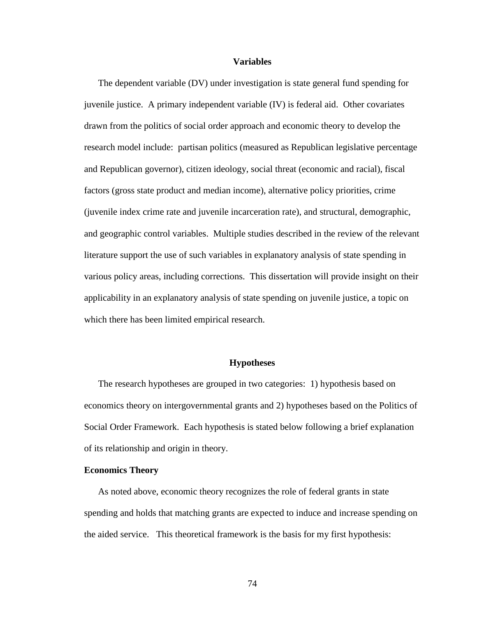#### **Variables**

The dependent variable (DV) under investigation is state general fund spending for juvenile justice. A primary independent variable (IV) is federal aid. Other covariates drawn from the politics of social order approach and economic theory to develop the research model include: partisan politics (measured as Republican legislative percentage and Republican governor), citizen ideology, social threat (economic and racial), fiscal factors (gross state product and median income), alternative policy priorities, crime (juvenile index crime rate and juvenile incarceration rate), and structural, demographic, and geographic control variables. Multiple studies described in the review of the relevant literature support the use of such variables in explanatory analysis of state spending in various policy areas, including corrections. This dissertation will provide insight on their applicability in an explanatory analysis of state spending on juvenile justice, a topic on which there has been limited empirical research.

## **Hypotheses**

The research hypotheses are grouped in two categories: 1) hypothesis based on economics theory on intergovernmental grants and 2) hypotheses based on the Politics of Social Order Framework. Each hypothesis is stated below following a brief explanation of its relationship and origin in theory.

## **Economics Theory**

As noted above, economic theory recognizes the role of federal grants in state spending and holds that matching grants are expected to induce and increase spending on the aided service. This theoretical framework is the basis for my first hypothesis: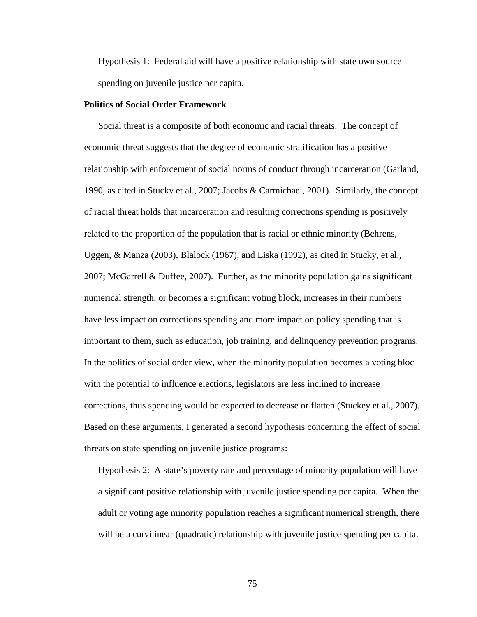Hypothesis 1: Federal aid will have a positive relationship with state own source spending on juvenile justice per capita.

## **Politics of Social Order Framework**

Social threat is a composite of both economic and racial threats. The concept of economic threat suggests that the degree of economic stratification has a positive relationship with enforcement of social norms of conduct through incarceration (Garland, 1990, as cited in Stucky et al., 2007; Jacobs & Carmichael, 2001). Similarly, the concept of racial threat holds that incarceration and resulting corrections spending is positively related to the proportion of the population that is racial or ethnic minority (Behrens, Uggen, & Manza (2003), Blalock (1967), and Liska (1992), as cited in Stucky, et al., 2007; McGarrell & Duffee, 2007). Further, as the minority population gains significant numerical strength, or becomes a significant voting block, increases in their numbers have less impact on corrections spending and more impact on policy spending that is important to them, such as education, job training, and delinquency prevention programs. In the politics of social order view, when the minority population becomes a voting bloc with the potential to influence elections, legislators are less inclined to increase corrections, thus spending would be expected to decrease or flatten (Stuckey et al., 2007). Based on these arguments, I generated a second hypothesis concerning the effect of social threats on state spending on juvenile justice programs:

Hypothesis 2: A state's poverty rate and percentage of minority population will have a significant positive relationship with juvenile justice spending per capita. When the adult or voting age minority population reaches a significant numerical strength, there will be a curvilinear (quadratic) relationship with juvenile justice spending per capita.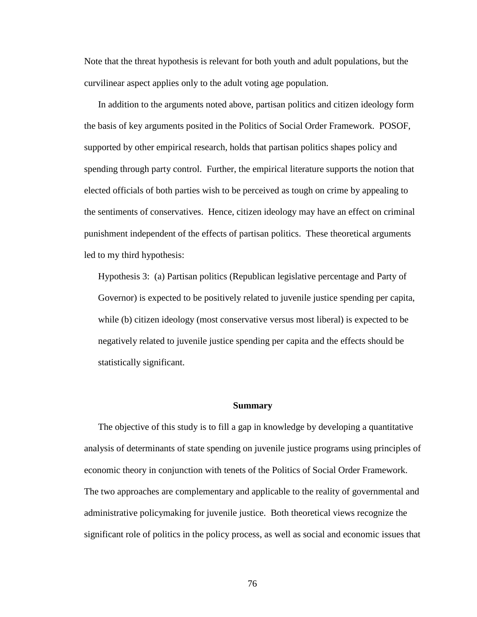Note that the threat hypothesis is relevant for both youth and adult populations, but the curvilinear aspect applies only to the adult voting age population.

In addition to the arguments noted above, partisan politics and citizen ideology form the basis of key arguments posited in the Politics of Social Order Framework. POSOF, supported by other empirical research, holds that partisan politics shapes policy and spending through party control. Further, the empirical literature supports the notion that elected officials of both parties wish to be perceived as tough on crime by appealing to the sentiments of conservatives. Hence, citizen ideology may have an effect on criminal punishment independent of the effects of partisan politics. These theoretical arguments led to my third hypothesis:

Hypothesis 3: (a) Partisan politics (Republican legislative percentage and Party of Governor) is expected to be positively related to juvenile justice spending per capita, while (b) citizen ideology (most conservative versus most liberal) is expected to be negatively related to juvenile justice spending per capita and the effects should be statistically significant.

#### **Summary**

The objective of this study is to fill a gap in knowledge by developing a quantitative analysis of determinants of state spending on juvenile justice programs using principles of economic theory in conjunction with tenets of the Politics of Social Order Framework. The two approaches are complementary and applicable to the reality of governmental and administrative policymaking for juvenile justice. Both theoretical views recognize the significant role of politics in the policy process, as well as social and economic issues that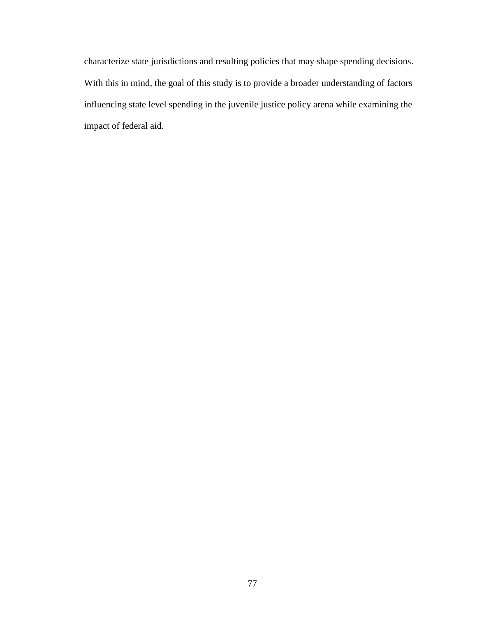characterize state jurisdictions and resulting policies that may shape spending decisions. With this in mind, the goal of this study is to provide a broader understanding of factors influencing state level spending in the juvenile justice policy arena while examining the impact of federal aid.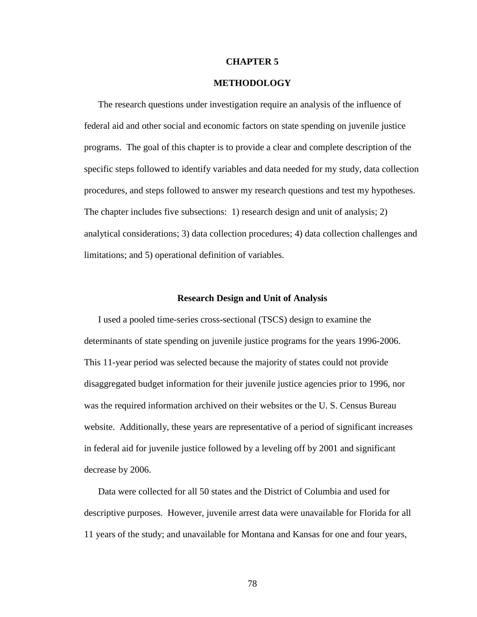### **CHAPTER 5**

## **METHODOLOGY**

The research questions under investigation require an analysis of the influence of federal aid and other social and economic factors on state spending on juvenile justice programs. The goal of this chapter is to provide a clear and complete description of the specific steps followed to identify variables and data needed for my study, data collection procedures, and steps followed to answer my research questions and test my hypotheses. The chapter includes five subsections: 1) research design and unit of analysis; 2) analytical considerations; 3) data collection procedures; 4) data collection challenges and limitations; and 5) operational definition of variables.

#### **Research Design and Unit of Analysis**

I used a pooled time-series cross-sectional (TSCS) design to examine the determinants of state spending on juvenile justice programs for the years 1996-2006. This 11-year period was selected because the majority of states could not provide disaggregated budget information for their juvenile justice agencies prior to 1996, nor was the required information archived on their websites or the U. S. Census Bureau website. Additionally, these years are representative of a period of significant increases in federal aid for juvenile justice followed by a leveling off by 2001 and significant decrease by 2006.

Data were collected for all 50 states and the District of Columbia and used for descriptive purposes. However, juvenile arrest data were unavailable for Florida for all 11 years of the study; and unavailable for Montana and Kansas for one and four years,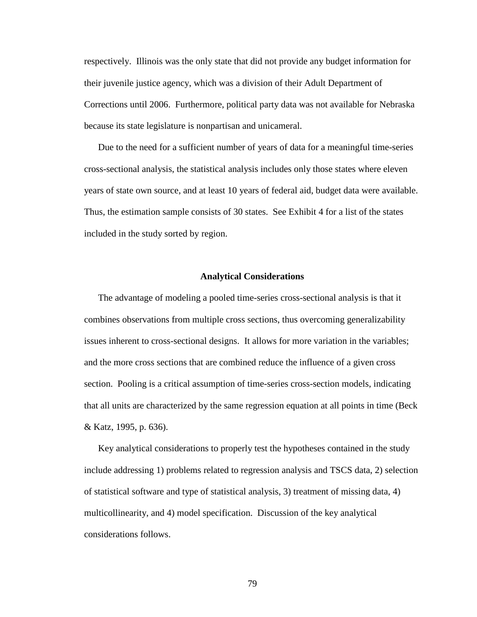respectively. Illinois was the only state that did not provide any budget information for their juvenile justice agency, which was a division of their Adult Department of Corrections until 2006. Furthermore, political party data was not available for Nebraska because its state legislature is nonpartisan and unicameral.

Due to the need for a sufficient number of years of data for a meaningful time-series cross-sectional analysis, the statistical analysis includes only those states where eleven years of state own source, and at least 10 years of federal aid, budget data were available. Thus, the estimation sample consists of 30 states. See Exhibit 4 for a list of the states included in the study sorted by region.

## **Analytical Considerations**

The advantage of modeling a pooled time-series cross-sectional analysis is that it combines observations from multiple cross sections, thus overcoming generalizability issues inherent to cross-sectional designs. It allows for more variation in the variables; and the more cross sections that are combined reduce the influence of a given cross section. Pooling is a critical assumption of time-series cross-section models, indicating that all units are characterized by the same regression equation at all points in time (Beck & Katz, 1995, p. 636).

Key analytical considerations to properly test the hypotheses contained in the study include addressing 1) problems related to regression analysis and TSCS data, 2) selection of statistical software and type of statistical analysis, 3) treatment of missing data, 4) multicollinearity, and 4) model specification. Discussion of the key analytical considerations follows.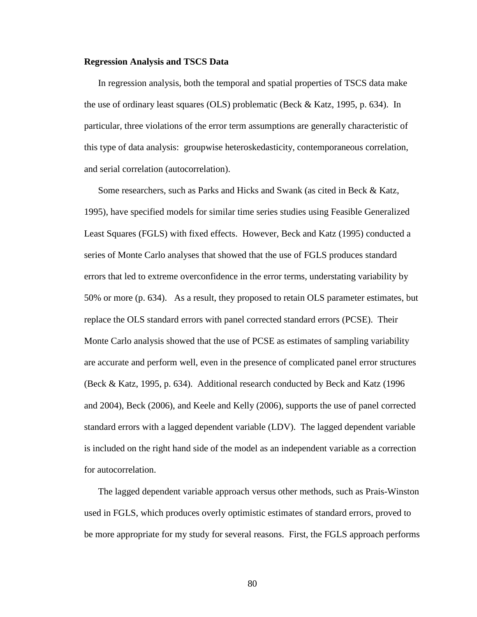#### **Regression Analysis and TSCS Data**

In regression analysis, both the temporal and spatial properties of TSCS data make the use of ordinary least squares (OLS) problematic (Beck & Katz, 1995, p. 634). In particular, three violations of the error term assumptions are generally characteristic of this type of data analysis: groupwise heteroskedasticity, contemporaneous correlation, and serial correlation (autocorrelation).

Some researchers, such as Parks and Hicks and Swank (as cited in Beck & Katz, 1995), have specified models for similar time series studies using Feasible Generalized Least Squares (FGLS) with fixed effects. However, Beck and Katz (1995) conducted a series of Monte Carlo analyses that showed that the use of FGLS produces standard errors that led to extreme overconfidence in the error terms, understating variability by 50% or more (p. 634). As a result, they proposed to retain OLS parameter estimates, but replace the OLS standard errors with panel corrected standard errors (PCSE). Their Monte Carlo analysis showed that the use of PCSE as estimates of sampling variability are accurate and perform well, even in the presence of complicated panel error structures (Beck & Katz, 1995, p. 634). Additional research conducted by Beck and Katz (1996 and 2004), Beck (2006), and Keele and Kelly (2006), supports the use of panel corrected standard errors with a lagged dependent variable (LDV). The lagged dependent variable is included on the right hand side of the model as an independent variable as a correction for autocorrelation.

The lagged dependent variable approach versus other methods, such as Prais-Winston used in FGLS, which produces overly optimistic estimates of standard errors, proved to be more appropriate for my study for several reasons. First, the FGLS approach performs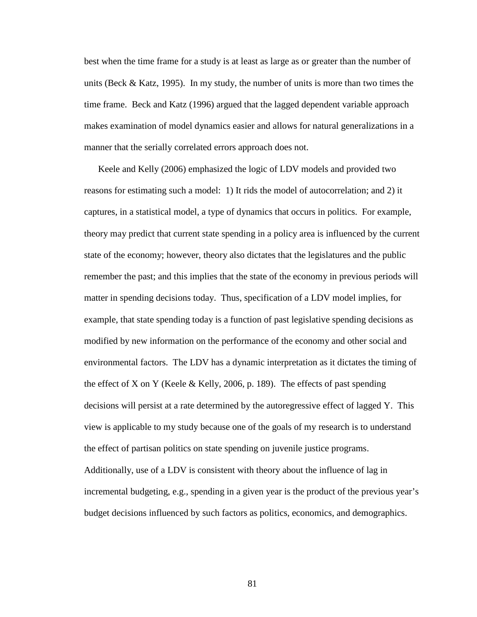best when the time frame for a study is at least as large as or greater than the number of units (Beck & Katz, 1995). In my study, the number of units is more than two times the time frame. Beck and Katz (1996) argued that the lagged dependent variable approach makes examination of model dynamics easier and allows for natural generalizations in a manner that the serially correlated errors approach does not.

Keele and Kelly (2006) emphasized the logic of LDV models and provided two reasons for estimating such a model: 1) It rids the model of autocorrelation; and 2) it captures, in a statistical model, a type of dynamics that occurs in politics. For example, theory may predict that current state spending in a policy area is influenced by the current state of the economy; however, theory also dictates that the legislatures and the public remember the past; and this implies that the state of the economy in previous periods will matter in spending decisions today. Thus, specification of a LDV model implies, for example, that state spending today is a function of past legislative spending decisions as modified by new information on the performance of the economy and other social and environmental factors. The LDV has a dynamic interpretation as it dictates the timing of the effect of X on Y (Keele  $&$  Kelly, 2006, p. 189). The effects of past spending decisions will persist at a rate determined by the autoregressive effect of lagged Y. This view is applicable to my study because one of the goals of my research is to understand the effect of partisan politics on state spending on juvenile justice programs. Additionally, use of a LDV is consistent with theory about the influence of lag in incremental budgeting, e.g., spending in a given year is the product of the previous year's budget decisions influenced by such factors as politics, economics, and demographics.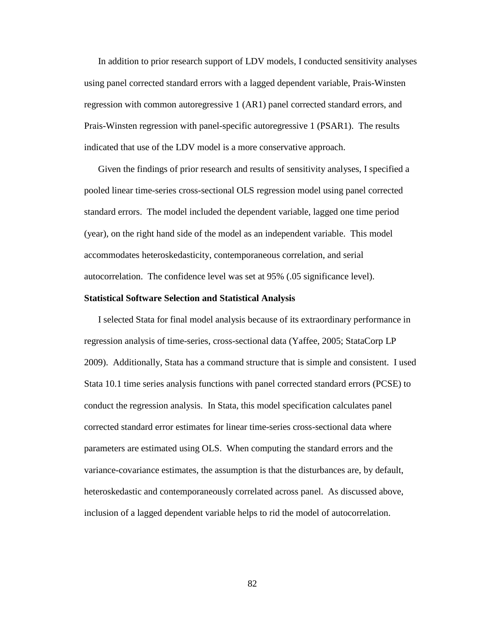In addition to prior research support of LDV models, I conducted sensitivity analyses using panel corrected standard errors with a lagged dependent variable, Prais-Winsten regression with common autoregressive 1 (AR1) panel corrected standard errors, and Prais-Winsten regression with panel-specific autoregressive 1 (PSAR1). The results indicated that use of the LDV model is a more conservative approach.

Given the findings of prior research and results of sensitivity analyses, I specified a pooled linear time-series cross-sectional OLS regression model using panel corrected standard errors. The model included the dependent variable, lagged one time period (year), on the right hand side of the model as an independent variable. This model accommodates heteroskedasticity, contemporaneous correlation, and serial autocorrelation. The confidence level was set at 95% (.05 significance level).

### **Statistical Software Selection and Statistical Analysis**

I selected Stata for final model analysis because of its extraordinary performance in regression analysis of time-series, cross-sectional data (Yaffee, 2005; StataCorp LP 2009). Additionally, Stata has a command structure that is simple and consistent. I used Stata 10.1 time series analysis functions with panel corrected standard errors (PCSE) to conduct the regression analysis. In Stata, this model specification calculates panel corrected standard error estimates for linear time-series cross-sectional data where parameters are estimated using OLS. When computing the standard errors and the variance-covariance estimates, the assumption is that the disturbances are, by default, heteroskedastic and contemporaneously correlated across panel. As discussed above, inclusion of a lagged dependent variable helps to rid the model of autocorrelation.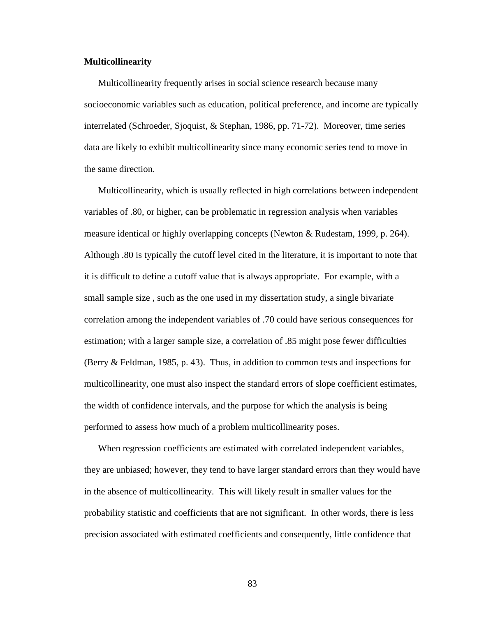## **Multicollinearity**

Multicollinearity frequently arises in social science research because many socioeconomic variables such as education, political preference, and income are typically interrelated (Schroeder, Sjoquist, & Stephan, 1986, pp. 71-72). Moreover, time series data are likely to exhibit multicollinearity since many economic series tend to move in the same direction.

Multicollinearity, which is usually reflected in high correlations between independent variables of .80, or higher, can be problematic in regression analysis when variables measure identical or highly overlapping concepts (Newton & Rudestam, 1999, p. 264). Although .80 is typically the cutoff level cited in the literature, it is important to note that it is difficult to define a cutoff value that is always appropriate. For example, with a small sample size , such as the one used in my dissertation study, a single bivariate correlation among the independent variables of .70 could have serious consequences for estimation; with a larger sample size, a correlation of .85 might pose fewer difficulties (Berry & Feldman, 1985, p. 43). Thus, in addition to common tests and inspections for multicollinearity, one must also inspect the standard errors of slope coefficient estimates, the width of confidence intervals, and the purpose for which the analysis is being performed to assess how much of a problem multicollinearity poses.

When regression coefficients are estimated with correlated independent variables, they are unbiased; however, they tend to have larger standard errors than they would have in the absence of multicollinearity. This will likely result in smaller values for the probability statistic and coefficients that are not significant. In other words, there is less precision associated with estimated coefficients and consequently, little confidence that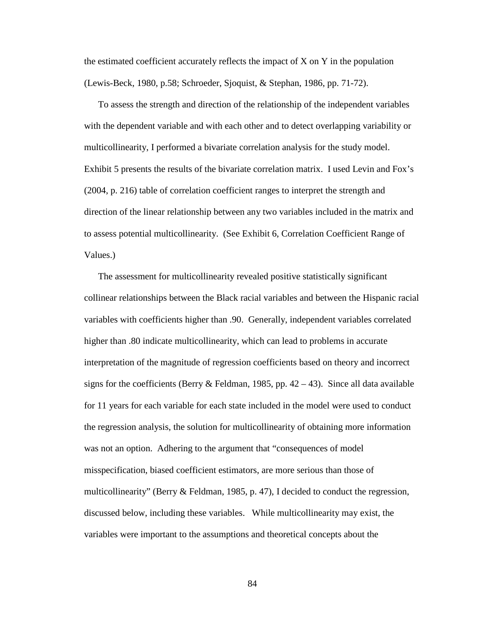the estimated coefficient accurately reflects the impact of  $X$  on  $Y$  in the population (Lewis-Beck, 1980, p.58; Schroeder, Sjoquist, & Stephan, 1986, pp. 71-72).

To assess the strength and direction of the relationship of the independent variables with the dependent variable and with each other and to detect overlapping variability or multicollinearity, I performed a bivariate correlation analysis for the study model. Exhibit 5 presents the results of the bivariate correlation matrix. I used Levin and Fox's (2004, p. 216) table of correlation coefficient ranges to interpret the strength and direction of the linear relationship between any two variables included in the matrix and to assess potential multicollinearity. (See Exhibit 6, Correlation Coefficient Range of Values.)

The assessment for multicollinearity revealed positive statistically significant collinear relationships between the Black racial variables and between the Hispanic racial variables with coefficients higher than .90. Generally, independent variables correlated higher than .80 indicate multicollinearity, which can lead to problems in accurate interpretation of the magnitude of regression coefficients based on theory and incorrect signs for the coefficients (Berry & Feldman, 1985, pp.  $42 - 43$ ). Since all data available for 11 years for each variable for each state included in the model were used to conduct the regression analysis, the solution for multicollinearity of obtaining more information was not an option. Adhering to the argument that "consequences of model misspecification, biased coefficient estimators, are more serious than those of multicollinearity" (Berry & Feldman, 1985, p. 47), I decided to conduct the regression, discussed below, including these variables. While multicollinearity may exist, the variables were important to the assumptions and theoretical concepts about the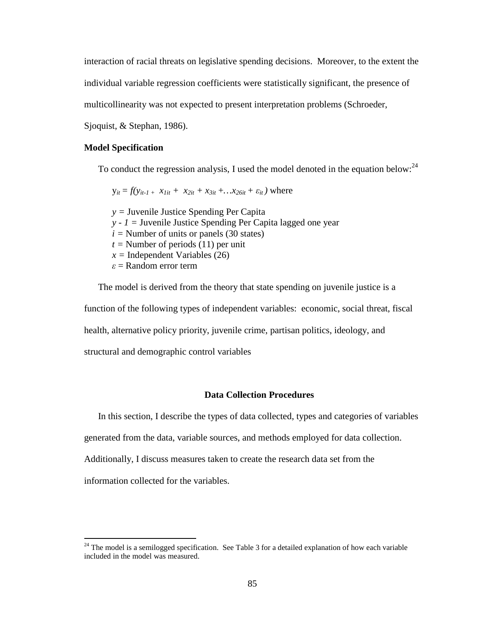interaction of racial threats on legislative spending decisions. Moreover, to the extent the

individual variable regression coefficients were statistically significant, the presence of

multicollinearity was not expected to present interpretation problems (Schroeder,

Sjoquist, & Stephan, 1986).

## **Model Specification**

To conduct the regression analysis, I used the model denoted in the equation below:  $24$ 

 $y_{it} = f(y_{it-1} + x_{1it} + x_{2it} + x_{3it} + ... + x_{26it} + \varepsilon_{it})$  where *y =* Juvenile Justice Spending Per Capita  *y - 1 =* Juvenile Justice Spending Per Capita lagged one year  $i =$  Number of units or panels (30 states)  $t =$  Number of periods (11) per unit  $x =$ Independent Variables (26)  $\varepsilon$  = Random error term

The model is derived from the theory that state spending on juvenile justice is a function of the following types of independent variables: economic, social threat, fiscal health, alternative policy priority, juvenile crime, partisan politics, ideology, and structural and demographic control variables

## **Data Collection Procedures**

In this section, I describe the types of data collected, types and categories of variables

generated from the data, variable sources, and methods employed for data collection.

Additionally, I discuss measures taken to create the research data set from the

information collected for the variables.

<u>.</u>

 $24$  The model is a semilogged specification. See Table 3 for a detailed explanation of how each variable included in the model was measured.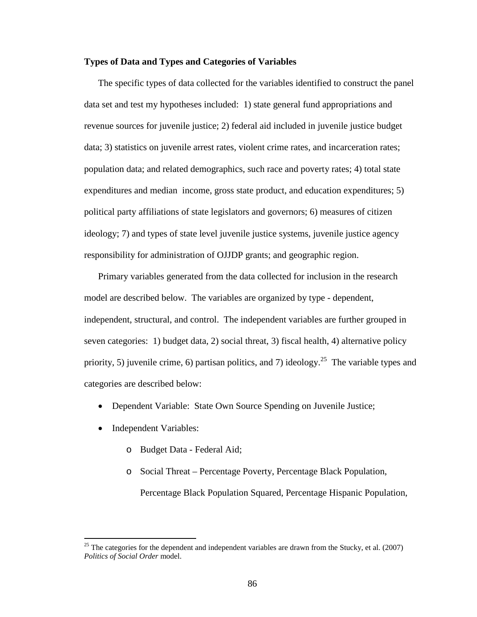## **Types of Data and Types and Categories of Variables**

The specific types of data collected for the variables identified to construct the panel data set and test my hypotheses included: 1) state general fund appropriations and revenue sources for juvenile justice; 2) federal aid included in juvenile justice budget data; 3) statistics on juvenile arrest rates, violent crime rates, and incarceration rates; population data; and related demographics, such race and poverty rates; 4) total state expenditures and median income, gross state product, and education expenditures; 5) political party affiliations of state legislators and governors; 6) measures of citizen ideology; 7) and types of state level juvenile justice systems, juvenile justice agency responsibility for administration of OJJDP grants; and geographic region.

Primary variables generated from the data collected for inclusion in the research model are described below. The variables are organized by type - dependent, independent, structural, and control. The independent variables are further grouped in seven categories: 1) budget data, 2) social threat, 3) fiscal health, 4) alternative policy priority, 5) juvenile crime, 6) partisan politics, and 7) ideology.<sup>25</sup> The variable types and categories are described below:

- Dependent Variable: State Own Source Spending on Juvenile Justice;
- Independent Variables:

 $\overline{a}$ 

- o Budget Data Federal Aid;
- o Social Threat Percentage Poverty, Percentage Black Population, Percentage Black Population Squared, Percentage Hispanic Population,

<sup>&</sup>lt;sup>25</sup> The categories for the dependent and independent variables are drawn from the Stucky, et al. (2007) *Politics of Social Order* model.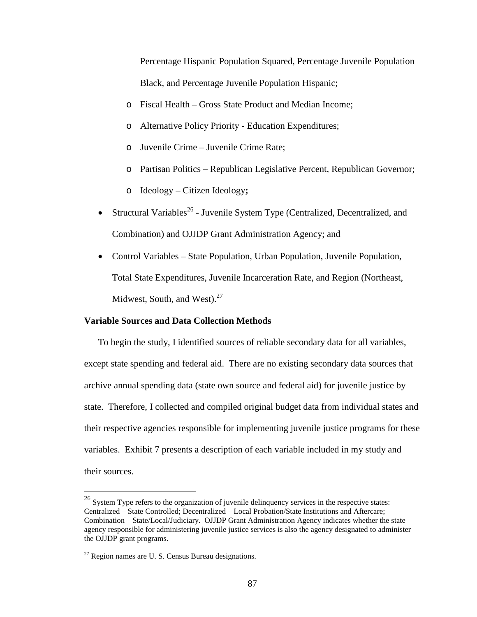Percentage Hispanic Population Squared, Percentage Juvenile Population Black, and Percentage Juvenile Population Hispanic;

- o Fiscal Health Gross State Product and Median Income;
- o Alternative Policy Priority Education Expenditures;
- o Juvenile Crime Juvenile Crime Rate;
- o Partisan Politics Republican Legislative Percent, Republican Governor;
- o Ideology Citizen Ideology**;**
- Structural Variables<sup>26</sup> Juvenile System Type (Centralized, Decentralized, and Combination) and OJJDP Grant Administration Agency; and
- Control Variables State Population, Urban Population, Juvenile Population, Total State Expenditures, Juvenile Incarceration Rate, and Region (Northeast, Midwest, South, and West). $27$

## **Variable Sources and Data Collection Methods**

To begin the study, I identified sources of reliable secondary data for all variables, except state spending and federal aid. There are no existing secondary data sources that archive annual spending data (state own source and federal aid) for juvenile justice by state. Therefore, I collected and compiled original budget data from individual states and their respective agencies responsible for implementing juvenile justice programs for these variables. Exhibit 7 presents a description of each variable included in my study and their sources.

<u>.</u>

 $26$  System Type refers to the organization of juvenile delinquency services in the respective states: Centralized – State Controlled; Decentralized – Local Probation/State Institutions and Aftercare; Combination – State/Local/Judiciary. OJJDP Grant Administration Agency indicates whether the state agency responsible for administering juvenile justice services is also the agency designated to administer the OJJDP grant programs.

 $27$  Region names are U. S. Census Bureau designations.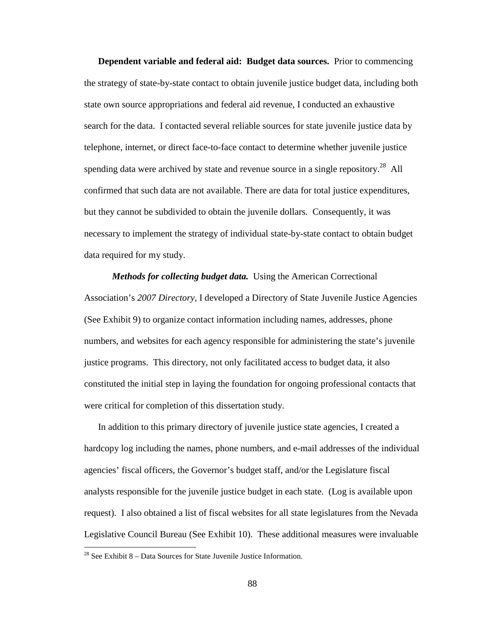**Dependent variable and federal aid: Budget data sources.** Prior to commencing the strategy of state-by-state contact to obtain juvenile justice budget data, including both state own source appropriations and federal aid revenue, I conducted an exhaustive search for the data. I contacted several reliable sources for state juvenile justice data by telephone, internet, or direct face-to-face contact to determine whether juvenile justice spending data were archived by state and revenue source in a single repository.<sup>28</sup> All confirmed that such data are not available. There are data for total justice expenditures, but they cannot be subdivided to obtain the juvenile dollars*.* Consequently, it was necessary to implement the strategy of individual state-by-state contact to obtain budget data required for my study.

*Methods for collecting budget data.*Using the American Correctional Association's *2007 Directory,* I developed a Directory of State Juvenile Justice Agencies (See Exhibit 9) to organize contact information including names, addresses, phone numbers, and websites for each agency responsible for administering the state's juvenile justice programs. This directory, not only facilitated access to budget data, it also constituted the initial step in laying the foundation for ongoing professional contacts that were critical for completion of this dissertation study.

In addition to this primary directory of juvenile justice state agencies, I created a hardcopy log including the names, phone numbers, and e-mail addresses of the individual agencies' fiscal officers, the Governor's budget staff, and/or the Legislature fiscal analysts responsible for the juvenile justice budget in each state. (Log is available upon request). I also obtained a list of fiscal websites for all state legislatures from the Nevada Legislative Council Bureau (See Exhibit 10). These additional measures were invaluable

 $\overline{a}$ 

 $^{28}$  See Exhibit 8 – Data Sources for State Juvenile Justice Information.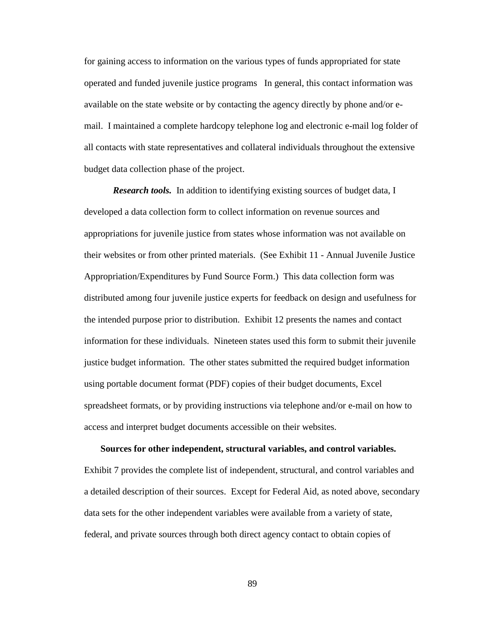for gaining access to information on the various types of funds appropriated for state operated and funded juvenile justice programs In general, this contact information was available on the state website or by contacting the agency directly by phone and/or email. I maintained a complete hardcopy telephone log and electronic e-mail log folder of all contacts with state representatives and collateral individuals throughout the extensive budget data collection phase of the project.

*Research tools.* In addition to identifying existing sources of budget data, I developed a data collection form to collect information on revenue sources and appropriations for juvenile justice from states whose information was not available on their websites or from other printed materials. (See Exhibit 11 - Annual Juvenile Justice Appropriation/Expenditures by Fund Source Form.) This data collection form was distributed among four juvenile justice experts for feedback on design and usefulness for the intended purpose prior to distribution. Exhibit 12 presents the names and contact information for these individuals. Nineteen states used this form to submit their juvenile justice budget information. The other states submitted the required budget information using portable document format (PDF) copies of their budget documents, Excel spreadsheet formats, or by providing instructions via telephone and/or e-mail on how to access and interpret budget documents accessible on their websites.

## **Sources for other independent, structural variables, and control variables.**

Exhibit 7 provides the complete list of independent, structural, and control variables and a detailed description of their sources. Except for Federal Aid, as noted above, secondary data sets for the other independent variables were available from a variety of state, federal, and private sources through both direct agency contact to obtain copies of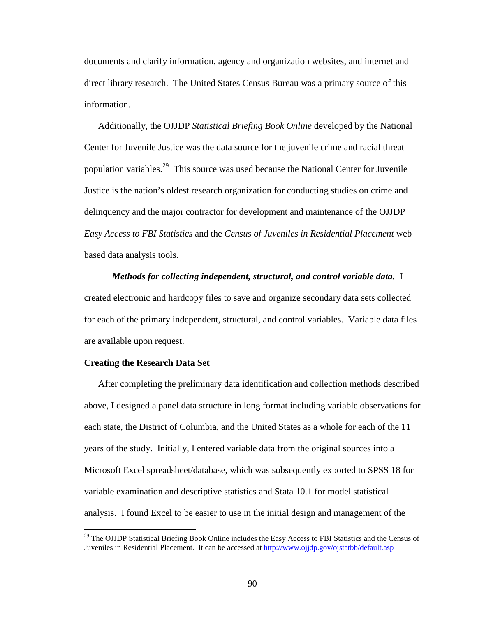documents and clarify information, agency and organization websites, and internet and direct library research. The United States Census Bureau was a primary source of this information.

Additionally, the OJJDP *Statistical Briefing Book Online* developed by the National Center for Juvenile Justice was the data source for the juvenile crime and racial threat population variables.<sup>29</sup> This source was used because the National Center for Juvenile Justice is the nation's oldest research organization for conducting studies on crime and delinquency and the major contractor for development and maintenance of the OJJDP *Easy Access to FBI Statistics* and the *Census of Juveniles in Residential Placement* web based data analysis tools.

# *Methods for collecting independent, structural, and control variable data.* I created electronic and hardcopy files to save and organize secondary data sets collected for each of the primary independent, structural, and control variables. Variable data files are available upon request.

## **Creating the Research Data Set**

 $\overline{a}$ 

After completing the preliminary data identification and collection methods described above, I designed a panel data structure in long format including variable observations for each state, the District of Columbia, and the United States as a whole for each of the 11 years of the study. Initially, I entered variable data from the original sources into a Microsoft Excel spreadsheet/database, which was subsequently exported to SPSS 18 for variable examination and descriptive statistics and Stata 10.1 for model statistical analysis. I found Excel to be easier to use in the initial design and management of the

 $29$  The OJJDP Statistical Briefing Book Online includes the Easy Access to FBI Statistics and the Census of Juveniles in Residential Placement. It can be accessed at http://www.ojjdp.gov/ojstatbb/default.asp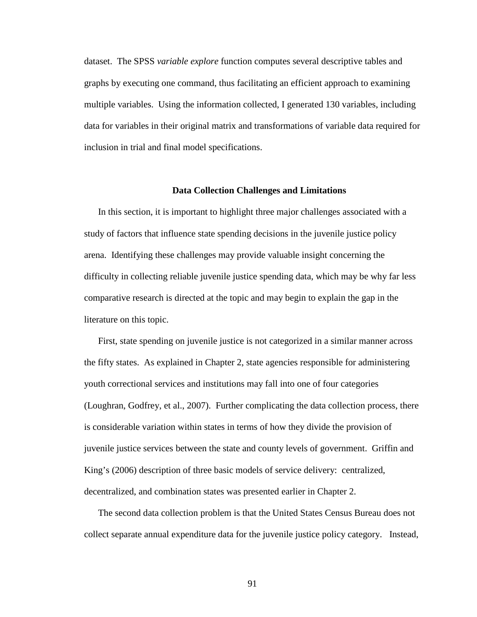dataset. The SPSS *variable explore* function computes several descriptive tables and graphs by executing one command, thus facilitating an efficient approach to examining multiple variables. Using the information collected, I generated 130 variables, including data for variables in their original matrix and transformations of variable data required for inclusion in trial and final model specifications.

## **Data Collection Challenges and Limitations**

In this section, it is important to highlight three major challenges associated with a study of factors that influence state spending decisions in the juvenile justice policy arena. Identifying these challenges may provide valuable insight concerning the difficulty in collecting reliable juvenile justice spending data, which may be why far less comparative research is directed at the topic and may begin to explain the gap in the literature on this topic.

First, state spending on juvenile justice is not categorized in a similar manner across the fifty states. As explained in Chapter 2, state agencies responsible for administering youth correctional services and institutions may fall into one of four categories (Loughran, Godfrey, et al., 2007). Further complicating the data collection process, there is considerable variation within states in terms of how they divide the provision of juvenile justice services between the state and county levels of government. Griffin and King's (2006) description of three basic models of service delivery: centralized, decentralized, and combination states was presented earlier in Chapter 2.

The second data collection problem is that the United States Census Bureau does not collect separate annual expenditure data for the juvenile justice policy category. Instead,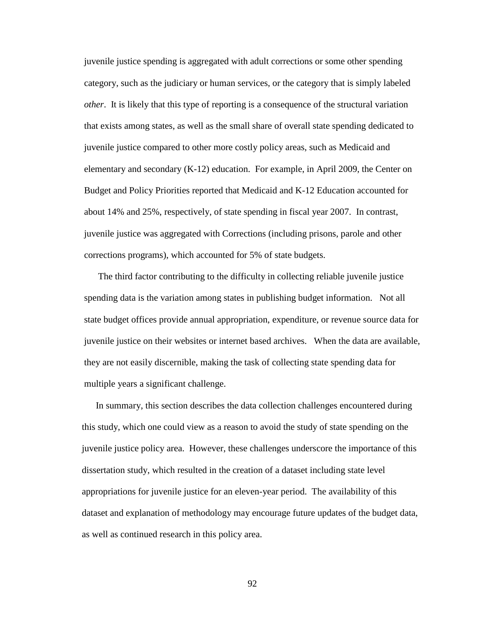juvenile justice spending is aggregated with adult corrections or some other spending category, such as the judiciary or human services, or the category that is simply labeled *other*. It is likely that this type of reporting is a consequence of the structural variation that exists among states, as well as the small share of overall state spending dedicated to juvenile justice compared to other more costly policy areas, such as Medicaid and elementary and secondary (K-12) education. For example, in April 2009, the Center on Budget and Policy Priorities reported that Medicaid and K-12 Education accounted for about 14% and 25%, respectively, of state spending in fiscal year 2007. In contrast, juvenile justice was aggregated with Corrections (including prisons, parole and other corrections programs), which accounted for 5% of state budgets.

The third factor contributing to the difficulty in collecting reliable juvenile justice spending data is the variation among states in publishing budget information. Not all state budget offices provide annual appropriation, expenditure, or revenue source data for juvenile justice on their websites or internet based archives. When the data are available, they are not easily discernible, making the task of collecting state spending data for multiple years a significant challenge.

In summary, this section describes the data collection challenges encountered during this study, which one could view as a reason to avoid the study of state spending on the juvenile justice policy area. However, these challenges underscore the importance of this dissertation study, which resulted in the creation of a dataset including state level appropriations for juvenile justice for an eleven-year period. The availability of this dataset and explanation of methodology may encourage future updates of the budget data, as well as continued research in this policy area.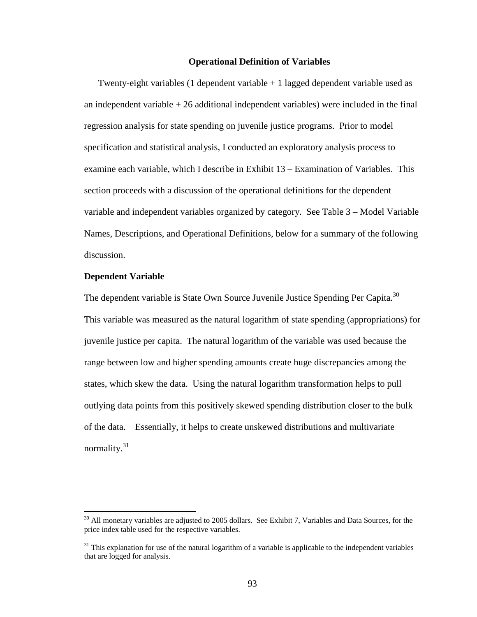## **Operational Definition of Variables**

Twenty-eight variables (1 dependent variable  $+1$  lagged dependent variable used as an independent variable  $+26$  additional independent variables) were included in the final regression analysis for state spending on juvenile justice programs. Prior to model specification and statistical analysis, I conducted an exploratory analysis process to examine each variable, which I describe in Exhibit 13 – Examination of Variables. This section proceeds with a discussion of the operational definitions for the dependent variable and independent variables organized by category. See Table 3 – Model Variable Names, Descriptions, and Operational Definitions, below for a summary of the following discussion.

## **Dependent Variable**

<u>.</u>

The dependent variable is State Own Source Juvenile Justice Spending Per Capita*.* 30  This variable was measured as the natural logarithm of state spending (appropriations) for juvenile justice per capita. The natural logarithm of the variable was used because the range between low and higher spending amounts create huge discrepancies among the states, which skew the data. Using the natural logarithm transformation helps to pull outlying data points from this positively skewed spending distribution closer to the bulk of the data. Essentially, it helps to create unskewed distributions and multivariate normality.<sup>31</sup>

 $30$  All monetary variables are adjusted to 2005 dollars. See Exhibit 7, Variables and Data Sources, for the price index table used for the respective variables.

 $31$  This explanation for use of the natural logarithm of a variable is applicable to the independent variables that are logged for analysis.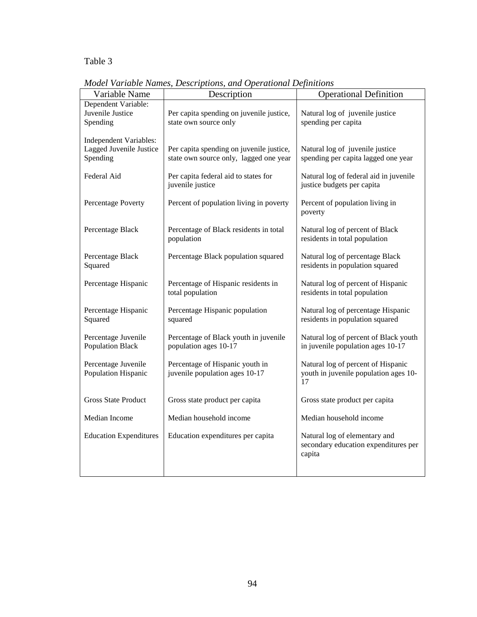Table 3

| Variable Name                                                        | Description                                                                        | <b>Operational Definition</b>                                                     |
|----------------------------------------------------------------------|------------------------------------------------------------------------------------|-----------------------------------------------------------------------------------|
| Dependent Variable:<br>Juvenile Justice<br>Spending                  | Per capita spending on juvenile justice,<br>state own source only                  | Natural log of juvenile justice<br>spending per capita                            |
| <b>Independent Variables:</b><br>Lagged Juvenile Justice<br>Spending | Per capita spending on juvenile justice,<br>state own source only, lagged one year | Natural log of juvenile justice<br>spending per capita lagged one year            |
| Federal Aid                                                          | Per capita federal aid to states for<br>juvenile justice                           | Natural log of federal aid in juvenile<br>justice budgets per capita              |
| Percentage Poverty                                                   | Percent of population living in poverty                                            | Percent of population living in<br>poverty                                        |
| Percentage Black                                                     | Percentage of Black residents in total<br>population                               | Natural log of percent of Black<br>residents in total population                  |
| Percentage Black<br>Squared                                          | Percentage Black population squared                                                | Natural log of percentage Black<br>residents in population squared                |
| Percentage Hispanic                                                  | Percentage of Hispanic residents in<br>total population                            | Natural log of percent of Hispanic<br>residents in total population               |
| Percentage Hispanic<br>Squared                                       | Percentage Hispanic population<br>squared                                          | Natural log of percentage Hispanic<br>residents in population squared             |
| Percentage Juvenile<br><b>Population Black</b>                       | Percentage of Black youth in juvenile<br>population ages 10-17                     | Natural log of percent of Black youth<br>in juvenile population ages 10-17        |
| Percentage Juvenile<br>Population Hispanic                           | Percentage of Hispanic youth in<br>juvenile population ages 10-17                  | Natural log of percent of Hispanic<br>youth in juvenile population ages 10-<br>17 |
| <b>Gross State Product</b>                                           | Gross state product per capita                                                     | Gross state product per capita                                                    |
| Median Income                                                        | Median household income                                                            | Median household income                                                           |
| <b>Education Expenditures</b>                                        | Education expenditures per capita                                                  | Natural log of elementary and<br>secondary education expenditures per<br>capita   |
|                                                                      |                                                                                    |                                                                                   |

*Model Variable Names, Descriptions, and Operational Definitions*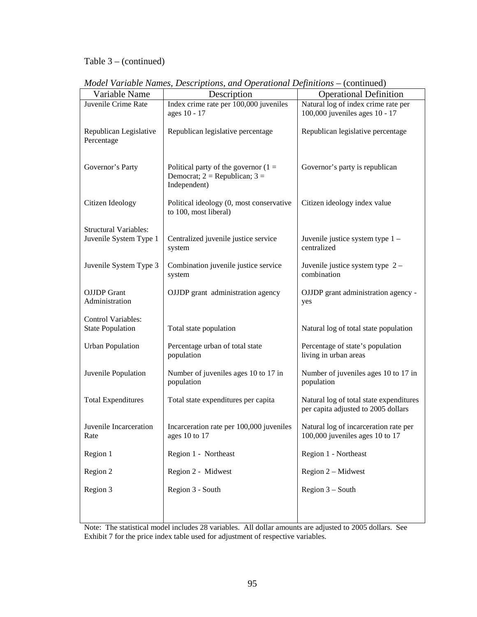## Table 3 – (continued)

| Variable Name                                 | Description                                                                                  | <b>Operational Definition</b>                                                  |
|-----------------------------------------------|----------------------------------------------------------------------------------------------|--------------------------------------------------------------------------------|
| Juvenile Crime Rate                           |                                                                                              | Natural log of index crime rate per                                            |
|                                               | Index crime rate per 100,000 juveniles<br>ages 10 - 17                                       | 100,000 juveniles ages 10 - 17                                                 |
| Republican Legislative<br>Percentage          | Republican legislative percentage                                                            | Republican legislative percentage                                              |
| Governor's Party                              | Political party of the governor $(1 =$<br>Democrat; $2 = Republican$ ; $3 =$<br>Independent) | Governor's party is republican                                                 |
| Citizen Ideology                              | Political ideology (0, most conservative<br>to 100, most liberal)                            | Citizen ideology index value                                                   |
| <b>Structural Variables:</b>                  |                                                                                              |                                                                                |
| Juvenile System Type 1                        | Centralized juvenile justice service<br>system                                               | Juvenile justice system type 1 -<br>centralized                                |
| Juvenile System Type 3                        | Combination juvenile justice service<br>system                                               | Juvenile justice system type $2 -$<br>combination                              |
| <b>OJJDP</b> Grant<br>Administration          | OJJDP grant administration agency                                                            | OJJDP grant administration agency -<br>yes                                     |
| Control Variables:<br><b>State Population</b> | Total state population                                                                       | Natural log of total state population                                          |
| <b>Urban Population</b>                       | Percentage urban of total state<br>population                                                | Percentage of state's population<br>living in urban areas                      |
| Juvenile Population                           | Number of juveniles ages 10 to 17 in<br>population                                           | Number of juveniles ages 10 to 17 in<br>population                             |
| <b>Total Expenditures</b>                     | Total state expenditures per capita                                                          | Natural log of total state expenditures<br>per capita adjusted to 2005 dollars |
| Juvenile Incarceration<br>Rate                | Incarceration rate per 100,000 juveniles<br>ages 10 to 17                                    | Natural log of incarceration rate per<br>100,000 juveniles ages 10 to 17       |
| Region 1                                      | Region 1 - Northeast                                                                         | Region 1 - Northeast                                                           |
| Region 2                                      | Region 2 - Midwest                                                                           | Region 2 - Midwest                                                             |
| Region 3                                      | Region 3 - South                                                                             | Region $3 -$ South                                                             |
|                                               |                                                                                              |                                                                                |

*Model Variable Names, Descriptions, and Operational Definitions – (continued)* 

Note: The statistical model includes 28 variables. All dollar amounts are adjusted to 2005 dollars. See Exhibit 7 for the price index table used for adjustment of respective variables.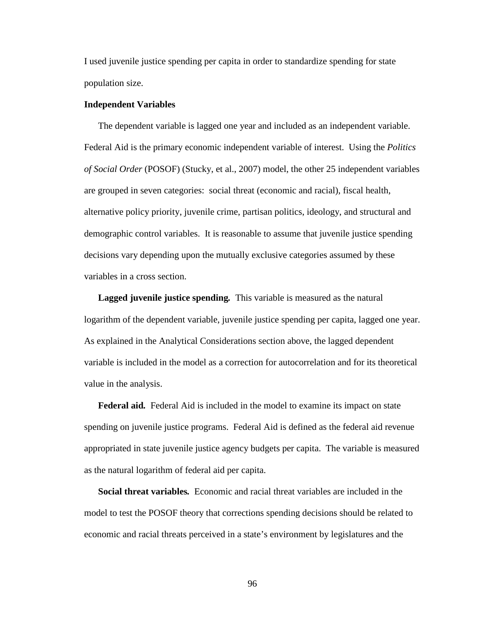I used juvenile justice spending per capita in order to standardize spending for state population size.

## **Independent Variables**

The dependent variable is lagged one year and included as an independent variable. Federal Aid is the primary economic independent variable of interest. Using the *Politics of Social Order* (POSOF) (Stucky, et al., 2007) model, the other 25 independent variables are grouped in seven categories: social threat (economic and racial), fiscal health, alternative policy priority, juvenile crime, partisan politics, ideology, and structural and demographic control variables. It is reasonable to assume that juvenile justice spending decisions vary depending upon the mutually exclusive categories assumed by these variables in a cross section.

**Lagged juvenile justice spending***.*This variable is measured as the natural logarithm of the dependent variable, juvenile justice spending per capita, lagged one year. As explained in the Analytical Considerations section above, the lagged dependent variable is included in the model as a correction for autocorrelation and for its theoretical value in the analysis.

**Federal aid***.*Federal Aid is included in the model to examine its impact on state spending on juvenile justice programs. Federal Aid is defined as the federal aid revenue appropriated in state juvenile justice agency budgets per capita. The variable is measured as the natural logarithm of federal aid per capita.

**Social threat variables***.*Economic and racial threat variables are included in the model to test the POSOF theory that corrections spending decisions should be related to economic and racial threats perceived in a state's environment by legislatures and the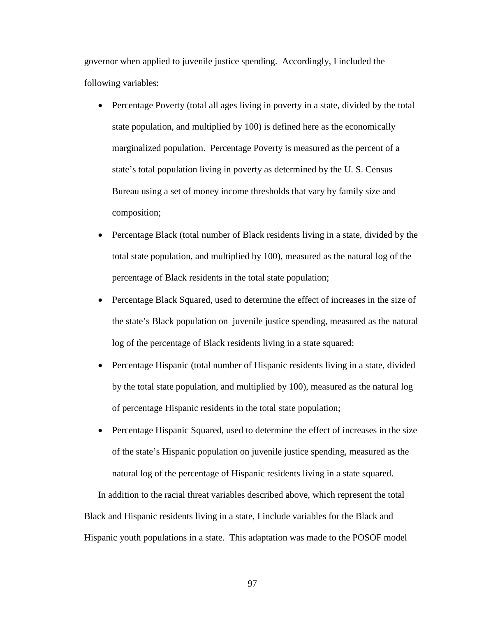governor when applied to juvenile justice spending. Accordingly, I included the following variables:

- Percentage Poverty (total all ages living in poverty in a state, divided by the total state population, and multiplied by 100) is defined here as the economically marginalized population. Percentage Poverty is measured as the percent of a state's total population living in poverty as determined by the U. S. Census Bureau using a set of money income thresholds that vary by family size and composition;
- Percentage Black (total number of Black residents living in a state, divided by the total state population, and multiplied by 100), measured as the natural log of the percentage of Black residents in the total state population;
- Percentage Black Squared, used to determine the effect of increases in the size of the state's Black population on juvenile justice spending, measured as the natural log of the percentage of Black residents living in a state squared;
- Percentage Hispanic (total number of Hispanic residents living in a state, divided by the total state population, and multiplied by 100), measured as the natural log of percentage Hispanic residents in the total state population;
- Percentage Hispanic Squared, used to determine the effect of increases in the size of the state's Hispanic population on juvenile justice spending, measured as the natural log of the percentage of Hispanic residents living in a state squared.

In addition to the racial threat variables described above, which represent the total Black and Hispanic residents living in a state, I include variables for the Black and Hispanic youth populations in a state. This adaptation was made to the POSOF model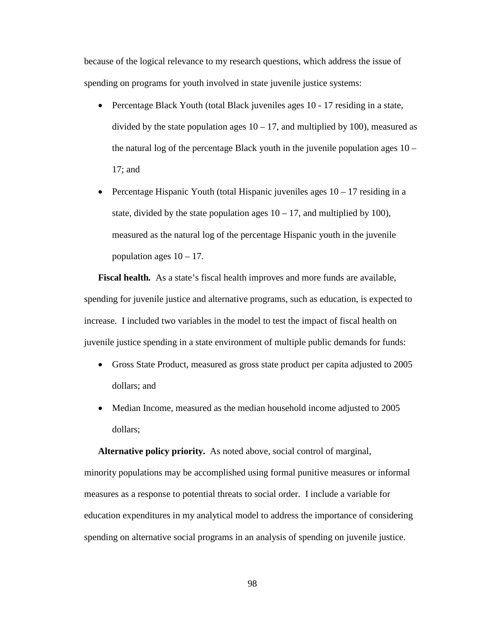because of the logical relevance to my research questions, which address the issue of spending on programs for youth involved in state juvenile justice systems:

- Percentage Black Youth (total Black juveniles ages 10 17 residing in a state, divided by the state population ages  $10 - 17$ , and multiplied by 100), measured as the natural log of the percentage Black youth in the juvenile population ages 10 – 17; and
- Percentage Hispanic Youth (total Hispanic juveniles ages  $10 17$  residing in a state, divided by the state population ages  $10 - 17$ , and multiplied by 100), measured as the natural log of the percentage Hispanic youth in the juvenile population ages  $10 - 17$ .

**Fiscal health***.*As a state's fiscal health improves and more funds are available, spending for juvenile justice and alternative programs, such as education, is expected to increase. I included two variables in the model to test the impact of fiscal health on juvenile justice spending in a state environment of multiple public demands for funds:

- Gross State Product, measured as gross state product per capita adjusted to 2005 dollars; and
- Median Income, measured as the median household income adjusted to 2005 dollars;

**Alternative policy priority.**As noted above, social control of marginal, minority populations may be accomplished using formal punitive measures or informal measures as a response to potential threats to social order. I include a variable for education expenditures in my analytical model to address the importance of considering spending on alternative social programs in an analysis of spending on juvenile justice.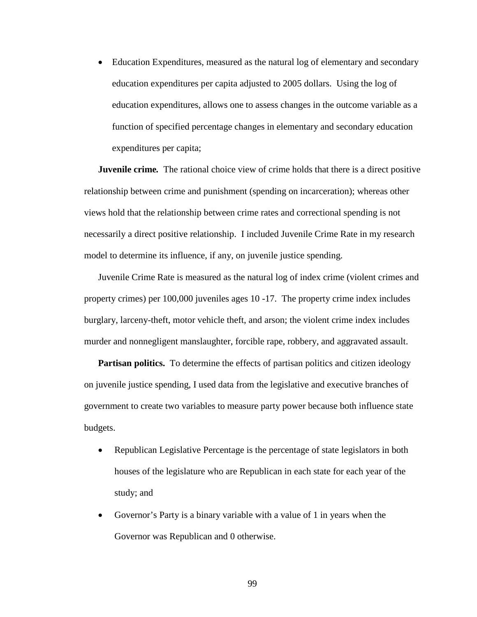• Education Expenditures, measured as the natural log of elementary and secondary education expenditures per capita adjusted to 2005 dollars. Using the log of education expenditures, allows one to assess changes in the outcome variable as a function of specified percentage changes in elementary and secondary education expenditures per capita;

**Juvenile crime***.*The rational choice view of crime holds that there is a direct positive relationship between crime and punishment (spending on incarceration); whereas other views hold that the relationship between crime rates and correctional spending is not necessarily a direct positive relationship. I included Juvenile Crime Rate in my research model to determine its influence, if any, on juvenile justice spending.

Juvenile Crime Rate is measured as the natural log of index crime (violent crimes and property crimes) per 100,000 juveniles ages 10 -17. The property crime index includes burglary, larceny-theft, motor vehicle theft, and arson; the violent crime index includes murder and nonnegligent manslaughter, forcible rape, robbery, and aggravated assault.

**Partisan politics.** To determine the effects of partisan politics and citizen ideology on juvenile justice spending, I used data from the legislative and executive branches of government to create two variables to measure party power because both influence state budgets.

- Republican Legislative Percentage is the percentage of state legislators in both houses of the legislature who are Republican in each state for each year of the study; and
- Governor's Party is a binary variable with a value of 1 in years when the Governor was Republican and 0 otherwise.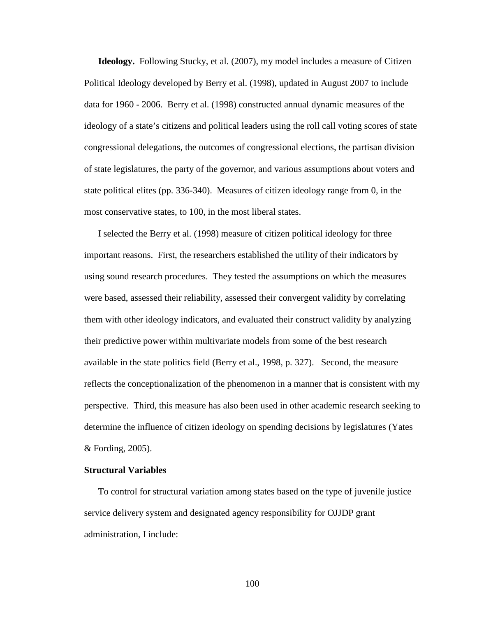**Ideology.** Following Stucky, et al. (2007), my model includes a measure of Citizen Political Ideology developed by Berry et al. (1998), updated in August 2007 to include data for 1960 - 2006. Berry et al. (1998) constructed annual dynamic measures of the ideology of a state's citizens and political leaders using the roll call voting scores of state congressional delegations, the outcomes of congressional elections, the partisan division of state legislatures, the party of the governor, and various assumptions about voters and state political elites (pp. 336-340). Measures of citizen ideology range from 0, in the most conservative states, to 100, in the most liberal states.

I selected the Berry et al. (1998) measure of citizen political ideology for three important reasons. First, the researchers established the utility of their indicators by using sound research procedures. They tested the assumptions on which the measures were based, assessed their reliability, assessed their convergent validity by correlating them with other ideology indicators, and evaluated their construct validity by analyzing their predictive power within multivariate models from some of the best research available in the state politics field (Berry et al., 1998, p. 327). Second, the measure reflects the conceptionalization of the phenomenon in a manner that is consistent with my perspective. Third, this measure has also been used in other academic research seeking to determine the influence of citizen ideology on spending decisions by legislatures (Yates & Fording, 2005).

## **Structural Variables**

To control for structural variation among states based on the type of juvenile justice service delivery system and designated agency responsibility for OJJDP grant administration, I include: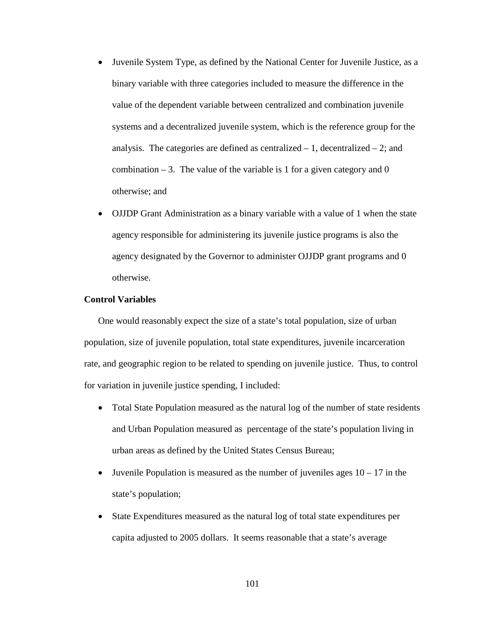- Juvenile System Type, as defined by the National Center for Juvenile Justice, as a binary variable with three categories included to measure the difference in the value of the dependent variable between centralized and combination juvenile systems and a decentralized juvenile system, which is the reference group for the analysis. The categories are defined as centralized  $-1$ , decentralized  $-2$ ; and combination  $-3$ . The value of the variable is 1 for a given category and 0 otherwise; and
- OJJDP Grant Administration as a binary variable with a value of 1 when the state agency responsible for administering its juvenile justice programs is also the agency designated by the Governor to administer OJJDP grant programs and 0 otherwise.

## **Control Variables**

One would reasonably expect the size of a state's total population, size of urban population, size of juvenile population, total state expenditures, juvenile incarceration rate, and geographic region to be related to spending on juvenile justice. Thus, to control for variation in juvenile justice spending, I included:

- Total State Population measured as the natural log of the number of state residents and Urban Population measured as percentage of the state's population living in urban areas as defined by the United States Census Bureau;
- Juvenile Population is measured as the number of juveniles ages  $10 17$  in the state's population;
- State Expenditures measured as the natural log of total state expenditures per capita adjusted to 2005 dollars. It seems reasonable that a state's average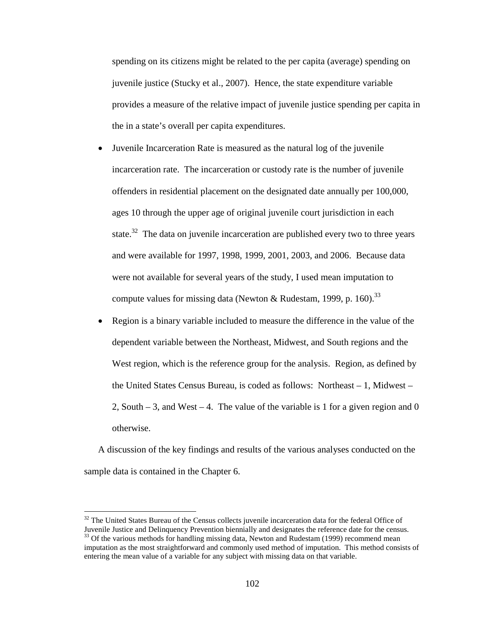spending on its citizens might be related to the per capita (average) spending on juvenile justice (Stucky et al., 2007). Hence, the state expenditure variable provides a measure of the relative impact of juvenile justice spending per capita in the in a state's overall per capita expenditures.

• Juvenile Incarceration Rate is measured as the natural log of the juvenile incarceration rate. The incarceration or custody rate is the number of juvenile offenders in residential placement on the designated date annually per 100,000, ages 10 through the upper age of original juvenile court jurisdiction in each state.<sup>32</sup> The data on juvenile incarceration are published every two to three years and were available for 1997, 1998, 1999, 2001, 2003, and 2006. Because data were not available for several years of the study, I used mean imputation to compute values for missing data (Newton & Rudestam, 1999, p. 160).<sup>33</sup>

• Region is a binary variable included to measure the difference in the value of the dependent variable between the Northeast, Midwest, and South regions and the West region, which is the reference group for the analysis. Region, as defined by the United States Census Bureau, is coded as follows: Northeast – 1, Midwest – 2, South  $-3$ , and West  $-4$ . The value of the variable is 1 for a given region and 0 otherwise.

A discussion of the key findings and results of the various analyses conducted on the sample data is contained in the Chapter 6.

 $32$  The United States Bureau of the Census collects juvenile incarceration data for the federal Office of Juvenile Justice and Delinquency Prevention biennially and designates the reference date for the census.  $33$  Of the various methods for handling missing data, Newton and Rudestam (1999) recommend mean imputation as the most straightforward and commonly used method of imputation. This method consists of entering the mean value of a variable for any subject with missing data on that variable.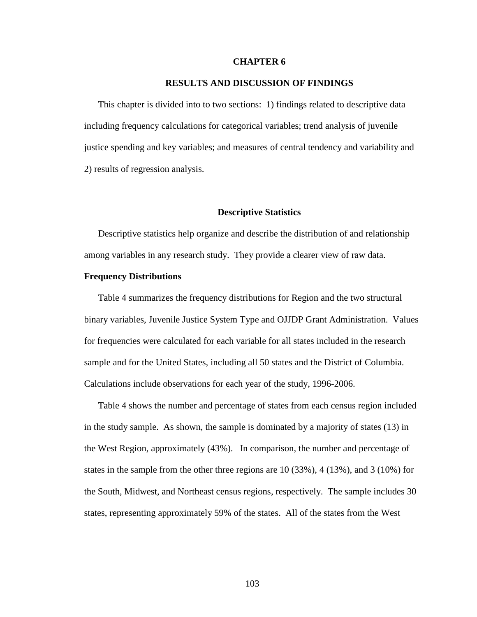## **CHAPTER 6**

## **RESULTS AND DISCUSSION OF FINDINGS**

This chapter is divided into to two sections: 1) findings related to descriptive data including frequency calculations for categorical variables; trend analysis of juvenile justice spending and key variables; and measures of central tendency and variability and 2) results of regression analysis.

#### **Descriptive Statistics**

Descriptive statistics help organize and describe the distribution of and relationship among variables in any research study. They provide a clearer view of raw data.

### **Frequency Distributions**

Table 4 summarizes the frequency distributions for Region and the two structural binary variables, Juvenile Justice System Type and OJJDP Grant Administration. Values for frequencies were calculated for each variable for all states included in the research sample and for the United States, including all 50 states and the District of Columbia. Calculations include observations for each year of the study, 1996-2006.

Table 4 shows the number and percentage of states from each census region included in the study sample. As shown, the sample is dominated by a majority of states (13) in the West Region, approximately (43%). In comparison, the number and percentage of states in the sample from the other three regions are 10 (33%), 4 (13%), and 3 (10%) for the South, Midwest, and Northeast census regions, respectively. The sample includes 30 states, representing approximately 59% of the states. All of the states from the West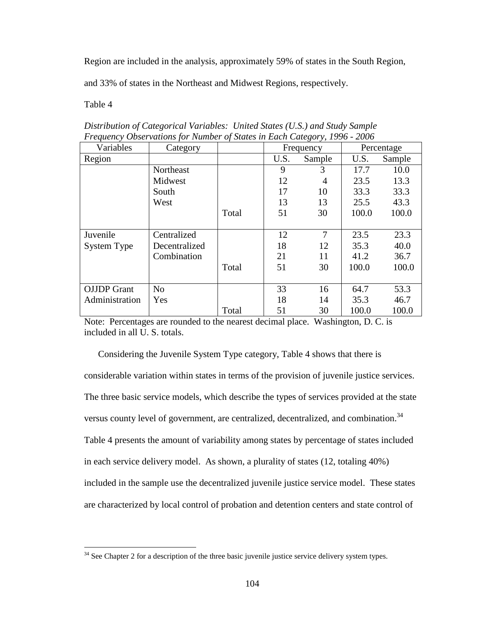Region are included in the analysis, approximately 59% of states in the South Region,

and 33% of states in the Northeast and Midwest Regions, respectively.

Table 4

 $\overline{a}$ 

| T requency Observations for trainber of states in Each Category, 1990 - 2000 |                |       |           |                |            |        |
|------------------------------------------------------------------------------|----------------|-------|-----------|----------------|------------|--------|
| Variables                                                                    | Category       |       | Frequency |                | Percentage |        |
| Region                                                                       |                |       | U.S.      | Sample         | U.S.       | Sample |
|                                                                              | Northeast      |       | 9         | 3              | 17.7       | 10.0   |
|                                                                              | Midwest        |       | 12        | $\overline{4}$ | 23.5       | 13.3   |
|                                                                              | South          |       | 17        | 10             | 33.3       | 33.3   |
|                                                                              | West           |       | 13        | 13             | 25.5       | 43.3   |
|                                                                              |                | Total | 51        | 30             | 100.0      | 100.0  |
|                                                                              |                |       |           |                |            |        |
| Juvenile                                                                     | Centralized    |       | 12        | 7              | 23.5       | 23.3   |
| <b>System Type</b>                                                           | Decentralized  |       | 18        | 12             | 35.3       | 40.0   |
|                                                                              | Combination    |       | 21        | 11             | 41.2       | 36.7   |
|                                                                              |                | Total | 51        | 30             | 100.0      | 100.0  |
|                                                                              |                |       |           |                |            |        |
| <b>OJJDP</b> Grant                                                           | N <sub>o</sub> |       | 33        | 16             | 64.7       | 53.3   |
| Administration                                                               | Yes            |       | 18        | 14             | 35.3       | 46.7   |
|                                                                              |                | Total | 51        | 30             | 100.0      | 100.0  |

*Distribution of Categorical Variables: United States (U.S.) and Study Sample Frequency Observations for Number of States in Each Category, 1996 - 2006* 

Note: Percentages are rounded to the nearest decimal place. Washington, D. C. is included in all U. S. totals.

Considering the Juvenile System Type category, Table 4 shows that there is considerable variation within states in terms of the provision of juvenile justice services. The three basic service models, which describe the types of services provided at the state versus county level of government, are centralized, decentralized, and combination.<sup>34</sup> Table 4 presents the amount of variability among states by percentage of states included in each service delivery model. As shown, a plurality of states (12, totaling 40%) included in the sample use the decentralized juvenile justice service model. These states are characterized by local control of probation and detention centers and state control of

<sup>&</sup>lt;sup>34</sup> See Chapter 2 for a description of the three basic juvenile justice service delivery system types.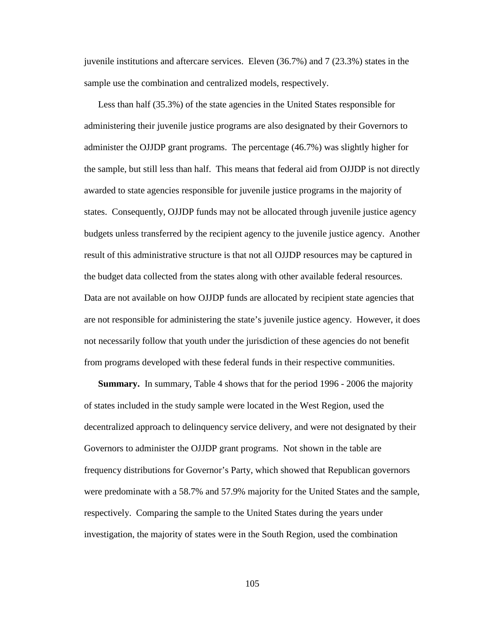juvenile institutions and aftercare services. Eleven (36.7%) and 7 (23.3%) states in the sample use the combination and centralized models, respectively.

Less than half (35.3%) of the state agencies in the United States responsible for administering their juvenile justice programs are also designated by their Governors to administer the OJJDP grant programs. The percentage (46.7%) was slightly higher for the sample, but still less than half. This means that federal aid from OJJDP is not directly awarded to state agencies responsible for juvenile justice programs in the majority of states. Consequently, OJJDP funds may not be allocated through juvenile justice agency budgets unless transferred by the recipient agency to the juvenile justice agency. Another result of this administrative structure is that not all OJJDP resources may be captured in the budget data collected from the states along with other available federal resources. Data are not available on how OJJDP funds are allocated by recipient state agencies that are not responsible for administering the state's juvenile justice agency. However, it does not necessarily follow that youth under the jurisdiction of these agencies do not benefit from programs developed with these federal funds in their respective communities.

**Summary.** In summary, Table 4 shows that for the period 1996 - 2006 the majority of states included in the study sample were located in the West Region, used the decentralized approach to delinquency service delivery, and were not designated by their Governors to administer the OJJDP grant programs. Not shown in the table are frequency distributions for Governor's Party, which showed that Republican governors were predominate with a 58.7% and 57.9% majority for the United States and the sample, respectively. Comparing the sample to the United States during the years under investigation, the majority of states were in the South Region, used the combination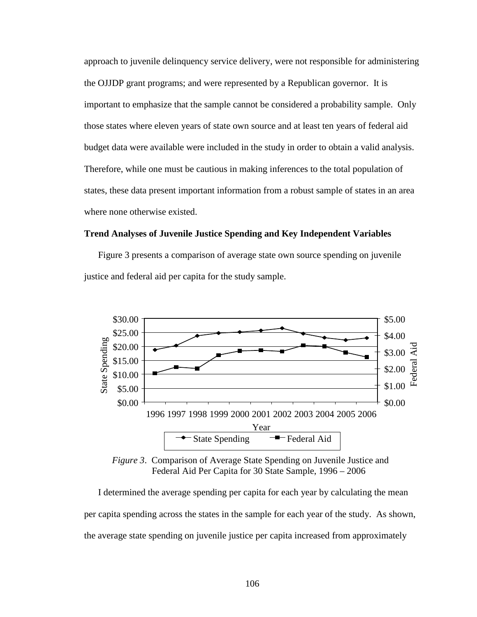approach to juvenile delinquency service delivery, were not responsible for administering the OJJDP grant programs; and were represented by a Republican governor. It is important to emphasize that the sample cannot be considered a probability sample. Only those states where eleven years of state own source and at least ten years of federal aid budget data were available were included in the study in order to obtain a valid analysis. Therefore, while one must be cautious in making inferences to the total population of states, these data present important information from a robust sample of states in an area where none otherwise existed.

## **Trend Analyses of Juvenile Justice Spending and Key Independent Variables**

Figure 3 presents a comparison of average state own source spending on juvenile justice and federal aid per capita for the study sample.



*Figure 3*. Comparison of Average State Spending on Juvenile Justice and Federal Aid Per Capita for 30 State Sample, 1996 – 2006

I determined the average spending per capita for each year by calculating the mean per capita spending across the states in the sample for each year of the study. As shown, the average state spending on juvenile justice per capita increased from approximately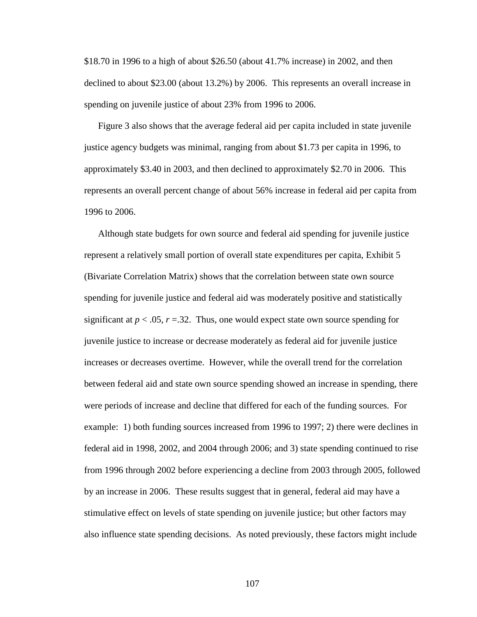\$18.70 in 1996 to a high of about \$26.50 (about 41.7% increase) in 2002, and then declined to about \$23.00 (about 13.2%) by 2006. This represents an overall increase in spending on juvenile justice of about 23% from 1996 to 2006.

Figure 3 also shows that the average federal aid per capita included in state juvenile justice agency budgets was minimal, ranging from about \$1.73 per capita in 1996, to approximately \$3.40 in 2003, and then declined to approximately \$2.70 in 2006. This represents an overall percent change of about 56% increase in federal aid per capita from 1996 to 2006.

Although state budgets for own source and federal aid spending for juvenile justice represent a relatively small portion of overall state expenditures per capita, Exhibit 5 (Bivariate Correlation Matrix) shows that the correlation between state own source spending for juvenile justice and federal aid was moderately positive and statistically significant at  $p < .05$ ,  $r = .32$ . Thus, one would expect state own source spending for juvenile justice to increase or decrease moderately as federal aid for juvenile justice increases or decreases overtime. However, while the overall trend for the correlation between federal aid and state own source spending showed an increase in spending, there were periods of increase and decline that differed for each of the funding sources. For example: 1) both funding sources increased from 1996 to 1997; 2) there were declines in federal aid in 1998, 2002, and 2004 through 2006; and 3) state spending continued to rise from 1996 through 2002 before experiencing a decline from 2003 through 2005, followed by an increase in 2006. These results suggest that in general, federal aid may have a stimulative effect on levels of state spending on juvenile justice; but other factors may also influence state spending decisions. As noted previously, these factors might include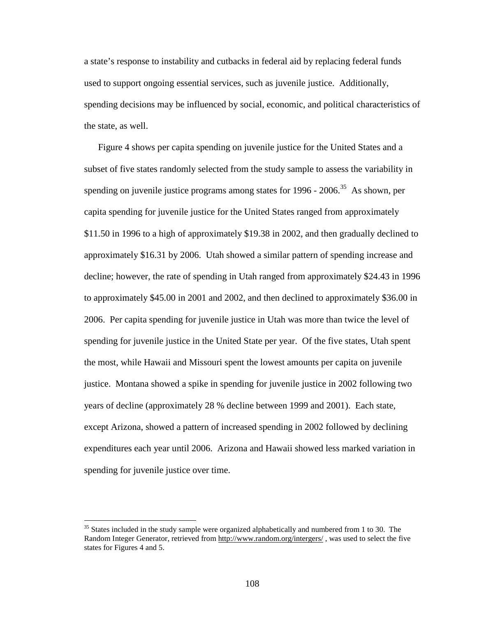a state's response to instability and cutbacks in federal aid by replacing federal funds used to support ongoing essential services, such as juvenile justice. Additionally, spending decisions may be influenced by social, economic, and political characteristics of the state, as well.

Figure 4 shows per capita spending on juvenile justice for the United States and a subset of five states randomly selected from the study sample to assess the variability in spending on juvenile justice programs among states for  $1996 - 2006$ <sup>35</sup> As shown, per capita spending for juvenile justice for the United States ranged from approximately \$11.50 in 1996 to a high of approximately \$19.38 in 2002, and then gradually declined to approximately \$16.31 by 2006. Utah showed a similar pattern of spending increase and decline; however, the rate of spending in Utah ranged from approximately \$24.43 in 1996 to approximately \$45.00 in 2001 and 2002, and then declined to approximately \$36.00 in 2006. Per capita spending for juvenile justice in Utah was more than twice the level of spending for juvenile justice in the United State per year. Of the five states, Utah spent the most, while Hawaii and Missouri spent the lowest amounts per capita on juvenile justice. Montana showed a spike in spending for juvenile justice in 2002 following two years of decline (approximately 28 % decline between 1999 and 2001). Each state, except Arizona, showed a pattern of increased spending in 2002 followed by declining expenditures each year until 2006. Arizona and Hawaii showed less marked variation in spending for juvenile justice over time.

 $35$  States included in the study sample were organized alphabetically and numbered from 1 to 30. The Random Integer Generator, retrieved from http://www.random.org/intergers/ , was used to select the five states for Figures 4 and 5.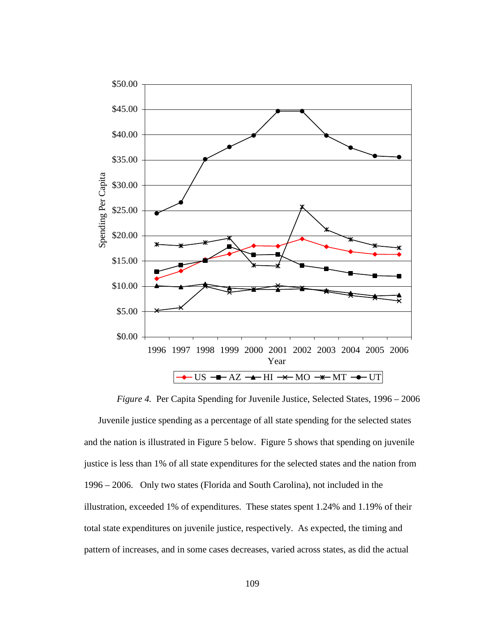

 *Figure 4.* Per Capita Spending for Juvenile Justice, Selected States, 1996 – 2006 Juvenile justice spending as a percentage of all state spending for the selected states and the nation is illustrated in Figure 5 below. Figure 5 shows that spending on juvenile justice is less than 1% of all state expenditures for the selected states and the nation from 1996 – 2006. Only two states (Florida and South Carolina), not included in the illustration, exceeded 1% of expenditures. These states spent 1.24% and 1.19% of their total state expenditures on juvenile justice, respectively. As expected, the timing and pattern of increases, and in some cases decreases, varied across states, as did the actual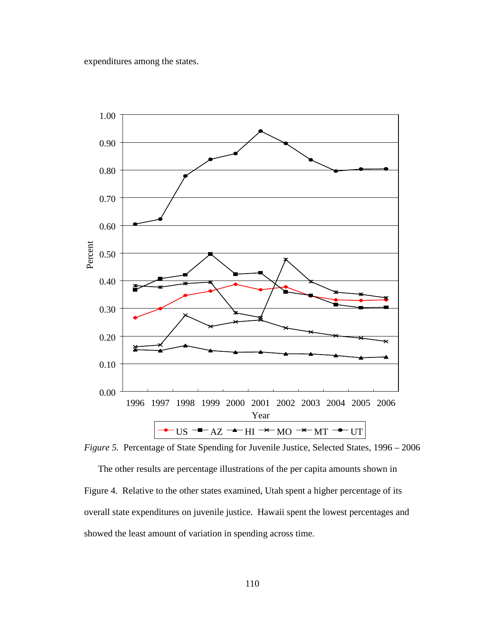expenditures among the states.



*Figure 5.* Percentage of State Spending for Juvenile Justice, Selected States, 1996 – 2006

The other results are percentage illustrations of the per capita amounts shown in Figure 4. Relative to the other states examined, Utah spent a higher percentage of its overall state expenditures on juvenile justice. Hawaii spent the lowest percentages and showed the least amount of variation in spending across time.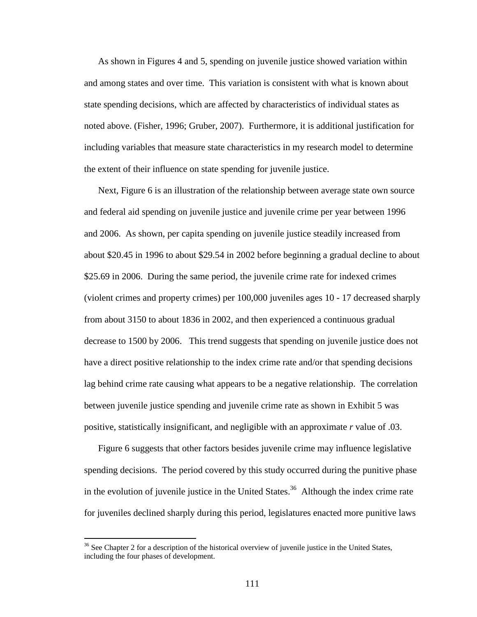As shown in Figures 4 and 5, spending on juvenile justice showed variation within and among states and over time. This variation is consistent with what is known about state spending decisions, which are affected by characteristics of individual states as noted above. (Fisher, 1996; Gruber, 2007). Furthermore, it is additional justification for including variables that measure state characteristics in my research model to determine the extent of their influence on state spending for juvenile justice.

Next, Figure 6 is an illustration of the relationship between average state own source and federal aid spending on juvenile justice and juvenile crime per year between 1996 and 2006. As shown, per capita spending on juvenile justice steadily increased from about \$20.45 in 1996 to about \$29.54 in 2002 before beginning a gradual decline to about \$25.69 in 2006. During the same period, the juvenile crime rate for indexed crimes (violent crimes and property crimes) per 100,000 juveniles ages 10 - 17 decreased sharply from about 3150 to about 1836 in 2002, and then experienced a continuous gradual decrease to 1500 by 2006. This trend suggests that spending on juvenile justice does not have a direct positive relationship to the index crime rate and/or that spending decisions lag behind crime rate causing what appears to be a negative relationship. The correlation between juvenile justice spending and juvenile crime rate as shown in Exhibit 5 was positive, statistically insignificant, and negligible with an approximate *r* value of .03.

Figure 6 suggests that other factors besides juvenile crime may influence legislative spending decisions. The period covered by this study occurred during the punitive phase in the evolution of juvenile justice in the United States.<sup>36</sup> Although the index crime rate for juveniles declined sharply during this period, legislatures enacted more punitive laws

 $36$  See Chapter 2 for a description of the historical overview of juvenile justice in the United States, including the four phases of development.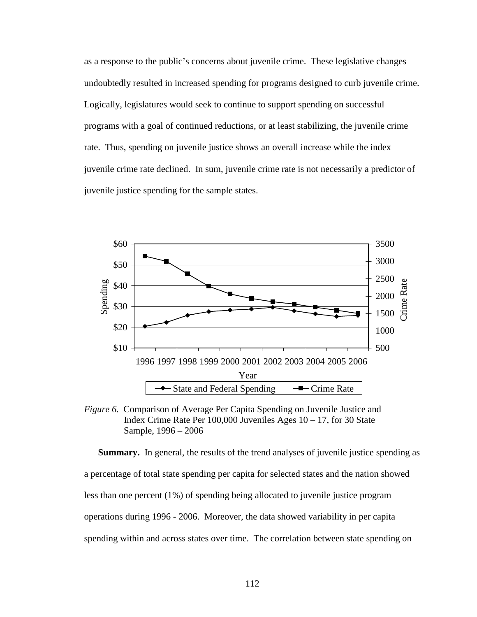as a response to the public's concerns about juvenile crime. These legislative changes undoubtedly resulted in increased spending for programs designed to curb juvenile crime. Logically, legislatures would seek to continue to support spending on successful programs with a goal of continued reductions, or at least stabilizing, the juvenile crime rate. Thus, spending on juvenile justice shows an overall increase while the index juvenile crime rate declined. In sum, juvenile crime rate is not necessarily a predictor of juvenile justice spending for the sample states.



*Figure 6.* Comparison of Average Per Capita Spending on Juvenile Justice and Index Crime Rate Per 100,000 Juveniles Ages 10 – 17, for 30 State Sample, 1996 – 2006

**Summary.** In general, the results of the trend analyses of juvenile justice spending as a percentage of total state spending per capita for selected states and the nation showed less than one percent (1%) of spending being allocated to juvenile justice program operations during 1996 - 2006. Moreover, the data showed variability in per capita spending within and across states over time. The correlation between state spending on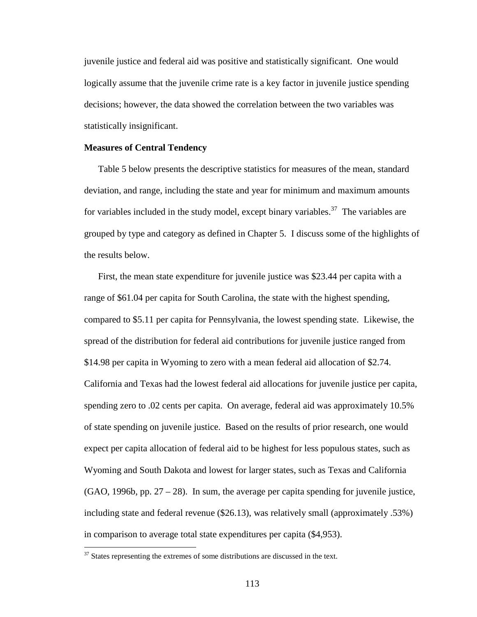juvenile justice and federal aid was positive and statistically significant. One would logically assume that the juvenile crime rate is a key factor in juvenile justice spending decisions; however, the data showed the correlation between the two variables was statistically insignificant.

## **Measures of Central Tendency**

Table 5 below presents the descriptive statistics for measures of the mean, standard deviation, and range, including the state and year for minimum and maximum amounts for variables included in the study model, except binary variables.<sup>37</sup> The variables are grouped by type and category as defined in Chapter 5. I discuss some of the highlights of the results below.

First, the mean state expenditure for juvenile justice was \$23.44 per capita with a range of \$61.04 per capita for South Carolina, the state with the highest spending, compared to \$5.11 per capita for Pennsylvania, the lowest spending state. Likewise, the spread of the distribution for federal aid contributions for juvenile justice ranged from \$14.98 per capita in Wyoming to zero with a mean federal aid allocation of \$2.74. California and Texas had the lowest federal aid allocations for juvenile justice per capita, spending zero to .02 cents per capita. On average, federal aid was approximately 10.5% of state spending on juvenile justice. Based on the results of prior research, one would expect per capita allocation of federal aid to be highest for less populous states, such as Wyoming and South Dakota and lowest for larger states, such as Texas and California  $(GAO, 1996b, pp. 27 - 28)$ . In sum, the average per capita spending for juvenile justice, including state and federal revenue (\$26.13), was relatively small (approximately .53%) in comparison to average total state expenditures per capita (\$4,953).

 $37$  States representing the extremes of some distributions are discussed in the text.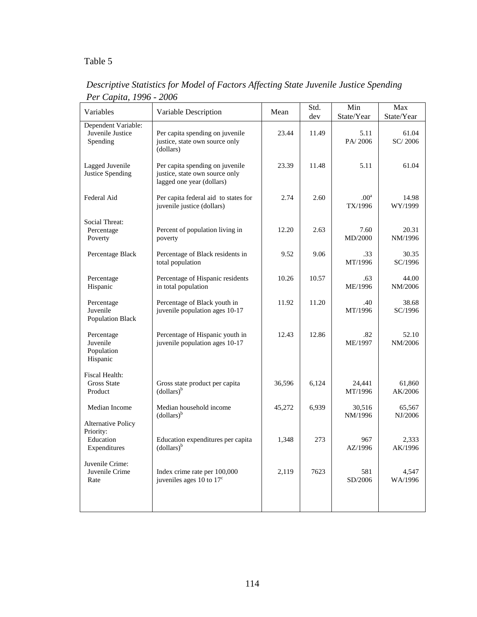# Table 5

| Variables                                                           | Variable Description                                                                           | Mean   | Std.<br>dev | Min<br>State/Year           | Max<br>State/Year |
|---------------------------------------------------------------------|------------------------------------------------------------------------------------------------|--------|-------------|-----------------------------|-------------------|
| Dependent Variable:<br>Juvenile Justice<br>Spending                 | Per capita spending on juvenile<br>justice, state own source only<br>(dollars)                 | 23.44  | 11.49       | 5.11<br>PA/2006             | 61.04<br>SC/2006  |
| Lagged Juvenile<br>Justice Spending                                 | Per capita spending on juvenile<br>justice, state own source only<br>lagged one year (dollars) | 23.39  | 11.48       | 5.11                        | 61.04             |
| Federal Aid                                                         | Per capita federal aid to states for<br>juvenile justice (dollars)                             | 2.74   | 2.60        | .00 <sup>a</sup><br>TX/1996 | 14.98<br>WY/1999  |
| Social Threat:<br>Percentage<br>Poverty                             | Percent of population living in<br>poverty                                                     | 12.20  | 2.63        | 7.60<br>MD/2000             | 20.31<br>NM/1996  |
| Percentage Black                                                    | Percentage of Black residents in<br>total population                                           | 9.52   | 9.06        | .33<br>MT/1996              | 30.35<br>SC/1996  |
| Percentage<br>Hispanic                                              | Percentage of Hispanic residents<br>in total population                                        | 10.26  | 10.57       | .63<br>ME/1996              | 44.00<br>NM/2006  |
| Percentage<br>Juvenile<br><b>Population Black</b>                   | Percentage of Black youth in<br>juvenile population ages 10-17                                 | 11.92  | 11.20       | .40<br>MT/1996              | 38.68<br>SC/1996  |
| Percentage<br>Juvenile<br>Population<br>Hispanic                    | Percentage of Hispanic youth in<br>juvenile population ages 10-17                              | 12.43  | 12.86       | .82<br>ME/1997              | 52.10<br>NM/2006  |
| Fiscal Health:<br><b>Gross State</b><br>Product                     | Gross state product per capita<br>$\text{(dollars)}^{\text{b}}$                                | 36,596 | 6,124       | 24,441<br>MT/1996           | 61,860<br>AK/2006 |
| Median Income                                                       | Median household income<br>(dollars) <sup>b</sup>                                              | 45,272 | 6,939       | 30,516<br>NM/1996           | 65,567<br>NJ/2006 |
| <b>Alternative Policy</b><br>Priority:<br>Education<br>Expenditures | Education expenditures per capita<br>(dollars) <sup>b</sup>                                    | 1,348  | 273         | 967<br>AZ/1996              | 2,333<br>AK/1996  |
| Juvenile Crime:<br>Juvenile Crime<br>Rate                           | Index crime rate per 100,000<br>juveniles ages 10 to $17^{\circ}$                              | 2,119  | 7623        | 581<br>SD/2006              | 4,547<br>WA/1996  |
|                                                                     |                                                                                                |        |             |                             |                   |

*Descriptive Statistics for Model of Factors Affecting State Juvenile Justice Spending Per Capita, 1996 - 2006*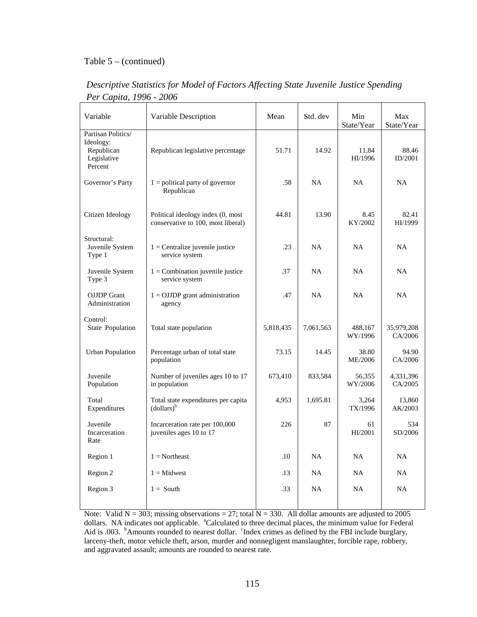## Table 5 – (continued)

| Variable                                                                | Variable Description                                                    | Mean      | Std. dev  | Min<br>State/Year  | Max<br>State/Year     |
|-------------------------------------------------------------------------|-------------------------------------------------------------------------|-----------|-----------|--------------------|-----------------------|
| Partisan Politics/<br>Ideology:<br>Republican<br>Legislative<br>Percent | Republican legislative percentage                                       | 51.71     | 14.92     | 11.84<br>HI/1996   | 88.46<br>ID/2001      |
| Governor's Party                                                        | $1 =$ political party of governor<br>Republican                         | .58       | <b>NA</b> | <b>NA</b>          | <b>NA</b>             |
| Citizen Ideology                                                        | Political ideology index (0, most<br>conservative to 100, most liberal) | 44.81     | 13.90     | 8.45<br>KY/2002    | 82.41<br>HI/1999      |
| Structural:<br>Juvenile System<br>Type 1                                | $1 =$ Centralize juvenile justice<br>service system                     | .23       | NA        | NA                 | <b>NA</b>             |
| Juvenile System<br>Type 3                                               | $1 =$ Combination juvenile justice<br>service system                    | .37       | <b>NA</b> | <b>NA</b>          | NA                    |
| <b>OJJDP</b> Grant<br>Administration                                    | $1 =$ OJJDP grant administration<br>agency                              | .47       | <b>NA</b> | <b>NA</b>          | <b>NA</b>             |
| Control:<br>State Population                                            | Total state population                                                  | 5,818,435 | 7,061,563 | 488,167<br>WY/1996 | 35,979,208<br>CA/2006 |
| <b>Urban Population</b>                                                 | Percentage urban of total state<br>population                           | 73.15     | 14.45     | 38.80<br>ME/2006   | 94.90<br>CA/2006      |
| Juvenile<br>Population                                                  | Number of juveniles ages 10 to 17<br>in population                      | 673,410   | 833,584   | 56,355<br>WY/2006  | 4,331,396<br>CA/2005  |
| Total<br>Expenditures                                                   | Total state expenditures per capita<br>$\text{(dollars)}^{\text{b}}$    | 4,953     | 1,695.81  | 3,264<br>TX/1996   | 13,860<br>AK/2003     |
| Juvenile<br>Incarceration<br>Rate                                       | Incarceration rate per 100,000<br>juveniles ages 10 to 17               | 226       | 87        | 61<br>HI/2001      | 534<br>SD/2006        |
| Region 1                                                                | $1 =$ Northeast                                                         | .10       | <b>NA</b> | NA                 | NA                    |
| Region 2                                                                | $1 =$ Midwest                                                           | .13       | <b>NA</b> | NA                 | NA                    |
| Region 3                                                                | $1 =$ South                                                             | .33       | NA        | <b>NA</b>          | <b>NA</b>             |
|                                                                         |                                                                         |           |           |                    |                       |

*Descriptive Statistics for Model of Factors Affecting State Juvenile Justice Spending Per Capita, 1996 - 2006* 

Note: Valid  $N = 303$ ; missing observations = 27; total  $N = 330$ . All dollar amounts are adjusted to 2005 dollars. NA indicates not applicable. <sup>a</sup>Calculated to three decimal places, the minimum value for Federal Aid is .003. <sup>b</sup>Amounts rounded to nearest dollar. <sup>c</sup>Index crimes as defined by the FBI include burglary, larceny-theft, motor vehicle theft, arson, murder and nonnegligent manslaughter, forcible rape, robbery, and aggravated assault; amounts are rounded to nearest rate.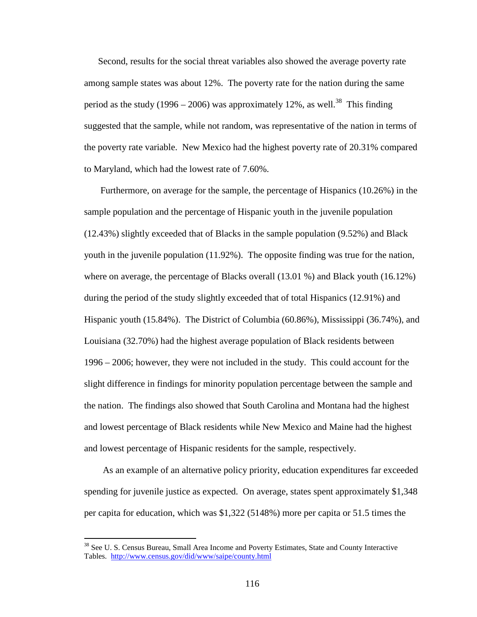Second, results for the social threat variables also showed the average poverty rate among sample states was about 12%. The poverty rate for the nation during the same period as the study (1996 – 2006) was approximately 12%, as well.<sup>38</sup> This finding suggested that the sample, while not random, was representative of the nation in terms of the poverty rate variable. New Mexico had the highest poverty rate of 20.31% compared to Maryland, which had the lowest rate of 7.60%.

 Furthermore, on average for the sample, the percentage of Hispanics (10.26%) in the sample population and the percentage of Hispanic youth in the juvenile population (12.43%) slightly exceeded that of Blacks in the sample population (9.52%) and Black youth in the juvenile population (11.92%). The opposite finding was true for the nation, where on average, the percentage of Blacks overall  $(13.01\%)$  and Black youth  $(16.12\%)$ during the period of the study slightly exceeded that of total Hispanics (12.91%) and Hispanic youth (15.84%). The District of Columbia (60.86%), Mississippi (36.74%), and Louisiana (32.70%) had the highest average population of Black residents between 1996 – 2006; however, they were not included in the study. This could account for the slight difference in findings for minority population percentage between the sample and the nation. The findings also showed that South Carolina and Montana had the highest and lowest percentage of Black residents while New Mexico and Maine had the highest and lowest percentage of Hispanic residents for the sample, respectively.

 As an example of an alternative policy priority, education expenditures far exceeded spending for juvenile justice as expected. On average, states spent approximately \$1,348 per capita for education, which was \$1,322 (5148%) more per capita or 51.5 times the

<sup>&</sup>lt;sup>38</sup> See U. S. Census Bureau, Small Area Income and Poverty Estimates, State and County Interactive Tables. http://www.census.gov/did/www/saipe/county.html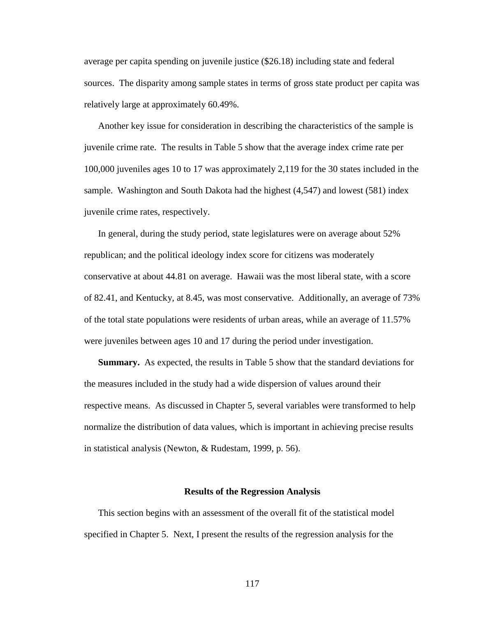average per capita spending on juvenile justice (\$26.18) including state and federal sources. The disparity among sample states in terms of gross state product per capita was relatively large at approximately 60.49%.

Another key issue for consideration in describing the characteristics of the sample is juvenile crime rate. The results in Table 5 show that the average index crime rate per 100,000 juveniles ages 10 to 17 was approximately 2,119 for the 30 states included in the sample. Washington and South Dakota had the highest (4,547) and lowest (581) index juvenile crime rates, respectively.

In general, during the study period, state legislatures were on average about 52% republican; and the political ideology index score for citizens was moderately conservative at about 44.81 on average. Hawaii was the most liberal state, with a score of 82.41, and Kentucky, at 8.45, was most conservative. Additionally, an average of 73% of the total state populations were residents of urban areas, while an average of 11.57% were juveniles between ages 10 and 17 during the period under investigation.

**Summary.** As expected, the results in Table 5 show that the standard deviations for the measures included in the study had a wide dispersion of values around their respective means. As discussed in Chapter 5, several variables were transformed to help normalize the distribution of data values, which is important in achieving precise results in statistical analysis (Newton, & Rudestam, 1999, p. 56).

#### **Results of the Regression Analysis**

This section begins with an assessment of the overall fit of the statistical model specified in Chapter 5. Next, I present the results of the regression analysis for the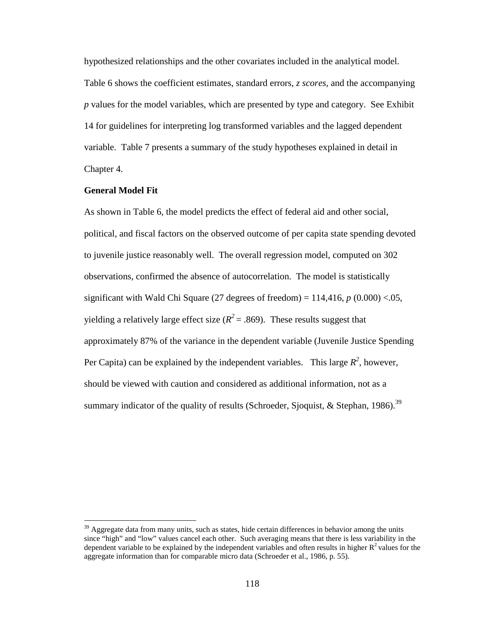hypothesized relationships and the other covariates included in the analytical model. Table 6 shows the coefficient estimates, standard errors, *z scores,* and the accompanying *p* values for the model variables, which are presented by type and category. See Exhibit 14 for guidelines for interpreting log transformed variables and the lagged dependent variable. Table 7 presents a summary of the study hypotheses explained in detail in Chapter 4.

## **General Model Fit**

 $\overline{a}$ 

As shown in Table 6, the model predicts the effect of federal aid and other social, political, and fiscal factors on the observed outcome of per capita state spending devoted to juvenile justice reasonably well. The overall regression model, computed on 302 observations, confirmed the absence of autocorrelation. The model is statistically significant with Wald Chi Square (27 degrees of freedom) =  $114,416$ ,  $p(0.000) < .05$ , yielding a relatively large effect size  $(R^2 = .869)$ . These results suggest that approximately 87% of the variance in the dependent variable (Juvenile Justice Spending Per Capita) can be explained by the independent variables. This large  $R^2$ , however, should be viewed with caution and considered as additional information, not as a summary indicator of the quality of results (Schroeder, Sjoquist, & Stephan, 1986).<sup>39</sup>

 $39$  Aggregate data from many units, such as states, hide certain differences in behavior among the units since "high" and "low" values cancel each other. Such averaging means that there is less variability in the dependent variable to be explained by the independent variables and often results in higher  $R^2$  values for the aggregate information than for comparable micro data (Schroeder et al., 1986, p. 55).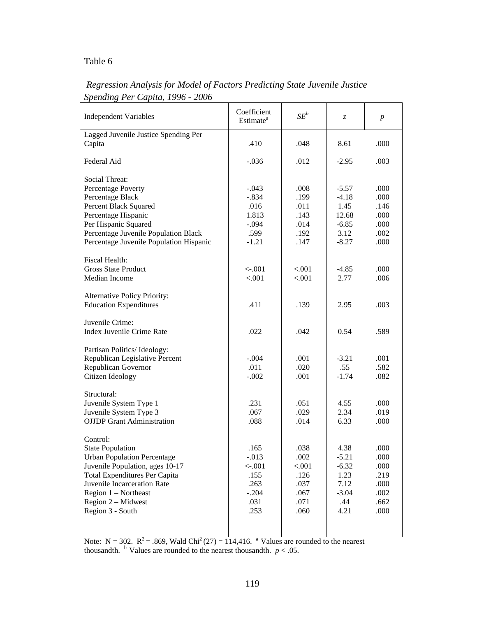# Table 6

| <b>Independent Variables</b>            | Coefficient<br>Estimate <sup>a</sup> | $SE^b$ | Z.      | $\boldsymbol{p}$ |
|-----------------------------------------|--------------------------------------|--------|---------|------------------|
| Lagged Juvenile Justice Spending Per    |                                      |        |         |                  |
| Capita                                  | .410                                 | .048   | 8.61    | .000             |
| Federal Aid                             | $-.036$                              | .012   | $-2.95$ | .003             |
| <b>Social Threat:</b>                   | $-.043$                              | .008   | $-5.57$ | .000             |
| Percentage Poverty                      |                                      |        |         |                  |
| Percentage Black                        | $-.834$                              | .199   | $-4.18$ | .000             |
| Percent Black Squared                   | .016                                 | .011   | 1.45    | .146             |
| Percentage Hispanic                     | 1.813                                | .143   | 12.68   | .000             |
| Per Hispanic Squared                    | $-.094$                              | .014   | $-6.85$ | .000             |
| Percentage Juvenile Population Black    | .599                                 | .192   | 3.12    | .002             |
| Percentage Juvenile Population Hispanic | $-1.21$                              | .147   | $-8.27$ | .000             |
| <b>Fiscal Health:</b>                   |                                      |        |         |                  |
| <b>Gross State Product</b>              | $<-.001$                             | < .001 | $-4.85$ | .000             |
| Median Income                           | < .001                               | < .001 | 2.77    | .006             |
|                                         |                                      |        |         |                  |
| Alternative Policy Priority:            |                                      |        |         |                  |
| <b>Education Expenditures</b>           | .411                                 | .139   | 2.95    | .003             |
|                                         |                                      |        |         |                  |
| Juvenile Crime:                         |                                      |        |         |                  |
| <b>Index Juvenile Crime Rate</b>        | .022                                 | .042   | 0.54    | .589             |
|                                         |                                      |        |         |                  |
| Partisan Politics/Ideology:             |                                      |        |         |                  |
| Republican Legislative Percent          | $-.004$                              | .001   | $-3.21$ | .001             |
| Republican Governor                     | .011                                 | .020   | .55     | .582             |
| Citizen Ideology                        | $-.002$                              | .001   | $-1.74$ | .082             |
|                                         |                                      |        |         |                  |
| Structural:                             |                                      |        |         |                  |
| Juvenile System Type 1                  | .231                                 | .051   | 4.55    | .000             |
| Juvenile System Type 3                  | .067                                 | .029   | 2.34    | .019             |
| <b>OJJDP</b> Grant Administration       | .088                                 | .014   | 6.33    | .000             |
|                                         |                                      |        |         |                  |
| Control:                                |                                      |        |         |                  |
| <b>State Population</b>                 | .165                                 | .038   | 4.38    | .000             |
| <b>Urban Population Percentage</b>      | $-0.013$                             | .002   | $-5.21$ | .000             |
|                                         |                                      |        |         |                  |
| Juvenile Population, ages 10-17         | $<-.001$                             | < .001 | $-6.32$ | .000             |
| <b>Total Expenditures Per Capita</b>    | .155                                 | .126   | 1.23    | .219             |
| Juvenile Incarceration Rate             | .263                                 | .037   | 7.12    | .000             |
| Region $1$ – Northeast                  | $-.204$                              | .067   | $-3.04$ | .002             |
| Region 2 - Midwest                      | .031                                 | .071   | .44     | .662             |
| Region 3 - South                        | .253                                 | .060   | 4.21    | .000             |
|                                         |                                      |        |         |                  |
|                                         |                                      |        |         |                  |

# *Regression Analysis for Model of Factors Predicting State Juvenile Justice Spending Per Capita, 1996 - 2006*

Note: N = 302.  $R^2$  = .869, Wald Chi<sup>2</sup> (27) = 114,416. <sup>a</sup> Values are rounded to the nearest thousandth.  $\frac{b}{c}$  Values are rounded to the nearest thousandth. *p* < .05.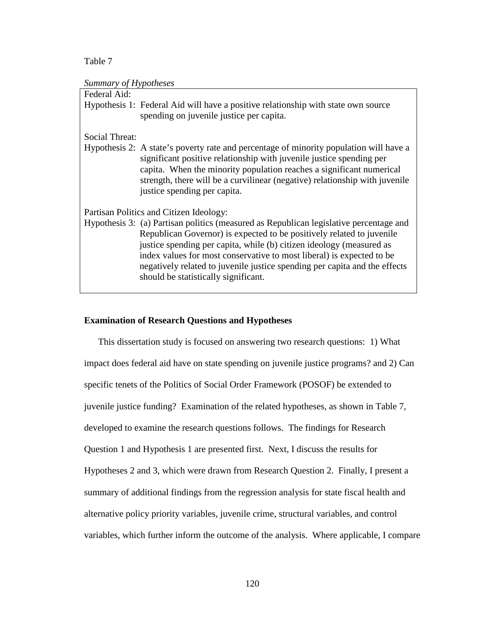Table 7

## *Summary of Hypotheses*

| Federal Aid:   |                                                                                                                                                                                                                                                                                                                                                                                                                                        |
|----------------|----------------------------------------------------------------------------------------------------------------------------------------------------------------------------------------------------------------------------------------------------------------------------------------------------------------------------------------------------------------------------------------------------------------------------------------|
|                | Hypothesis 1: Federal Aid will have a positive relationship with state own source<br>spending on juvenile justice per capita.                                                                                                                                                                                                                                                                                                          |
| Social Threat: |                                                                                                                                                                                                                                                                                                                                                                                                                                        |
|                | Hypothesis 2: A state's poverty rate and percentage of minority population will have a<br>significant positive relationship with juvenile justice spending per<br>capita. When the minority population reaches a significant numerical<br>strength, there will be a curvilinear (negative) relationship with juvenile<br>justice spending per capita.                                                                                  |
|                | Partisan Politics and Citizen Ideology:                                                                                                                                                                                                                                                                                                                                                                                                |
|                | Hypothesis 3: (a) Partisan politics (measured as Republican legislative percentage and<br>Republican Governor) is expected to be positively related to juvenile<br>justice spending per capita, while (b) citizen ideology (measured as<br>index values for most conservative to most liberal) is expected to be<br>negatively related to juvenile justice spending per capita and the effects<br>should be statistically significant. |

## **Examination of Research Questions and Hypotheses**

This dissertation study is focused on answering two research questions: 1) What impact does federal aid have on state spending on juvenile justice programs? and 2) Can specific tenets of the Politics of Social Order Framework (POSOF) be extended to juvenile justice funding? Examination of the related hypotheses, as shown in Table 7, developed to examine the research questions follows. The findings for Research Question 1 and Hypothesis 1 are presented first. Next, I discuss the results for Hypotheses 2 and 3, which were drawn from Research Question 2. Finally, I present a summary of additional findings from the regression analysis for state fiscal health and alternative policy priority variables, juvenile crime, structural variables, and control variables, which further inform the outcome of the analysis. Where applicable, I compare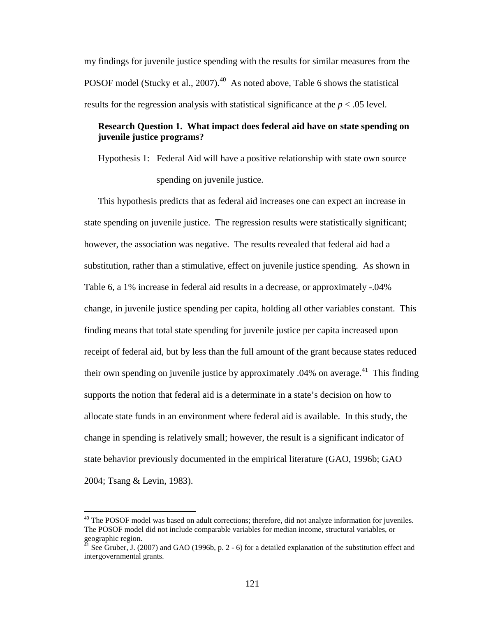my findings for juvenile justice spending with the results for similar measures from the POSOF model (Stucky et al., 2007). $^{40}$  As noted above, Table 6 shows the statistical results for the regression analysis with statistical significance at the  $p < .05$  level.

## **Research Question 1. What impact does federal aid have on state spending on juvenile justice programs?**

Hypothesis 1: Federal Aid will have a positive relationship with state own source spending on juvenile justice.

This hypothesis predicts that as federal aid increases one can expect an increase in state spending on juvenile justice. The regression results were statistically significant; however, the association was negative. The results revealed that federal aid had a substitution, rather than a stimulative, effect on juvenile justice spending. As shown in Table 6, a 1% increase in federal aid results in a decrease, or approximately -.04% change, in juvenile justice spending per capita, holding all other variables constant. This finding means that total state spending for juvenile justice per capita increased upon receipt of federal aid, but by less than the full amount of the grant because states reduced their own spending on juvenile justice by approximately  $.04\%$  on average.<sup>41</sup> This finding supports the notion that federal aid is a determinate in a state's decision on how to allocate state funds in an environment where federal aid is available. In this study, the change in spending is relatively small; however, the result is a significant indicator of state behavior previously documented in the empirical literature (GAO, 1996b; GAO 2004; Tsang & Levin, 1983).

<sup>&</sup>lt;sup>40</sup> The POSOF model was based on adult corrections; therefore, did not analyze information for juveniles. The POSOF model did not include comparable variables for median income, structural variables, or geographic region.

 $^{41}$  See Gruber, J. (2007) and GAO (1996b, p. 2 - 6) for a detailed explanation of the substitution effect and intergovernmental grants.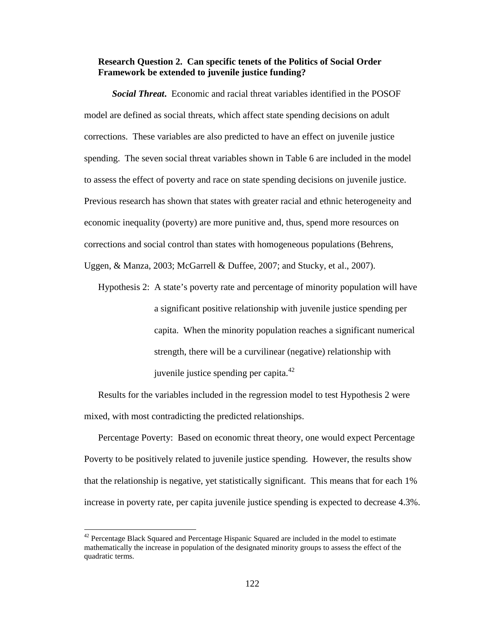## **Research Question 2. Can specific tenets of the Politics of Social Order Framework be extended to juvenile justice funding?**

*Social Threat***.** Economic and racial threat variables identified in the POSOF model are defined as social threats, which affect state spending decisions on adult corrections. These variables are also predicted to have an effect on juvenile justice spending. The seven social threat variables shown in Table 6 are included in the model to assess the effect of poverty and race on state spending decisions on juvenile justice. Previous research has shown that states with greater racial and ethnic heterogeneity and economic inequality (poverty) are more punitive and, thus, spend more resources on corrections and social control than states with homogeneous populations (Behrens,

Uggen, & Manza, 2003; McGarrell & Duffee, 2007; and Stucky, et al., 2007).

Hypothesis 2: A state's poverty rate and percentage of minority population will have a significant positive relationship with juvenile justice spending per capita. When the minority population reaches a significant numerical strength, there will be a curvilinear (negative) relationship with juvenile justice spending per capita. $42$ 

Results for the variables included in the regression model to test Hypothesis 2 were mixed, with most contradicting the predicted relationships.

Percentage Poverty: Based on economic threat theory, one would expect Percentage Poverty to be positively related to juvenile justice spending. However, the results show that the relationship is negative, yet statistically significant. This means that for each 1% increase in poverty rate, per capita juvenile justice spending is expected to decrease 4.3%.

 $42$  Percentage Black Squared and Percentage Hispanic Squared are included in the model to estimate mathematically the increase in population of the designated minority groups to assess the effect of the quadratic terms.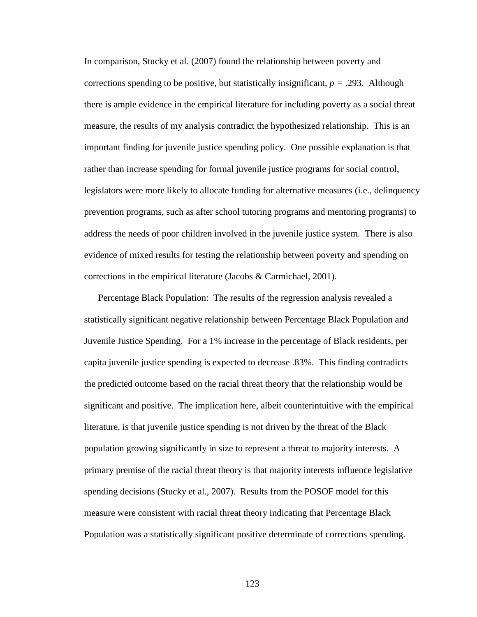In comparison, Stucky et al. (2007) found the relationship between poverty and corrections spending to be positive, but statistically insignificant,  $p = .293$ . Although there is ample evidence in the empirical literature for including poverty as a social threat measure, the results of my analysis contradict the hypothesized relationship. This is an important finding for juvenile justice spending policy. One possible explanation is that rather than increase spending for formal juvenile justice programs for social control, legislators were more likely to allocate funding for alternative measures (i.e., delinquency prevention programs, such as after school tutoring programs and mentoring programs) to address the needs of poor children involved in the juvenile justice system. There is also evidence of mixed results for testing the relationship between poverty and spending on corrections in the empirical literature (Jacobs & Carmichael, 2001).

Percentage Black Population: The results of the regression analysis revealed a statistically significant negative relationship between Percentage Black Population and Juvenile Justice Spending. For a 1% increase in the percentage of Black residents, per capita juvenile justice spending is expected to decrease .83%. This finding contradicts the predicted outcome based on the racial threat theory that the relationship would be significant and positive. The implication here, albeit counterintuitive with the empirical literature, is that juvenile justice spending is not driven by the threat of the Black population growing significantly in size to represent a threat to majority interests. A primary premise of the racial threat theory is that majority interests influence legislative spending decisions (Stucky et al., 2007). Results from the POSOF model for this measure were consistent with racial threat theory indicating that Percentage Black Population was a statistically significant positive determinate of corrections spending.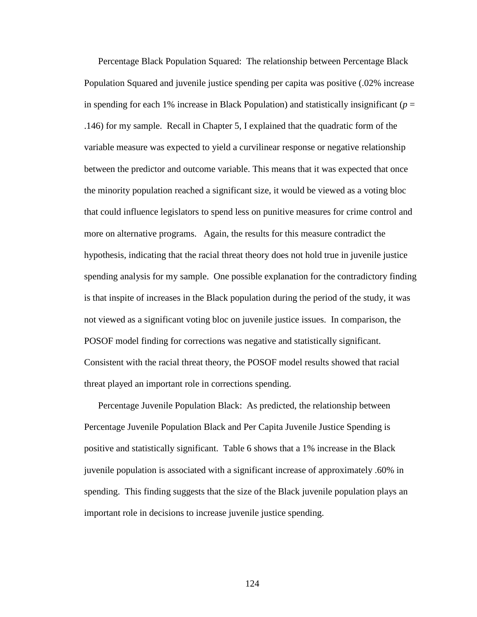Percentage Black Population Squared: The relationship between Percentage Black Population Squared and juvenile justice spending per capita was positive (.02% increase in spending for each 1% increase in Black Population) and statistically insignificant ( $p =$ .146) for my sample. Recall in Chapter 5, I explained that the quadratic form of the variable measure was expected to yield a curvilinear response or negative relationship between the predictor and outcome variable. This means that it was expected that once the minority population reached a significant size, it would be viewed as a voting bloc that could influence legislators to spend less on punitive measures for crime control and more on alternative programs. Again, the results for this measure contradict the hypothesis, indicating that the racial threat theory does not hold true in juvenile justice spending analysis for my sample. One possible explanation for the contradictory finding is that inspite of increases in the Black population during the period of the study, it was not viewed as a significant voting bloc on juvenile justice issues. In comparison, the POSOF model finding for corrections was negative and statistically significant. Consistent with the racial threat theory, the POSOF model results showed that racial threat played an important role in corrections spending.

Percentage Juvenile Population Black: As predicted, the relationship between Percentage Juvenile Population Black and Per Capita Juvenile Justice Spending is positive and statistically significant. Table 6 shows that a 1% increase in the Black juvenile population is associated with a significant increase of approximately .60% in spending. This finding suggests that the size of the Black juvenile population plays an important role in decisions to increase juvenile justice spending.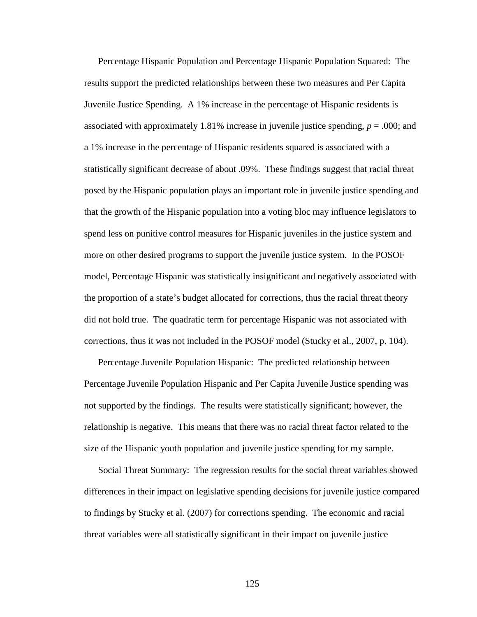Percentage Hispanic Population and Percentage Hispanic Population Squared: The results support the predicted relationships between these two measures and Per Capita Juvenile Justice Spending. A 1% increase in the percentage of Hispanic residents is associated with approximately 1.81% increase in juvenile justice spending,  $p = .000$ ; and a 1% increase in the percentage of Hispanic residents squared is associated with a statistically significant decrease of about .09%. These findings suggest that racial threat posed by the Hispanic population plays an important role in juvenile justice spending and that the growth of the Hispanic population into a voting bloc may influence legislators to spend less on punitive control measures for Hispanic juveniles in the justice system and more on other desired programs to support the juvenile justice system. In the POSOF model, Percentage Hispanic was statistically insignificant and negatively associated with the proportion of a state's budget allocated for corrections, thus the racial threat theory did not hold true. The quadratic term for percentage Hispanic was not associated with corrections, thus it was not included in the POSOF model (Stucky et al., 2007, p. 104).

Percentage Juvenile Population Hispanic: The predicted relationship between Percentage Juvenile Population Hispanic and Per Capita Juvenile Justice spending was not supported by the findings. The results were statistically significant; however, the relationship is negative. This means that there was no racial threat factor related to the size of the Hispanic youth population and juvenile justice spending for my sample.

Social Threat Summary: The regression results for the social threat variables showed differences in their impact on legislative spending decisions for juvenile justice compared to findings by Stucky et al. (2007) for corrections spending. The economic and racial threat variables were all statistically significant in their impact on juvenile justice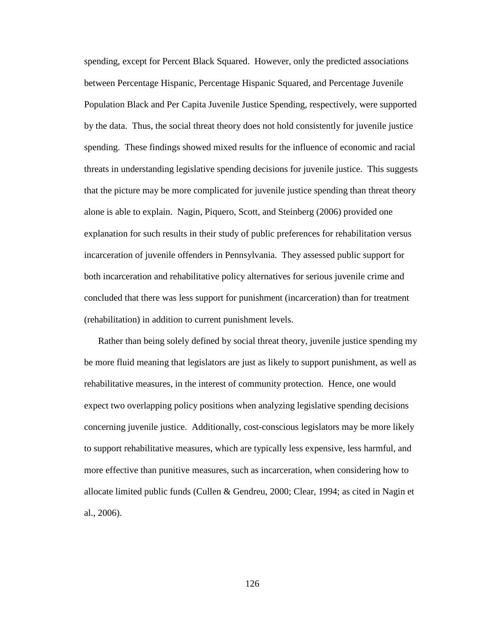spending, except for Percent Black Squared. However, only the predicted associations between Percentage Hispanic, Percentage Hispanic Squared, and Percentage Juvenile Population Black and Per Capita Juvenile Justice Spending, respectively, were supported by the data. Thus, the social threat theory does not hold consistently for juvenile justice spending. These findings showed mixed results for the influence of economic and racial threats in understanding legislative spending decisions for juvenile justice. This suggests that the picture may be more complicated for juvenile justice spending than threat theory alone is able to explain. Nagin, Piquero, Scott, and Steinberg (2006) provided one explanation for such results in their study of public preferences for rehabilitation versus incarceration of juvenile offenders in Pennsylvania. They assessed public support for both incarceration and rehabilitative policy alternatives for serious juvenile crime and concluded that there was less support for punishment (incarceration) than for treatment (rehabilitation) in addition to current punishment levels.

Rather than being solely defined by social threat theory, juvenile justice spending my be more fluid meaning that legislators are just as likely to support punishment, as well as rehabilitative measures, in the interest of community protection. Hence, one would expect two overlapping policy positions when analyzing legislative spending decisions concerning juvenile justice. Additionally, cost-conscious legislators may be more likely to support rehabilitative measures, which are typically less expensive, less harmful, and more effective than punitive measures, such as incarceration, when considering how to allocate limited public funds (Cullen & Gendreu, 2000; Clear, 1994; as cited in Nagin et al., 2006).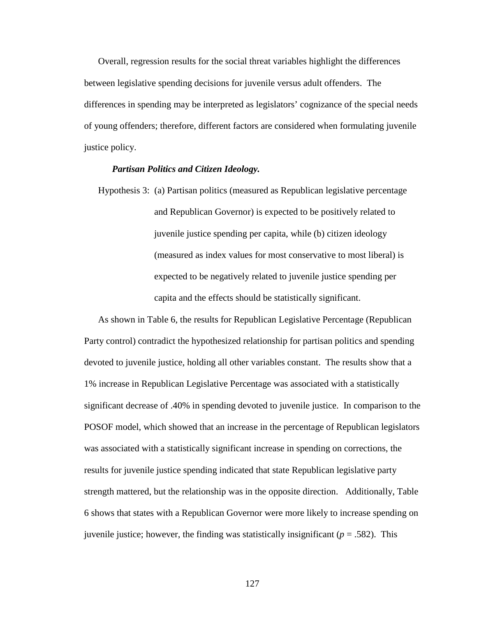Overall, regression results for the social threat variables highlight the differences between legislative spending decisions for juvenile versus adult offenders. The differences in spending may be interpreted as legislators' cognizance of the special needs of young offenders; therefore, different factors are considered when formulating juvenile justice policy.

## *Partisan Politics and Citizen Ideology.*

Hypothesis 3: (a) Partisan politics (measured as Republican legislative percentage and Republican Governor) is expected to be positively related to juvenile justice spending per capita, while (b) citizen ideology (measured as index values for most conservative to most liberal) is expected to be negatively related to juvenile justice spending per capita and the effects should be statistically significant.

As shown in Table 6, the results for Republican Legislative Percentage (Republican Party control) contradict the hypothesized relationship for partisan politics and spending devoted to juvenile justice, holding all other variables constant. The results show that a 1% increase in Republican Legislative Percentage was associated with a statistically significant decrease of .40% in spending devoted to juvenile justice. In comparison to the POSOF model, which showed that an increase in the percentage of Republican legislators was associated with a statistically significant increase in spending on corrections, the results for juvenile justice spending indicated that state Republican legislative party strength mattered, but the relationship was in the opposite direction. Additionally, Table 6 shows that states with a Republican Governor were more likely to increase spending on juvenile justice; however, the finding was statistically insignificant (*p* = .582). This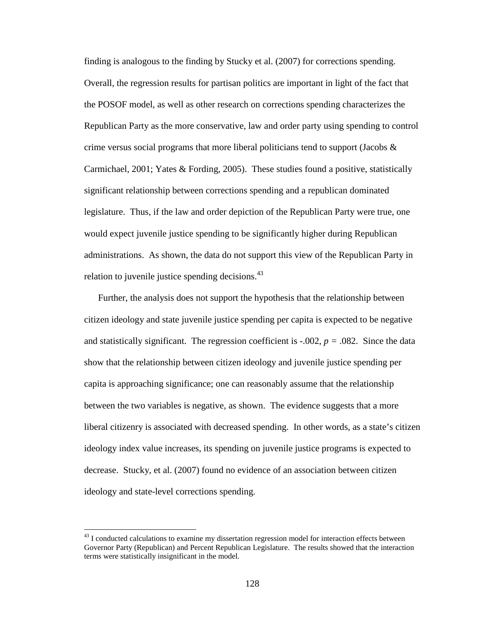finding is analogous to the finding by Stucky et al. (2007) for corrections spending. Overall, the regression results for partisan politics are important in light of the fact that the POSOF model, as well as other research on corrections spending characterizes the Republican Party as the more conservative, law and order party using spending to control crime versus social programs that more liberal politicians tend to support (Jacobs  $\&$ Carmichael, 2001; Yates & Fording, 2005). These studies found a positive, statistically significant relationship between corrections spending and a republican dominated legislature. Thus, if the law and order depiction of the Republican Party were true, one would expect juvenile justice spending to be significantly higher during Republican administrations. As shown, the data do not support this view of the Republican Party in relation to juvenile justice spending decisions.<sup>43</sup>

Further, the analysis does not support the hypothesis that the relationship between citizen ideology and state juvenile justice spending per capita is expected to be negative and statistically significant. The regression coefficient is  $-0.002$ ,  $p = 0.082$ . Since the data show that the relationship between citizen ideology and juvenile justice spending per capita is approaching significance; one can reasonably assume that the relationship between the two variables is negative, as shown. The evidence suggests that a more liberal citizenry is associated with decreased spending. In other words, as a state's citizen ideology index value increases, its spending on juvenile justice programs is expected to decrease. Stucky, et al. (2007) found no evidence of an association between citizen ideology and state-level corrections spending.

 $^{43}$  I conducted calculations to examine my dissertation regression model for interaction effects between Governor Party (Republican) and Percent Republican Legislature. The results showed that the interaction terms were statistically insignificant in the model.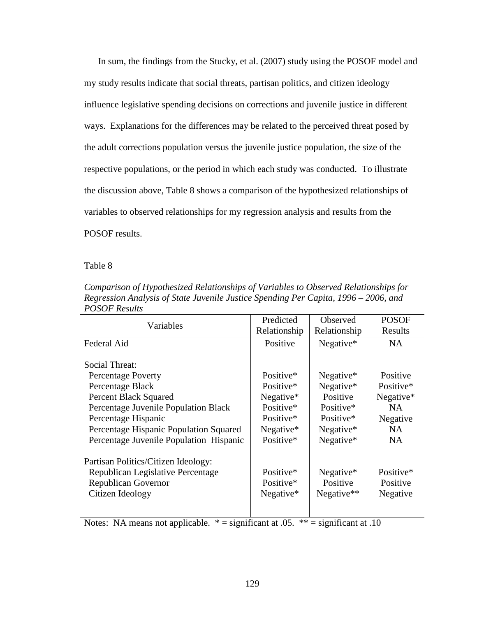In sum, the findings from the Stucky, et al. (2007) study using the POSOF model and my study results indicate that social threats, partisan politics, and citizen ideology influence legislative spending decisions on corrections and juvenile justice in different ways. Explanations for the differences may be related to the perceived threat posed by the adult corrections population versus the juvenile justice population, the size of the respective populations, or the period in which each study was conducted. To illustrate the discussion above, Table 8 shows a comparison of the hypothesized relationships of variables to observed relationships for my regression analysis and results from the POSOF results.

Table 8

| Comparison of Hypothesized Relationships of Variables to Observed Relationships for |
|-------------------------------------------------------------------------------------|
| Regression Analysis of State Juvenile Justice Spending Per Capita, 1996 – 2006, and |
| <b>POSOF Results</b>                                                                |

|                                         | Predicted    | <b>Observed</b> | <b>POSOF</b> |
|-----------------------------------------|--------------|-----------------|--------------|
| Variables                               | Relationship | Relationship    | Results      |
| Federal Aid                             | Positive     | Negative*       | <b>NA</b>    |
|                                         |              |                 |              |
| Social Threat:                          |              |                 |              |
| <b>Percentage Poverty</b>               | Positive*    | Negative*       | Positive     |
| Percentage Black                        | Positive*    | Negative*       | Positive*    |
| <b>Percent Black Squared</b>            | Negative*    | Positive        | Negative*    |
| Percentage Juvenile Population Black    | Positive*    | Positive*       | NA           |
| Percentage Hispanic                     | Positive*    | Positive*       | Negative     |
| Percentage Hispanic Population Squared  | Negative*    | Negative*       | <b>NA</b>    |
| Percentage Juvenile Population Hispanic | Positive*    | Negative*       | <b>NA</b>    |
| Partisan Politics/Citizen Ideology:     |              |                 |              |
| Republican Legislative Percentage       | Positive*    | Negative $*$    | Positive*    |
| <b>Republican Governor</b>              | Positive*    | Positive        | Positive     |
| Citizen Ideology                        | Negative $*$ | Negative $**$   | Negative     |
|                                         |              |                 |              |
|                                         |              |                 |              |

Notes: NA means not applicable.  $* =$  significant at .05.  $** =$  significant at .10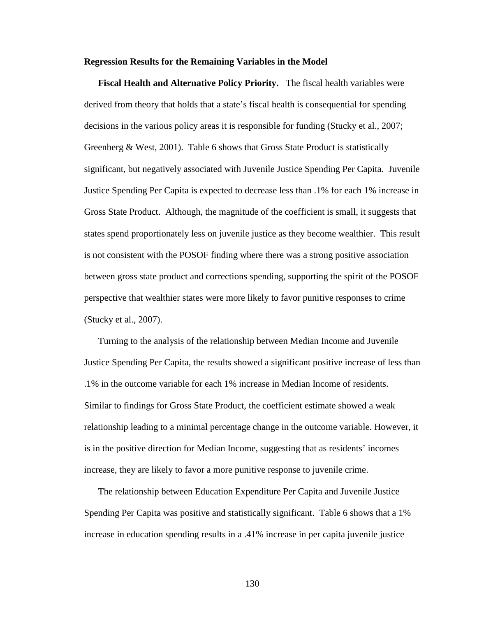#### **Regression Results for the Remaining Variables in the Model**

**Fiscal Health and Alternative Policy Priority.** The fiscal health variables were derived from theory that holds that a state's fiscal health is consequential for spending decisions in the various policy areas it is responsible for funding (Stucky et al., 2007; Greenberg & West, 2001). Table 6 shows that Gross State Product is statistically significant, but negatively associated with Juvenile Justice Spending Per Capita. Juvenile Justice Spending Per Capita is expected to decrease less than .1% for each 1% increase in Gross State Product. Although, the magnitude of the coefficient is small, it suggests that states spend proportionately less on juvenile justice as they become wealthier. This result is not consistent with the POSOF finding where there was a strong positive association between gross state product and corrections spending, supporting the spirit of the POSOF perspective that wealthier states were more likely to favor punitive responses to crime (Stucky et al., 2007).

Turning to the analysis of the relationship between Median Income and Juvenile Justice Spending Per Capita, the results showed a significant positive increase of less than .1% in the outcome variable for each 1% increase in Median Income of residents. Similar to findings for Gross State Product, the coefficient estimate showed a weak relationship leading to a minimal percentage change in the outcome variable. However, it is in the positive direction for Median Income, suggesting that as residents' incomes increase, they are likely to favor a more punitive response to juvenile crime.

The relationship between Education Expenditure Per Capita and Juvenile Justice Spending Per Capita was positive and statistically significant. Table 6 shows that a 1% increase in education spending results in a .41% increase in per capita juvenile justice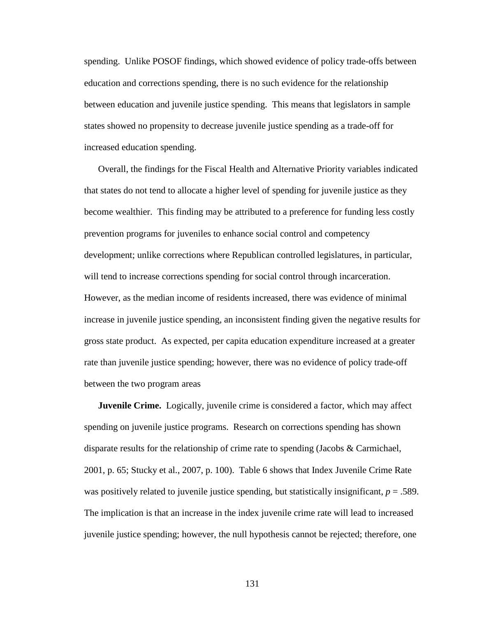spending. Unlike POSOF findings, which showed evidence of policy trade-offs between education and corrections spending, there is no such evidence for the relationship between education and juvenile justice spending. This means that legislators in sample states showed no propensity to decrease juvenile justice spending as a trade-off for increased education spending.

Overall, the findings for the Fiscal Health and Alternative Priority variables indicated that states do not tend to allocate a higher level of spending for juvenile justice as they become wealthier. This finding may be attributed to a preference for funding less costly prevention programs for juveniles to enhance social control and competency development; unlike corrections where Republican controlled legislatures, in particular, will tend to increase corrections spending for social control through incarceration. However, as the median income of residents increased, there was evidence of minimal increase in juvenile justice spending, an inconsistent finding given the negative results for gross state product. As expected, per capita education expenditure increased at a greater rate than juvenile justice spending; however, there was no evidence of policy trade-off between the two program areas

**Juvenile Crime.** Logically, juvenile crime is considered a factor, which may affect spending on juvenile justice programs. Research on corrections spending has shown disparate results for the relationship of crime rate to spending (Jacobs & Carmichael, 2001, p. 65; Stucky et al., 2007, p. 100). Table 6 shows that Index Juvenile Crime Rate was positively related to juvenile justice spending, but statistically insignificant, *p* = .589. The implication is that an increase in the index juvenile crime rate will lead to increased juvenile justice spending; however, the null hypothesis cannot be rejected; therefore, one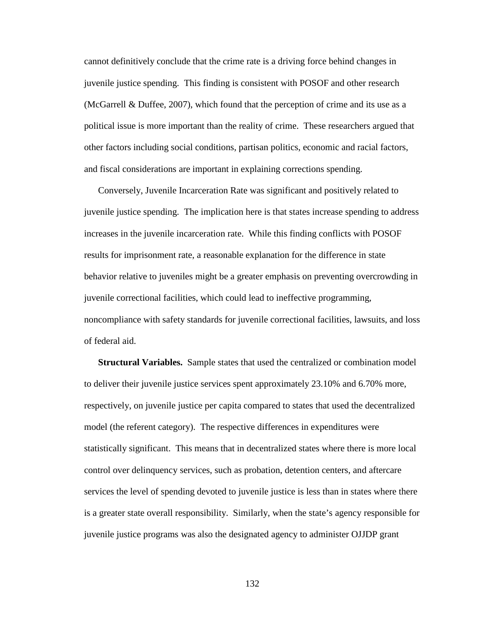cannot definitively conclude that the crime rate is a driving force behind changes in juvenile justice spending. This finding is consistent with POSOF and other research (McGarrell & Duffee, 2007), which found that the perception of crime and its use as a political issue is more important than the reality of crime. These researchers argued that other factors including social conditions, partisan politics, economic and racial factors, and fiscal considerations are important in explaining corrections spending.

Conversely, Juvenile Incarceration Rate was significant and positively related to juvenile justice spending. The implication here is that states increase spending to address increases in the juvenile incarceration rate. While this finding conflicts with POSOF results for imprisonment rate, a reasonable explanation for the difference in state behavior relative to juveniles might be a greater emphasis on preventing overcrowding in juvenile correctional facilities, which could lead to ineffective programming, noncompliance with safety standards for juvenile correctional facilities, lawsuits, and loss of federal aid.

**Structural Variables.** Sample states that used the centralized or combination model to deliver their juvenile justice services spent approximately 23.10% and 6.70% more, respectively, on juvenile justice per capita compared to states that used the decentralized model (the referent category). The respective differences in expenditures were statistically significant. This means that in decentralized states where there is more local control over delinquency services, such as probation, detention centers, and aftercare services the level of spending devoted to juvenile justice is less than in states where there is a greater state overall responsibility. Similarly, when the state's agency responsible for juvenile justice programs was also the designated agency to administer OJJDP grant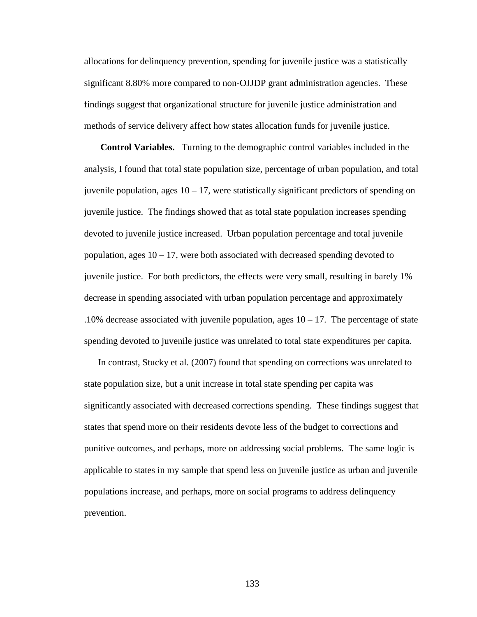allocations for delinquency prevention, spending for juvenile justice was a statistically significant 8.80% more compared to non-OJJDP grant administration agencies. These findings suggest that organizational structure for juvenile justice administration and methods of service delivery affect how states allocation funds for juvenile justice.

 **Control Variables.** Turning to the demographic control variables included in the analysis, I found that total state population size, percentage of urban population, and total juvenile population, ages  $10 - 17$ , were statistically significant predictors of spending on juvenile justice. The findings showed that as total state population increases spending devoted to juvenile justice increased. Urban population percentage and total juvenile population, ages  $10 - 17$ , were both associated with decreased spending devoted to juvenile justice. For both predictors, the effects were very small, resulting in barely 1% decrease in spending associated with urban population percentage and approximately .10% decrease associated with juvenile population, ages  $10 - 17$ . The percentage of state spending devoted to juvenile justice was unrelated to total state expenditures per capita.

In contrast, Stucky et al. (2007) found that spending on corrections was unrelated to state population size, but a unit increase in total state spending per capita was significantly associated with decreased corrections spending. These findings suggest that states that spend more on their residents devote less of the budget to corrections and punitive outcomes, and perhaps, more on addressing social problems. The same logic is applicable to states in my sample that spend less on juvenile justice as urban and juvenile populations increase, and perhaps, more on social programs to address delinquency prevention.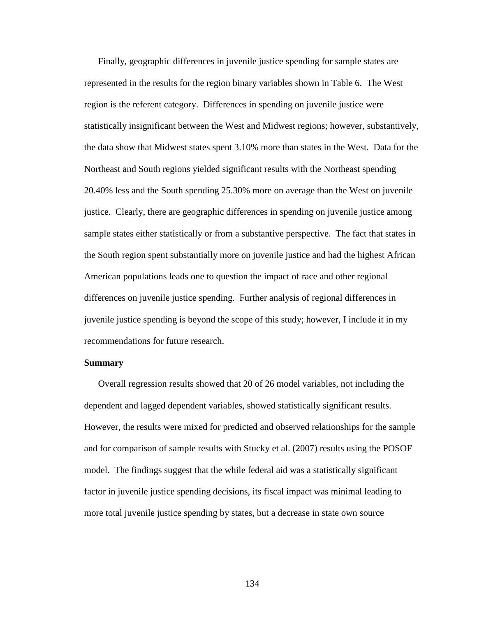Finally, geographic differences in juvenile justice spending for sample states are represented in the results for the region binary variables shown in Table 6. The West region is the referent category. Differences in spending on juvenile justice were statistically insignificant between the West and Midwest regions; however, substantively, the data show that Midwest states spent 3.10% more than states in the West. Data for the Northeast and South regions yielded significant results with the Northeast spending 20.40% less and the South spending 25.30% more on average than the West on juvenile justice. Clearly, there are geographic differences in spending on juvenile justice among sample states either statistically or from a substantive perspective. The fact that states in the South region spent substantially more on juvenile justice and had the highest African American populations leads one to question the impact of race and other regional differences on juvenile justice spending. Further analysis of regional differences in juvenile justice spending is beyond the scope of this study; however, I include it in my recommendations for future research.

#### **Summary**

Overall regression results showed that 20 of 26 model variables, not including the dependent and lagged dependent variables, showed statistically significant results. However, the results were mixed for predicted and observed relationships for the sample and for comparison of sample results with Stucky et al. (2007) results using the POSOF model. The findings suggest that the while federal aid was a statistically significant factor in juvenile justice spending decisions, its fiscal impact was minimal leading to more total juvenile justice spending by states, but a decrease in state own source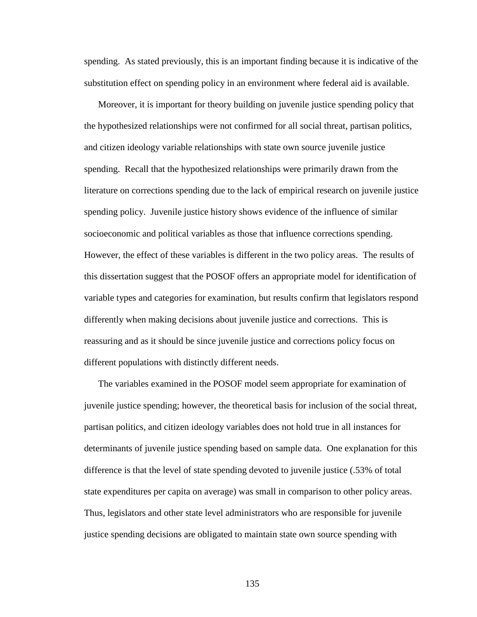spending. As stated previously, this is an important finding because it is indicative of the substitution effect on spending policy in an environment where federal aid is available.

Moreover, it is important for theory building on juvenile justice spending policy that the hypothesized relationships were not confirmed for all social threat, partisan politics, and citizen ideology variable relationships with state own source juvenile justice spending. Recall that the hypothesized relationships were primarily drawn from the literature on corrections spending due to the lack of empirical research on juvenile justice spending policy. Juvenile justice history shows evidence of the influence of similar socioeconomic and political variables as those that influence corrections spending. However, the effect of these variables is different in the two policy areas. The results of this dissertation suggest that the POSOF offers an appropriate model for identification of variable types and categories for examination, but results confirm that legislators respond differently when making decisions about juvenile justice and corrections. This is reassuring and as it should be since juvenile justice and corrections policy focus on different populations with distinctly different needs.

The variables examined in the POSOF model seem appropriate for examination of juvenile justice spending; however, the theoretical basis for inclusion of the social threat, partisan politics, and citizen ideology variables does not hold true in all instances for determinants of juvenile justice spending based on sample data. One explanation for this difference is that the level of state spending devoted to juvenile justice (.53% of total state expenditures per capita on average) was small in comparison to other policy areas. Thus, legislators and other state level administrators who are responsible for juvenile justice spending decisions are obligated to maintain state own source spending with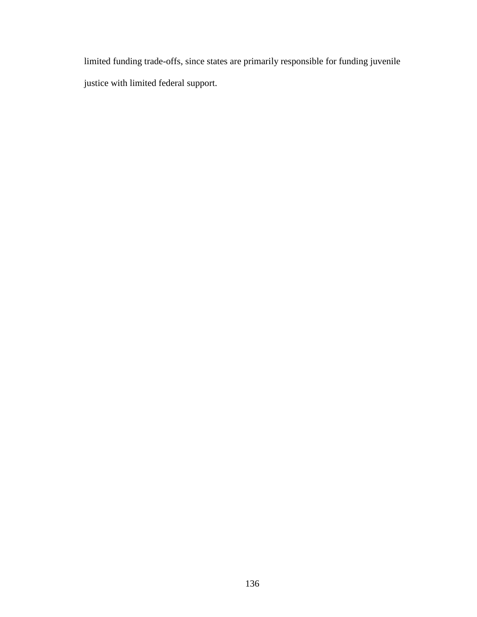limited funding trade-offs, since states are primarily responsible for funding juvenile justice with limited federal support.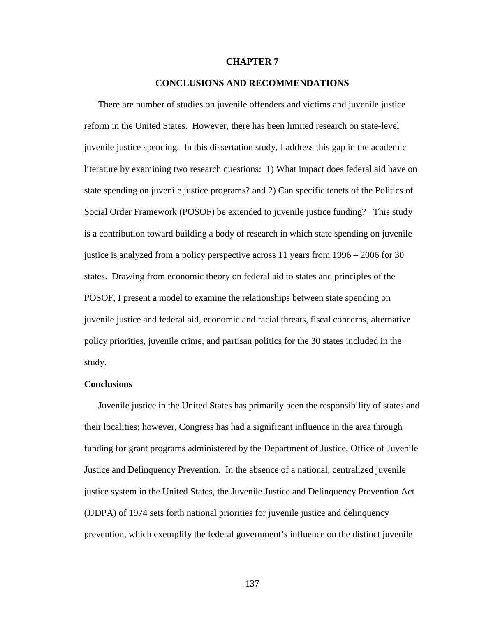#### **CHAPTER 7**

### **CONCLUSIONS AND RECOMMENDATIONS**

There are number of studies on juvenile offenders and victims and juvenile justice reform in the United States. However, there has been limited research on state-level juvenile justice spending. In this dissertation study, I address this gap in the academic literature by examining two research questions: 1) What impact does federal aid have on state spending on juvenile justice programs? and 2) Can specific tenets of the Politics of Social Order Framework (POSOF) be extended to juvenile justice funding? This study is a contribution toward building a body of research in which state spending on juvenile justice is analyzed from a policy perspective across 11 years from 1996 – 2006 for 30 states. Drawing from economic theory on federal aid to states and principles of the POSOF, I present a model to examine the relationships between state spending on juvenile justice and federal aid, economic and racial threats, fiscal concerns, alternative policy priorities, juvenile crime, and partisan politics for the 30 states included in the study.

#### **Conclusions**

Juvenile justice in the United States has primarily been the responsibility of states and their localities; however, Congress has had a significant influence in the area through funding for grant programs administered by the Department of Justice, Office of Juvenile Justice and Delinquency Prevention. In the absence of a national, centralized juvenile justice system in the United States, the Juvenile Justice and Delinquency Prevention Act (JJDPA) of 1974 sets forth national priorities for juvenile justice and delinquency prevention, which exemplify the federal government's influence on the distinct juvenile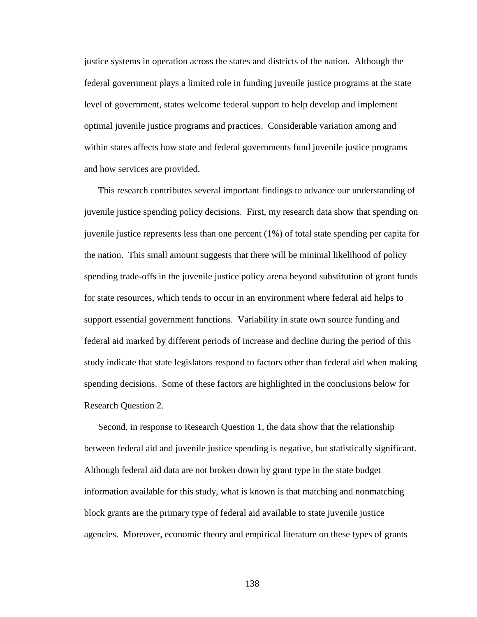justice systems in operation across the states and districts of the nation. Although the federal government plays a limited role in funding juvenile justice programs at the state level of government, states welcome federal support to help develop and implement optimal juvenile justice programs and practices. Considerable variation among and within states affects how state and federal governments fund juvenile justice programs and how services are provided.

This research contributes several important findings to advance our understanding of juvenile justice spending policy decisions. First, my research data show that spending on juvenile justice represents less than one percent (1%) of total state spending per capita for the nation. This small amount suggests that there will be minimal likelihood of policy spending trade-offs in the juvenile justice policy arena beyond substitution of grant funds for state resources, which tends to occur in an environment where federal aid helps to support essential government functions. Variability in state own source funding and federal aid marked by different periods of increase and decline during the period of this study indicate that state legislators respond to factors other than federal aid when making spending decisions. Some of these factors are highlighted in the conclusions below for Research Question 2.

Second, in response to Research Question 1, the data show that the relationship between federal aid and juvenile justice spending is negative, but statistically significant. Although federal aid data are not broken down by grant type in the state budget information available for this study, what is known is that matching and nonmatching block grants are the primary type of federal aid available to state juvenile justice agencies. Moreover, economic theory and empirical literature on these types of grants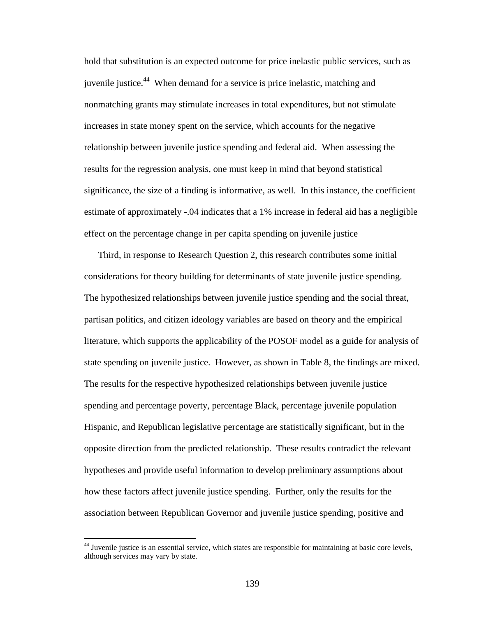hold that substitution is an expected outcome for price inelastic public services, such as juvenile justice.<sup>44</sup> When demand for a service is price inelastic, matching and nonmatching grants may stimulate increases in total expenditures, but not stimulate increases in state money spent on the service, which accounts for the negative relationship between juvenile justice spending and federal aid. When assessing the results for the regression analysis, one must keep in mind that beyond statistical significance, the size of a finding is informative, as well. In this instance, the coefficient estimate of approximately -.04 indicates that a 1% increase in federal aid has a negligible effect on the percentage change in per capita spending on juvenile justice

Third, in response to Research Question 2, this research contributes some initial considerations for theory building for determinants of state juvenile justice spending. The hypothesized relationships between juvenile justice spending and the social threat, partisan politics, and citizen ideology variables are based on theory and the empirical literature, which supports the applicability of the POSOF model as a guide for analysis of state spending on juvenile justice. However, as shown in Table 8, the findings are mixed. The results for the respective hypothesized relationships between juvenile justice spending and percentage poverty, percentage Black, percentage juvenile population Hispanic, and Republican legislative percentage are statistically significant, but in the opposite direction from the predicted relationship. These results contradict the relevant hypotheses and provide useful information to develop preliminary assumptions about how these factors affect juvenile justice spending. Further, only the results for the association between Republican Governor and juvenile justice spending, positive and

 $\overline{a}$ 

<sup>&</sup>lt;sup>44</sup> Juvenile justice is an essential service, which states are responsible for maintaining at basic core levels, although services may vary by state.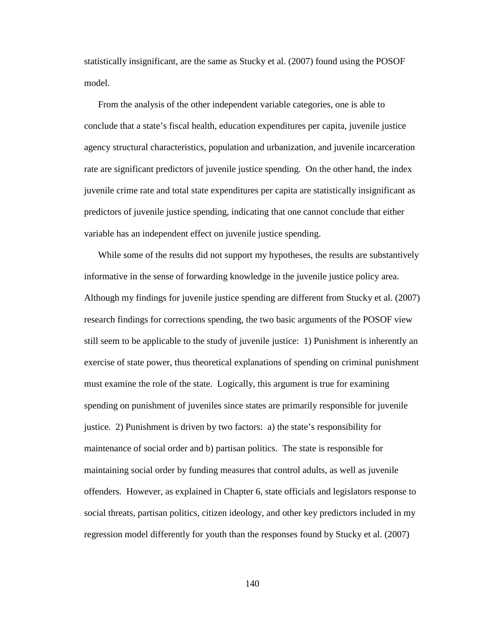statistically insignificant, are the same as Stucky et al. (2007) found using the POSOF model.

From the analysis of the other independent variable categories, one is able to conclude that a state's fiscal health, education expenditures per capita, juvenile justice agency structural characteristics, population and urbanization, and juvenile incarceration rate are significant predictors of juvenile justice spending. On the other hand, the index juvenile crime rate and total state expenditures per capita are statistically insignificant as predictors of juvenile justice spending, indicating that one cannot conclude that either variable has an independent effect on juvenile justice spending.

While some of the results did not support my hypotheses, the results are substantively informative in the sense of forwarding knowledge in the juvenile justice policy area. Although my findings for juvenile justice spending are different from Stucky et al. (2007) research findings for corrections spending, the two basic arguments of the POSOF view still seem to be applicable to the study of juvenile justice: 1) Punishment is inherently an exercise of state power, thus theoretical explanations of spending on criminal punishment must examine the role of the state. Logically, this argument is true for examining spending on punishment of juveniles since states are primarily responsible for juvenile justice. 2) Punishment is driven by two factors: a) the state's responsibility for maintenance of social order and b) partisan politics. The state is responsible for maintaining social order by funding measures that control adults, as well as juvenile offenders. However, as explained in Chapter 6, state officials and legislators response to social threats, partisan politics, citizen ideology, and other key predictors included in my regression model differently for youth than the responses found by Stucky et al. (2007)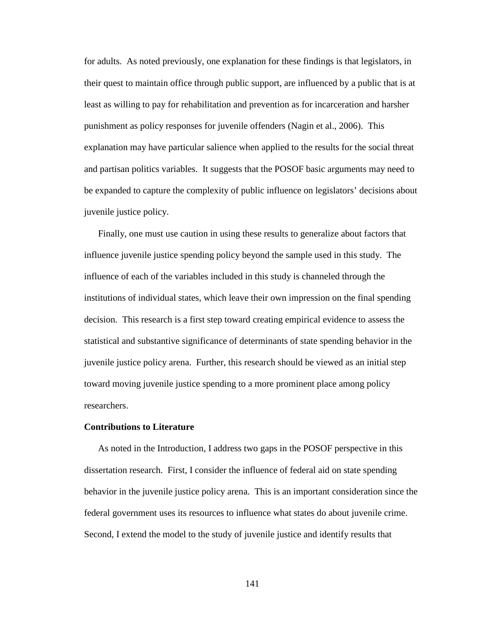for adults. As noted previously, one explanation for these findings is that legislators, in their quest to maintain office through public support, are influenced by a public that is at least as willing to pay for rehabilitation and prevention as for incarceration and harsher punishment as policy responses for juvenile offenders (Nagin et al., 2006). This explanation may have particular salience when applied to the results for the social threat and partisan politics variables. It suggests that the POSOF basic arguments may need to be expanded to capture the complexity of public influence on legislators' decisions about juvenile justice policy.

Finally, one must use caution in using these results to generalize about factors that influence juvenile justice spending policy beyond the sample used in this study. The influence of each of the variables included in this study is channeled through the institutions of individual states, which leave their own impression on the final spending decision. This research is a first step toward creating empirical evidence to assess the statistical and substantive significance of determinants of state spending behavior in the juvenile justice policy arena. Further, this research should be viewed as an initial step toward moving juvenile justice spending to a more prominent place among policy researchers.

#### **Contributions to Literature**

As noted in the Introduction, I address two gaps in the POSOF perspective in this dissertation research. First, I consider the influence of federal aid on state spending behavior in the juvenile justice policy arena. This is an important consideration since the federal government uses its resources to influence what states do about juvenile crime. Second, I extend the model to the study of juvenile justice and identify results that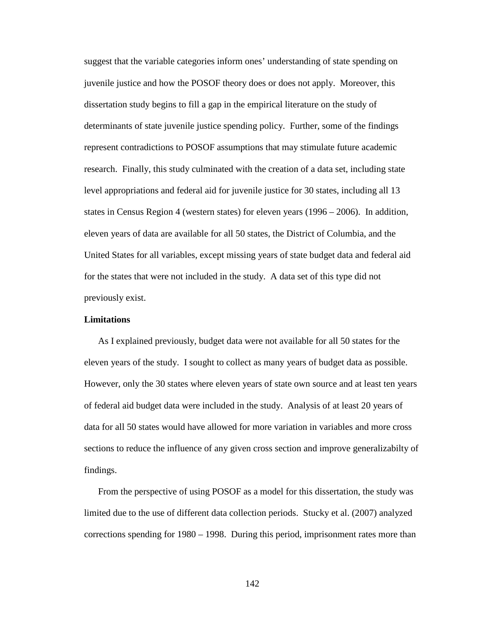suggest that the variable categories inform ones' understanding of state spending on juvenile justice and how the POSOF theory does or does not apply. Moreover, this dissertation study begins to fill a gap in the empirical literature on the study of determinants of state juvenile justice spending policy. Further, some of the findings represent contradictions to POSOF assumptions that may stimulate future academic research. Finally, this study culminated with the creation of a data set, including state level appropriations and federal aid for juvenile justice for 30 states, including all 13 states in Census Region 4 (western states) for eleven years (1996 – 2006). In addition, eleven years of data are available for all 50 states, the District of Columbia, and the United States for all variables, except missing years of state budget data and federal aid for the states that were not included in the study. A data set of this type did not previously exist.

#### **Limitations**

As I explained previously, budget data were not available for all 50 states for the eleven years of the study. I sought to collect as many years of budget data as possible. However, only the 30 states where eleven years of state own source and at least ten years of federal aid budget data were included in the study. Analysis of at least 20 years of data for all 50 states would have allowed for more variation in variables and more cross sections to reduce the influence of any given cross section and improve generalizabilty of findings.

From the perspective of using POSOF as a model for this dissertation, the study was limited due to the use of different data collection periods. Stucky et al. (2007) analyzed corrections spending for 1980 – 1998. During this period, imprisonment rates more than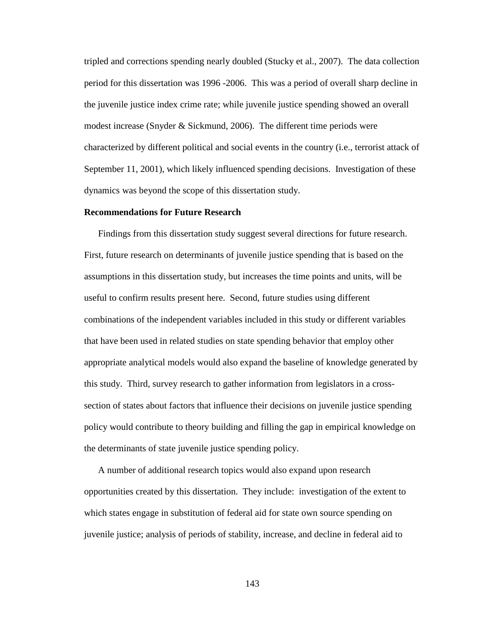tripled and corrections spending nearly doubled (Stucky et al., 2007). The data collection period for this dissertation was 1996 -2006. This was a period of overall sharp decline in the juvenile justice index crime rate; while juvenile justice spending showed an overall modest increase (Snyder & Sickmund, 2006). The different time periods were characterized by different political and social events in the country (i.e., terrorist attack of September 11, 2001), which likely influenced spending decisions. Investigation of these dynamics was beyond the scope of this dissertation study.

#### **Recommendations for Future Research**

Findings from this dissertation study suggest several directions for future research. First, future research on determinants of juvenile justice spending that is based on the assumptions in this dissertation study, but increases the time points and units, will be useful to confirm results present here. Second, future studies using different combinations of the independent variables included in this study or different variables that have been used in related studies on state spending behavior that employ other appropriate analytical models would also expand the baseline of knowledge generated by this study. Third, survey research to gather information from legislators in a crosssection of states about factors that influence their decisions on juvenile justice spending policy would contribute to theory building and filling the gap in empirical knowledge on the determinants of state juvenile justice spending policy.

A number of additional research topics would also expand upon research opportunities created by this dissertation. They include: investigation of the extent to which states engage in substitution of federal aid for state own source spending on juvenile justice; analysis of periods of stability, increase, and decline in federal aid to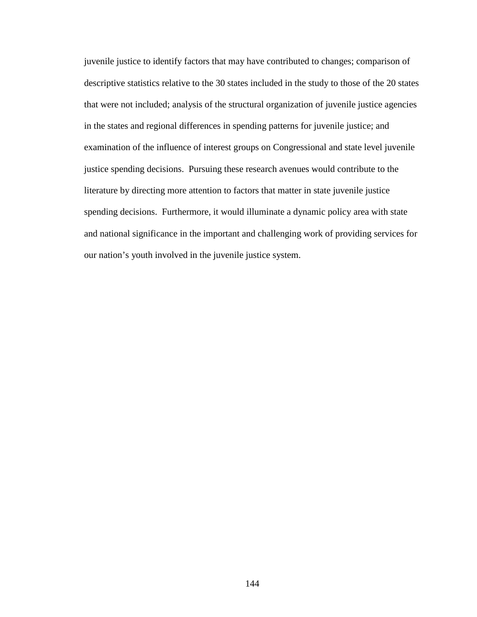juvenile justice to identify factors that may have contributed to changes; comparison of descriptive statistics relative to the 30 states included in the study to those of the 20 states that were not included; analysis of the structural organization of juvenile justice agencies in the states and regional differences in spending patterns for juvenile justice; and examination of the influence of interest groups on Congressional and state level juvenile justice spending decisions. Pursuing these research avenues would contribute to the literature by directing more attention to factors that matter in state juvenile justice spending decisions. Furthermore, it would illuminate a dynamic policy area with state and national significance in the important and challenging work of providing services for our nation's youth involved in the juvenile justice system.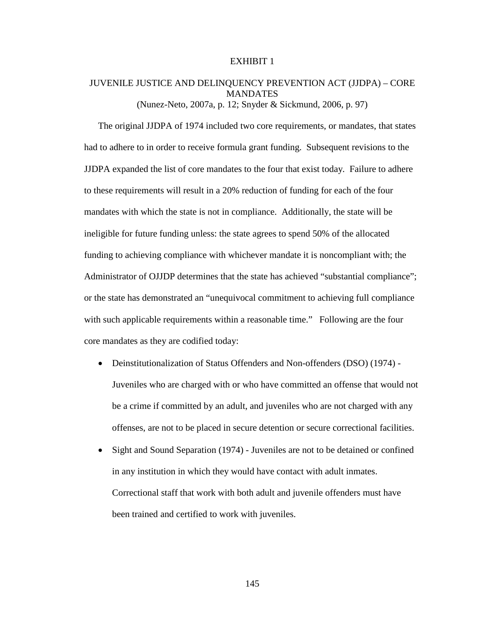### JUVENILE JUSTICE AND DELINQUENCY PREVENTION ACT (JJDPA) – CORE MANDATES (Nunez-Neto, 2007a, p. 12; Snyder & Sickmund, 2006, p. 97)

The original JJDPA of 1974 included two core requirements, or mandates, that states had to adhere to in order to receive formula grant funding. Subsequent revisions to the JJDPA expanded the list of core mandates to the four that exist today. Failure to adhere to these requirements will result in a 20% reduction of funding for each of the four mandates with which the state is not in compliance. Additionally, the state will be ineligible for future funding unless: the state agrees to spend 50% of the allocated funding to achieving compliance with whichever mandate it is noncompliant with; the Administrator of OJJDP determines that the state has achieved "substantial compliance"; or the state has demonstrated an "unequivocal commitment to achieving full compliance with such applicable requirements within a reasonable time." Following are the four core mandates as they are codified today:

- Deinstitutionalization of Status Offenders and Non-offenders (DSO) (1974) Juveniles who are charged with or who have committed an offense that would not be a crime if committed by an adult, and juveniles who are not charged with any offenses, are not to be placed in secure detention or secure correctional facilities.
- Sight and Sound Separation (1974) Juveniles are not to be detained or confined in any institution in which they would have contact with adult inmates. Correctional staff that work with both adult and juvenile offenders must have been trained and certified to work with juveniles.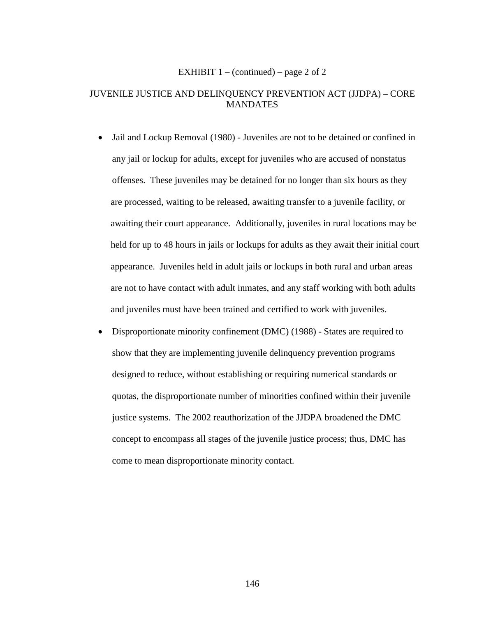#### EXHIBIT  $1 - (continued) - page 2 of 2$

### JUVENILE JUSTICE AND DELINQUENCY PREVENTION ACT (JJDPA) – CORE **MANDATES**

- Jail and Lockup Removal (1980) Juveniles are not to be detained or confined in any jail or lockup for adults, except for juveniles who are accused of nonstatus offenses. These juveniles may be detained for no longer than six hours as they are processed, waiting to be released, awaiting transfer to a juvenile facility, or awaiting their court appearance. Additionally, juveniles in rural locations may be held for up to 48 hours in jails or lockups for adults as they await their initial court appearance. Juveniles held in adult jails or lockups in both rural and urban areas are not to have contact with adult inmates, and any staff working with both adults and juveniles must have been trained and certified to work with juveniles.
- Disproportionate minority confinement (DMC) (1988) States are required to show that they are implementing juvenile delinquency prevention programs designed to reduce, without establishing or requiring numerical standards or quotas, the disproportionate number of minorities confined within their juvenile justice systems. The 2002 reauthorization of the JJDPA broadened the DMC concept to encompass all stages of the juvenile justice process; thus, DMC has come to mean disproportionate minority contact.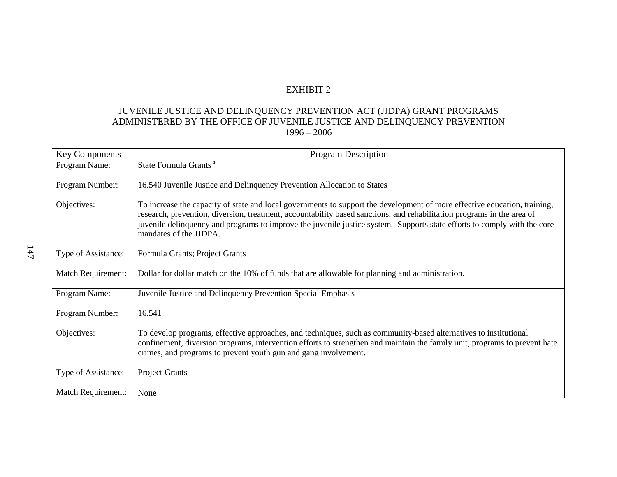## JUVENILE JUSTICE AND DELINQUENCY PREVENTION ACT (JJDPA) GRANT PROGRAMS ADMINISTERED BY THE OFFICE OF JUVENILE JUSTICE AND DELINQUENCY PREVENTION 1996 – 2006

| <b>Key Components</b>     | Program Description                                                                                                                                                                                                                                                                                                                                                                                       |
|---------------------------|-----------------------------------------------------------------------------------------------------------------------------------------------------------------------------------------------------------------------------------------------------------------------------------------------------------------------------------------------------------------------------------------------------------|
| Program Name:             | State Formula Grants <sup>a</sup>                                                                                                                                                                                                                                                                                                                                                                         |
| Program Number:           | 16.540 Juvenile Justice and Delinquency Prevention Allocation to States                                                                                                                                                                                                                                                                                                                                   |
| Objectives:               | To increase the capacity of state and local governments to support the development of more effective education, training,<br>research, prevention, diversion, treatment, accountability based sanctions, and rehabilitation programs in the area of<br>juvenile delinquency and programs to improve the juvenile justice system. Supports state efforts to comply with the core<br>mandates of the JJDPA. |
| Type of Assistance:       | Formula Grants; Project Grants                                                                                                                                                                                                                                                                                                                                                                            |
| <b>Match Requirement:</b> | Dollar for dollar match on the 10% of funds that are allowable for planning and administration.                                                                                                                                                                                                                                                                                                           |
| Program Name:             | Juvenile Justice and Delinquency Prevention Special Emphasis                                                                                                                                                                                                                                                                                                                                              |
| Program Number:           | 16.541                                                                                                                                                                                                                                                                                                                                                                                                    |
| Objectives:               | To develop programs, effective approaches, and techniques, such as community-based alternatives to institutional<br>confinement, diversion programs, intervention efforts to strengthen and maintain the family unit, programs to prevent hate<br>crimes, and programs to prevent youth gun and gang involvement.                                                                                         |
| Type of Assistance:       | Project Grants                                                                                                                                                                                                                                                                                                                                                                                            |
| <b>Match Requirement:</b> | None                                                                                                                                                                                                                                                                                                                                                                                                      |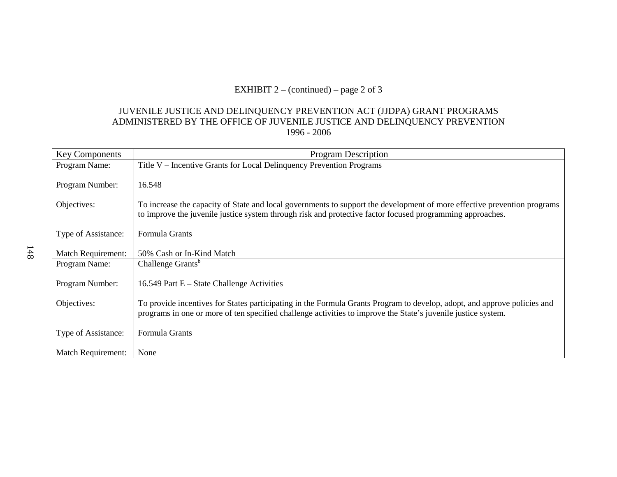# EXHIBIT  $2 - (continued) - page 2 of 3$

### JUVENILE JUSTICE AND DELINQUENCY PREVENTION ACT (JJDPA) GRANT PROGRAMS ADMINISTERED BY THE OFFICE OF JUVENILE JUSTICE AND DELINQUENCY PREVENTION 1996 - 2006

| <b>Key Components</b>     | <b>Program Description</b>                                                                                                                                                                                                                |
|---------------------------|-------------------------------------------------------------------------------------------------------------------------------------------------------------------------------------------------------------------------------------------|
| Program Name:             | Title V – Incentive Grants for Local Delinquency Prevention Programs                                                                                                                                                                      |
| Program Number:           | 16.548                                                                                                                                                                                                                                    |
| Objectives:               | To increase the capacity of State and local governments to support the development of more effective prevention programs<br>to improve the juvenile justice system through risk and protective factor focused programming approaches.     |
| Type of Assistance:       | Formula Grants                                                                                                                                                                                                                            |
| <b>Match Requirement:</b> | 50% Cash or In-Kind Match                                                                                                                                                                                                                 |
| Program Name:             | Challenge Grants <sup>b</sup>                                                                                                                                                                                                             |
| Program Number:           | 16.549 Part E – State Challenge Activities                                                                                                                                                                                                |
| Objectives:               | To provide incentives for States participating in the Formula Grants Program to develop, adopt, and approve policies and<br>programs in one or more of ten specified challenge activities to improve the State's juvenile justice system. |
| Type of Assistance:       | Formula Grants                                                                                                                                                                                                                            |
| <b>Match Requirement:</b> | None                                                                                                                                                                                                                                      |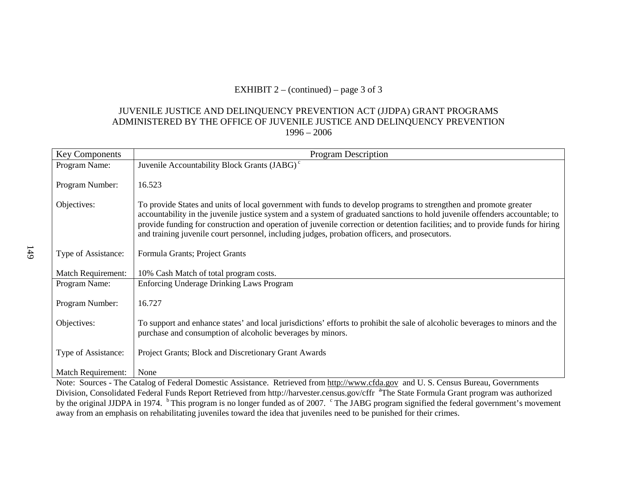# EXHIBIT  $2 - (continued) - page 3$  of 3

### JUVENILE JUSTICE AND DELINQUENCY PREVENTION ACT (JJDPA) GRANT PROGRAMS ADMINISTERED BY THE OFFICE OF JUVENILE JUSTICE AND DELINQUENCY PREVENTION 1996 – 2006

| <b>Key Components</b>     | <b>Program Description</b>                                                                                                                                                                                                                                                                                                                                                                                                                                                          |
|---------------------------|-------------------------------------------------------------------------------------------------------------------------------------------------------------------------------------------------------------------------------------------------------------------------------------------------------------------------------------------------------------------------------------------------------------------------------------------------------------------------------------|
| Program Name:             | Juvenile Accountability Block Grants (JABG) <sup>c</sup>                                                                                                                                                                                                                                                                                                                                                                                                                            |
| Program Number:           | 16.523                                                                                                                                                                                                                                                                                                                                                                                                                                                                              |
| Objectives:               | To provide States and units of local government with funds to develop programs to strengthen and promote greater<br>accountability in the juvenile justice system and a system of graduated sanctions to hold juvenile offenders accountable; to<br>provide funding for construction and operation of juvenile correction or detention facilities; and to provide funds for hiring<br>and training juvenile court personnel, including judges, probation officers, and prosecutors. |
| Type of Assistance:       | Formula Grants; Project Grants                                                                                                                                                                                                                                                                                                                                                                                                                                                      |
| <b>Match Requirement:</b> | 10% Cash Match of total program costs.                                                                                                                                                                                                                                                                                                                                                                                                                                              |
| Program Name:             | <b>Enforcing Underage Drinking Laws Program</b>                                                                                                                                                                                                                                                                                                                                                                                                                                     |
| Program Number:           | 16.727                                                                                                                                                                                                                                                                                                                                                                                                                                                                              |
| Objectives:               | To support and enhance states' and local jurisdictions' efforts to prohibit the sale of alcoholic beverages to minors and the<br>purchase and consumption of alcoholic beverages by minors.                                                                                                                                                                                                                                                                                         |
| Type of Assistance:       | Project Grants; Block and Discretionary Grant Awards                                                                                                                                                                                                                                                                                                                                                                                                                                |
| Match Requirement:        | None                                                                                                                                                                                                                                                                                                                                                                                                                                                                                |
|                           | Note: Sources - The Catalog of Federal Domestic Assistance Retrieved from http://www.cfda.gov.and II.S. Census Bureau Governments                                                                                                                                                                                                                                                                                                                                                   |

Note: Sources - The Catalog of Federal Domestic Assistance. Retrieved from http://www.cfda.gov and U.S. Census Bureau, Governments Division, Consolidated Federal Funds Report Retrieved from http://harvester.census.gov/cffr <sup>a</sup>The State Formula Grant program was authorized by the original JJDPA in 1974. <sup>b</sup>This program is no longer funded as of 2007. <sup>c</sup> The JABG program signified the federal government's movement away from an emphasis on rehabilitating juveniles toward the idea that juveniles need to be punished for their crimes.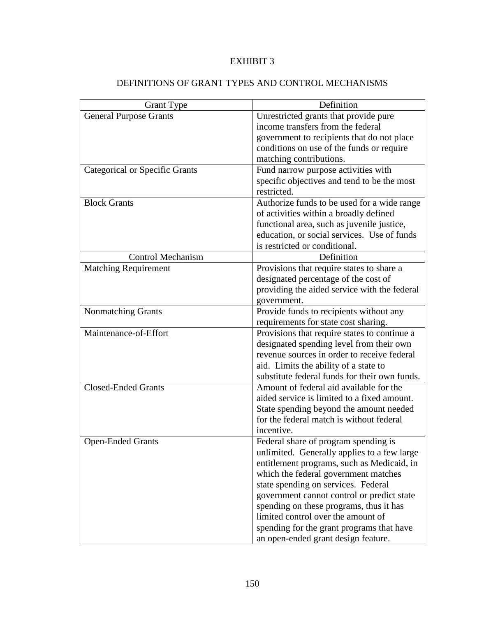# DEFINITIONS OF GRANT TYPES AND CONTROL MECHANISMS

| <b>Grant Type</b>                     | Definition                                    |
|---------------------------------------|-----------------------------------------------|
| <b>General Purpose Grants</b>         | Unrestricted grants that provide pure         |
|                                       | income transfers from the federal             |
|                                       | government to recipients that do not place    |
|                                       | conditions on use of the funds or require     |
|                                       | matching contributions.                       |
| <b>Categorical or Specific Grants</b> | Fund narrow purpose activities with           |
|                                       | specific objectives and tend to be the most   |
|                                       | restricted.                                   |
| <b>Block Grants</b>                   | Authorize funds to be used for a wide range   |
|                                       | of activities within a broadly defined        |
|                                       | functional area, such as juvenile justice,    |
|                                       | education, or social services. Use of funds   |
|                                       | is restricted or conditional.                 |
| <b>Control Mechanism</b>              | Definition                                    |
| <b>Matching Requirement</b>           | Provisions that require states to share a     |
|                                       | designated percentage of the cost of          |
|                                       | providing the aided service with the federal  |
|                                       | government.                                   |
| Nonmatching Grants                    | Provide funds to recipients without any       |
|                                       | requirements for state cost sharing.          |
| Maintenance-of-Effort                 | Provisions that require states to continue a  |
|                                       | designated spending level from their own      |
|                                       | revenue sources in order to receive federal   |
|                                       | aid. Limits the ability of a state to         |
|                                       | substitute federal funds for their own funds. |
| <b>Closed-Ended Grants</b>            | Amount of federal aid available for the       |
|                                       | aided service is limited to a fixed amount.   |
|                                       | State spending beyond the amount needed       |
|                                       | for the federal match is without federal      |
|                                       | incentive.                                    |
| <b>Open-Ended Grants</b>              | Federal share of program spending is          |
|                                       | unlimited. Generally applies to a few large   |
|                                       | entitlement programs, such as Medicaid, in    |
|                                       | which the federal government matches          |
|                                       | state spending on services. Federal           |
|                                       | government cannot control or predict state    |
|                                       | spending on these programs, thus it has       |
|                                       | limited control over the amount of            |
|                                       | spending for the grant programs that have     |
|                                       | an open-ended grant design feature.           |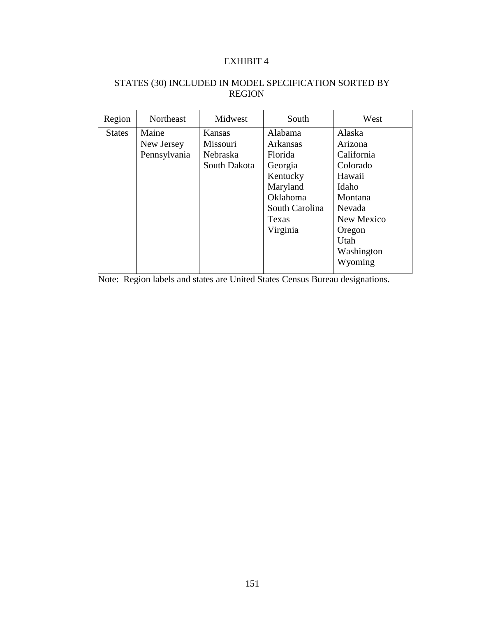### STATES (30) INCLUDED IN MODEL SPECIFICATION SORTED BY REGION

| Region        | Northeast    | Midwest      | South           | West       |
|---------------|--------------|--------------|-----------------|------------|
| <b>States</b> | Maine        | Kansas       | Alabama         | Alaska     |
|               | New Jersey   | Missouri     | <b>Arkansas</b> | Arizona    |
|               | Pennsylvania | Nebraska     | Florida         | California |
|               |              | South Dakota | Georgia         | Colorado   |
|               |              |              | Kentucky        | Hawaii     |
|               |              |              | Maryland        | Idaho      |
|               |              |              | Oklahoma        | Montana    |
|               |              |              | South Carolina  | Nevada     |
|               |              |              | Texas           | New Mexico |
|               |              |              | Virginia        | Oregon     |
|               |              |              |                 | Utah       |
|               |              |              |                 | Washington |
|               |              |              |                 | Wyoming    |

Note: Region labels and states are United States Census Bureau designations.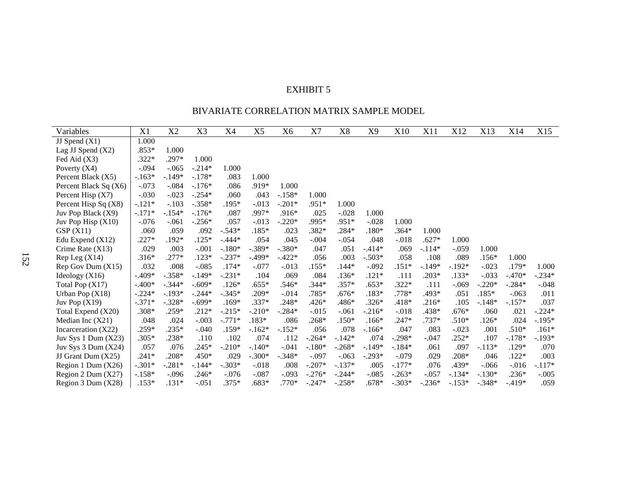### BIVARIATE CORRELATION MATRIX SAMPLE MODEL

| Variables               | X1       | X2       | X3       | X4       | X <sub>5</sub> | X6       | X7       | X8       | X9       | X10      | X11      | X12      | X13      | X14      | X15      |
|-------------------------|----------|----------|----------|----------|----------------|----------|----------|----------|----------|----------|----------|----------|----------|----------|----------|
| JJ Spend $(X1)$         | 1.000    |          |          |          |                |          |          |          |          |          |          |          |          |          |          |
| Lag JJ Spend $(X2)$     | $.853*$  | 1.000    |          |          |                |          |          |          |          |          |          |          |          |          |          |
| Fed Aid (X3)            | $.322*$  | .297*    | 1.000    |          |                |          |          |          |          |          |          |          |          |          |          |
| Poverty $(X4)$          | $-.094$  | $-.065$  | $-.214*$ | 1.000    |                |          |          |          |          |          |          |          |          |          |          |
| Percent Black (X5)      | $-.163*$ | $-.149*$ | $-.178*$ | .083     | 1.000          |          |          |          |          |          |          |          |          |          |          |
| Percent Black Sq (X6)   | $-.073$  | $-.084$  | $-.176*$ | .086     | .919*          | 1.000    |          |          |          |          |          |          |          |          |          |
| Percent Hisp (X7)       | $-.030$  | $-.023$  | $-.254*$ | .060     | .043           | $-.158*$ | 1.000    |          |          |          |          |          |          |          |          |
| Percent Hisp Sq $(X8)$  | $-.121*$ | $-.103$  | $-.358*$ | $.195*$  | $-0.013$       | $-.201*$ | $.951*$  | 1.000    |          |          |          |          |          |          |          |
| Juv Pop Black (X9)      | $-.171*$ | $-.154*$ | $-.176*$ | .087     | .997*          | $.916*$  | .025     | $-.028$  | 1.000    |          |          |          |          |          |          |
| Juv Pop Hisp $(X10)$    | $-.076$  | $-.061$  | $-.256*$ | .057     | $-0.013$       | $-.220*$ | .995*    | .951*    | $-.028$  | 1.000    |          |          |          |          |          |
| GSP(X11)                | .060     | .059     | .092     | $-.543*$ | $.185*$        | .023     | $.382*$  | $.284*$  | $.180*$  | $.364*$  | 1.000    |          |          |          |          |
| Edu Expend $(X12)$      | $.227*$  | .192*    | $.125*$  | $-.444*$ | .054           | .045     | $-.004$  | $-.054$  | .048     | $-.018$  | $.627*$  | 1.000    |          |          |          |
| Crime Rate $(X13)$      | .029     | .003     | $-.001$  | $-.180*$ | $-.389*$       | $-.380*$ | .047     | .051     | $-.414*$ | .069     | $-.114*$ | $-.059$  | 1.000    |          |          |
| Rep Leg(X14)            | $.316*$  | $.277*$  | $.123*$  | $-.237*$ | $-.499*$       | $-.422*$ | .056     | .003     | $-.503*$ | .058     | .108     | .089     | $.156*$  | 1.000    |          |
| Rep Gov Dum (X15)       | .032     | .008     | $-.085$  | $.174*$  | $-.077$        | $-0.013$ | $.155*$  | $.144*$  | $-.092$  | $.151*$  | $-.149*$ | $-.192*$ | $-.023$  | .179*    | 1.000    |
| Ideology $(X16)$        | $-.409*$ | $-.358*$ | $-.149*$ | $-.231*$ | .104           | .069     | .084     | $.136*$  | $.121*$  | .111     | $.203*$  | $.133*$  | $-.033$  | $-.470*$ | $-.234*$ |
| Total Pop (X17)         | $-.400*$ | $-.344*$ | $-.609*$ | $.126*$  | $.655*$        | .546*    | $.344*$  | $.357*$  | $.653*$  | $.322*$  | .111     | -.069    | $-.220*$ | $-.284*$ | $-.048$  |
| Urban Pop $(X18)$       | $-.224*$ | $-.193*$ | $-.244*$ | $-.345*$ | .209*          | $-0.014$ | .785*    | $.676*$  | $.183*$  | $.778*$  | .493*    | .051     | $.185*$  | $-.063$  | .011     |
| Juv Pop $(X19)$         | $-.371*$ | $-.328*$ | $-.699*$ | $.169*$  | .337*          | .248*    | $.426*$  | .486*    | $.326*$  | $.418*$  | $.216*$  | .105     | $-.148*$ | $-.157*$ | .037     |
| Total Expend (X20)      | .308*    | .259*    | $.212*$  | $-.215*$ | $-.210*$       | $-.284*$ | $-.015$  | $-.061$  | $-.216*$ | $-.018$  | .438*    | $.676*$  | .060     | .021     | $-.224*$ |
| Median Inc $(X21)$      | .048     | .024     | $-.003$  | $-.771*$ | $.183*$        | .086     | $.268*$  | $.150*$  | $.166*$  | $.247*$  | .737*    | $.510*$  | $.126*$  | .024     | $-.195*$ |
| Incarceration (X22)     | .259*    | $.235*$  | $-.040$  | $.159*$  | $-.162*$       | $-.152*$ | .056     | .078     | $-.166*$ | .047     | .083     | $-.023$  | .001     | $.510*$  | $.161*$  |
| Juv Sys 1 Dum $(X23)$   | $.305*$  | .238*    | .110     | .102     | .074           | .112     | $-.264*$ | $-.142*$ | .074     | $-.298*$ | $-.047$  | $.252*$  | .107     | $-.178*$ | $-.193*$ |
| Juv Sys $3$ Dum $(X24)$ | .057     | .076     | $.245*$  | $-.210*$ | $-.140*$       | $-.041$  | $-.180*$ | $-.268*$ | $-.149*$ | $-.184*$ | .061     | .097     | $-.113*$ | .129*    | .070     |
| JJ Grant Dum (X25)      | $.241*$  | $.208*$  | .450*    | .029     | $-.300*$       | $-.348*$ | $-.097$  | $-.063$  | $-.293*$ | $-.079$  | .029     | $.208*$  | .046     | $.122*$  | .003     |
| Region 1 Dum (X26)      | $-.301*$ | $-.281*$ | $-.144*$ | $-.303*$ | $-.018$        | .008     | $-.207*$ | $-.137*$ | .005     | $-.177*$ | .076     | .439*    | $-.066$  | $-0.016$ | $-.117*$ |
| Region 2 Dum (X27)      | $-.158*$ | $-.096$  | $.246*$  | $-.076$  | $-.087$        | $-.093$  | $-.276*$ | $-.244*$ | $-.085$  | $-.263*$ | $-.057$  | $-.134*$ | $-.130*$ | $.236*$  | $-.005$  |
| Region 3 Dum (X28)      | $.153*$  | $.131*$  | $-.051$  | $.375*$  | .683*          | $.770*$  | $-.247*$ | $-.258*$ | $.678*$  | $-.303*$ | $-.236*$ | $-.153*$ | $-.348*$ | $-.419*$ | .059     |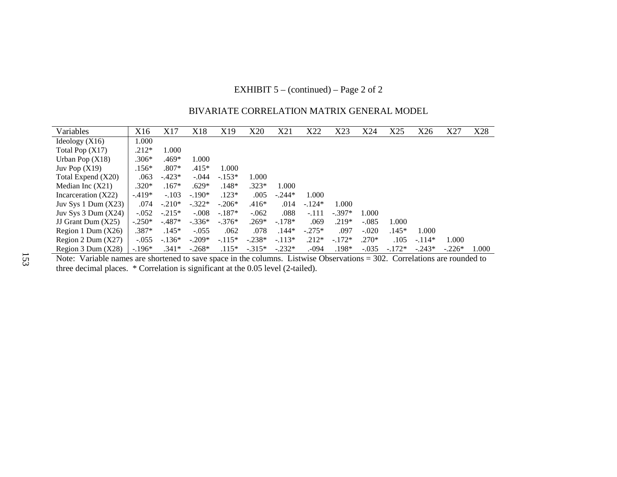### EXHIBIT 5 – (continued) – Page 2 of 2

| Variables               | X16      | X17      | X18      | X19      | X20      | X21      | X22      | X23      | X24     | X25      | X26      | X27      | X28   |
|-------------------------|----------|----------|----------|----------|----------|----------|----------|----------|---------|----------|----------|----------|-------|
| Ideology (X16)          | 1.000    |          |          |          |          |          |          |          |         |          |          |          |       |
| Total Pop $(X17)$       | $.212*$  | 1.000    |          |          |          |          |          |          |         |          |          |          |       |
| Urban Pop $(X18)$       | $.306*$  | .469*    | 1.000    |          |          |          |          |          |         |          |          |          |       |
| Juv Pop $(X19)$         | $.156*$  | $.807*$  | $.415*$  | 1.000    |          |          |          |          |         |          |          |          |       |
| Total Expend (X20)      | .063     | $-423*$  | $-.044$  | $-.153*$ | 1.000    |          |          |          |         |          |          |          |       |
| Median Inc (X21)        | $.320*$  | $.167*$  | $.629*$  | $.148*$  | $.323*$  | 1.000    |          |          |         |          |          |          |       |
| Incarceration (X22)     | $-.419*$ | $-.103$  | $-.190*$ | $.123*$  | .005     | $-.244*$ | 1.000    |          |         |          |          |          |       |
| Juv Sys 1 Dum (X23)     | .074     | $-.210*$ | $-.322*$ | $-.206*$ | $.416*$  | .014     | $-.124*$ | 1.000    |         |          |          |          |       |
| Juv Sys $3$ Dum $(X24)$ | $-.052$  | $-.215*$ | $-.008$  | $-.187*$ | $-.062$  | .088     | $-.111$  | $-.397*$ | 1.000   |          |          |          |       |
| JJ Grant Dum (X25)      | $-.250*$ | $-.487*$ | $-.336*$ | $-.376*$ | $.269*$  | $-.178*$ | .069     | $.219*$  | $-.085$ | 1.000    |          |          |       |
| Region 1 Dum $(X26)$    | $.387*$  | $.145*$  | $-.055$  | .062     | .078     | $.144*$  | $-.275*$ | .097     | $-.020$ | $.145*$  | 1.000    |          |       |
| Region 2 Dum (X27)      | $-.055$  | $-.136*$ | $-.209*$ | $-.115*$ | $-.238*$ | $-.113*$ | $.212*$  | $-.172*$ | $.270*$ | .105     | $-.114*$ | 1.000    |       |
| Region 3 Dum (X28)      | $-.196*$ | $.341*$  | $-.268*$ | $.115*$  | $-.315*$ | $-.232*$ | .094     | $.198*$  | $-.035$ | $-.172*$ | $-.243*$ | $-.226*$ | 1.000 |

### BIVARIATE CORRELATION MATRIX GENERAL MODEL

Region 3 Dum  $(X28)$  | -.196\* .341\* -.268\* .115\* -.315\* -.232\* .-094 .198\* -.035 -.172\* -.243\* -.226\* 1.000<br>Note: Variable names are shortened to save space in the columns. Listwise Observations = 302. Correlations are rou

 $\overline{\phantom{0}}$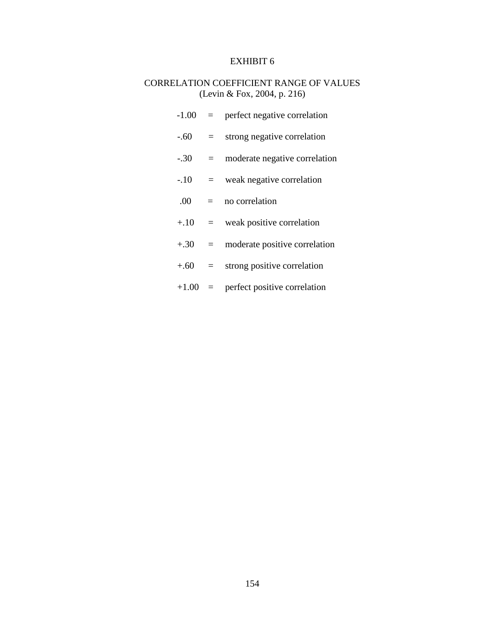# CORRELATION COEFFICIENT RANGE OF VALUES (Levin & Fox, 2004, p. 216)

| $-1.00$   | $=$     | perfect negative correlation  |
|-----------|---------|-------------------------------|
| $-.60$    | $=$ $-$ | strong negative correlation   |
| $-.30$    | $=$     | moderate negative correlation |
| $-.10$    | $=$     | weak negative correlation     |
| .00.      | $=$     | no correlation                |
| $+10 =$   |         | weak positive correlation     |
| $+.30 =$  |         | moderate positive correlation |
| $+.60$    | $=$ $-$ | strong positive correlation   |
| $+1.00 =$ |         | perfect positive correlation  |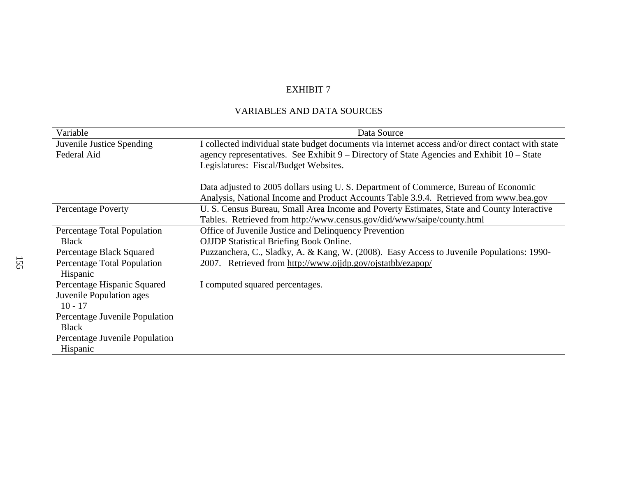# VARIABLES AND DATA SOURCES

| Variable                       | Data Source                                                                                        |
|--------------------------------|----------------------------------------------------------------------------------------------------|
| Juvenile Justice Spending      | I collected individual state budget documents via internet access and/or direct contact with state |
| Federal Aid                    | agency representatives. See Exhibit 9 – Directory of State Agencies and Exhibit 10 – State         |
|                                | Legislatures: Fiscal/Budget Websites.                                                              |
|                                |                                                                                                    |
|                                | Data adjusted to 2005 dollars using U.S. Department of Commerce, Bureau of Economic                |
|                                | Analysis, National Income and Product Accounts Table 3.9.4. Retrieved from www.bea.gov             |
| <b>Percentage Poverty</b>      | U. S. Census Bureau, Small Area Income and Poverty Estimates, State and County Interactive         |
|                                | Tables. Retrieved from http://www.census.gov/did/www/saipe/county.html                             |
| Percentage Total Population    | Office of Juvenile Justice and Delinquency Prevention                                              |
| <b>Black</b>                   | <b>OJJDP</b> Statistical Briefing Book Online.                                                     |
| Percentage Black Squared       | Puzzanchera, C., Sladky, A. & Kang, W. (2008). Easy Access to Juvenile Populations: 1990-          |
| Percentage Total Population    | 2007. Retrieved from http://www.ojjdp.gov/ojstatbb/ezapop/                                         |
| Hispanic                       |                                                                                                    |
| Percentage Hispanic Squared    | I computed squared percentages.                                                                    |
| Juvenile Population ages       |                                                                                                    |
| $10 - 17$                      |                                                                                                    |
| Percentage Juvenile Population |                                                                                                    |
| <b>Black</b>                   |                                                                                                    |
| Percentage Juvenile Population |                                                                                                    |
| Hispanic                       |                                                                                                    |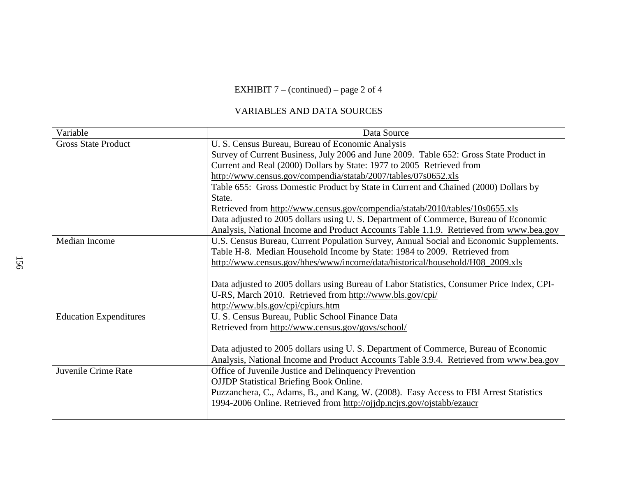### EXHIBIT 7 – (continued) – page 2 of 4

# VARIABLES AND DATA SOURCES

| Variable                      | Data Source                                                                                |
|-------------------------------|--------------------------------------------------------------------------------------------|
| <b>Gross State Product</b>    | U. S. Census Bureau, Bureau of Economic Analysis                                           |
|                               | Survey of Current Business, July 2006 and June 2009. Table 652: Gross State Product in     |
|                               | Current and Real (2000) Dollars by State: 1977 to 2005 Retrieved from                      |
|                               | http://www.census.gov/compendia/statab/2007/tables/07s0652.xls                             |
|                               | Table 655: Gross Domestic Product by State in Current and Chained (2000) Dollars by        |
|                               | State.                                                                                     |
|                               | Retrieved from http://www.census.gov/compendia/statab/2010/tables/10s0655.xls              |
|                               | Data adjusted to 2005 dollars using U.S. Department of Commerce, Bureau of Economic        |
|                               | Analysis, National Income and Product Accounts Table 1.1.9. Retrieved from www.bea.gov     |
| Median Income                 | U.S. Census Bureau, Current Population Survey, Annual Social and Economic Supplements.     |
|                               | Table H-8. Median Household Income by State: 1984 to 2009. Retrieved from                  |
|                               | http://www.census.gov/hhes/www/income/data/historical/household/H08_2009.xls               |
|                               |                                                                                            |
|                               | Data adjusted to 2005 dollars using Bureau of Labor Statistics, Consumer Price Index, CPI- |
|                               | U-RS, March 2010. Retrieved from http://www.bls.gov/cpi/                                   |
|                               | http://www.bls.gov/cpi/cpiurs.htm                                                          |
| <b>Education Expenditures</b> | U. S. Census Bureau, Public School Finance Data                                            |
|                               | Retrieved from http://www.census.gov/govs/school/                                          |
|                               |                                                                                            |
|                               | Data adjusted to 2005 dollars using U.S. Department of Commerce, Bureau of Economic        |
|                               | Analysis, National Income and Product Accounts Table 3.9.4. Retrieved from www.bea.gov     |
| Juvenile Crime Rate           | Office of Juvenile Justice and Delinquency Prevention                                      |
|                               | <b>OJJDP</b> Statistical Briefing Book Online.                                             |
|                               | Puzzanchera, C., Adams, B., and Kang, W. (2008). Easy Access to FBI Arrest Statistics      |
|                               | 1994-2006 Online. Retrieved from http://ojjdp.ncjrs.gov/ojstabb/ezaucr                     |
|                               |                                                                                            |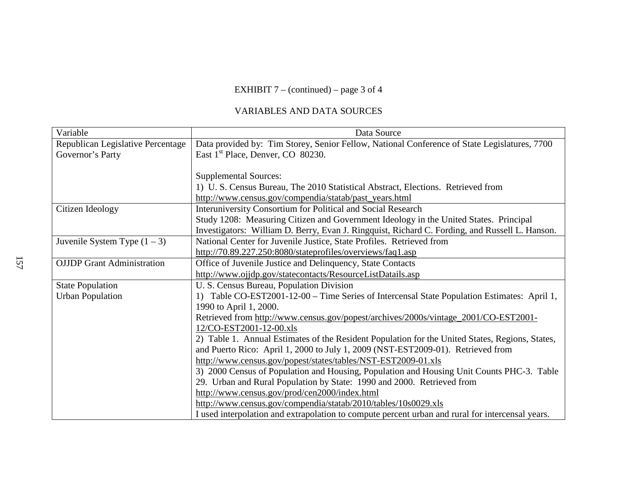# EXHIBIT 7 – (continued) – page 3 of 4

# VARIABLES AND DATA SOURCES

| Variable                          | Data Source                                                                                      |
|-----------------------------------|--------------------------------------------------------------------------------------------------|
| Republican Legislative Percentage | Data provided by: Tim Storey, Senior Fellow, National Conference of State Legislatures, 7700     |
| Governor's Party                  | East 1 <sup>st</sup> Place, Denver, CO 80230.                                                    |
|                                   |                                                                                                  |
|                                   | <b>Supplemental Sources:</b>                                                                     |
|                                   | 1) U. S. Census Bureau, The 2010 Statistical Abstract, Elections. Retrieved from                 |
|                                   | http://www.census.gov/compendia/statab/past_years.html                                           |
| Citizen Ideology                  | <b>Interuniversity Consortium for Political and Social Research</b>                              |
|                                   | Study 1208: Measuring Citizen and Government Ideology in the United States. Principal            |
|                                   | Investigators: William D. Berry, Evan J. Ringquist, Richard C. Fording, and Russell L. Hanson.   |
| Juvenile System Type $(1 – 3)$    | National Center for Juvenile Justice, State Profiles. Retrieved from                             |
|                                   | http://70.89.227.250:8080/stateprofiles/overviews/faq1.asp                                       |
| <b>OJJDP</b> Grant Administration | Office of Juvenile Justice and Delinquency, State Contacts                                       |
|                                   | http://www.ojjdp.gov/statecontacts/ResourceListDatails.asp                                       |
| <b>State Population</b>           | U. S. Census Bureau, Population Division                                                         |
| <b>Urban Population</b>           | 1) Table CO-EST2001-12-00 – Time Series of Intercensal State Population Estimates: April 1,      |
|                                   | 1990 to April 1, 2000.                                                                           |
|                                   | Retrieved from http://www.census.gov/popest/archives/2000s/vintage_2001/CO-EST2001-              |
|                                   | 12/CO-EST2001-12-00.xls                                                                          |
|                                   | 2) Table 1. Annual Estimates of the Resident Population for the United States, Regions, States,  |
|                                   | and Puerto Rico: April 1, 2000 to July 1, 2009 (NST-EST2009-01). Retrieved from                  |
|                                   | http://www.census.gov/popest/states/tables/NST-EST2009-01.xls                                    |
|                                   | 3) 2000 Census of Population and Housing, Population and Housing Unit Counts PHC-3. Table        |
|                                   | 29. Urban and Rural Population by State: 1990 and 2000. Retrieved from                           |
|                                   | http://www.census.gov/prod/cen2000/index.html                                                    |
|                                   | http://www.census.gov/compendia/statab/2010/tables/10s0029.xls                                   |
|                                   | I used interpolation and extrapolation to compute percent urban and rural for intercensal years. |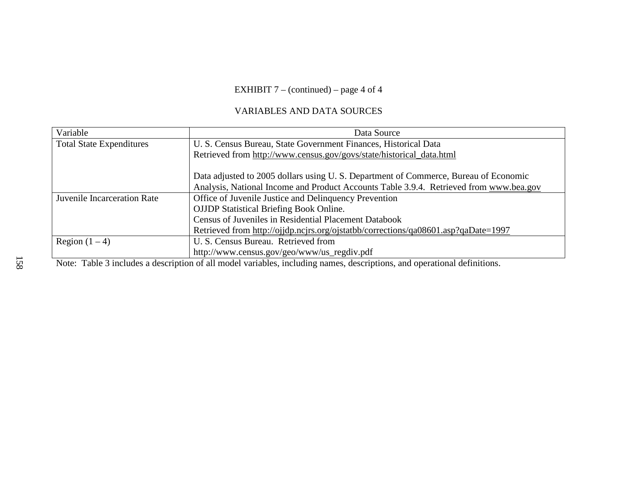# EXHIBIT 7 – (continued) – page 4 of 4

# VARIABLES AND DATA SOURCES

| Variable                        | Data Source                                                                            |  |  |  |  |  |  |
|---------------------------------|----------------------------------------------------------------------------------------|--|--|--|--|--|--|
| <b>Total State Expenditures</b> | U. S. Census Bureau, State Government Finances, Historical Data                        |  |  |  |  |  |  |
|                                 | Retrieved from http://www.census.gov/govs/state/historical_data.html                   |  |  |  |  |  |  |
|                                 |                                                                                        |  |  |  |  |  |  |
|                                 | Data adjusted to 2005 dollars using U.S. Department of Commerce, Bureau of Economic    |  |  |  |  |  |  |
|                                 | Analysis, National Income and Product Accounts Table 3.9.4. Retrieved from www.bea.gov |  |  |  |  |  |  |
| Juvenile Incarceration Rate     | Office of Juvenile Justice and Delinquency Prevention                                  |  |  |  |  |  |  |
|                                 | <b>OJJDP</b> Statistical Briefing Book Online.                                         |  |  |  |  |  |  |
|                                 | Census of Juveniles in Residential Placement Databook                                  |  |  |  |  |  |  |
|                                 | Retrieved from http://ojjdp.ncjrs.org/ojstatbb/corrections/qa08601.asp?qaDate=1997     |  |  |  |  |  |  |
| Region $(1 – 4)$                | U. S. Census Bureau. Retrieved from                                                    |  |  |  |  |  |  |
|                                 | http://www.census.gov/geo/www/us_regdiv.pdf                                            |  |  |  |  |  |  |

Note: Table 3 includes a description of all model variables, including names, descriptions, and operational definitions.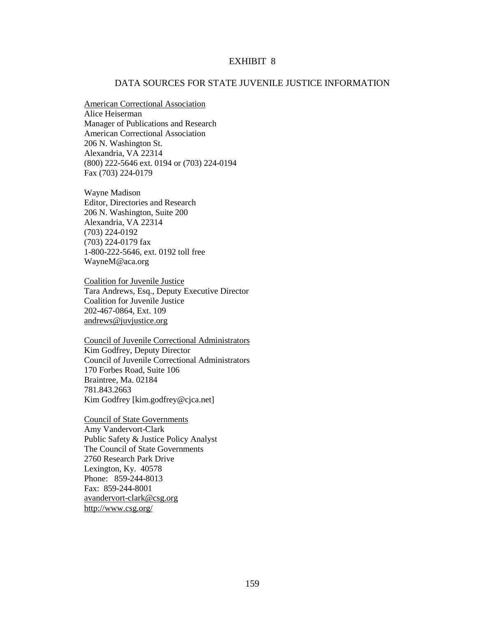#### DATA SOURCES FOR STATE JUVENILE JUSTICE INFORMATION

American Correctional Association Alice Heiserman Manager of Publications and Research American Correctional Association 206 N. Washington St. Alexandria, VA 22314 (800) 222-5646 ext. 0194 or (703) 224-0194 Fax (703) 224-0179

Wayne Madison Editor, Directories and Research 206 N. Washington, Suite 200 Alexandria, VA 22314 (703) 224-0192 (703) 224-0179 fax 1-800-222-5646, ext. 0192 toll free WayneM@aca.org

Coalition for Juvenile Justice Tara Andrews, Esq., Deputy Executive Director Coalition for Juvenile Justice 202-467-0864, Ext. 109 andrews@juvjustice.org

Council of Juvenile Correctional Administrators Kim Godfrey, Deputy Director Council of Juvenile Correctional Administrators 170 Forbes Road, Suite 106 Braintree, Ma. 02184 781.843.2663 Kim Godfrey [kim.godfrey@cjca.net]

Council of State Governments Amy Vandervort-Clark Public Safety & Justice Policy Analyst The Council of State Governments 2760 Research Park Drive Lexington, Ky. 40578 Phone: 859-244-8013 Fax: 859-244-8001 avandervort-clark@csg.org http://www.csg.org/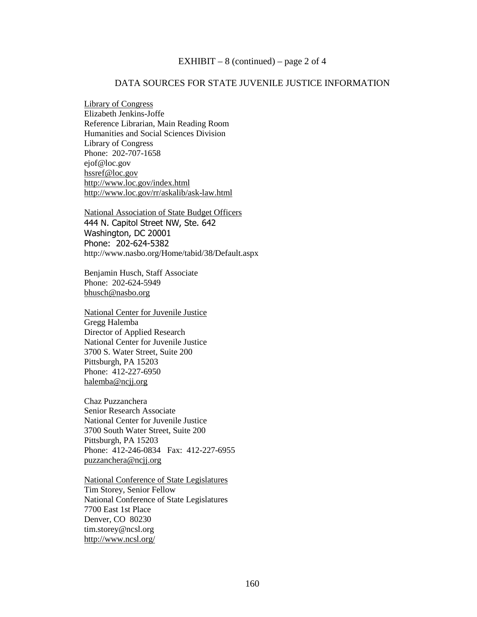#### EXHIBIT – 8 (continued) – page 2 of 4

### DATA SOURCES FOR STATE JUVENILE JUSTICE INFORMATION

Library of Congress Elizabeth Jenkins-Joffe Reference Librarian, Main Reading Room Humanities and Social Sciences Division Library of Congress Phone: 202-707-1658 ejof@loc.gov hssref@loc.gov http://www.loc.gov/index.html http://www.loc.gov/rr/askalib/ask-law.html

National Association of State Budget Officers 444 N. Capitol Street NW, Ste. 642 Washington, DC 20001 Phone: 202-624-5382 http://www.nasbo.org/Home/tabid/38/Default.aspx

Benjamin Husch, Staff Associate Phone: 202-624-5949 bhusch@nasbo.org

National Center for Juvenile Justice Gregg Halemba Director of Applied Research National Center for Juvenile Justice 3700 S. Water Street, Suite 200 Pittsburgh, PA 15203 Phone: 412-227-6950 halemba@ncjj.org

Chaz Puzzanchera Senior Research Associate National Center for Juvenile Justice 3700 South Water Street, Suite 200 Pittsburgh, PA 15203 Phone: 412-246-0834 Fax: 412-227-6955 puzzanchera@ncjj.org

National Conference of State Legislatures Tim Storey, Senior Fellow National Conference of State Legislatures 7700 East 1st Place Denver, CO 80230 tim.storey@ncsl.org http://www.ncsl.org/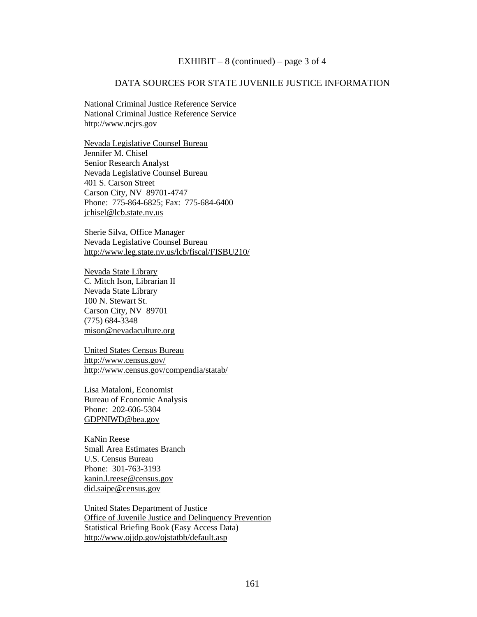#### EXHIBIT – 8 (continued) – page 3 of 4

### DATA SOURCES FOR STATE JUVENILE JUSTICE INFORMATION

National Criminal Justice Reference Service National Criminal Justice Reference Service http://www.ncjrs.gov

Nevada Legislative Counsel Bureau Jennifer M. Chisel Senior Research Analyst Nevada Legislative Counsel Bureau 401 S. Carson Street Carson City, NV 89701-4747 Phone: 775-864-6825; Fax: 775-684-6400 jchisel@lcb.state.nv.us

Sherie Silva, Office Manager Nevada Legislative Counsel Bureau http://www.leg.state.nv.us/lcb/fiscal/FISBU210/

Nevada State Library C. Mitch Ison, Librarian II Nevada State Library 100 N. Stewart St. Carson City, NV 89701 (775) 684-3348 mison@nevadaculture.org

United States Census Bureau http://www.census.gov/ http://www.census.gov/compendia/statab/

Lisa Mataloni, Economist Bureau of Economic Analysis Phone: 202-606-5304 GDPNIWD@bea.gov

KaNin Reese Small Area Estimates Branch U.S. Census Bureau Phone: 301-763-3193 kanin.l.reese@census.gov did.saipe@census.gov

United States Department of Justice Office of Juvenile Justice and Delinquency Prevention Statistical Briefing Book (Easy Access Data) http://www.ojjdp.gov/ojstatbb/default.asp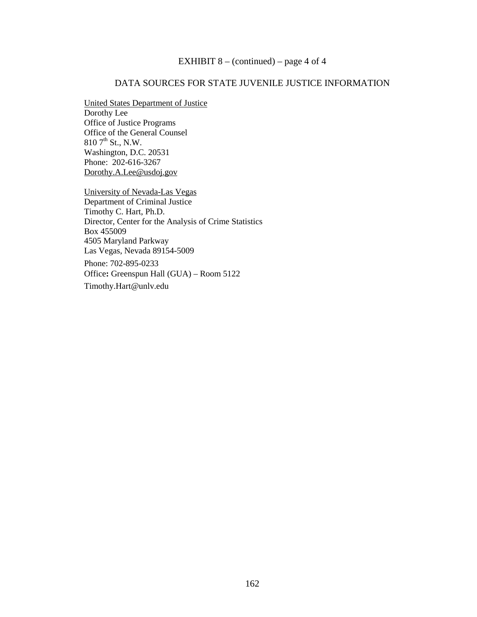### EXHIBIT  $8 - (continued) - page 4 of 4$

### DATA SOURCES FOR STATE JUVENILE JUSTICE INFORMATION

#### United States Department of Justice

Dorothy Lee Office of Justice Programs Office of the General Counsel  $810$  7<sup>th</sup> St., N.W. Washington, D.C. 20531 Phone: 202-616-3267 Dorothy.A.Lee@usdoj.gov

University of Nevada-Las Vegas Department of Criminal Justice Timothy C. Hart, Ph.D. Director, Center for the Analysis of Crime Statistics Box 455009 4505 Maryland Parkway Las Vegas, Nevada 89154-5009 Phone: 702-895-0233

Office**:** Greenspun Hall (GUA) – Room 5122

Timothy.Hart@unlv.edu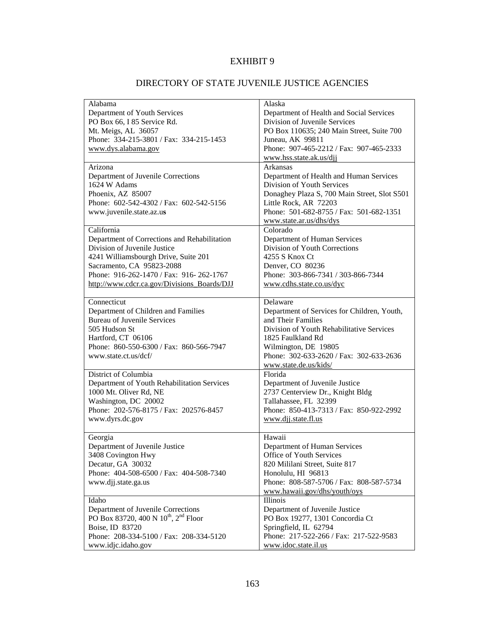# DIRECTORY OF STATE JUVENILE JUSTICE AGENCIES

| Alabama                                                      | Alaska                                       |  |
|--------------------------------------------------------------|----------------------------------------------|--|
| Department of Youth Services                                 | Department of Health and Social Services     |  |
| PO Box 66, I 85 Service Rd.                                  | Division of Juvenile Services                |  |
| Mt. Meigs, AL 36057                                          | PO Box 110635; 240 Main Street, Suite 700    |  |
| Phone: 334-215-3801 / Fax: 334-215-1453                      | Juneau, AK 99811                             |  |
| www.dys.alabama.gov                                          | Phone: 907-465-2212 / Fax: 907-465-2333      |  |
|                                                              | www.hss.state.ak.us/djj                      |  |
| Arizona                                                      | Arkansas                                     |  |
| Department of Juvenile Corrections                           | Department of Health and Human Services      |  |
| 1624 W Adams                                                 | Division of Youth Services                   |  |
| Phoenix, AZ 85007                                            | Donaghey Plaza S, 700 Main Street, Slot S501 |  |
| Phone: 602-542-4302 / Fax: 602-542-5156                      | Little Rock, AR 72203                        |  |
| www.juvenile.state.az.us                                     | Phone: 501-682-8755 / Fax: 501-682-1351      |  |
|                                                              |                                              |  |
| California                                                   | www.state.ar.us/dhs/dys<br>Colorado          |  |
|                                                              |                                              |  |
| Department of Corrections and Rehabilitation                 | Department of Human Services                 |  |
| Division of Juvenile Justice                                 | Division of Youth Corrections                |  |
| 4241 Williamsbourgh Drive, Suite 201                         | 4255 S Knox Ct                               |  |
| Sacramento, CA 95823-2088                                    | Denver, CO 80236                             |  |
| Phone: 916-262-1470 / Fax: 916-262-1767                      | Phone: 303-866-7341 / 303-866-7344           |  |
| http://www.cdcr.ca.gov/Divisions_Boards/DJJ                  | www.cdhs.state.co.us/dyc                     |  |
|                                                              |                                              |  |
| Connecticut                                                  | Delaware                                     |  |
| Department of Children and Families                          | Department of Services for Children, Youth,  |  |
| <b>Bureau of Juvenile Services</b>                           | and Their Families                           |  |
| 505 Hudson St                                                | Division of Youth Rehabilitative Services    |  |
| Hartford, CT 06106                                           | 1825 Faulkland Rd                            |  |
| Phone: 860-550-6300 / Fax: 860-566-7947                      | Wilmington, DE 19805                         |  |
| www.state.ct.us/dcf/                                         | Phone: 302-633-2620 / Fax: 302-633-2636      |  |
|                                                              | www.state.de.us/kids/                        |  |
| District of Columbia                                         | Florida                                      |  |
| Department of Youth Rehabilitation Services                  | Department of Juvenile Justice               |  |
| 1000 Mt. Oliver Rd, NE                                       | 2737 Centerview Dr., Knight Bldg             |  |
| Washington, DC 20002                                         | Tallahassee, FL 32399                        |  |
| Phone: 202-576-8175 / Fax: 202576-8457                       | Phone: 850-413-7313 / Fax: 850-922-2992      |  |
| www.dyrs.dc.gov                                              | www.djj.state.fl.us                          |  |
|                                                              |                                              |  |
| Georgia                                                      | Hawaii                                       |  |
| Department of Juvenile Justice                               | Department of Human Services                 |  |
| 3408 Covington Hwy                                           | Office of Youth Services                     |  |
| Decatur, GA 30032                                            | 820 Mililani Street, Suite 817               |  |
| Phone: 404-508-6500 / Fax: 404-508-7340                      | Honolulu, HI 96813                           |  |
|                                                              |                                              |  |
| www.djj.state.ga.us                                          | Phone: 808-587-5706 / Fax: 808-587-5734      |  |
|                                                              | www.hawaii.gov/dhs/youth/oys                 |  |
| Idaho                                                        | Illinois                                     |  |
| Department of Juvenile Corrections                           | Department of Juvenile Justice               |  |
| PO Box 83720, 400 N 10 <sup>th</sup> , 2 <sup>nd</sup> Floor | PO Box 19277, 1301 Concordia Ct              |  |
| Boise, ID 83720                                              | Springfield, IL 62794                        |  |
| Phone: 208-334-5100 / Fax: 208-334-5120                      | Phone: 217-522-266 / Fax: 217-522-9583       |  |
| www.idjc.idaho.gov                                           | www.idoc.state.il.us                         |  |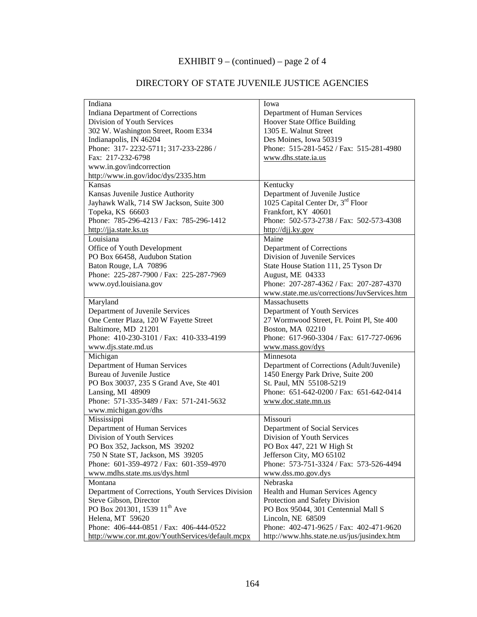# EXHIBIT 9 – (continued) – page 2 of 4

| Indiana                                            | Iowa                                          |  |
|----------------------------------------------------|-----------------------------------------------|--|
| Indiana Department of Corrections                  | Department of Human Services                  |  |
| Division of Youth Services                         | Hoover State Office Building                  |  |
| 302 W. Washington Street, Room E334                | 1305 E. Walnut Street                         |  |
| Indianapolis, IN 46204                             | Des Moines, Iowa 50319                        |  |
| Phone: 317-2232-5711; 317-233-2286 /               | Phone: 515-281-5452 / Fax: 515-281-4980       |  |
| Fax: 217-232-6798                                  | www.dhs.state.ia.us                           |  |
| www.in.gov/indcorrection                           |                                               |  |
| http://www.in.gov/idoc/dys/2335.htm                |                                               |  |
| Kansas                                             | Kentucky                                      |  |
| Kansas Juvenile Justice Authority                  | Department of Juvenile Justice                |  |
| Jayhawk Walk, 714 SW Jackson, Suite 300            | 1025 Capital Center Dr, 3 <sup>rd</sup> Floor |  |
| Topeka, KS 66603                                   | Frankfort, KY 40601                           |  |
| Phone: 785-296-4213 / Fax: 785-296-1412            | Phone: 502-573-2738 / Fax: 502-573-4308       |  |
| http://jja.state.ks.us                             | $\frac{http://dij.ky.gov}{$                   |  |
| Louisiana                                          | Maine                                         |  |
| Office of Youth Development                        | Department of Corrections                     |  |
| PO Box 66458, Audubon Station                      | Division of Juvenile Services                 |  |
| Baton Rouge, LA 70896                              | State House Station 111, 25 Tyson Dr          |  |
| Phone: 225-287-7900 / Fax: 225-287-7969            | August, ME 04333                              |  |
| www.oyd.louisiana.gov                              | Phone: 207-287-4362 / Fax: 207-287-4370       |  |
|                                                    | www.state.me.us/corrections/JuvServices.htm   |  |
| Maryland                                           | Massachusetts                                 |  |
| Department of Juvenile Services                    | Department of Youth Services                  |  |
| One Center Plaza, 120 W Fayette Street             | 27 Wormwood Street, Ft. Point Pl, Ste 400     |  |
| Baltimore, MD 21201                                | Boston, MA 02210                              |  |
| Phone: 410-230-3101 / Fax: 410-333-4199            | Phone: 617-960-3304 / Fax: 617-727-0696       |  |
| www.djs.state.md.us                                | www.mass.gov/dys                              |  |
| Michigan                                           | Minnesota                                     |  |
| Department of Human Services                       | Department of Corrections (Adult/Juvenile)    |  |
| Bureau of Juvenile Justice                         | 1450 Energy Park Drive, Suite 200             |  |
| PO Box 30037, 235 S Grand Ave, Ste 401             | St. Paul, MN 55108-5219                       |  |
| Lansing, MI 48909                                  | Phone: 651-642-0200 / Fax: 651-642-0414       |  |
| Phone: 571-335-3489 / Fax: 571-241-5632            | www.doc.state.mn.us                           |  |
| www.michigan.gov/dhs                               |                                               |  |
| Mississippi                                        | Missouri                                      |  |
| Department of Human Services                       | Department of Social Services                 |  |
| Division of Youth Services                         | Division of Youth Services                    |  |
| PO Box 352, Jackson, MS 39202                      | PO Box 447, 221 W High St                     |  |
| 750 N State ST, Jackson, MS 39205                  | Jefferson City, MO 65102                      |  |
| Phone: 601-359-4972 / Fax: 601-359-4970            | Phone: 573-751-3324 / Fax: 573-526-4494       |  |
| www.mdhs.state.ms.us/dys.html                      | www.dss.mo.gov.dys                            |  |
| Montana                                            | Nebraska                                      |  |
| Department of Corrections, Youth Services Division | Health and Human Services Agency              |  |
| Steve Gibson, Director                             | Protection and Safety Division                |  |
| PO Box 201301, 1539 11 <sup>th</sup> Ave           | PO Box 95044, 301 Centennial Mall S           |  |
| Helena, MT 59620                                   | Lincoln, NE 68509                             |  |
| Phone: 406-444-0851 / Fax: 406-444-0522            | Phone: 402-471-9625 / Fax: 402-471-9620       |  |
| http://www.cor.mt.gov/YouthServices/default.mcpx   | http://www.hhs.state.ne.us/jus/jusindex.htm   |  |

### DIRECTORY OF STATE JUVENILE JUSTICE AGENCIES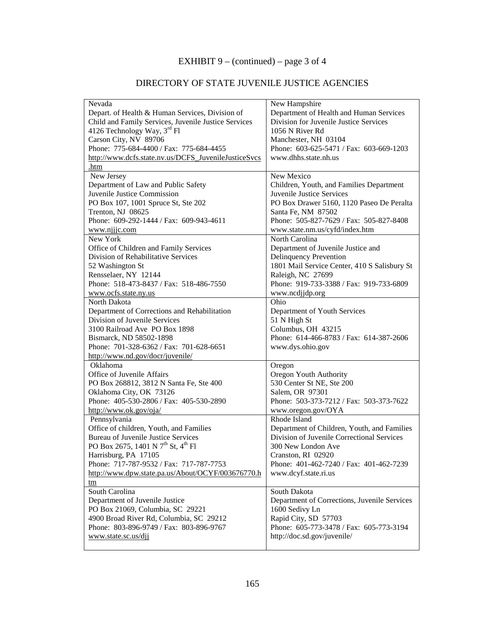# EXHIBIT 9 – (continued) – page 3 of 4

# DIRECTORY OF STATE JUVENILE JUSTICE AGENCIES

| Nevada                                                     | New Hampshire                                |  |
|------------------------------------------------------------|----------------------------------------------|--|
| Depart. of Health & Human Services, Division of            | Department of Health and Human Services      |  |
| Child and Family Services, Juvenile Justice Services       | Division for Juvenile Justice Services       |  |
| 4126 Technology Way, $3^{\text{rd}}$ Fl                    | 1056 N River Rd                              |  |
| Carson City, NV 89706                                      | Manchester, NH 03104                         |  |
| Phone: 775-684-4400 / Fax: 775-684-4455                    | Phone: 603-625-5471 / Fax: 603-669-1203      |  |
| http://www.dcfs.state.nv.us/DCFS_JuvenileJusticeSvcs       | www.dhhs.state.nh.us                         |  |
| .htm                                                       |                                              |  |
| New Jersey                                                 | New Mexico                                   |  |
| Department of Law and Public Safety                        | Children, Youth, and Families Department     |  |
| Juvenile Justice Commission                                | Juvenile Justice Services                    |  |
| PO Box 107, 1001 Spruce St, Ste 202                        | PO Box Drawer 5160, 1120 Paseo De Peralta    |  |
| Trenton, NJ 08625                                          | Santa Fe, NM 87502                           |  |
| Phone: 609-292-1444 / Fax: 609-943-4611                    | Phone: 505-827-7629 / Fax: 505-827-8408      |  |
| www.njjjc.com                                              | www.state.nm.us/cyfd/index.htm               |  |
| New York                                                   | North Carolina                               |  |
| Office of Children and Family Services                     | Department of Juvenile Justice and           |  |
| Division of Rehabilitative Services                        | Delinquency Prevention                       |  |
| 52 Washington St                                           | 1801 Mail Service Center, 410 S Salisbury St |  |
| Rensselaer, NY 12144                                       | Raleigh, NC 27699                            |  |
| Phone: 518-473-8437 / Fax: 518-486-7550                    | Phone: 919-733-3388 / Fax: 919-733-6809      |  |
| www.ocfs.state.ny.us                                       | www.ncdjjdp.org                              |  |
| North Dakota                                               | Ohio                                         |  |
| Department of Corrections and Rehabilitation               | Department of Youth Services                 |  |
| Division of Juvenile Services                              | 51 N High St                                 |  |
| 3100 Railroad Ave PO Box 1898                              | Columbus, OH 43215                           |  |
| Bismarck, ND 58502-1898                                    | Phone: 614-466-8783 / Fax: 614-387-2606      |  |
| Phone: 701-328-6362 / Fax: 701-628-6651                    | www.dys.ohio.gov                             |  |
| http://www.nd.gov/docr/juvenile/                           |                                              |  |
| Oklahoma                                                   | Oregon                                       |  |
| Office of Juvenile Affairs                                 | Oregon Youth Authority                       |  |
| PO Box 268812, 3812 N Santa Fe, Ste 400                    | 530 Center St NE, Ste 200                    |  |
| Oklahoma City, OK 73126                                    | Salem, OR 97301                              |  |
| Phone: 405-530-2806 / Fax: 405-530-2890                    | Phone: 503-373-7212 / Fax: 503-373-7622      |  |
| http://www.ok.gov/oja/                                     | www.oregon.gov/OYA                           |  |
| Pennsylvania                                               | Rhode Island                                 |  |
| Office of children, Youth, and Families                    | Department of Children, Youth, and Families  |  |
| <b>Bureau of Juvenile Justice Services</b>                 | Division of Juvenile Correctional Services   |  |
| PO Box 2675, 1401 N 7 <sup>th</sup> St, 4 <sup>th</sup> Fl | 300 New London Ave                           |  |
| Harrisburg, PA 17105                                       | Cranston, RI 02920                           |  |
| Phone: 717-787-9532 / Fax: 717-787-7753                    | Phone: 401-462-7240 / Fax: 401-462-7239      |  |
| http://www.dpw.state.pa.us/About/OCYF/003676770.h          | www.dcyf.state.ri.us                         |  |
| tm                                                         |                                              |  |
| South Carolina                                             | South Dakota                                 |  |
| Department of Juvenile Justice                             | Department of Corrections, Juvenile Services |  |
| PO Box 21069, Columbia, SC 29221                           | 1600 Sedivy Ln                               |  |
| 4900 Broad River Rd, Columbia, SC 29212                    | Rapid City, SD 57703                         |  |
| Phone: 803-896-9749 / Fax: 803-896-9767                    | Phone: 605-773-3478 / Fax: 605-773-3194      |  |
| www.state.sc.us/djj                                        | http://doc.sd.gov/juvenile/                  |  |
|                                                            |                                              |  |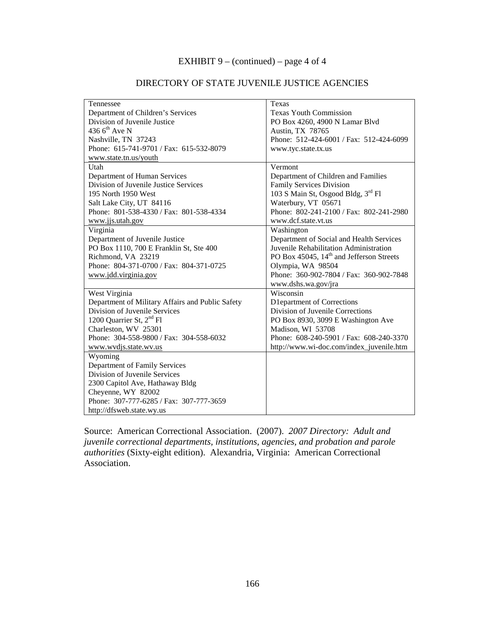### EXHIBIT 9 – (continued) – page 4 of 4

| Tennessee                                        | Texas                                                |
|--------------------------------------------------|------------------------------------------------------|
| Department of Children's Services                | <b>Texas Youth Commission</b>                        |
| Division of Juvenile Justice                     | PO Box 4260, 4900 N Lamar Blvd                       |
| 436 $6^{th}$ Ave N                               | Austin, TX 78765                                     |
| Nashville, TN 37243                              | Phone: 512-424-6001 / Fax: 512-424-6099              |
| Phone: 615-741-9701 / Fax: 615-532-8079          | www.tyc.state.tx.us                                  |
| www.state.tn.us/youth                            |                                                      |
| Utah                                             | Vermont                                              |
| Department of Human Services                     | Department of Children and Families                  |
| Division of Juvenile Justice Services            | Family Services Division                             |
| 195 North 1950 West                              | 103 S Main St, Osgood Bldg, 3rd Fl                   |
| Salt Lake City, UT 84116                         | Waterbury, VT 05671                                  |
| Phone: 801-538-4330 / Fax: 801-538-4334          | Phone: 802-241-2100 / Fax: 802-241-2980              |
| www.jjs.utah.gov                                 | www.dcf.state.vt.us                                  |
| Virginia                                         | Washington                                           |
| Department of Juvenile Justice                   | Department of Social and Health Services             |
| PO Box 1110, 700 E Franklin St, Ste 400          | Juvenile Rehabilitation Administration               |
| Richmond, VA 23219                               | PO Box 45045, 14 <sup>th</sup> and Jefferson Streets |
| Phone: 804-371-0700 / Fax: 804-371-0725          | Olympia, WA 98504                                    |
| www.jdd.virginia.gov                             | Phone: 360-902-7804 / Fax: 360-902-7848              |
|                                                  | www.dshs.wa.gov/jra                                  |
| West Virginia                                    | Wisconsin                                            |
| Department of Military Affairs and Public Safety | D1epartment of Corrections                           |
| Division of Juvenile Services                    | Division of Juvenile Corrections                     |
| 1200 Quarrier St, 2 <sup>nd</sup> Fl             | PO Box 8930, 3099 E Washington Ave                   |
| Charleston, WV 25301                             | Madison, WI 53708                                    |
| Phone: 304-558-9800 / Fax: 304-558-6032          | Phone: 608-240-5901 / Fax: 608-240-3370              |
| www.wvdjs.state.wv.us                            | http://www.wi-doc.com/index_juvenile.htm             |
| Wyoming                                          |                                                      |
| Department of Family Services                    |                                                      |
| Division of Juvenile Services                    |                                                      |
| 2300 Capitol Ave, Hathaway Bldg                  |                                                      |
| Cheyenne, WY 82002                               |                                                      |
| Phone: 307-777-6285 / Fax: 307-777-3659          |                                                      |
| http://dfsweb.state.wy.us                        |                                                      |

### DIRECTORY OF STATE JUVENILE JUSTICE AGENCIES

Source: American Correctional Association. (2007). *2007 Directory: Adult and juvenile correctional departments, institutions, agencies, and probation and parole authorities* (Sixty-eight edition). Alexandria, Virginia: American Correctional Association.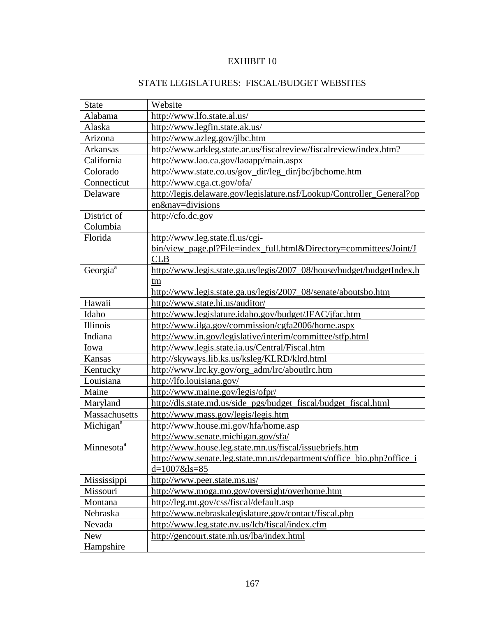# STATE LEGISLATURES: FISCAL/BUDGET WEBSITES

| <b>State</b>           | Website                                                                |
|------------------------|------------------------------------------------------------------------|
| Alabama                | http://www.lfo.state.al.us/                                            |
| Alaska                 | http://www.legfin.state.ak.us/                                         |
| Arizona                | http://www.azleg.gov/jlbc.htm                                          |
| Arkansas               | http://www.arkleg.state.ar.us/fiscalreview/fiscalreview/index.htm?     |
| California             | http://www.lao.ca.gov/laoapp/main.aspx                                 |
| Colorado               | http://www.state.co.us/gov_dir/leg_dir/jbc/jbchome.htm                 |
| Connecticut            | http://www.cga.ct.gov/ofa/                                             |
| Delaware               | http://legis.delaware.gov/legislature.nsf/Lookup/Controller_General?op |
|                        | en&nav=divisions                                                       |
| District of            | http://cfo.dc.gov                                                      |
| Columbia               |                                                                        |
| Florida                | http://www.leg.state.fl.us/cgi-                                        |
|                        | bin/view_page.pl?File=index_full.html&Directory=committees/Joint/J     |
|                        | <b>CLB</b>                                                             |
| Georgia <sup>a</sup>   | http://www.legis.state.ga.us/legis/2007_08/house/budget/budgetIndex.h  |
|                        | tm                                                                     |
|                        | http://www.legis.state.ga.us/legis/2007_08/senate/aboutsbo.htm         |
| Hawaii                 | http://www.state.hi.us/auditor/                                        |
| Idaho                  | http://www.legislature.idaho.gov/budget/JFAC/jfac.htm                  |
| Illinois               | http://www.ilga.gov/commission/cgfa2006/home.aspx                      |
| Indiana                | http://www.in.gov/legislative/interim/committee/stfp.html              |
| Iowa                   | http://www.legis.state.ia.us/Central/Fiscal.htm                        |
| Kansas                 | http://skyways.lib.ks.us/ksleg/KLRD/klrd.html                          |
| Kentucky               | http://www.lrc.ky.gov/org_adm/lrc/aboutlrc.htm                         |
| Louisiana              | http://lfo.louisiana.gov/                                              |
| Maine                  | http://www.maine.gov/legis/ofpr/                                       |
| Maryland               | http://dls.state.md.us/side_pgs/budget_fiscal/budget_fiscal.html       |
| Massachusetts          | http://www.mass.gov/legis/legis.htm                                    |
| Michigan <sup>a</sup>  | http://www.house.mi.gov/hfa/home.asp                                   |
|                        | http://www.senate.michigan.gov/sfa/                                    |
| Minnesota <sup>a</sup> | http://www.house.leg.state.mn.us/fiscal/issuebriefs.htm                |
|                        | http://www.senate.leg.state.mn.us/departments/office_bio.php?office_i  |
|                        | $d=1007$ &ls=85                                                        |
| Mississippi            | http://www.peer.state.ms.us/                                           |
| Missouri               | http://www.moga.mo.gov/oversight/overhome.htm                          |
| Montana                | http://leg.mt.gov/css/fiscal/default.asp                               |
| Nebraska               | http://www.nebraskalegislature.gov/contact/fiscal.php                  |
| Nevada                 | http://www.leg.state.nv.us/lcb/fiscal/index.cfm                        |
| <b>New</b>             | http://gencourt.state.nh.us/lba/index.html                             |
| Hampshire              |                                                                        |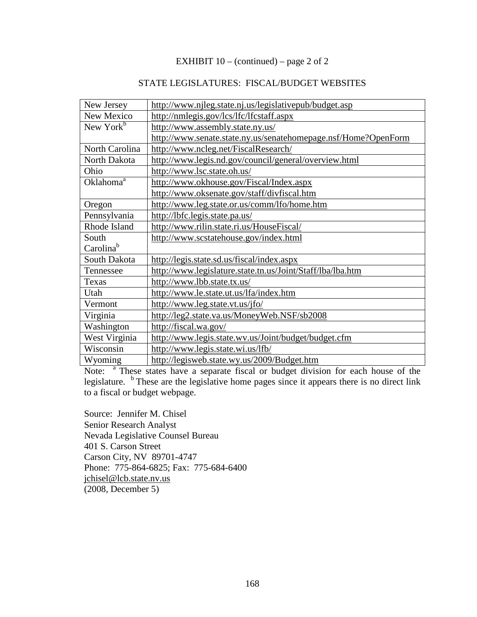# EXHIBIT  $10 - (continued) - page 2 of 2$

# STATE LEGISLATURES: FISCAL/BUDGET WEBSITES

| New Jersey            | http://www.njleg.state.nj.us/legislativepub/budget.asp         |
|-----------------------|----------------------------------------------------------------|
| New Mexico            | http://nmlegis.gov/lcs/lfc/lfcstaff.aspx                       |
| New York $b$          | http://www.assembly.state.ny.us/                               |
|                       | http://www.senate.state.ny.us/senatehomepage.nsf/Home?OpenForm |
| North Carolina        | http://www.ncleg.net/FiscalResearch/                           |
| North Dakota          | http://www.legis.nd.gov/council/general/overview.html          |
| Ohio                  | http://www.lsc.state.oh.us/                                    |
| Oklahoma <sup>a</sup> | http://www.okhouse.gov/Fiscal/Index.aspx                       |
|                       | http://www.oksenate.gov/staff/divfiscal.htm                    |
| Oregon                | http://www.leg.state.or.us/comm/lfo/home.htm                   |
| Pennsylvania          | http://lbfc.legis.state.pa.us/                                 |
| Rhode Island          | http://www.rilin.state.ri.us/HouseFiscal/                      |
| South                 | http://www.scstatehouse.gov/index.html                         |
| Carolina <sup>b</sup> |                                                                |
| South Dakota          | http://legis.state.sd.us/fiscal/index.aspx                     |
| Tennessee             | http://www.legislature.state.tn.us/Joint/Staff/lba/lba.htm     |
| Texas                 | http://www.lbb.state.tx.us/                                    |
| Utah                  | http://www.le.state.ut.us/lfa/index.htm                        |
| Vermont               | http://www.leg.state.vt.us/jfo/                                |
| Virginia              | http://leg2.state.va.us/MoneyWeb.NSF/sb2008                    |
| Washington            | http://fiscal.wa.gov/                                          |
| West Virginia         | http://www.legis.state.wv.us/Joint/budget/budget.cfm           |
| Wisconsin             | http://www.legis.state.wi.us/lfb/                              |
| Wyoming               | http://legisweb.state.wy.us/2009/Budget.htm                    |

Note: <sup>a</sup> These states have a separate fiscal or budget division for each house of the legislature.  $\frac{b}{c}$  These are the legislative home pages since it appears there is no direct link to a fiscal or budget webpage.

Source: Jennifer M. Chisel Senior Research Analyst Nevada Legislative Counsel Bureau 401 S. Carson Street Carson City, NV 89701-4747 Phone: 775-864-6825; Fax: 775-684-6400 jchisel@lcb.state.nv.us (2008, December 5)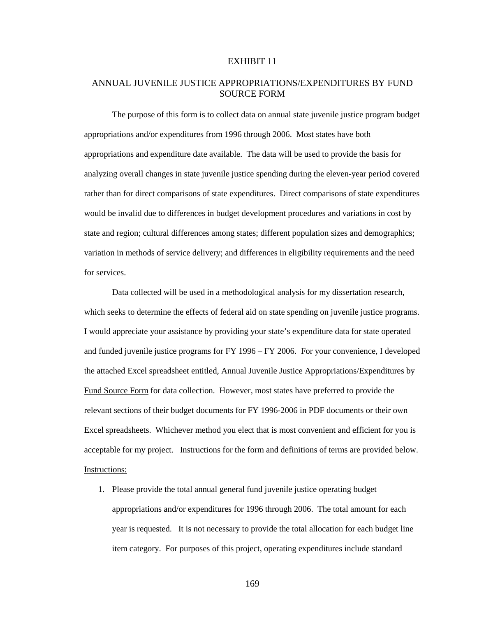# ANNUAL JUVENILE JUSTICE APPROPRIATIONS/EXPENDITURES BY FUND SOURCE FORM

The purpose of this form is to collect data on annual state juvenile justice program budget appropriations and/or expenditures from 1996 through 2006. Most states have both appropriations and expenditure date available. The data will be used to provide the basis for analyzing overall changes in state juvenile justice spending during the eleven-year period covered rather than for direct comparisons of state expenditures. Direct comparisons of state expenditures would be invalid due to differences in budget development procedures and variations in cost by state and region; cultural differences among states; different population sizes and demographics; variation in methods of service delivery; and differences in eligibility requirements and the need for services.

Data collected will be used in a methodological analysis for my dissertation research, which seeks to determine the effects of federal aid on state spending on juvenile justice programs. I would appreciate your assistance by providing your state's expenditure data for state operated and funded juvenile justice programs for FY 1996 – FY 2006. For your convenience, I developed the attached Excel spreadsheet entitled, Annual Juvenile Justice Appropriations/Expenditures by Fund Source Form for data collection. However, most states have preferred to provide the relevant sections of their budget documents for FY 1996-2006 in PDF documents or their own Excel spreadsheets. Whichever method you elect that is most convenient and efficient for you is acceptable for my project. Instructions for the form and definitions of terms are provided below. Instructions:

1. Please provide the total annual general fund juvenile justice operating budget appropriations and/or expenditures for 1996 through 2006. The total amount for each year is requested. It is not necessary to provide the total allocation for each budget line item category. For purposes of this project, operating expenditures include standard

169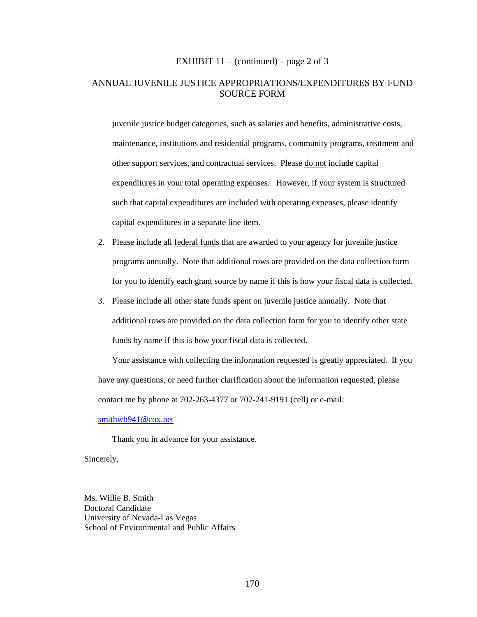#### EXHIBIT  $11 - (continued) - page 2 of 3$

# ANNUAL JUVENILE JUSTICE APPROPRIATIONS/EXPENDITURES BY FUND SOURCE FORM

juvenile justice budget categories, such as salaries and benefits, administrative costs, maintenance, institutions and residential programs, community programs, treatment and other support services, and contractual services. Please do not include capital expenditures in your total operating expenses. However, if your system is structured such that capital expenditures are included with operating expenses, please identify capital expenditures in a separate line item.

- 2. Please include all federal funds that are awarded to your agency for juvenile justice programs annually. Note that additional rows are provided on the data collection form for you to identify each grant source by name if this is how your fiscal data is collected.
- 3. Please include all other state funds spent on juvenile justice annually. Note that additional rows are provided on the data collection form for you to identify other state funds by name if this is how your fiscal data is collected.

Your assistance with collecting the information requested is greatly appreciated. If you have any questions, or need further clarification about the information requested, please contact me by phone at 702-263-4377 or 702-241-9191 (cell) or e-mail:

### smithwb941@cox.net

Thank you in advance for your assistance.

Sincerely,

Ms. Willie B. Smith Doctoral Candidate University of Nevada-Las Vegas School of Environmental and Public Affairs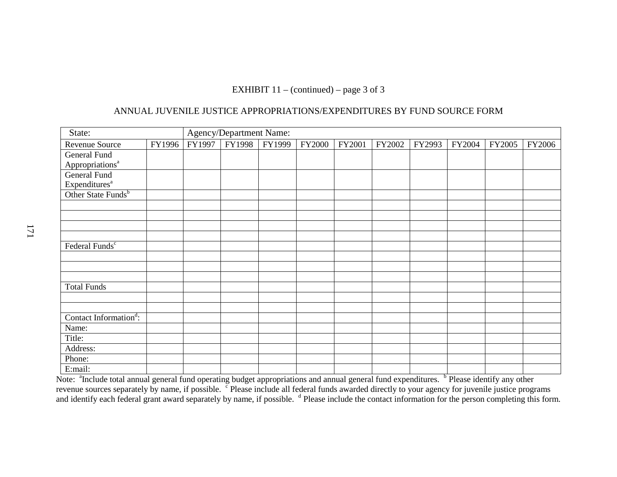# EXHIBIT  $11 - (continued) - page 3 of 3$

# ANNUAL JUVENILE JUSTICE APPROPRIATIONS/EXPENDITURES BY FUND SOURCE FORM

| State:                             |        | <b>Agency/Department Name:</b> |        |        |               |        |        |        |        |        |        |
|------------------------------------|--------|--------------------------------|--------|--------|---------------|--------|--------|--------|--------|--------|--------|
| Revenue Source                     | FY1996 | FY1997                         | FY1998 | FY1999 | <b>FY2000</b> | FY2001 | FY2002 | FY2993 | FY2004 | FY2005 | FY2006 |
| General Fund                       |        |                                |        |        |               |        |        |        |        |        |        |
| Appropriations <sup>a</sup>        |        |                                |        |        |               |        |        |        |        |        |        |
| <b>General Fund</b>                |        |                                |        |        |               |        |        |        |        |        |        |
| Expenditures <sup>a</sup>          |        |                                |        |        |               |        |        |        |        |        |        |
| Other State Funds <sup>b</sup>     |        |                                |        |        |               |        |        |        |        |        |        |
|                                    |        |                                |        |        |               |        |        |        |        |        |        |
|                                    |        |                                |        |        |               |        |        |        |        |        |        |
|                                    |        |                                |        |        |               |        |        |        |        |        |        |
|                                    |        |                                |        |        |               |        |        |        |        |        |        |
| Federal Funds <sup>c</sup>         |        |                                |        |        |               |        |        |        |        |        |        |
|                                    |        |                                |        |        |               |        |        |        |        |        |        |
|                                    |        |                                |        |        |               |        |        |        |        |        |        |
|                                    |        |                                |        |        |               |        |        |        |        |        |        |
| <b>Total Funds</b>                 |        |                                |        |        |               |        |        |        |        |        |        |
|                                    |        |                                |        |        |               |        |        |        |        |        |        |
|                                    |        |                                |        |        |               |        |        |        |        |        |        |
| Contact Information <sup>d</sup> : |        |                                |        |        |               |        |        |        |        |        |        |
| Name:                              |        |                                |        |        |               |        |        |        |        |        |        |
| Title:                             |        |                                |        |        |               |        |        |        |        |        |        |
| Address:                           |        |                                |        |        |               |        |        |        |        |        |        |
| Phone:                             |        |                                |        |        |               |        |        |        |        |        |        |
| E:mail:                            |        |                                |        |        |               |        |        |        |        |        |        |

Note: <sup>a</sup>Include total annual general fund operating budget appropriations and annual general fund expenditures. <sup>b</sup> Please identify any other revenue sources separately by name, if possible. <sup>c</sup> Please include all federal funds awarded directly to your agency for juvenile justice programs<br>and identify each federal grant award separately by name, if possible. <sup>d</sup>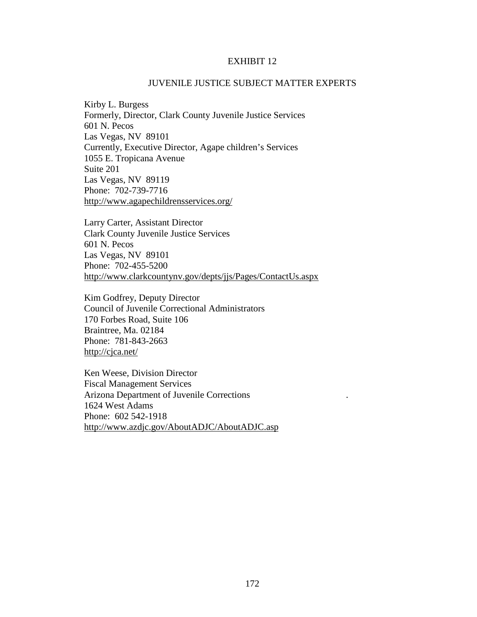### JUVENILE JUSTICE SUBJECT MATTER EXPERTS

Kirby L. Burgess Formerly, Director, Clark County Juvenile Justice Services 601 N. Pecos Las Vegas, NV 89101 Currently, Executive Director, Agape children's Services 1055 E. Tropicana Avenue Suite 201 Las Vegas, NV 89119 Phone: 702-739-7716 http://www.agapechildrensservices.org/

Larry Carter, Assistant Director Clark County Juvenile Justice Services 601 N. Pecos Las Vegas, NV 89101 Phone: 702-455-5200 http://www.clarkcountynv.gov/depts/jjs/Pages/ContactUs.aspx

Kim Godfrey, Deputy Director Council of Juvenile Correctional Administrators 170 Forbes Road, Suite 106 Braintree, Ma. 02184 Phone: 781-843-2663 http://cjca.net/

Ken Weese, Division Director Fiscal Management Services Arizona Department of Juvenile Corrections . 1624 West Adams Phone: 602 542-1918 http://www.azdjc.gov/AboutADJC/AboutADJC.asp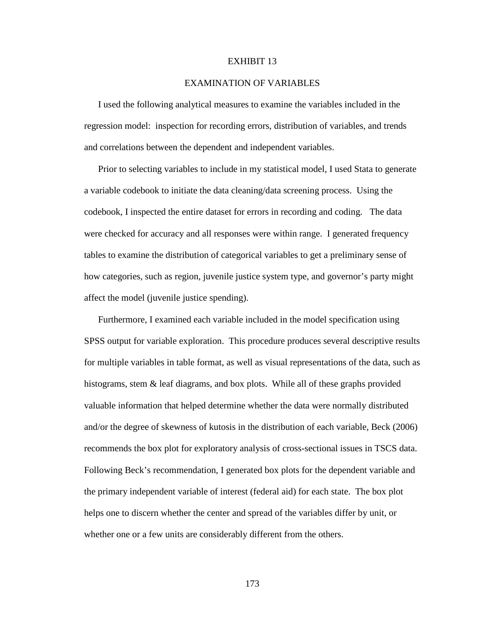#### EXAMINATION OF VARIABLES

I used the following analytical measures to examine the variables included in the regression model: inspection for recording errors, distribution of variables, and trends and correlations between the dependent and independent variables.

Prior to selecting variables to include in my statistical model, I used Stata to generate a variable codebook to initiate the data cleaning/data screening process. Using the codebook, I inspected the entire dataset for errors in recording and coding. The data were checked for accuracy and all responses were within range. I generated frequency tables to examine the distribution of categorical variables to get a preliminary sense of how categories, such as region, juvenile justice system type, and governor's party might affect the model (juvenile justice spending).

Furthermore, I examined each variable included in the model specification using SPSS output for variable exploration. This procedure produces several descriptive results for multiple variables in table format, as well as visual representations of the data, such as histograms, stem  $\&$  leaf diagrams, and box plots. While all of these graphs provided valuable information that helped determine whether the data were normally distributed and/or the degree of skewness of kutosis in the distribution of each variable, Beck (2006) recommends the box plot for exploratory analysis of cross-sectional issues in TSCS data. Following Beck's recommendation, I generated box plots for the dependent variable and the primary independent variable of interest (federal aid) for each state. The box plot helps one to discern whether the center and spread of the variables differ by unit, or whether one or a few units are considerably different from the others.

173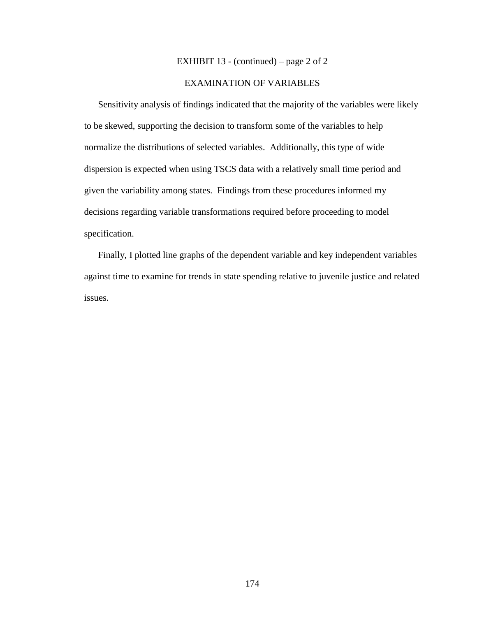### EXHIBIT 13 - (continued) – page 2 of 2

# EXAMINATION OF VARIABLES

Sensitivity analysis of findings indicated that the majority of the variables were likely to be skewed, supporting the decision to transform some of the variables to help normalize the distributions of selected variables. Additionally, this type of wide dispersion is expected when using TSCS data with a relatively small time period and given the variability among states. Findings from these procedures informed my decisions regarding variable transformations required before proceeding to model specification.

Finally, I plotted line graphs of the dependent variable and key independent variables against time to examine for trends in state spending relative to juvenile justice and related issues.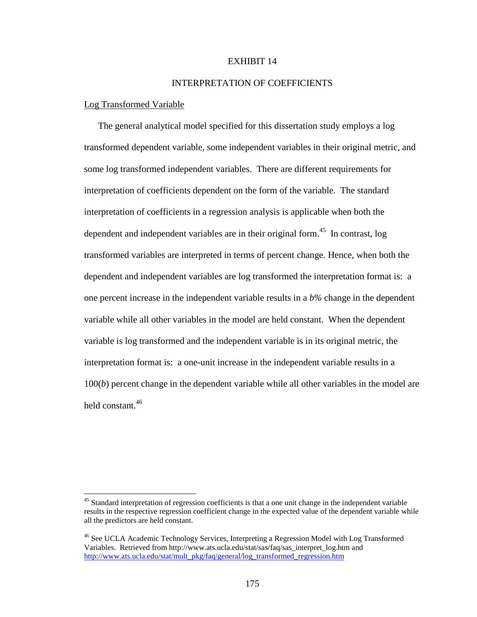# INTERPRETATION OF COEFFICIENTS

#### Log Transformed Variable

 $\overline{a}$ 

The general analytical model specified for this dissertation study employs a log transformed dependent variable, some independent variables in their original metric, and some log transformed independent variables. There are different requirements for interpretation of coefficients dependent on the form of the variable. The standard interpretation of coefficients in a regression analysis is applicable when both the dependent and independent variables are in their original form.<sup>45</sup> In contrast, log transformed variables are interpreted in terms of percent change. Hence, when both the dependent and independent variables are log transformed the interpretation format is: a one percent increase in the independent variable results in a *b%* change in the dependent variable while all other variables in the model are held constant. When the dependent variable is log transformed and the independent variable is in its original metric, the interpretation format is: a one-unit increase in the independent variable results in a 100(*b*) percent change in the dependent variable while all other variables in the model are held constant.<sup>46</sup>

<sup>&</sup>lt;sup>45</sup> Standard interpretation of regression coefficients is that a one unit change in the independent variable results in the respective regression coefficient change in the expected value of the dependent variable while all the predictors are held constant.

<sup>&</sup>lt;sup>46</sup> See UCLA Academic Technology Services, Interpreting a Regression Model with Log Transformed Variables. Retrieved from http://www.ats.ucla.edu/stat/sas/faq/sas\_interpret\_log.htm and http://www.ats.ucla.edu/stat/mult\_pkg/faq/general/log\_transformed\_regression.htm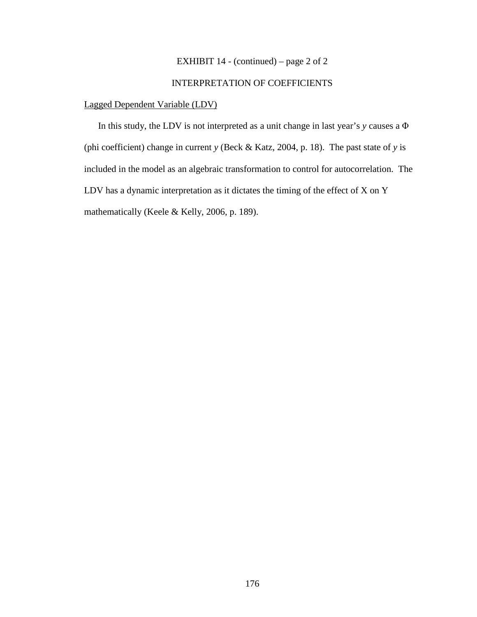# EXHIBIT 14 - (continued) – page 2 of 2

# INTERPRETATION OF COEFFICIENTS

# Lagged Dependent Variable (LDV)

In this study, the LDV is not interpreted as a unit change in last year's *y* causes a Φ (phi coefficient) change in current *y* (Beck & Katz, 2004, p. 18). The past state of *y* is included in the model as an algebraic transformation to control for autocorrelation. The LDV has a dynamic interpretation as it dictates the timing of the effect of X on Y mathematically (Keele & Kelly, 2006, p. 189).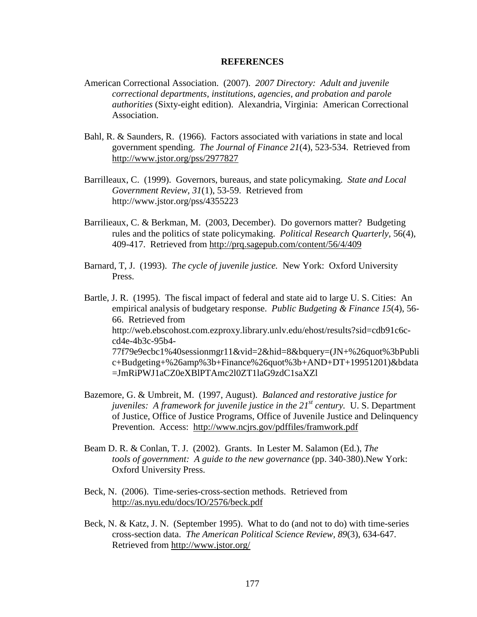#### **REFERENCES**

- American Correctional Association. (2007). *2007 Directory: Adult and juvenile correctional departments, institutions, agencies, and probation and parole authorities* (Sixty-eight edition). Alexandria, Virginia: American Correctional Association.
- Bahl, R. & Saunders, R. (1966). Factors associated with variations in state and local government spending. *The Journal of Finance 21*(4), 523-534. Retrieved from http://www.jstor.org/pss/2977827
- Barrilleaux, C. (1999). Governors, bureaus, and state policymaking. *State and Local Government Review, 31*(1), 53-59. Retrieved from http://www.jstor.org/pss/4355223
- Barrilieaux, C. & Berkman, M. (2003, December). Do governors matter? Budgeting rules and the politics of state policymaking. *Political Research Quarterly,* 56(4), 409-417. Retrieved from http://prq.sagepub.com/content/56/4/409
- Barnard, T, J. (1993). *The cycle of juvenile justice.* New York: Oxford University Press.

Bartle, J. R. (1995). The fiscal impact of federal and state aid to large U. S. Cities: An empirical analysis of budgetary response. *Public Budgeting & Finance 15*(4), 56- 66. Retrieved from http://web.ebscohost.com.ezproxy.library.unlv.edu/ehost/results?sid=cdb91c6ccd4e-4b3c-95b4- 77f79e9ecbc1%40sessionmgr11&vid=2&hid=8&bquery=(JN+%26quot%3bPubli c+Budgeting+%26amp%3b+Finance%26quot%3b+AND+DT+19951201)&bdata =JmRiPWJ1aCZ0eXBlPTAmc2l0ZT1laG9zdC1saXZl

- Bazemore, G. & Umbreit, M. (1997, August). *Balanced and restorative justice for juveniles: A framework for juvenile justice in the 21st century.* U. S. Department of Justice, Office of Justice Programs, Office of Juvenile Justice and Delinquency Prevention. Access: http://www.ncjrs.gov/pdffiles/framwork.pdf
- Beam D. R. & Conlan, T. J. (2002). Grants. In Lester M. Salamon (Ed.), *The tools of government: A guide to the new governance* (pp. 340-380).New York: Oxford University Press.
- Beck, N. (2006). Time-series-cross-section methods. Retrieved from http://as.nyu.edu/docs/IO/2576/beck.pdf
- Beck, N. & Katz, J. N. (September 1995). What to do (and not to do) with time-series cross-section data. *The American Political Science Review, 89*(3), 634-647. Retrieved from http://www.jstor.org/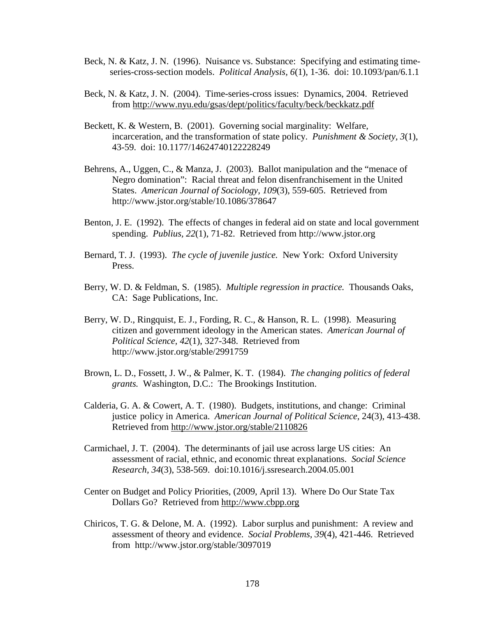- Beck, N. & Katz, J. N. (1996). Nuisance vs. Substance: Specifying and estimating time series-cross-section models. *Political Analysis, 6*(1), 1-36. doi: 10.1093/pan/6.1.1
- Beck, N. & Katz, J. N. (2004). Time-series-cross issues: Dynamics, 2004. Retrieved from http://www.nyu.edu/gsas/dept/politics/faculty/beck/beckkatz.pdf
- Beckett, K. & Western, B. (2001). Governing social marginality: Welfare, incarceration, and the transformation of state policy. *Punishment & Society, 3*(1), 43-59. doi: 10.1177/14624740122228249
- Behrens, A., Uggen, C., & Manza, J. (2003). Ballot manipulation and the "menace of Negro domination": Racial threat and felon disenfranchisement in the United States. *American Journal of Sociology, 109*(3), 559-605. Retrieved from http://www.jstor.org/stable/10.1086/378647
- Benton, J. E. (1992). The effects of changes in federal aid on state and local government spending. *Publius, 22*(1), 71-82. Retrieved from http://www.jstor.org
- Bernard, T. J. (1993). *The cycle of juvenile justice.* New York: Oxford University Press.
- Berry, W. D. & Feldman, S. (1985). *Multiple regression in practice.* Thousands Oaks, CA: Sage Publications, Inc.
- Berry, W. D., Ringquist, E. J., Fording, R. C., & Hanson, R. L. (1998). Measuring citizen and government ideology in the American states. *American Journal of Political Science, 42*(1), 327-348. Retrieved from http://www.jstor.org/stable/2991759
- Brown, L. D., Fossett, J. W., & Palmer, K. T. (1984). *The changing politics of federal grants.* Washington, D.C.: The Brookings Institution.
- Calderia, G. A. & Cowert, A. T. (1980). Budgets, institutions, and change: Criminal justice policy in America. *American Journal of Political Science,* 24(3), 413-438. Retrieved from http://www.jstor.org/stable/2110826
- Carmichael, J. T. (2004). The determinants of jail use across large US cities: An assessment of racial, ethnic, and economic threat explanations. *Social Science Research, 34*(3), 538-569. doi:10.1016/j.ssresearch.2004.05.001
- Center on Budget and Policy Priorities, (2009, April 13). Where Do Our State Tax Dollars Go? Retrieved from http://www.cbpp.org
- Chiricos, T. G. & Delone, M. A. (1992). Labor surplus and punishment: A review and assessment of theory and evidence. *Social Problems, 39*(4), 421-446. Retrieved from http://www.jstor.org/stable/3097019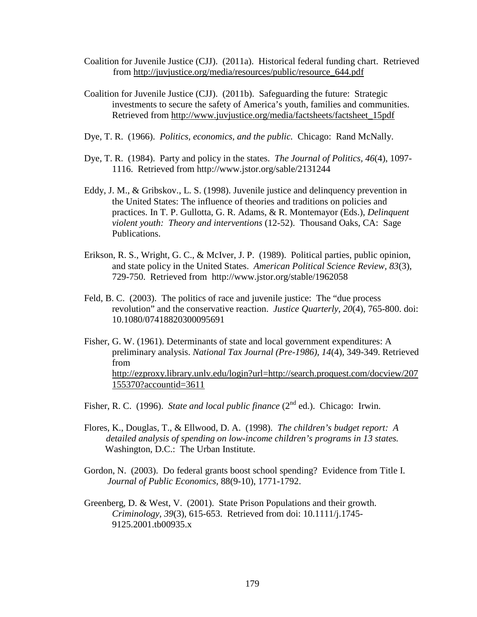- Coalition for Juvenile Justice (CJJ). (2011a). Historical federal funding chart. Retrieved from http://juvjustice.org/media/resources/public/resource\_644.pdf
- Coalition for Juvenile Justice (CJJ). (2011b). Safeguarding the future: Strategic investments to secure the safety of America's youth, families and communities. Retrieved from http://www.juvjustice.org/media/factsheets/factsheet\_15pdf
- Dye, T. R. (1966). *Politics, economics, and the public.* Chicago: Rand McNally.
- Dye, T. R. (1984). Party and policy in the states. *The Journal of Politics, 46*(4), 1097- 1116. Retrieved from http://www.jstor.org/sable/2131244
- Eddy, J. M., & Gribskov., L. S. (1998). Juvenile justice and delinquency prevention in the United States: The influence of theories and traditions on policies and practices. In T. P. Gullotta, G. R. Adams, & R. Montemayor (Eds.), *Delinquent violent youth: Theory and interventions* (12-52). Thousand Oaks, CA: Sage Publications.
- Erikson, R. S., Wright, G. C., & McIver, J. P. (1989). Political parties, public opinion, and state policy in the United States. *American Political Science Review, 83*(3), 729-750. Retrieved from http://www.jstor.org/stable/1962058
- Feld, B. C. (2003). The politics of race and juvenile justice: The "due process revolution" and the conservative reaction. *Justice Quarterly, 20*(4), 765-800. doi: 10.1080/07418820300095691
- Fisher, G. W. (1961). Determinants of state and local government expenditures: A preliminary analysis. *National Tax Journal (Pre-1986), 14*(4), 349-349. Retrieved from http://ezproxy.library.unlv.edu/login?url=http://search.proquest.com/docview/207 155370?accountid=3611

Fisher, R. C. (1996). *State and local public finance* (2<sup>nd</sup> ed.). Chicago: Irwin.

- Flores, K., Douglas, T., & Ellwood, D. A. (1998). *The children's budget report: A detailed analysis of spending on low-income children's programs in 13 states.*  Washington, D.C.: The Urban Institute.
- Gordon, N. (2003). Do federal grants boost school spending? Evidence from Title I. *Journal of Public Economics,* 88(9-10), 1771-1792.
- Greenberg, D. & West, V. (2001). State Prison Populations and their growth. *Criminology, 39*(3), 615-653. Retrieved from doi: 10.1111/j.1745- 9125.2001.tb00935.x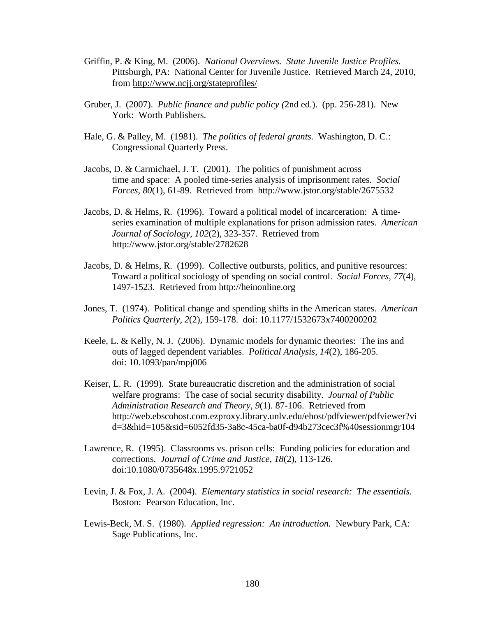- Griffin, P. & King, M. (2006). *National Overviews. State Juvenile Justice Profiles.*  Pittsburgh, PA: National Center for Juvenile Justice. Retrieved March 24, 2010, from http://www.ncjj.org/stateprofiles/
- Gruber, J. (2007). *Public finance and public policy (*2nd ed.). (pp. 256-281). New York: Worth Publishers.
- Hale, G. & Palley, M. (1981). *The politics of federal grants.* Washington, D. C.: Congressional Quarterly Press.
- Jacobs, D. & Carmichael, J. T. (2001). The politics of punishment across time and space: A pooled time-series analysis of imprisonment rates. *Social Forces, 80*(1), 61-89. Retrieved from http://www.jstor.org/stable/2675532
- Jacobs, D. & Helms, R. (1996). Toward a political model of incarceration: A timeseries examination of multiple explanations for prison admission rates. *American Journal of Sociology, 102*(2), 323-357. Retrieved from http://www.jstor.org/stable/2782628
- Jacobs, D. & Helms, R. (1999). Collective outbursts, politics, and punitive resources: Toward a political sociology of spending on social control. *Social Forces, 77*(4), 1497-1523. Retrieved from http://heinonline.org
- Jones, T. (1974). Political change and spending shifts in the American states. *American Politics Quarterly, 2*(2), 159-178. doi: 10.1177/1532673x7400200202
- Keele, L. & Kelly, N. J. (2006). Dynamic models for dynamic theories: The ins and outs of lagged dependent variables. *Political Analysis, 14*(2), 186-205. doi: 10.1093/pan/mpj006
- Keiser, L. R. (1999). State bureaucratic discretion and the administration of social welfare programs: The case of social security disability. *Journal of Public Administration Research and Theory*, *9*(1). 87-106. Retrieved from http://web.ebscohost.com.ezproxy.library.unlv.edu/ehost/pdfviewer/pdfviewer?vi d=3&hid=105&sid=6052fd35-3a8c-45ca-ba0f-d94b273cec3f%40sessionmgr104
- Lawrence, R. (1995). Classrooms vs. prison cells: Funding policies for education and corrections. *Journal of Crime and Justice, 18*(2), 113-126. doi:10.1080/0735648x.1995.9721052
- Levin, J. & Fox, J. A. (2004). *Elementary statistics in social research: The essentials.*  Boston: Pearson Education, Inc.
- Lewis-Beck, M. S. (1980). *Applied regression: An introduction.* Newbury Park, CA: Sage Publications, Inc.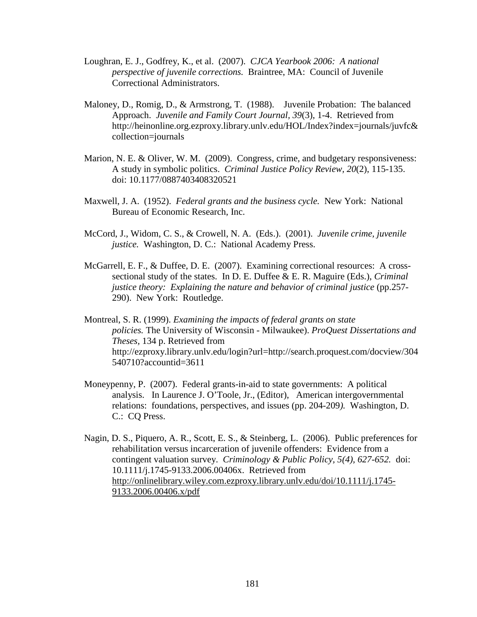- Loughran, E. J., Godfrey, K., et al. (2007). *CJCA Yearbook 2006: A national perspective of juvenile corrections.* Braintree, MA: Council of Juvenile Correctional Administrators.
- Maloney, D., Romig, D., & Armstrong, T. (1988). Juvenile Probation: The balanced Approach. *Juvenile and Family Court Journal, 39*(3), 1-4. Retrieved from http://heinonline.org.ezproxy.library.unlv.edu/HOL/Index?index=journals/juvfc& collection=journals
- Marion, N. E. & Oliver, W. M. (2009). Congress, crime, and budgetary responsiveness: A study in symbolic politics. *Criminal Justice Policy Review, 20*(2), 115-135. doi: 10.1177/0887403408320521
- Maxwell, J. A. (1952). *Federal grants and the business cycle.* New York: National Bureau of Economic Research, Inc.
- McCord, J., Widom, C. S., & Crowell, N. A. (Eds.). (2001). *Juvenile crime, juvenile justice.* Washington, D. C.: National Academy Press.
- McGarrell, E. F., & Duffee, D. E. (2007). Examining correctional resources: A crosssectional study of the states. In D. E. Duffee & E. R. Maguire (Eds.), *Criminal justice theory: Explaining the nature and behavior of criminal justice* (pp.257- 290). New York: Routledge.
- Montreal, S. R. (1999). *Examining the impacts of federal grants on state policies.* The University of Wisconsin - Milwaukee). *ProQuest Dissertations and Theses,* 134 p. Retrieved from http://ezproxy.library.unlv.edu/login?url=http://search.proquest.com/docview/304 540710?accountid=3611
- Moneypenny, P. (2007). Federal grants-in-aid to state governments: A political analysis. In Laurence J. O'Toole, Jr., (Editor), American intergovernmental relations: foundations, perspectives, and issues (pp. 204-209*).* Washington, D. C.: CQ Press.
- Nagin, D. S., Piquero, A. R., Scott, E. S., & Steinberg, L. (2006). Public preferences for rehabilitation versus incarceration of juvenile offenders: Evidence from a contingent valuation survey. *Criminology & Public Policy, 5(4), 627-652.* doi: 10.1111/j.1745-9133.2006.00406x. Retrieved from http://onlinelibrary.wiley.com.ezproxy.library.unlv.edu/doi/10.1111/j.1745- 9133.2006.00406.x/pdf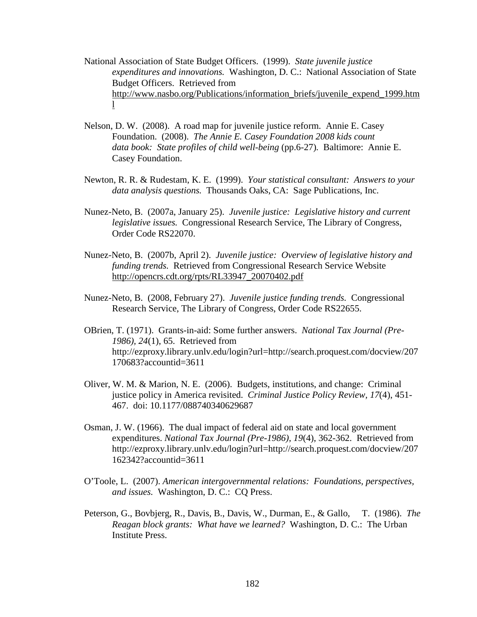- National Association of State Budget Officers. (1999). *State juvenile justice expenditures and innovations.* Washington, D. C.: National Association of State Budget Officers. Retrieved from http://www.nasbo.org/Publications/information\_briefs/juvenile\_expend\_1999.htm l
- Nelson, D. W. (2008). A road map for juvenile justice reform. Annie E. Casey Foundation. (2008). *The Annie E. Casey Foundation 2008 kids count data book: State profiles of child well-being* (pp.6-27)*.* Baltimore: Annie E. Casey Foundation.
- Newton, R. R. & Rudestam, K. E. (1999). *Your statistical consultant: Answers to your data analysis questions.* Thousands Oaks, CA: Sage Publications, Inc.
- Nunez-Neto, B. (2007a, January 25). *Juvenile justice: Legislative history and current legislative issues.* Congressional Research Service, The Library of Congress, Order Code RS22070.
- Nunez-Neto, B. (2007b, April 2). *Juvenile justice: Overview of legislative history and funding trends.* Retrieved from Congressional Research Service Website http://opencrs.cdt.org/rpts/RL33947\_20070402.pdf
- Nunez-Neto, B. (2008, February 27). *Juvenile justice funding trends.* Congressional Research Service, The Library of Congress, Order Code RS22655.
- OBrien, T. (1971). Grants-in-aid: Some further answers. *National Tax Journal (Pre-1986), 24*(1), 65. Retrieved from http://ezproxy.library.unlv.edu/login?url=http://search.proquest.com/docview/207 170683?accountid=3611
- Oliver, W. M. & Marion, N. E. (2006). Budgets, institutions, and change: Criminal justice policy in America revisited. *Criminal Justice Policy Review, 17*(4), 451- 467. doi: 10.1177/088740340629687
- Osman, J. W. (1966). The dual impact of federal aid on state and local government expenditures. *National Tax Journal (Pre-1986), 19*(4), 362-362. Retrieved from http://ezproxy.library.unlv.edu/login?url=http://search.proquest.com/docview/207 162342?accountid=3611
- O'Toole, L. (2007). *American intergovernmental relations: Foundations, perspectives, and issues.* Washington, D. C.: CQ Press.
- Peterson, G., Bovbjerg, R., Davis, B., Davis, W., Durman, E., & Gallo, T. (1986). *The Reagan block grants: What have we learned?* Washington, D. C.: The Urban Institute Press.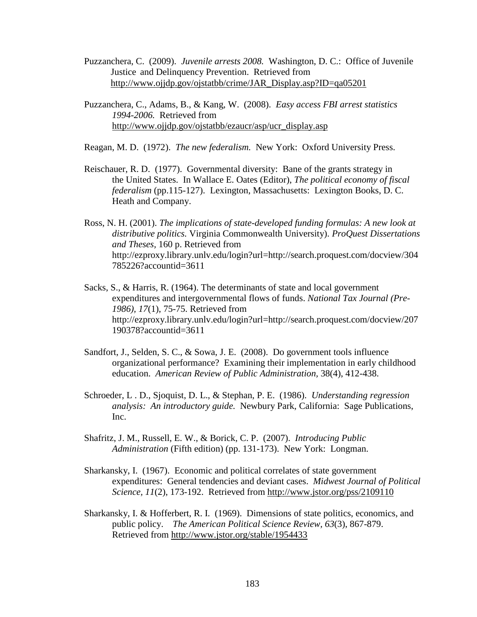- Puzzanchera, C. (2009). *Juvenile arrests 2008.* Washington, D. C.: Office of Juvenile Justice and Delinquency Prevention. Retrieved from http://www.ojjdp.gov/ojstatbb/crime/JAR\_Display.asp?ID=qa05201
- Puzzanchera, C., Adams, B., & Kang, W. (2008). *Easy access FBI arrest statistics 1994-2006.* Retrieved from http://www.ojjdp.gov/ojstatbb/ezaucr/asp/ucr\_display.asp

Reagan, M. D. (1972). *The new federalism.* New York: Oxford University Press.

- Reischauer, R. D. (1977). Governmental diversity: Bane of the grants strategy in the United States. In Wallace E. Oates (Editor), *The political economy of fiscal federalism* (pp.115-127). Lexington, Massachusetts: Lexington Books, D. C. Heath and Company.
- Ross, N. H. (2001). *The implications of state-developed funding formulas: A new look at distributive politics.* Virginia Commonwealth University). *ProQuest Dissertations and Theses,* 160 p. Retrieved from http://ezproxy.library.unlv.edu/login?url=http://search.proquest.com/docview/304 785226?accountid=3611
- Sacks, S., & Harris, R. (1964). The determinants of state and local government expenditures and intergovernmental flows of funds. *National Tax Journal (Pre-1986), 17*(1), 75-75. Retrieved from http://ezproxy.library.unlv.edu/login?url=http://search.proquest.com/docview/207 190378?accountid=3611
- Sandfort, J., Selden, S. C., & Sowa, J. E. (2008). Do government tools influence organizational performance? Examining their implementation in early childhood education. *American Review of Public Administration,* 38(4), 412-438.
- Schroeder, L . D., Sjoquist, D. L., & Stephan, P. E. (1986). *Understanding regression analysis: An introductory guide.* Newbury Park, California: Sage Publications, Inc.
- Shafritz, J. M., Russell, E. W., & Borick, C. P. (2007). *Introducing Public Administration* (Fifth edition) (pp. 131-173). New York: Longman.
- Sharkansky, I. (1967). Economic and political correlates of state government expenditures: General tendencies and deviant cases. *Midwest Journal of Political Science, 11*(2), 173-192. Retrieved from http://www.jstor.org/pss/2109110
- Sharkansky, I. & Hofferbert, R. I. (1969). Dimensions of state politics, economics, and public policy. *The American Political Science Review, 63*(3), 867-879. Retrieved from http://www.jstor.org/stable/1954433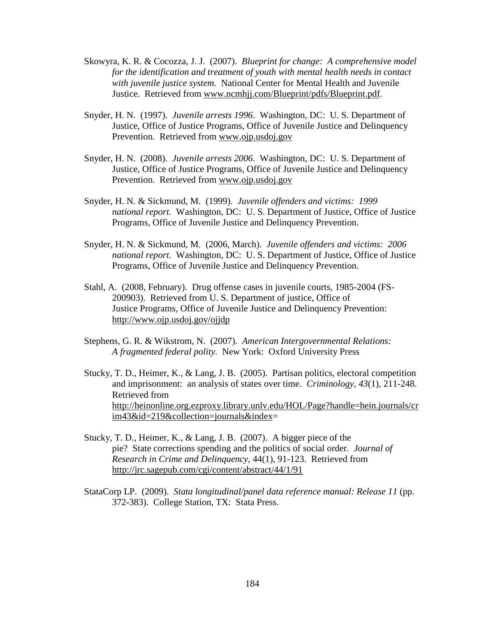- Skowyra, K. R. & Cocozza, J. J. (2007). *Blueprint for change: A comprehensive model for the identification and treatment of youth with mental health needs in contact with juvenile justice system.* National Center for Mental Health and Juvenile Justice. Retrieved from www.ncmhjj.com/Blueprint/pdfs/Blueprint.pdf.
- Snyder, H. N. (1997). *Juvenile arrests 1996*. Washington, DC: U. S. Department of Justice, Office of Justice Programs, Office of Juvenile Justice and Delinquency Prevention. Retrieved from www.ojp.usdoj.gov
- Snyder, H. N. (2008). *Juvenile arrests 2006*. Washington, DC: U. S. Department of Justice, Office of Justice Programs, Office of Juvenile Justice and Delinquency Prevention. Retrieved from www.ojp.usdoj.gov
- Snyder, H. N. & Sickmund, M. (1999). *Juvenile offenders and victims: 1999 national report.* Washington, DC: U. S. Department of Justice, Office of Justice Programs, Office of Juvenile Justice and Delinquency Prevention.
- Snyder, H. N. & Sickmund, M. (2006, March). *Juvenile offenders and victims: 2006 national report.* Washington, DC: U. S. Department of Justice, Office of Justice Programs, Office of Juvenile Justice and Delinquency Prevention.
- Stahl, A. (2008, February). Drug offense cases in juvenile courts, 1985-2004 (FS- 200903). Retrieved from U. S. Department of justice, Office of Justice Programs, Office of Juvenile Justice and Delinquency Prevention: http://www.ojp.usdoj.gov/ojjdp
- Stephens, G. R. & Wikstrom, N. (2007). *American Intergovernmental Relations: A fragmented federal polity.* New York: Oxford University Press
- Stucky, T. D., Heimer, K., & Lang, J. B. (2005). Partisan politics, electoral competition and imprisonment: an analysis of states over time. *Criminology, 43*(1), 211-248. Retrieved from http://heinonline.org.ezproxy.library.unlv.edu/HOL/Page?handle=hein.journals/cr im43&id=219&collection=journals&index=
- Stucky, T. D., Heimer, K., & Lang, J. B. (2007). A bigger piece of the pie? State corrections spending and the politics of social order. *Journal of Research in Crime and Delinquency,* 44(1), 91-123. Retrieved from http://jrc.sagepub.com/cgi/content/abstract/44/1/91
- StataCorp LP. (2009). *Stata longitudinal/panel data reference manual: Release 11* (pp. 372-383). College Station, TX: Stata Press.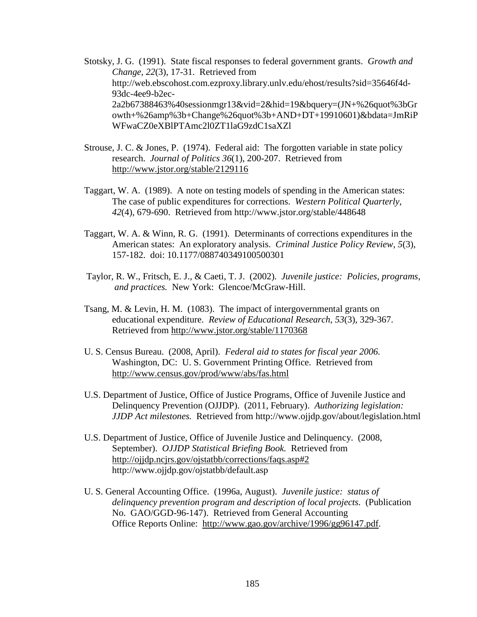Stotsky, J. G. (1991). State fiscal responses to federal government grants. *Growth and Change, 22*(3), 17-31. Retrieved from http://web.ebscohost.com.ezproxy.library.unlv.edu/ehost/results?sid=35646f4d-93dc-4ee9-b2ec-2a2b67388463%40sessionmgr13&vid=2&hid=19&bquery=(JN+%26quot%3bGr owth+%26amp%3b+Change%26quot%3b+AND+DT+19910601)&bdata=JmRiP WFwaCZ0eXBlPTAmc2l0ZT1laG9zdC1saXZl

- Strouse, J. C. & Jones, P. (1974). Federal aid: The forgotten variable in state policy research. *Journal of Politics 36*(1), 200-207. Retrieved from http://www.jstor.org/stable/2129116
- Taggart, W. A. (1989). A note on testing models of spending in the American states: The case of public expenditures for corrections. *Western Political Quarterly, 42*(4), 679-690. Retrieved from http://www.jstor.org/stable/448648
- Taggart, W. A. & Winn, R. G. (1991). Determinants of corrections expenditures in the American states: An exploratory analysis. *Criminal Justice Policy Review, 5*(3), 157-182. doi: 10.1177/088740349100500301
- Taylor, R. W., Fritsch, E. J., & Caeti, T. J. (2002). *Juvenile justice: Policies, programs, and practices.* New York: Glencoe/McGraw-Hill.
- Tsang, M. & Levin, H. M. (1083). The impact of intergovernmental grants on educational expenditure. *Review of Educational Research, 53*(3), 329-367. Retrieved from http://www.jstor.org/stable/1170368
- U. S. Census Bureau. (2008, April). *Federal aid to states for fiscal year 2006.*  Washington, DC: U. S. Government Printing Office. Retrieved from http://www.census.gov/prod/www/abs/fas.html
- U.S. Department of Justice, Office of Justice Programs, Office of Juvenile Justice and Delinquency Prevention (OJJDP). (2011, February). *Authorizing legislation: JJDP Act milestones.* Retrieved from http://www.ojjdp.gov/about/legislation.html
- U.S. Department of Justice, Office of Juvenile Justice and Delinquency. (2008, September). *OJJDP Statistical Briefing Book.* Retrieved from http://ojjdp.ncjrs.gov/ojstatbb/corrections/faqs.asp#2 http://www.ojjdp.gov/ojstatbb/default.asp
- U. S. General Accounting Office. (1996a, August). *Juvenile justice: status of delinquency prevention program and description of local projects.* (Publication No. GAO/GGD-96-147). Retrieved from General Accounting Office Reports Online: http://www.gao.gov/archive/1996/gg96147.pdf.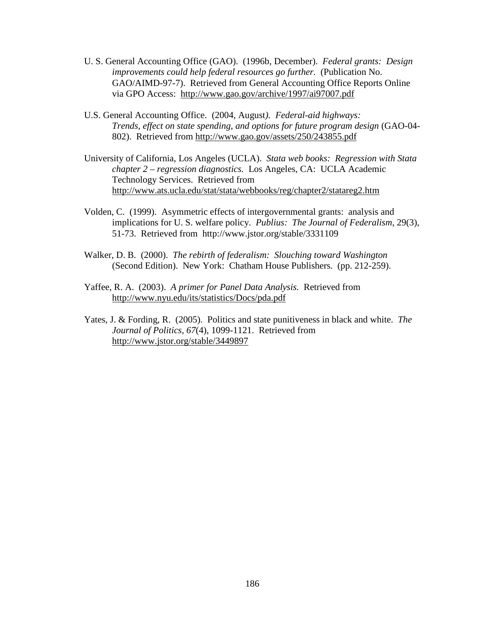- U. S. General Accounting Office (GAO). (1996b, December). *Federal grants: Design improvements could help federal resources go further.* (Publication No. GAO/AIMD-97-7). Retrieved from General Accounting Office Reports Online via GPO Access: http://www.gao.gov/archive/1997/ai97007.pdf
- U.S. General Accounting Office. (2004, August*). Federal-aid highways: Trends, effect on state spending, and options for future program design* (GAO-04- 802). Retrieved from http://www.gao.gov/assets/250/243855.pdf
- University of California, Los Angeles (UCLA). *Stata web books: Regression with Stata chapter 2 – regression diagnostics.* Los Angeles, CA: UCLA Academic Technology Services. Retrieved from http://www.ats.ucla.edu/stat/stata/webbooks/reg/chapter2/statareg2.htm
- Volden, C. (1999). Asymmetric effects of intergovernmental grants: analysis and implications for U. S. welfare policy. *Publius: The Journal of Federalism*, 29(3), 51-73. Retrieved from http://www.jstor.org/stable/3331109
- Walker, D. B. (2000). *The rebirth of federalism: Slouching toward Washington*  (Second Edition). New York: Chatham House Publishers. (pp. 212-259).
- Yaffee, R. A. (2003). *A primer for Panel Data Analysis.* Retrieved from http://www.nyu.edu/its/statistics/Docs/pda.pdf
- Yates, J. & Fording, R. (2005). Politics and state punitiveness in black and white. *The Journal of Politics, 67*(4), 1099-1121. Retrieved from http://www.jstor.org/stable/3449897